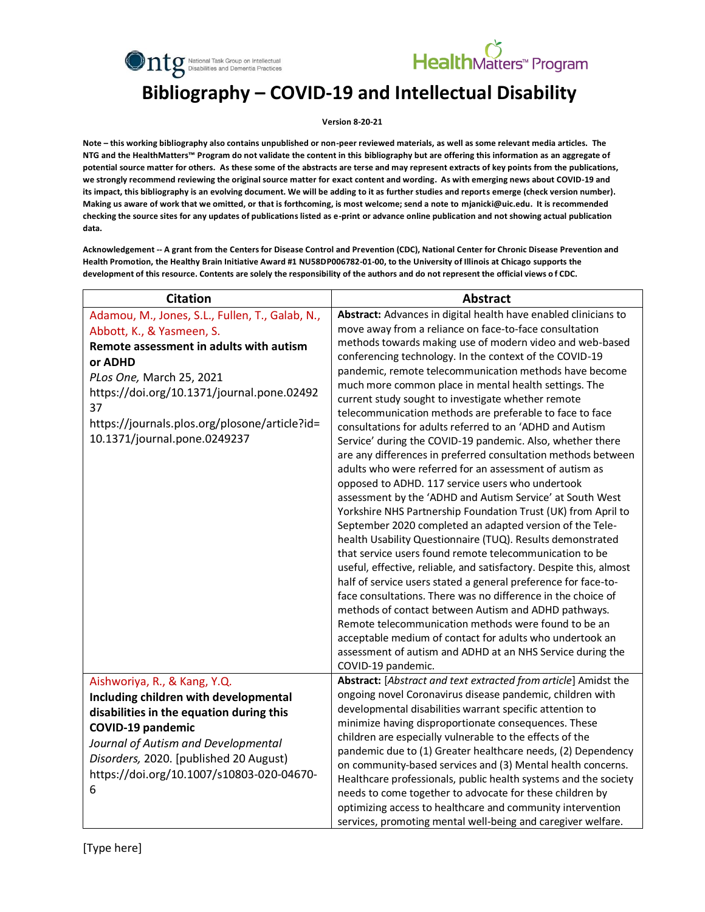



#### **Bibliography – COVID-19 and Intellectual Disability**

**Version 8-20-21**

**Note – this working bibliography also contains unpublished or non-peer reviewed materials, as well as some relevant media articles. The NTG and the HealthMatters™ Program do not validate the content in this bibliography but are offering this information as an aggregate of potential source matter for others. As these some of the abstracts are terse and may represent extracts of key points from the publications, we strongly recommend reviewing the original source matter for exact content and wording. As with emerging news about COVID-19 and its impact, this bibliography is an evolving document. We will be adding to it as further studies and reports emerge (check version number). Making us aware of work that we omitted, or that is forthcoming, is most welcome; send a note to mjanicki@uic.edu. It is recommended checking the source sites for any updates of publications listed as e-print or advance online publication and not showing actual publication data.**

**Acknowledgement -- A grant from the Centers for Disease Control and Prevention (CDC), National Center for Chronic Disease Prevention and Health Promotion, the Healthy Brain Initiative Award #1 NU58DP006782-01-00, to the University of Illinois at Chicago supports the development of this resource. Contents are solely the responsibility of the authors and do not represent the official views o f CDC.**

| <b>Citation</b>                                                                                                                                                                                                                                                                                     | <b>Abstract</b>                                                                                                                                                                                                                                                                                                                                                                                                                                                                                                                                                                                                                                                                                                                                                                                                                                                                                                                                                                                                                                                                                                                                                                                                                                                                                                                                                                                                                                                                                                                                                                             |
|-----------------------------------------------------------------------------------------------------------------------------------------------------------------------------------------------------------------------------------------------------------------------------------------------------|---------------------------------------------------------------------------------------------------------------------------------------------------------------------------------------------------------------------------------------------------------------------------------------------------------------------------------------------------------------------------------------------------------------------------------------------------------------------------------------------------------------------------------------------------------------------------------------------------------------------------------------------------------------------------------------------------------------------------------------------------------------------------------------------------------------------------------------------------------------------------------------------------------------------------------------------------------------------------------------------------------------------------------------------------------------------------------------------------------------------------------------------------------------------------------------------------------------------------------------------------------------------------------------------------------------------------------------------------------------------------------------------------------------------------------------------------------------------------------------------------------------------------------------------------------------------------------------------|
| Adamou, M., Jones, S.L., Fullen, T., Galab, N.,<br>Abbott, K., & Yasmeen, S.<br>Remote assessment in adults with autism<br>or ADHD<br>PLos One, March 25, 2021<br>https://doi.org/10.1371/journal.pone.02492<br>37<br>https://journals.plos.org/plosone/article?id=<br>10.1371/journal.pone.0249237 | Abstract: Advances in digital health have enabled clinicians to<br>move away from a reliance on face-to-face consultation<br>methods towards making use of modern video and web-based<br>conferencing technology. In the context of the COVID-19<br>pandemic, remote telecommunication methods have become<br>much more common place in mental health settings. The<br>current study sought to investigate whether remote<br>telecommunication methods are preferable to face to face<br>consultations for adults referred to an 'ADHD and Autism<br>Service' during the COVID-19 pandemic. Also, whether there<br>are any differences in preferred consultation methods between<br>adults who were referred for an assessment of autism as<br>opposed to ADHD. 117 service users who undertook<br>assessment by the 'ADHD and Autism Service' at South West<br>Yorkshire NHS Partnership Foundation Trust (UK) from April to<br>September 2020 completed an adapted version of the Tele-<br>health Usability Questionnaire (TUQ). Results demonstrated<br>that service users found remote telecommunication to be<br>useful, effective, reliable, and satisfactory. Despite this, almost<br>half of service users stated a general preference for face-to-<br>face consultations. There was no difference in the choice of<br>methods of contact between Autism and ADHD pathways.<br>Remote telecommunication methods were found to be an<br>acceptable medium of contact for adults who undertook an<br>assessment of autism and ADHD at an NHS Service during the<br>COVID-19 pandemic. |
| Aishworiya, R., & Kang, Y.Q.<br>Including children with developmental<br>disabilities in the equation during this<br><b>COVID-19 pandemic</b><br>Journal of Autism and Developmental<br>Disorders, 2020. [published 20 August)<br>https://doi.org/10.1007/s10803-020-04670-<br>6                    | Abstract: [Abstract and text extracted from article] Amidst the<br>ongoing novel Coronavirus disease pandemic, children with<br>developmental disabilities warrant specific attention to<br>minimize having disproportionate consequences. These<br>children are especially vulnerable to the effects of the<br>pandemic due to (1) Greater healthcare needs, (2) Dependency<br>on community-based services and (3) Mental health concerns.<br>Healthcare professionals, public health systems and the society<br>needs to come together to advocate for these children by<br>optimizing access to healthcare and community intervention<br>services, promoting mental well-being and caregiver welfare.                                                                                                                                                                                                                                                                                                                                                                                                                                                                                                                                                                                                                                                                                                                                                                                                                                                                                    |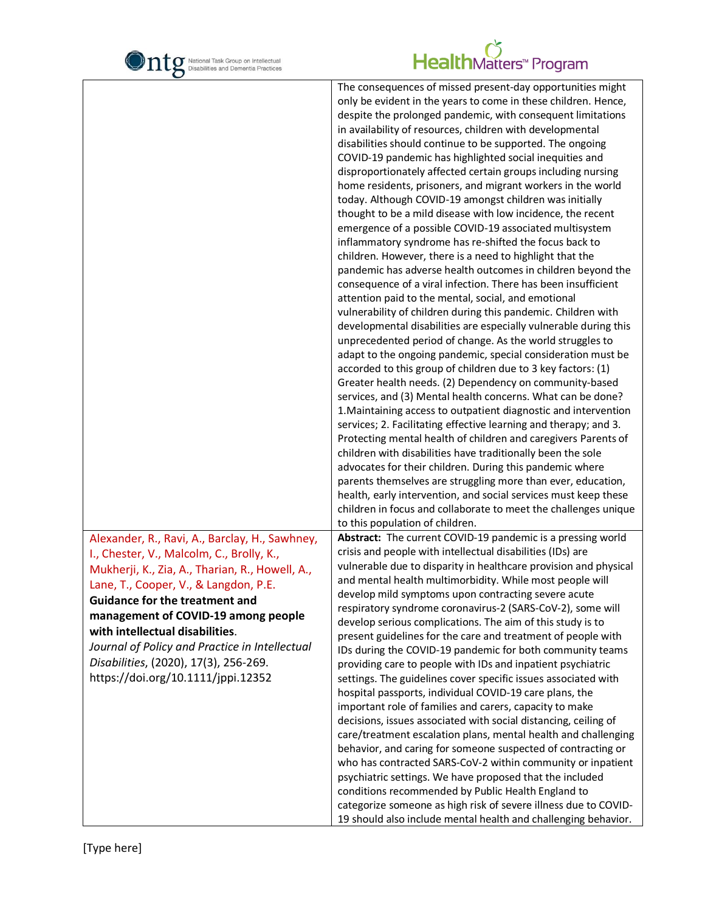

|                                                                                                                                                                                                                                                                                                                                                                                                                                             | The consequences of missed present-day opportunities might<br>only be evident in the years to come in these children. Hence,<br>despite the prolonged pandemic, with consequent limitations<br>in availability of resources, children with developmental<br>disabilities should continue to be supported. The ongoing<br>COVID-19 pandemic has highlighted social inequities and<br>disproportionately affected certain groups including nursing<br>home residents, prisoners, and migrant workers in the world<br>today. Although COVID-19 amongst children was initially<br>thought to be a mild disease with low incidence, the recent<br>emergence of a possible COVID-19 associated multisystem<br>inflammatory syndrome has re-shifted the focus back to<br>children. However, there is a need to highlight that the<br>pandemic has adverse health outcomes in children beyond the<br>consequence of a viral infection. There has been insufficient<br>attention paid to the mental, social, and emotional<br>vulnerability of children during this pandemic. Children with<br>developmental disabilities are especially vulnerable during this<br>unprecedented period of change. As the world struggles to<br>adapt to the ongoing pandemic, special consideration must be<br>accorded to this group of children due to 3 key factors: (1)<br>Greater health needs. (2) Dependency on community-based<br>services, and (3) Mental health concerns. What can be done?<br>1. Maintaining access to outpatient diagnostic and intervention<br>services; 2. Facilitating effective learning and therapy; and 3.<br>Protecting mental health of children and caregivers Parents of<br>children with disabilities have traditionally been the sole<br>advocates for their children. During this pandemic where<br>parents themselves are struggling more than ever, education,<br>health, early intervention, and social services must keep these<br>children in focus and collaborate to meet the challenges unique |
|---------------------------------------------------------------------------------------------------------------------------------------------------------------------------------------------------------------------------------------------------------------------------------------------------------------------------------------------------------------------------------------------------------------------------------------------|-------------------------------------------------------------------------------------------------------------------------------------------------------------------------------------------------------------------------------------------------------------------------------------------------------------------------------------------------------------------------------------------------------------------------------------------------------------------------------------------------------------------------------------------------------------------------------------------------------------------------------------------------------------------------------------------------------------------------------------------------------------------------------------------------------------------------------------------------------------------------------------------------------------------------------------------------------------------------------------------------------------------------------------------------------------------------------------------------------------------------------------------------------------------------------------------------------------------------------------------------------------------------------------------------------------------------------------------------------------------------------------------------------------------------------------------------------------------------------------------------------------------------------------------------------------------------------------------------------------------------------------------------------------------------------------------------------------------------------------------------------------------------------------------------------------------------------------------------------------------------------------------------------------------------------------------------------------------------------------------------------------------------|
| Alexander, R., Ravi, A., Barclay, H., Sawhney,<br>I., Chester, V., Malcolm, C., Brolly, K.,<br>Mukherji, K., Zia, A., Tharian, R., Howell, A.,<br>Lane, T., Cooper, V., & Langdon, P.E.<br><b>Guidance for the treatment and</b><br>management of COVID-19 among people<br>with intellectual disabilities.<br>Journal of Policy and Practice in Intellectual<br>Disabilities, (2020), 17(3), 256-269.<br>https://doi.org/10.1111/jppi.12352 | to this population of children.<br>Abstract: The current COVID-19 pandemic is a pressing world<br>crisis and people with intellectual disabilities (IDs) are<br>vulnerable due to disparity in healthcare provision and physical<br>and mental health multimorbidity. While most people will<br>develop mild symptoms upon contracting severe acute<br>respiratory syndrome coronavirus-2 (SARS-CoV-2), some will<br>develop serious complications. The aim of this study is to<br>present guidelines for the care and treatment of people with<br>IDs during the COVID-19 pandemic for both community teams<br>providing care to people with IDs and inpatient psychiatric<br>settings. The guidelines cover specific issues associated with<br>hospital passports, individual COVID-19 care plans, the<br>important role of families and carers, capacity to make<br>decisions, issues associated with social distancing, ceiling of<br>care/treatment escalation plans, mental health and challenging<br>behavior, and caring for someone suspected of contracting or<br>who has contracted SARS-CoV-2 within community or inpatient<br>psychiatric settings. We have proposed that the included<br>conditions recommended by Public Health England to<br>categorize someone as high risk of severe illness due to COVID-                                                                                                                                                                                                                                                                                                                                                                                                                                                                                                                                                                                                                                                                                            |
|                                                                                                                                                                                                                                                                                                                                                                                                                                             | 19 should also include mental health and challenging behavior.                                                                                                                                                                                                                                                                                                                                                                                                                                                                                                                                                                                                                                                                                                                                                                                                                                                                                                                                                                                                                                                                                                                                                                                                                                                                                                                                                                                                                                                                                                                                                                                                                                                                                                                                                                                                                                                                                                                                                          |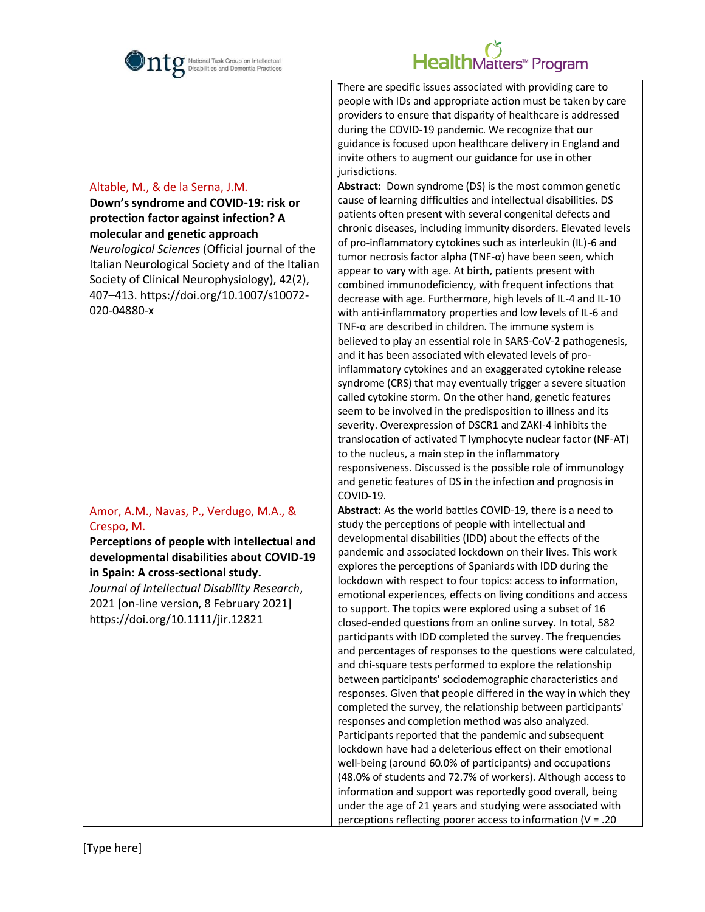

| $\mathbf C$                                                                                                                                                                                                                                                                                                                       |                                                                                                                                                                                                                                                                                                                                                                                                                                                                                                                                                                                                                                                                                                                                                                                                                                                                                                                                                                                                                                                                                                                                                                                                                                                                                                                                                                                                                                                                                     |
|-----------------------------------------------------------------------------------------------------------------------------------------------------------------------------------------------------------------------------------------------------------------------------------------------------------------------------------|-------------------------------------------------------------------------------------------------------------------------------------------------------------------------------------------------------------------------------------------------------------------------------------------------------------------------------------------------------------------------------------------------------------------------------------------------------------------------------------------------------------------------------------------------------------------------------------------------------------------------------------------------------------------------------------------------------------------------------------------------------------------------------------------------------------------------------------------------------------------------------------------------------------------------------------------------------------------------------------------------------------------------------------------------------------------------------------------------------------------------------------------------------------------------------------------------------------------------------------------------------------------------------------------------------------------------------------------------------------------------------------------------------------------------------------------------------------------------------------|
| Altable, M., & de la Serna, J.M.                                                                                                                                                                                                                                                                                                  | There are specific issues associated with providing care to<br>people with IDs and appropriate action must be taken by care<br>providers to ensure that disparity of healthcare is addressed<br>during the COVID-19 pandemic. We recognize that our<br>guidance is focused upon healthcare delivery in England and<br>invite others to augment our guidance for use in other<br>jurisdictions.<br>Abstract: Down syndrome (DS) is the most common genetic                                                                                                                                                                                                                                                                                                                                                                                                                                                                                                                                                                                                                                                                                                                                                                                                                                                                                                                                                                                                                           |
| Down's syndrome and COVID-19: risk or<br>protection factor against infection? A<br>molecular and genetic approach<br>Neurological Sciences (Official journal of the<br>Italian Neurological Society and of the Italian<br>Society of Clinical Neurophysiology), 42(2),<br>407-413. https://doi.org/10.1007/s10072-<br>020-04880-x | cause of learning difficulties and intellectual disabilities. DS<br>patients often present with several congenital defects and<br>chronic diseases, including immunity disorders. Elevated levels<br>of pro-inflammatory cytokines such as interleukin (IL)-6 and<br>tumor necrosis factor alpha (TNF- $\alpha$ ) have been seen, which<br>appear to vary with age. At birth, patients present with<br>combined immunodeficiency, with frequent infections that<br>decrease with age. Furthermore, high levels of IL-4 and IL-10<br>with anti-inflammatory properties and low levels of IL-6 and<br>TNF- $\alpha$ are described in children. The immune system is<br>believed to play an essential role in SARS-CoV-2 pathogenesis,<br>and it has been associated with elevated levels of pro-<br>inflammatory cytokines and an exaggerated cytokine release<br>syndrome (CRS) that may eventually trigger a severe situation<br>called cytokine storm. On the other hand, genetic features<br>seem to be involved in the predisposition to illness and its<br>severity. Overexpression of DSCR1 and ZAKI-4 inhibits the<br>translocation of activated T lymphocyte nuclear factor (NF-AT)<br>to the nucleus, a main step in the inflammatory<br>responsiveness. Discussed is the possible role of immunology<br>and genetic features of DS in the infection and prognosis in<br>COVID-19.                                                                                          |
| Amor, A.M., Navas, P., Verdugo, M.A., &<br>Crespo, M.<br>Perceptions of people with intellectual and<br>developmental disabilities about COVID-19<br>in Spain: A cross-sectional study.<br>Journal of Intellectual Disability Research,<br>2021 [on-line version, 8 February 2021]<br>https://doi.org/10.1111/jir.12821           | Abstract: As the world battles COVID-19, there is a need to<br>study the perceptions of people with intellectual and<br>developmental disabilities (IDD) about the effects of the<br>pandemic and associated lockdown on their lives. This work<br>explores the perceptions of Spaniards with IDD during the<br>lockdown with respect to four topics: access to information,<br>emotional experiences, effects on living conditions and access<br>to support. The topics were explored using a subset of 16<br>closed-ended questions from an online survey. In total, 582<br>participants with IDD completed the survey. The frequencies<br>and percentages of responses to the questions were calculated,<br>and chi-square tests performed to explore the relationship<br>between participants' sociodemographic characteristics and<br>responses. Given that people differed in the way in which they<br>completed the survey, the relationship between participants'<br>responses and completion method was also analyzed.<br>Participants reported that the pandemic and subsequent<br>lockdown have had a deleterious effect on their emotional<br>well-being (around 60.0% of participants) and occupations<br>(48.0% of students and 72.7% of workers). Although access to<br>information and support was reportedly good overall, being<br>under the age of 21 years and studying were associated with<br>perceptions reflecting poorer access to information ( $V = .20$ |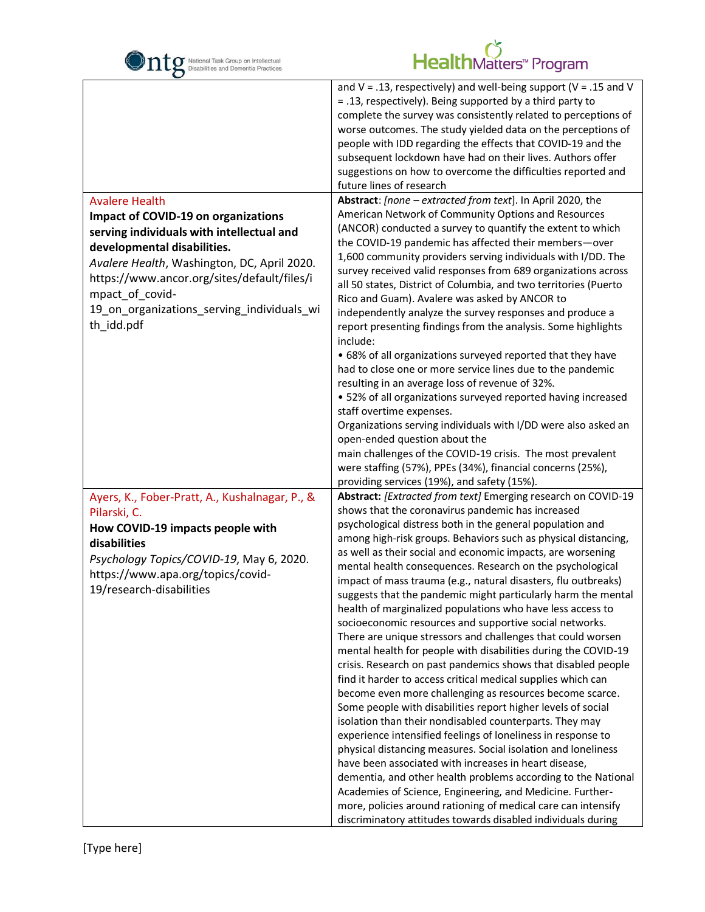

| O                                                                                                                                                                                                                                                     |                                                                                                                                                                                                                                                                                                                                                                                                                                                                                                                                                                                                                                                                                                                                                                                                                                                                                                                                                                                                                                                                                                                                                                                                                                                                                                                                                                                                                                                                                                                                                             |
|-------------------------------------------------------------------------------------------------------------------------------------------------------------------------------------------------------------------------------------------------------|-------------------------------------------------------------------------------------------------------------------------------------------------------------------------------------------------------------------------------------------------------------------------------------------------------------------------------------------------------------------------------------------------------------------------------------------------------------------------------------------------------------------------------------------------------------------------------------------------------------------------------------------------------------------------------------------------------------------------------------------------------------------------------------------------------------------------------------------------------------------------------------------------------------------------------------------------------------------------------------------------------------------------------------------------------------------------------------------------------------------------------------------------------------------------------------------------------------------------------------------------------------------------------------------------------------------------------------------------------------------------------------------------------------------------------------------------------------------------------------------------------------------------------------------------------------|
| <b>Avalere Health</b><br>Impact of COVID-19 on organizations                                                                                                                                                                                          | and $V = .13$ , respectively) and well-being support ( $V = .15$ and V<br>= .13, respectively). Being supported by a third party to<br>complete the survey was consistently related to perceptions of<br>worse outcomes. The study yielded data on the perceptions of<br>people with IDD regarding the effects that COVID-19 and the<br>subsequent lockdown have had on their lives. Authors offer<br>suggestions on how to overcome the difficulties reported and<br>future lines of research<br>Abstract: [none - extracted from text]. In April 2020, the<br>American Network of Community Options and Resources                                                                                                                                                                                                                                                                                                                                                                                                                                                                                                                                                                                                                                                                                                                                                                                                                                                                                                                                         |
| serving individuals with intellectual and<br>developmental disabilities.<br>Avalere Health, Washington, DC, April 2020.<br>https://www.ancor.org/sites/default/files/i<br>mpact_of_covid-<br>19_on_organizations_serving_individuals_wi<br>th_idd.pdf | (ANCOR) conducted a survey to quantify the extent to which<br>the COVID-19 pandemic has affected their members-over<br>1,600 community providers serving individuals with I/DD. The<br>survey received valid responses from 689 organizations across<br>all 50 states, District of Columbia, and two territories (Puerto<br>Rico and Guam). Avalere was asked by ANCOR to<br>independently analyze the survey responses and produce a<br>report presenting findings from the analysis. Some highlights<br>include:<br>• 68% of all organizations surveyed reported that they have<br>had to close one or more service lines due to the pandemic<br>resulting in an average loss of revenue of 32%.<br>• 52% of all organizations surveyed reported having increased<br>staff overtime expenses.<br>Organizations serving individuals with I/DD were also asked an<br>open-ended question about the<br>main challenges of the COVID-19 crisis. The most prevalent<br>were staffing (57%), PPEs (34%), financial concerns (25%),<br>providing services (19%), and safety (15%).                                                                                                                                                                                                                                                                                                                                                                                                                                                                               |
| Ayers, K., Fober-Pratt, A., Kushalnagar, P., &<br>Pilarski, C.<br>How COVID-19 impacts people with<br>disabilities<br>Psychology Topics/COVID-19, May 6, 2020.<br>https://www.apa.org/topics/covid-<br>19/research-disabilities                       | Abstract: [Extracted from text] Emerging research on COVID-19<br>shows that the coronavirus pandemic has increased<br>psychological distress both in the general population and<br>among high-risk groups. Behaviors such as physical distancing,<br>as well as their social and economic impacts, are worsening<br>mental health consequences. Research on the psychological<br>impact of mass trauma (e.g., natural disasters, flu outbreaks)<br>suggests that the pandemic might particularly harm the mental<br>health of marginalized populations who have less access to<br>socioeconomic resources and supportive social networks.<br>There are unique stressors and challenges that could worsen<br>mental health for people with disabilities during the COVID-19<br>crisis. Research on past pandemics shows that disabled people<br>find it harder to access critical medical supplies which can<br>become even more challenging as resources become scarce.<br>Some people with disabilities report higher levels of social<br>isolation than their nondisabled counterparts. They may<br>experience intensified feelings of loneliness in response to<br>physical distancing measures. Social isolation and loneliness<br>have been associated with increases in heart disease,<br>dementia, and other health problems according to the National<br>Academies of Science, Engineering, and Medicine. Further-<br>more, policies around rationing of medical care can intensify<br>discriminatory attitudes towards disabled individuals during |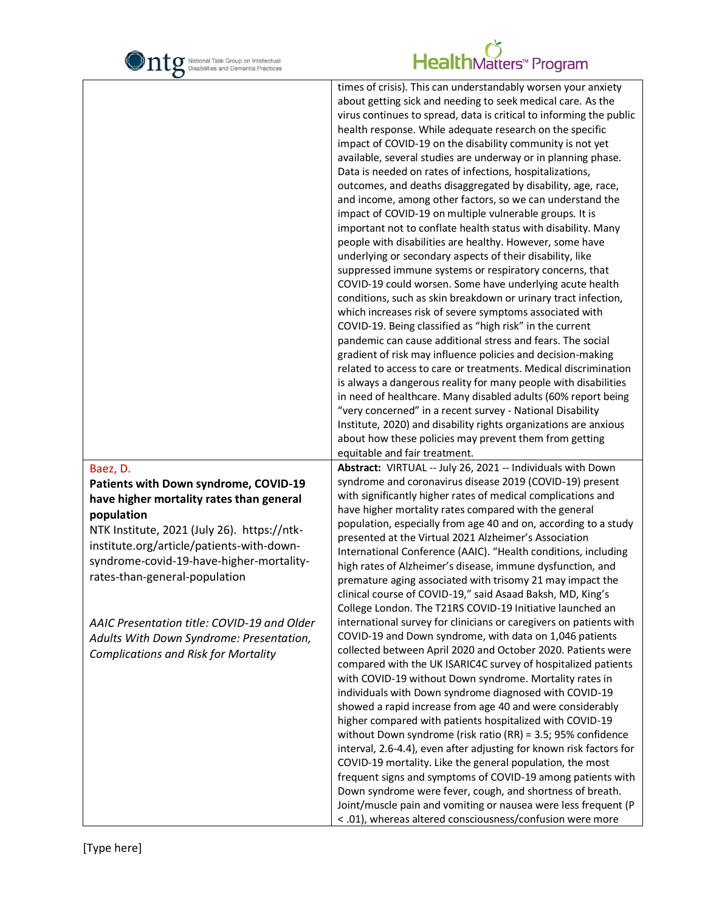

|                                                                                                                                                                                                                                                                                      | times of crisis). This can understandably worsen your anxiety<br>about getting sick and needing to seek medical care. As the<br>virus continues to spread, data is critical to informing the public<br>health response. While adequate research on the specific<br>impact of COVID-19 on the disability community is not yet<br>available, several studies are underway or in planning phase.<br>Data is needed on rates of infections, hospitalizations,<br>outcomes, and deaths disaggregated by disability, age, race,<br>and income, among other factors, so we can understand the<br>impact of COVID-19 on multiple vulnerable groups. It is<br>important not to conflate health status with disability. Many<br>people with disabilities are healthy. However, some have<br>underlying or secondary aspects of their disability, like<br>suppressed immune systems or respiratory concerns, that<br>COVID-19 could worsen. Some have underlying acute health<br>conditions, such as skin breakdown or urinary tract infection,<br>which increases risk of severe symptoms associated with<br>COVID-19. Being classified as "high risk" in the current<br>pandemic can cause additional stress and fears. The social<br>gradient of risk may influence policies and decision-making<br>related to access to care or treatments. Medical discrimination<br>is always a dangerous reality for many people with disabilities<br>in need of healthcare. Many disabled adults (60% report being<br>"very concerned" in a recent survey - National Disability<br>Institute, 2020) and disability rights organizations are anxious<br>about how these policies may prevent them from getting<br>equitable and fair treatment. |
|--------------------------------------------------------------------------------------------------------------------------------------------------------------------------------------------------------------------------------------------------------------------------------------|-----------------------------------------------------------------------------------------------------------------------------------------------------------------------------------------------------------------------------------------------------------------------------------------------------------------------------------------------------------------------------------------------------------------------------------------------------------------------------------------------------------------------------------------------------------------------------------------------------------------------------------------------------------------------------------------------------------------------------------------------------------------------------------------------------------------------------------------------------------------------------------------------------------------------------------------------------------------------------------------------------------------------------------------------------------------------------------------------------------------------------------------------------------------------------------------------------------------------------------------------------------------------------------------------------------------------------------------------------------------------------------------------------------------------------------------------------------------------------------------------------------------------------------------------------------------------------------------------------------------------------------------------------------------------------------------------------------------------------|
| Baez, D.<br>Patients with Down syndrome, COVID-19<br>have higher mortality rates than general<br>population<br>NTK Institute, 2021 (July 26). https://ntk-<br>institute.org/article/patients-with-down-<br>syndrome-covid-19-have-higher-mortality-<br>rates-than-general-population | Abstract: VIRTUAL -- July 26, 2021 -- Individuals with Down<br>syndrome and coronavirus disease 2019 (COVID-19) present<br>with significantly higher rates of medical complications and<br>have higher mortality rates compared with the general<br>population, especially from age 40 and on, according to a study<br>presented at the Virtual 2021 Alzheimer's Association<br>International Conference (AAIC). "Health conditions, including<br>high rates of Alzheimer's disease, immune dysfunction, and<br>premature aging associated with trisomy 21 may impact the<br>clinical course of COVID-19," said Asaad Baksh, MD, King's<br>College London. The T21RS COVID-19 Initiative launched an                                                                                                                                                                                                                                                                                                                                                                                                                                                                                                                                                                                                                                                                                                                                                                                                                                                                                                                                                                                                                        |
| AAIC Presentation title: COVID-19 and Older<br>Adults With Down Syndrome: Presentation,<br><b>Complications and Risk for Mortality</b>                                                                                                                                               | international survey for clinicians or caregivers on patients with<br>COVID-19 and Down syndrome, with data on 1,046 patients<br>collected between April 2020 and October 2020. Patients were<br>compared with the UK ISARIC4C survey of hospitalized patients<br>with COVID-19 without Down syndrome. Mortality rates in<br>individuals with Down syndrome diagnosed with COVID-19<br>showed a rapid increase from age 40 and were considerably<br>higher compared with patients hospitalized with COVID-19<br>without Down syndrome (risk ratio (RR) = 3.5; 95% confidence<br>interval, 2.6-4.4), even after adjusting for known risk factors for<br>COVID-19 mortality. Like the general population, the most<br>frequent signs and symptoms of COVID-19 among patients with<br>Down syndrome were fever, cough, and shortness of breath.<br>Joint/muscle pain and vomiting or nausea were less frequent (P<br>< .01), whereas altered consciousness/confusion were more                                                                                                                                                                                                                                                                                                                                                                                                                                                                                                                                                                                                                                                                                                                                                 |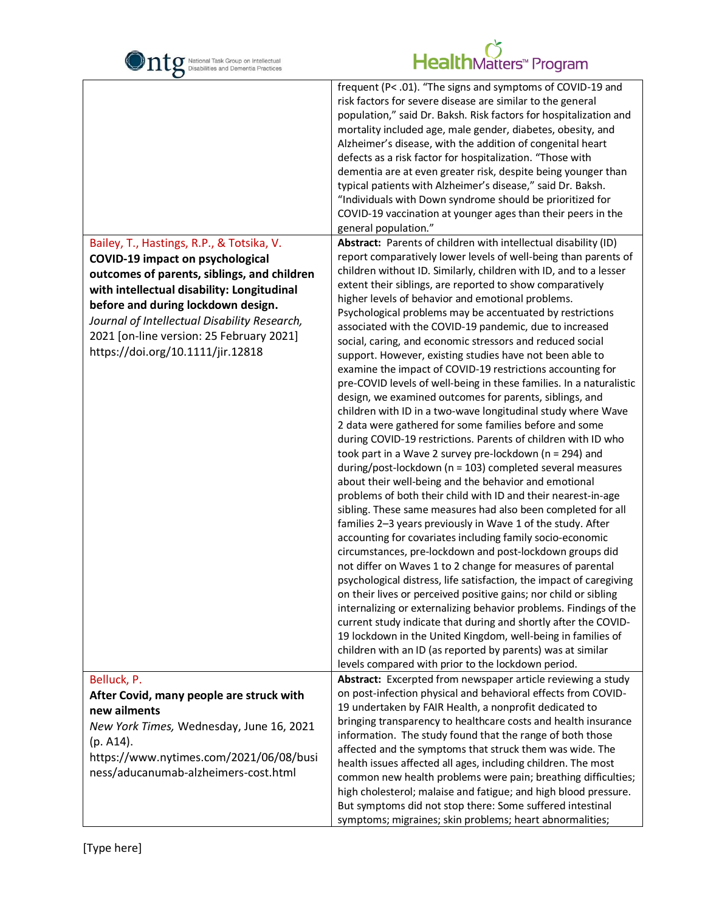| National Task Group on Intellectual<br>Disabilities and Dementia Practices                                                                                                                                                                                                                                  | HealthMatters <sup>*</sup> Program                                                                                                                                                                                                                                                                                                                                                                                                                                                                                                                                                                                                                                                                                         |
|-------------------------------------------------------------------------------------------------------------------------------------------------------------------------------------------------------------------------------------------------------------------------------------------------------------|----------------------------------------------------------------------------------------------------------------------------------------------------------------------------------------------------------------------------------------------------------------------------------------------------------------------------------------------------------------------------------------------------------------------------------------------------------------------------------------------------------------------------------------------------------------------------------------------------------------------------------------------------------------------------------------------------------------------------|
|                                                                                                                                                                                                                                                                                                             | frequent (P< .01). "The signs and symptoms of COVID-19 and<br>risk factors for severe disease are similar to the general<br>population," said Dr. Baksh. Risk factors for hospitalization and<br>mortality included age, male gender, diabetes, obesity, and<br>Alzheimer's disease, with the addition of congenital heart<br>defects as a risk factor for hospitalization. "Those with<br>dementia are at even greater risk, despite being younger than<br>typical patients with Alzheimer's disease," said Dr. Baksh.<br>"Individuals with Down syndrome should be prioritized for<br>COVID-19 vaccination at younger ages than their peers in the<br>general population."                                               |
| Bailey, T., Hastings, R.P., & Totsika, V.                                                                                                                                                                                                                                                                   | Abstract: Parents of children with intellectual disability (ID)                                                                                                                                                                                                                                                                                                                                                                                                                                                                                                                                                                                                                                                            |
| <b>COVID-19 impact on psychological</b><br>outcomes of parents, siblings, and children<br>with intellectual disability: Longitudinal<br>before and during lockdown design.<br>Journal of Intellectual Disability Research,<br>2021 [on-line version: 25 February 2021]<br>https://doi.org/10.1111/jir.12818 | report comparatively lower levels of well-being than parents of<br>children without ID. Similarly, children with ID, and to a lesser<br>extent their siblings, are reported to show comparatively<br>higher levels of behavior and emotional problems.<br>Psychological problems may be accentuated by restrictions<br>associated with the COVID-19 pandemic, due to increased<br>social, caring, and economic stressors and reduced social<br>support. However, existing studies have not been able to<br>examine the impact of COVID-19 restrictions accounting for                                                                                                                                                      |
|                                                                                                                                                                                                                                                                                                             | pre-COVID levels of well-being in these families. In a naturalistic<br>design, we examined outcomes for parents, siblings, and<br>children with ID in a two-wave longitudinal study where Wave<br>2 data were gathered for some families before and some<br>during COVID-19 restrictions. Parents of children with ID who<br>took part in a Wave 2 survey pre-lockdown (n = 294) and<br>during/post-lockdown (n = 103) completed several measures<br>about their well-being and the behavior and emotional<br>problems of both their child with ID and their nearest-in-age<br>sibling. These same measures had also been completed for all                                                                                |
|                                                                                                                                                                                                                                                                                                             | families 2-3 years previously in Wave 1 of the study. After<br>accounting for covariates including family socio-economic<br>circumstances, pre-lockdown and post-lockdown groups did<br>not differ on Waves 1 to 2 change for measures of parental<br>psychological distress, life satisfaction, the impact of caregiving<br>on their lives or perceived positive gains; nor child or sibling<br>internalizing or externalizing behavior problems. Findings of the<br>current study indicate that during and shortly after the COVID-<br>19 lockdown in the United Kingdom, well-being in families of<br>children with an ID (as reported by parents) was at similar<br>levels compared with prior to the lockdown period. |
| Belluck, P.                                                                                                                                                                                                                                                                                                 | Abstract: Excerpted from newspaper article reviewing a study                                                                                                                                                                                                                                                                                                                                                                                                                                                                                                                                                                                                                                                               |
| After Covid, many people are struck with                                                                                                                                                                                                                                                                    | on post-infection physical and behavioral effects from COVID-                                                                                                                                                                                                                                                                                                                                                                                                                                                                                                                                                                                                                                                              |
| new ailments<br>New York Times, Wednesday, June 16, 2021<br>(p. A14).<br>https://www.nytimes.com/2021/06/08/busi<br>ness/aducanumab-alzheimers-cost.html                                                                                                                                                    | 19 undertaken by FAIR Health, a nonprofit dedicated to<br>bringing transparency to healthcare costs and health insurance<br>information. The study found that the range of both those<br>affected and the symptoms that struck them was wide. The<br>health issues affected all ages, including children. The most<br>common new health problems were pain; breathing difficulties;<br>high cholesterol; malaise and fatigue; and high blood pressure.<br>But symptoms did not stop there: Some suffered intestinal<br>symptoms; migraines; skin problems; heart abnormalities;                                                                                                                                            |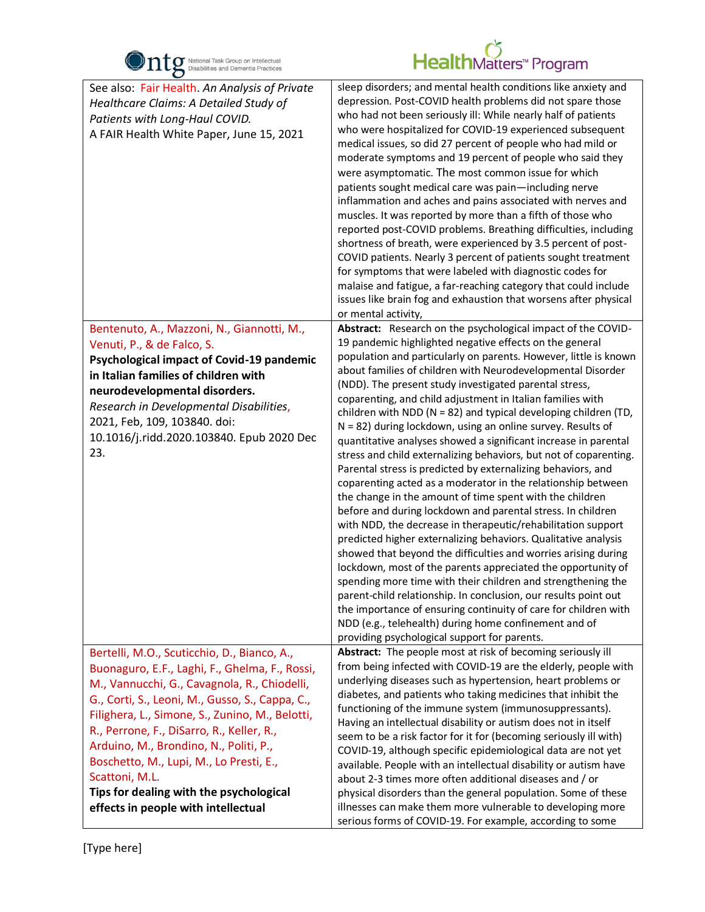

| $\bullet$                                                                                                                                                                                                                                                                                                                                                                                                                                                                                 |                                                                                                                                                                                                                                                                                                                                                                                                                                                                                                                                                                                                                                                                                                                                                                                                                                                                                                                                                                                                                                                                                                                                                                                                                                                                                                                                                                                                                                                                                                                   |
|-------------------------------------------------------------------------------------------------------------------------------------------------------------------------------------------------------------------------------------------------------------------------------------------------------------------------------------------------------------------------------------------------------------------------------------------------------------------------------------------|-------------------------------------------------------------------------------------------------------------------------------------------------------------------------------------------------------------------------------------------------------------------------------------------------------------------------------------------------------------------------------------------------------------------------------------------------------------------------------------------------------------------------------------------------------------------------------------------------------------------------------------------------------------------------------------------------------------------------------------------------------------------------------------------------------------------------------------------------------------------------------------------------------------------------------------------------------------------------------------------------------------------------------------------------------------------------------------------------------------------------------------------------------------------------------------------------------------------------------------------------------------------------------------------------------------------------------------------------------------------------------------------------------------------------------------------------------------------------------------------------------------------|
| See also: Fair Health. An Analysis of Private<br>Healthcare Claims: A Detailed Study of<br>Patients with Long-Haul COVID.<br>A FAIR Health White Paper, June 15, 2021                                                                                                                                                                                                                                                                                                                     | sleep disorders; and mental health conditions like anxiety and<br>depression. Post-COVID health problems did not spare those<br>who had not been seriously ill: While nearly half of patients<br>who were hospitalized for COVID-19 experienced subsequent<br>medical issues, so did 27 percent of people who had mild or<br>moderate symptoms and 19 percent of people who said they<br>were asymptomatic. The most common issue for which<br>patients sought medical care was pain-including nerve<br>inflammation and aches and pains associated with nerves and<br>muscles. It was reported by more than a fifth of those who<br>reported post-COVID problems. Breathing difficulties, including<br>shortness of breath, were experienced by 3.5 percent of post-<br>COVID patients. Nearly 3 percent of patients sought treatment<br>for symptoms that were labeled with diagnostic codes for<br>malaise and fatigue, a far-reaching category that could include<br>issues like brain fog and exhaustion that worsens after physical<br>or mental activity,                                                                                                                                                                                                                                                                                                                                                                                                                                                  |
| Bentenuto, A., Mazzoni, N., Giannotti, M.,<br>Venuti, P., & de Falco, S.<br>Psychological impact of Covid-19 pandemic<br>in Italian families of children with<br>neurodevelopmental disorders.<br>Research in Developmental Disabilities,<br>2021, Feb, 109, 103840. doi:<br>10.1016/j.ridd.2020.103840. Epub 2020 Dec<br>23.                                                                                                                                                             | Abstract: Research on the psychological impact of the COVID-<br>19 pandemic highlighted negative effects on the general<br>population and particularly on parents. However, little is known<br>about families of children with Neurodevelopmental Disorder<br>(NDD). The present study investigated parental stress,<br>coparenting, and child adjustment in Italian families with<br>children with NDD ( $N = 82$ ) and typical developing children (TD,<br>$N = 82$ ) during lockdown, using an online survey. Results of<br>quantitative analyses showed a significant increase in parental<br>stress and child externalizing behaviors, but not of coparenting.<br>Parental stress is predicted by externalizing behaviors, and<br>coparenting acted as a moderator in the relationship between<br>the change in the amount of time spent with the children<br>before and during lockdown and parental stress. In children<br>with NDD, the decrease in therapeutic/rehabilitation support<br>predicted higher externalizing behaviors. Qualitative analysis<br>showed that beyond the difficulties and worries arising during<br>lockdown, most of the parents appreciated the opportunity of<br>spending more time with their children and strengthening the<br>parent-child relationship. In conclusion, our results point out<br>the importance of ensuring continuity of care for children with<br>NDD (e.g., telehealth) during home confinement and of<br>providing psychological support for parents. |
| Bertelli, M.O., Scuticchio, D., Bianco, A.,<br>Buonaguro, E.F., Laghi, F., Ghelma, F., Rossi,<br>M., Vannucchi, G., Cavagnola, R., Chiodelli,<br>G., Corti, S., Leoni, M., Gusso, S., Cappa, C.,<br>Filighera, L., Simone, S., Zunino, M., Belotti,<br>R., Perrone, F., DiSarro, R., Keller, R.,<br>Arduino, M., Brondino, N., Politi, P.,<br>Boschetto, M., Lupi, M., Lo Presti, E.,<br>Scattoni, M.L.<br>Tips for dealing with the psychological<br>effects in people with intellectual | Abstract: The people most at risk of becoming seriously ill<br>from being infected with COVID-19 are the elderly, people with<br>underlying diseases such as hypertension, heart problems or<br>diabetes, and patients who taking medicines that inhibit the<br>functioning of the immune system (immunosuppressants).<br>Having an intellectual disability or autism does not in itself<br>seem to be a risk factor for it for (becoming seriously ill with)<br>COVID-19, although specific epidemiological data are not yet<br>available. People with an intellectual disability or autism have<br>about 2-3 times more often additional diseases and / or<br>physical disorders than the general population. Some of these<br>illnesses can make them more vulnerable to developing more<br>serious forms of COVID-19. For example, according to some                                                                                                                                                                                                                                                                                                                                                                                                                                                                                                                                                                                                                                                          |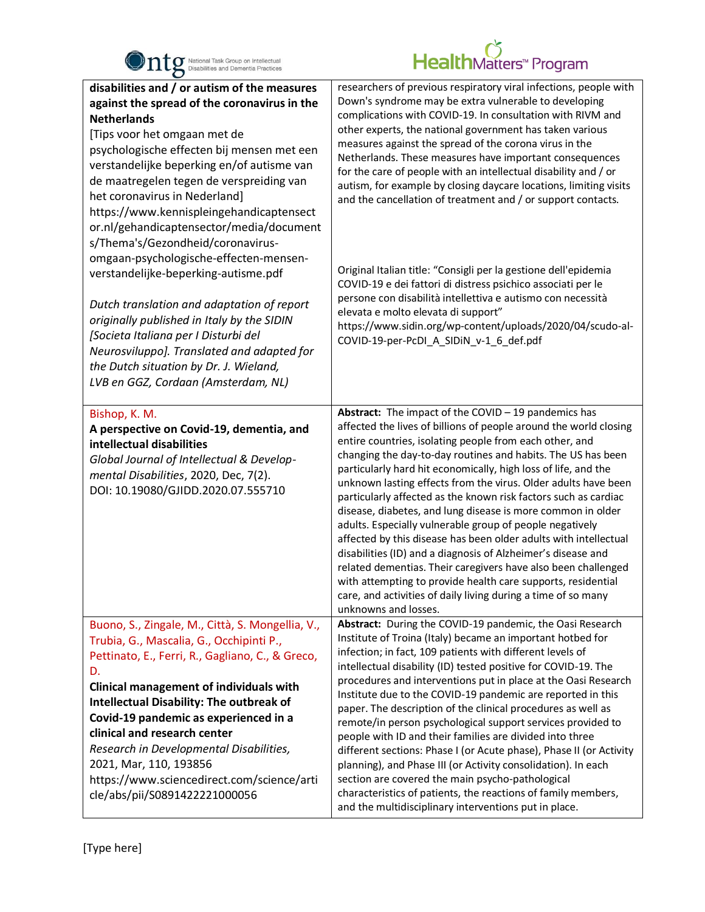

| O                                                                                                                                                                                                                                                                                                                                                                                                                                                                                                                                                                                                                                                                                                                                                                                                             |                                                                                                                                                                                                                                                                                                                                                                                                                                                                                                                                                                                                                                                                                                                                                                                                                                                                                                                                                      |
|---------------------------------------------------------------------------------------------------------------------------------------------------------------------------------------------------------------------------------------------------------------------------------------------------------------------------------------------------------------------------------------------------------------------------------------------------------------------------------------------------------------------------------------------------------------------------------------------------------------------------------------------------------------------------------------------------------------------------------------------------------------------------------------------------------------|------------------------------------------------------------------------------------------------------------------------------------------------------------------------------------------------------------------------------------------------------------------------------------------------------------------------------------------------------------------------------------------------------------------------------------------------------------------------------------------------------------------------------------------------------------------------------------------------------------------------------------------------------------------------------------------------------------------------------------------------------------------------------------------------------------------------------------------------------------------------------------------------------------------------------------------------------|
| disabilities and / or autism of the measures<br>against the spread of the coronavirus in the<br><b>Netherlands</b><br>[Tips voor het omgaan met de<br>psychologische effecten bij mensen met een<br>verstandelijke beperking en/of autisme van<br>de maatregelen tegen de verspreiding van<br>het coronavirus in Nederland]<br>https://www.kennispleingehandicaptensect<br>or.nl/gehandicaptensector/media/document<br>s/Thema's/Gezondheid/coronavirus-<br>omgaan-psychologische-effecten-mensen-<br>verstandelijke-beperking-autisme.pdf<br>Dutch translation and adaptation of report<br>originally published in Italy by the SIDIN<br>[Societa Italiana per I Disturbi del<br>Neurosviluppo]. Translated and adapted for<br>the Dutch situation by Dr. J. Wieland,<br>LVB en GGZ, Cordaan (Amsterdam, NL) | researchers of previous respiratory viral infections, people with<br>Down's syndrome may be extra vulnerable to developing<br>complications with COVID-19. In consultation with RIVM and<br>other experts, the national government has taken various<br>measures against the spread of the corona virus in the<br>Netherlands. These measures have important consequences<br>for the care of people with an intellectual disability and / or<br>autism, for example by closing daycare locations, limiting visits<br>and the cancellation of treatment and / or support contacts.<br>Original Italian title: "Consigli per la gestione dell'epidemia<br>COVID-19 e dei fattori di distress psichico associati per le<br>persone con disabilità intellettiva e autismo con necessità<br>elevata e molto elevata di support"<br>https://www.sidin.org/wp-content/uploads/2020/04/scudo-al-<br>COVID-19-per-PcDI_A_SIDiN_v-1_6_def.pdf                  |
| Bishop, K. M.<br>A perspective on Covid-19, dementia, and<br>intellectual disabilities<br>Global Journal of Intellectual & Develop-<br>mental Disabilities, 2020, Dec, 7(2).<br>DOI: 10.19080/GJIDD.2020.07.555710                                                                                                                                                                                                                                                                                                                                                                                                                                                                                                                                                                                            | Abstract: The impact of the COVID - 19 pandemics has<br>affected the lives of billions of people around the world closing<br>entire countries, isolating people from each other, and<br>changing the day-to-day routines and habits. The US has been<br>particularly hard hit economically, high loss of life, and the<br>unknown lasting effects from the virus. Older adults have been<br>particularly affected as the known risk factors such as cardiac<br>disease, diabetes, and lung disease is more common in older<br>adults. Especially vulnerable group of people negatively<br>affected by this disease has been older adults with intellectual<br>disabilities (ID) and a diagnosis of Alzheimer's disease and<br>related dementias. Their caregivers have also been challenged<br>with attempting to provide health care supports, residential<br>care, and activities of daily living during a time of so many<br>unknowns and losses. |
| Buono, S., Zingale, M., Città, S. Mongellia, V.,<br>Trubia, G., Mascalia, G., Occhipinti P.,<br>Pettinato, E., Ferri, R., Gagliano, C., & Greco,<br>D.<br>Clinical management of individuals with<br><b>Intellectual Disability: The outbreak of</b><br>Covid-19 pandemic as experienced in a<br>clinical and research center<br>Research in Developmental Disabilities,<br>2021, Mar, 110, 193856<br>https://www.sciencedirect.com/science/arti<br>cle/abs/pii/S0891422221000056                                                                                                                                                                                                                                                                                                                             | Abstract: During the COVID-19 pandemic, the Oasi Research<br>Institute of Troina (Italy) became an important hotbed for<br>infection; in fact, 109 patients with different levels of<br>intellectual disability (ID) tested positive for COVID-19. The<br>procedures and interventions put in place at the Oasi Research<br>Institute due to the COVID-19 pandemic are reported in this<br>paper. The description of the clinical procedures as well as<br>remote/in person psychological support services provided to<br>people with ID and their families are divided into three<br>different sections: Phase I (or Acute phase), Phase II (or Activity<br>planning), and Phase III (or Activity consolidation). In each<br>section are covered the main psycho-pathological<br>characteristics of patients, the reactions of family members,<br>and the multidisciplinary interventions put in place.                                             |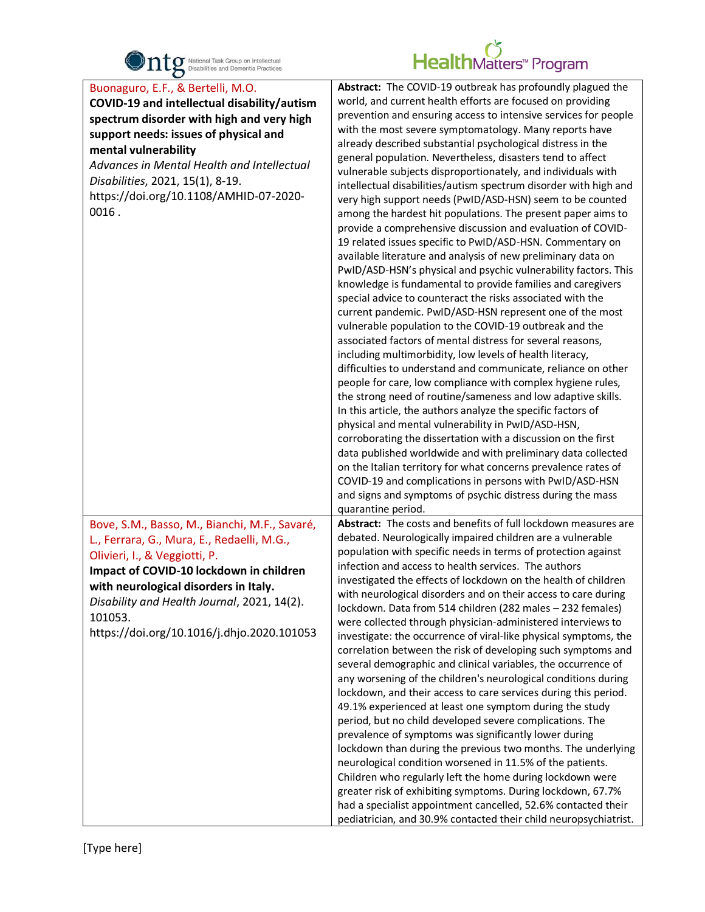

| $\bullet$                                                                                                                                                                                                                                                                                                                           |                                                                                                                                                                                                                                                                                                                                                                                                                                                                                                                                                                                                                                                                                                                                                                                                                                                                                                                                                                                                                                                                                                                                                                                                                                                                                                                                                                                                                                                                                                                                                                                                                                                                                                                                                                                                                                                                                                                                                                         |
|-------------------------------------------------------------------------------------------------------------------------------------------------------------------------------------------------------------------------------------------------------------------------------------------------------------------------------------|-------------------------------------------------------------------------------------------------------------------------------------------------------------------------------------------------------------------------------------------------------------------------------------------------------------------------------------------------------------------------------------------------------------------------------------------------------------------------------------------------------------------------------------------------------------------------------------------------------------------------------------------------------------------------------------------------------------------------------------------------------------------------------------------------------------------------------------------------------------------------------------------------------------------------------------------------------------------------------------------------------------------------------------------------------------------------------------------------------------------------------------------------------------------------------------------------------------------------------------------------------------------------------------------------------------------------------------------------------------------------------------------------------------------------------------------------------------------------------------------------------------------------------------------------------------------------------------------------------------------------------------------------------------------------------------------------------------------------------------------------------------------------------------------------------------------------------------------------------------------------------------------------------------------------------------------------------------------------|
| Buonaguro, E.F., & Bertelli, M.O.<br>COVID-19 and intellectual disability/autism<br>spectrum disorder with high and very high<br>support needs: issues of physical and<br>mental vulnerability<br>Advances in Mental Health and Intellectual<br>Disabilities, 2021, 15(1), 8-19.<br>https://doi.org/10.1108/AMHID-07-2020-<br>0016. | Abstract: The COVID-19 outbreak has profoundly plagued the<br>world, and current health efforts are focused on providing<br>prevention and ensuring access to intensive services for people<br>with the most severe symptomatology. Many reports have<br>already described substantial psychological distress in the<br>general population. Nevertheless, disasters tend to affect<br>vulnerable subjects disproportionately, and individuals with<br>intellectual disabilities/autism spectrum disorder with high and<br>very high support needs (PwID/ASD-HSN) seem to be counted<br>among the hardest hit populations. The present paper aims to<br>provide a comprehensive discussion and evaluation of COVID-<br>19 related issues specific to PwID/ASD-HSN. Commentary on<br>available literature and analysis of new preliminary data on<br>PwID/ASD-HSN's physical and psychic vulnerability factors. This<br>knowledge is fundamental to provide families and caregivers<br>special advice to counteract the risks associated with the<br>current pandemic. PwID/ASD-HSN represent one of the most<br>vulnerable population to the COVID-19 outbreak and the<br>associated factors of mental distress for several reasons,<br>including multimorbidity, low levels of health literacy,<br>difficulties to understand and communicate, reliance on other<br>people for care, low compliance with complex hygiene rules,<br>the strong need of routine/sameness and low adaptive skills.<br>In this article, the authors analyze the specific factors of<br>physical and mental vulnerability in PwID/ASD-HSN,<br>corroborating the dissertation with a discussion on the first<br>data published worldwide and with preliminary data collected<br>on the Italian territory for what concerns prevalence rates of<br>COVID-19 and complications in persons with PwID/ASD-HSN<br>and signs and symptoms of psychic distress during the mass<br>quarantine period. |
| Bove, S.M., Basso, M., Bianchi, M.F., Savaré,<br>L., Ferrara, G., Mura, E., Redaelli, M.G.,<br>Olivieri, I., & Veggiotti, P.<br>Impact of COVID-10 lockdown in children<br>with neurological disorders in Italy.<br>Disability and Health Journal, 2021, 14(2).<br>101053.<br>https://doi.org/10.1016/j.dhjo.2020.101053            | Abstract: The costs and benefits of full lockdown measures are<br>debated. Neurologically impaired children are a vulnerable<br>population with specific needs in terms of protection against<br>infection and access to health services. The authors<br>investigated the effects of lockdown on the health of children<br>with neurological disorders and on their access to care during<br>lockdown. Data from 514 children (282 males - 232 females)<br>were collected through physician-administered interviews to<br>investigate: the occurrence of viral-like physical symptoms, the<br>correlation between the risk of developing such symptoms and<br>several demographic and clinical variables, the occurrence of<br>any worsening of the children's neurological conditions during<br>lockdown, and their access to care services during this period.<br>49.1% experienced at least one symptom during the study<br>period, but no child developed severe complications. The<br>prevalence of symptoms was significantly lower during<br>lockdown than during the previous two months. The underlying<br>neurological condition worsened in 11.5% of the patients.<br>Children who regularly left the home during lockdown were<br>greater risk of exhibiting symptoms. During lockdown, 67.7%<br>had a specialist appointment cancelled, 52.6% contacted their<br>pediatrician, and 30.9% contacted their child neuropsychiatrist.                                                                                                                                                                                                                                                                                                                                                                                                                                                                                                                          |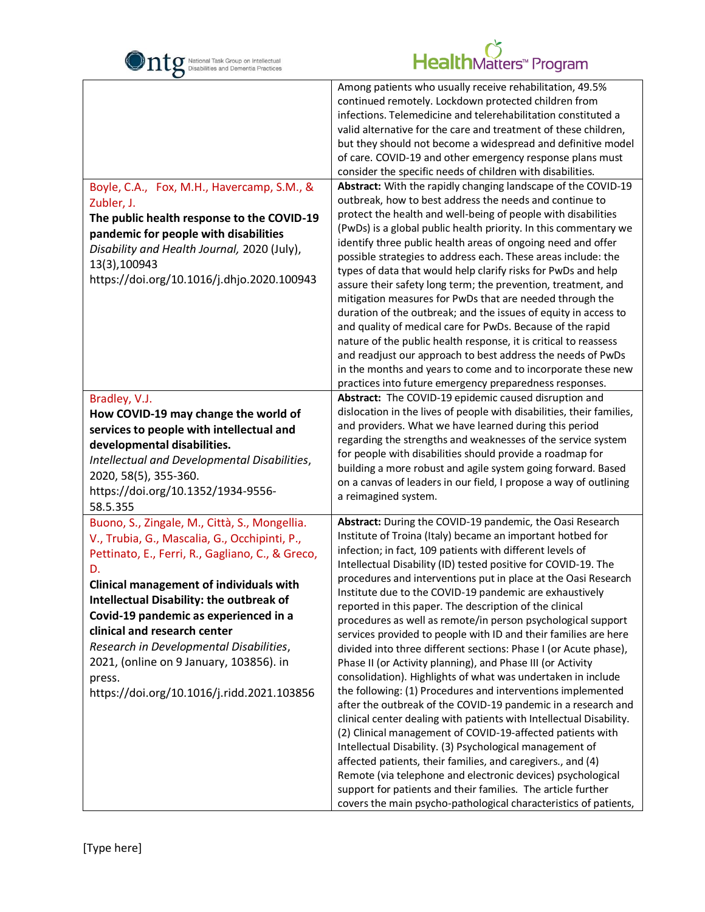

| Boyle, C.A., Fox, M.H., Havercamp, S.M., &<br>Zubler, J.<br>The public health response to the COVID-19<br>pandemic for people with disabilities<br>Disability and Health Journal, 2020 (July),<br>13(3),100943<br>https://doi.org/10.1016/j.dhjo.2020.100943                                                                                                                                                                                                                  | Among patients who usually receive rehabilitation, 49.5%<br>continued remotely. Lockdown protected children from<br>infections. Telemedicine and telerehabilitation constituted a<br>valid alternative for the care and treatment of these children,<br>but they should not become a widespread and definitive model<br>of care. COVID-19 and other emergency response plans must<br>consider the specific needs of children with disabilities.<br>Abstract: With the rapidly changing landscape of the COVID-19<br>outbreak, how to best address the needs and continue to<br>protect the health and well-being of people with disabilities<br>(PwDs) is a global public health priority. In this commentary we<br>identify three public health areas of ongoing need and offer<br>possible strategies to address each. These areas include: the<br>types of data that would help clarify risks for PwDs and help<br>assure their safety long term; the prevention, treatment, and<br>mitigation measures for PwDs that are needed through the<br>duration of the outbreak; and the issues of equity in access to<br>and quality of medical care for PwDs. Because of the rapid<br>nature of the public health response, it is critical to reassess                                                                                                                                    |
|-------------------------------------------------------------------------------------------------------------------------------------------------------------------------------------------------------------------------------------------------------------------------------------------------------------------------------------------------------------------------------------------------------------------------------------------------------------------------------|-----------------------------------------------------------------------------------------------------------------------------------------------------------------------------------------------------------------------------------------------------------------------------------------------------------------------------------------------------------------------------------------------------------------------------------------------------------------------------------------------------------------------------------------------------------------------------------------------------------------------------------------------------------------------------------------------------------------------------------------------------------------------------------------------------------------------------------------------------------------------------------------------------------------------------------------------------------------------------------------------------------------------------------------------------------------------------------------------------------------------------------------------------------------------------------------------------------------------------------------------------------------------------------------------------------------------------------------------------------------------------------------|
|                                                                                                                                                                                                                                                                                                                                                                                                                                                                               | and readjust our approach to best address the needs of PwDs<br>in the months and years to come and to incorporate these new<br>practices into future emergency preparedness responses.                                                                                                                                                                                                                                                                                                                                                                                                                                                                                                                                                                                                                                                                                                                                                                                                                                                                                                                                                                                                                                                                                                                                                                                                  |
| Bradley, V.J.<br>How COVID-19 may change the world of<br>services to people with intellectual and<br>developmental disabilities.<br>Intellectual and Developmental Disabilities,<br>2020, 58(5), 355-360.<br>https://doi.org/10.1352/1934-9556-<br>58.5.355                                                                                                                                                                                                                   | Abstract: The COVID-19 epidemic caused disruption and<br>dislocation in the lives of people with disabilities, their families,<br>and providers. What we have learned during this period<br>regarding the strengths and weaknesses of the service system<br>for people with disabilities should provide a roadmap for<br>building a more robust and agile system going forward. Based<br>on a canvas of leaders in our field, I propose a way of outlining<br>a reimagined system.                                                                                                                                                                                                                                                                                                                                                                                                                                                                                                                                                                                                                                                                                                                                                                                                                                                                                                      |
| Buono, S., Zingale, M., Città, S., Mongellia.<br>V., Trubia, G., Mascalia, G., Occhipinti, P.,<br>Pettinato, E., Ferri, R., Gagliano, C., & Greco,<br>D.<br><b>Clinical management of individuals with</b><br>Intellectual Disability: the outbreak of<br>Covid-19 pandemic as experienced in a<br>clinical and research center<br>Research in Developmental Disabilities,<br>2021, (online on 9 January, 103856). in<br>press.<br>https://doi.org/10.1016/j.ridd.2021.103856 | Abstract: During the COVID-19 pandemic, the Oasi Research<br>Institute of Troina (Italy) became an important hotbed for<br>infection; in fact, 109 patients with different levels of<br>Intellectual Disability (ID) tested positive for COVID-19. The<br>procedures and interventions put in place at the Oasi Research<br>Institute due to the COVID-19 pandemic are exhaustively<br>reported in this paper. The description of the clinical<br>procedures as well as remote/in person psychological support<br>services provided to people with ID and their families are here<br>divided into three different sections: Phase I (or Acute phase),<br>Phase II (or Activity planning), and Phase III (or Activity<br>consolidation). Highlights of what was undertaken in include<br>the following: (1) Procedures and interventions implemented<br>after the outbreak of the COVID-19 pandemic in a research and<br>clinical center dealing with patients with Intellectual Disability.<br>(2) Clinical management of COVID-19-affected patients with<br>Intellectual Disability. (3) Psychological management of<br>affected patients, their families, and caregivers., and (4)<br>Remote (via telephone and electronic devices) psychological<br>support for patients and their families. The article further<br>covers the main psycho-pathological characteristics of patients, |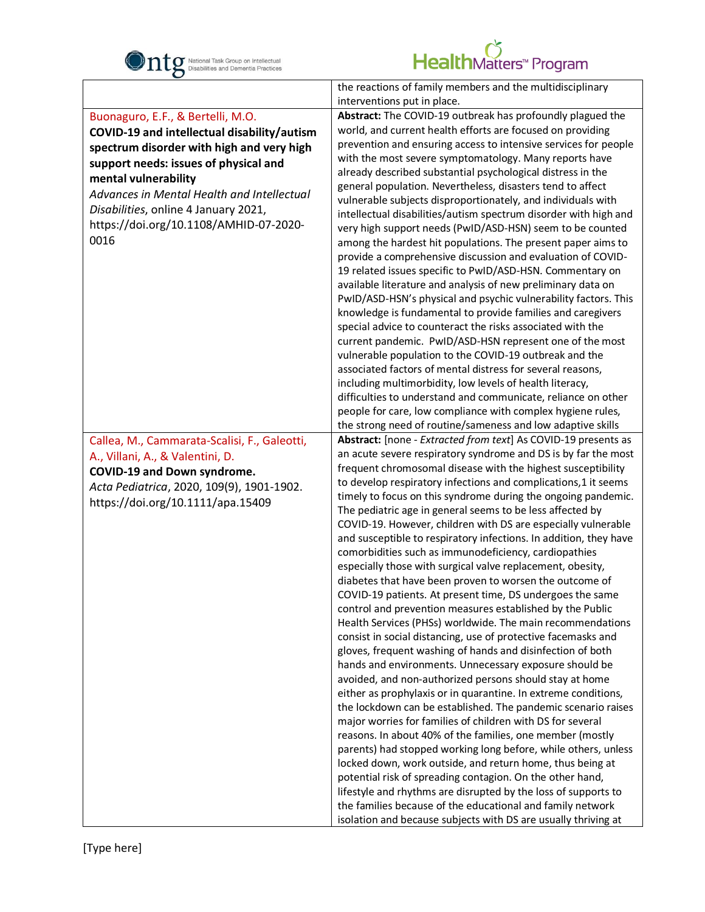

|                                              | the reactions of family members and the multidisciplinary                                                              |
|----------------------------------------------|------------------------------------------------------------------------------------------------------------------------|
|                                              | interventions put in place.                                                                                            |
| Buonaguro, E.F., & Bertelli, M.O.            | Abstract: The COVID-19 outbreak has profoundly plagued the                                                             |
| COVID-19 and intellectual disability/autism  | world, and current health efforts are focused on providing                                                             |
| spectrum disorder with high and very high    | prevention and ensuring access to intensive services for people                                                        |
| support needs: issues of physical and        | with the most severe symptomatology. Many reports have                                                                 |
| mental vulnerability                         | already described substantial psychological distress in the                                                            |
| Advances in Mental Health and Intellectual   | general population. Nevertheless, disasters tend to affect                                                             |
| Disabilities, online 4 January 2021,         | vulnerable subjects disproportionately, and individuals with                                                           |
| https://doi.org/10.1108/AMHID-07-2020-       | intellectual disabilities/autism spectrum disorder with high and                                                       |
| 0016                                         | very high support needs (PwID/ASD-HSN) seem to be counted                                                              |
|                                              | among the hardest hit populations. The present paper aims to                                                           |
|                                              | provide a comprehensive discussion and evaluation of COVID-                                                            |
|                                              | 19 related issues specific to PwID/ASD-HSN. Commentary on                                                              |
|                                              | available literature and analysis of new preliminary data on                                                           |
|                                              | PwID/ASD-HSN's physical and psychic vulnerability factors. This                                                        |
|                                              | knowledge is fundamental to provide families and caregivers                                                            |
|                                              | special advice to counteract the risks associated with the<br>current pandemic. PwID/ASD-HSN represent one of the most |
|                                              | vulnerable population to the COVID-19 outbreak and the                                                                 |
|                                              | associated factors of mental distress for several reasons,                                                             |
|                                              | including multimorbidity, low levels of health literacy,                                                               |
|                                              | difficulties to understand and communicate, reliance on other                                                          |
|                                              | people for care, low compliance with complex hygiene rules,                                                            |
|                                              | the strong need of routine/sameness and low adaptive skills                                                            |
| Callea, M., Cammarata-Scalisi, F., Galeotti, | Abstract: [none - Extracted from text] As COVID-19 presents as                                                         |
|                                              | an acute severe respiratory syndrome and DS is by far the most                                                         |
| A., Villani, A., & Valentini, D.             | frequent chromosomal disease with the highest susceptibility                                                           |
| COVID-19 and Down syndrome.                  | to develop respiratory infections and complications, 1 it seems                                                        |
| Acta Pediatrica, 2020, 109(9), 1901-1902.    | timely to focus on this syndrome during the ongoing pandemic.                                                          |
| https://doi.org/10.1111/apa.15409            | The pediatric age in general seems to be less affected by                                                              |
|                                              | COVID-19. However, children with DS are especially vulnerable                                                          |
|                                              | and susceptible to respiratory infections. In addition, they have                                                      |
|                                              | comorbidities such as immunodeficiency, cardiopathies                                                                  |
|                                              | especially those with surgical valve replacement, obesity,                                                             |
|                                              | diabetes that have been proven to worsen the outcome of                                                                |
|                                              | COVID-19 patients. At present time, DS undergoes the same                                                              |
|                                              | control and prevention measures established by the Public                                                              |
|                                              | Health Services (PHSs) worldwide. The main recommendations                                                             |
|                                              | consist in social distancing, use of protective facemasks and                                                          |
|                                              | gloves, frequent washing of hands and disinfection of both                                                             |
|                                              | hands and environments. Unnecessary exposure should be                                                                 |
|                                              | avoided, and non-authorized persons should stay at home                                                                |
|                                              | either as prophylaxis or in quarantine. In extreme conditions,                                                         |
|                                              | the lockdown can be established. The pandemic scenario raises                                                          |
|                                              | major worries for families of children with DS for several                                                             |
|                                              | reasons. In about 40% of the families, one member (mostly                                                              |
|                                              | parents) had stopped working long before, while others, unless                                                         |
|                                              | locked down, work outside, and return home, thus being at                                                              |
|                                              | potential risk of spreading contagion. On the other hand,                                                              |
|                                              | lifestyle and rhythms are disrupted by the loss of supports to                                                         |
|                                              | the families because of the educational and family network                                                             |
|                                              | isolation and because subjects with DS are usually thriving at                                                         |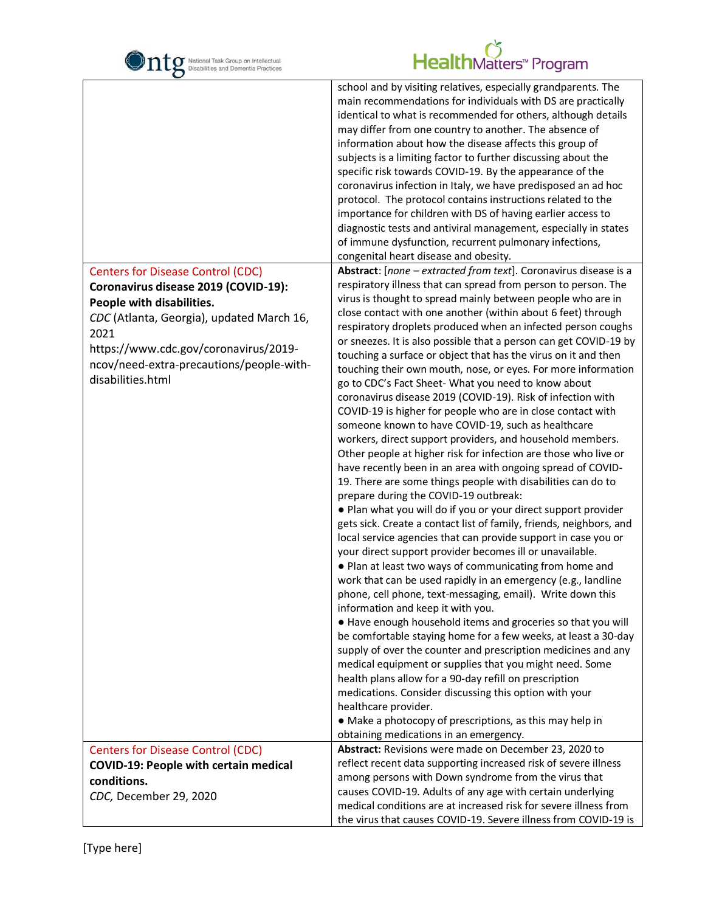| National Task Group on Intellectual<br>Disabilities and Dementia Practices | HealthMatters <sup>™</sup> Program                                                                                                                                                                                                                                                                                                                                                                                                                                                                                                                                                                                                                                                                                                                                                                                     |
|----------------------------------------------------------------------------|------------------------------------------------------------------------------------------------------------------------------------------------------------------------------------------------------------------------------------------------------------------------------------------------------------------------------------------------------------------------------------------------------------------------------------------------------------------------------------------------------------------------------------------------------------------------------------------------------------------------------------------------------------------------------------------------------------------------------------------------------------------------------------------------------------------------|
|                                                                            | school and by visiting relatives, especially grandparents. The<br>main recommendations for individuals with DS are practically<br>identical to what is recommended for others, although details<br>may differ from one country to another. The absence of<br>information about how the disease affects this group of<br>subjects is a limiting factor to further discussing about the<br>specific risk towards COVID-19. By the appearance of the<br>coronavirus infection in Italy, we have predisposed an ad hoc<br>protocol. The protocol contains instructions related to the<br>importance for children with DS of having earlier access to<br>diagnostic tests and antiviral management, especially in states<br>of immune dysfunction, recurrent pulmonary infections,<br>congenital heart disease and obesity. |
| <b>Centers for Disease Control (CDC)</b>                                   | Abstract: [none - extracted from text]. Coronavirus disease is a                                                                                                                                                                                                                                                                                                                                                                                                                                                                                                                                                                                                                                                                                                                                                       |
| Coronavirus disease 2019 (COVID-19):                                       | respiratory illness that can spread from person to person. The<br>virus is thought to spread mainly between people who are in                                                                                                                                                                                                                                                                                                                                                                                                                                                                                                                                                                                                                                                                                          |
| People with disabilities.<br>CDC (Atlanta, Georgia), updated March 16,     | close contact with one another (within about 6 feet) through                                                                                                                                                                                                                                                                                                                                                                                                                                                                                                                                                                                                                                                                                                                                                           |
| 2021                                                                       | respiratory droplets produced when an infected person coughs                                                                                                                                                                                                                                                                                                                                                                                                                                                                                                                                                                                                                                                                                                                                                           |
| https://www.cdc.gov/coronavirus/2019-                                      | or sneezes. It is also possible that a person can get COVID-19 by<br>touching a surface or object that has the virus on it and then                                                                                                                                                                                                                                                                                                                                                                                                                                                                                                                                                                                                                                                                                    |
| ncov/need-extra-precautions/people-with-                                   | touching their own mouth, nose, or eyes. For more information                                                                                                                                                                                                                                                                                                                                                                                                                                                                                                                                                                                                                                                                                                                                                          |
| disabilities.html                                                          | go to CDC's Fact Sheet- What you need to know about                                                                                                                                                                                                                                                                                                                                                                                                                                                                                                                                                                                                                                                                                                                                                                    |
|                                                                            | coronavirus disease 2019 (COVID-19). Risk of infection with<br>COVID-19 is higher for people who are in close contact with                                                                                                                                                                                                                                                                                                                                                                                                                                                                                                                                                                                                                                                                                             |
|                                                                            | someone known to have COVID-19, such as healthcare                                                                                                                                                                                                                                                                                                                                                                                                                                                                                                                                                                                                                                                                                                                                                                     |
|                                                                            | workers, direct support providers, and household members.                                                                                                                                                                                                                                                                                                                                                                                                                                                                                                                                                                                                                                                                                                                                                              |
|                                                                            | Other people at higher risk for infection are those who live or<br>have recently been in an area with ongoing spread of COVID-                                                                                                                                                                                                                                                                                                                                                                                                                                                                                                                                                                                                                                                                                         |
|                                                                            | 19. There are some things people with disabilities can do to                                                                                                                                                                                                                                                                                                                                                                                                                                                                                                                                                                                                                                                                                                                                                           |
|                                                                            | prepare during the COVID-19 outbreak:                                                                                                                                                                                                                                                                                                                                                                                                                                                                                                                                                                                                                                                                                                                                                                                  |
|                                                                            | . Plan what you will do if you or your direct support provider<br>gets sick. Create a contact list of family, friends, neighbors, and                                                                                                                                                                                                                                                                                                                                                                                                                                                                                                                                                                                                                                                                                  |
|                                                                            | local service agencies that can provide support in case you or                                                                                                                                                                                                                                                                                                                                                                                                                                                                                                                                                                                                                                                                                                                                                         |
|                                                                            | your direct support provider becomes ill or unavailable.                                                                                                                                                                                                                                                                                                                                                                                                                                                                                                                                                                                                                                                                                                                                                               |
|                                                                            | . Plan at least two ways of communicating from home and                                                                                                                                                                                                                                                                                                                                                                                                                                                                                                                                                                                                                                                                                                                                                                |
|                                                                            | work that can be used rapidly in an emergency (e.g., landline<br>phone, cell phone, text-messaging, email). Write down this                                                                                                                                                                                                                                                                                                                                                                                                                                                                                                                                                                                                                                                                                            |
|                                                                            | information and keep it with you.                                                                                                                                                                                                                                                                                                                                                                                                                                                                                                                                                                                                                                                                                                                                                                                      |
|                                                                            | • Have enough household items and groceries so that you will                                                                                                                                                                                                                                                                                                                                                                                                                                                                                                                                                                                                                                                                                                                                                           |
|                                                                            | be comfortable staying home for a few weeks, at least a 30-day<br>supply of over the counter and prescription medicines and any                                                                                                                                                                                                                                                                                                                                                                                                                                                                                                                                                                                                                                                                                        |
|                                                                            | medical equipment or supplies that you might need. Some                                                                                                                                                                                                                                                                                                                                                                                                                                                                                                                                                                                                                                                                                                                                                                |
|                                                                            | health plans allow for a 90-day refill on prescription                                                                                                                                                                                                                                                                                                                                                                                                                                                                                                                                                                                                                                                                                                                                                                 |
|                                                                            | medications. Consider discussing this option with your<br>healthcare provider.                                                                                                                                                                                                                                                                                                                                                                                                                                                                                                                                                                                                                                                                                                                                         |
|                                                                            | • Make a photocopy of prescriptions, as this may help in                                                                                                                                                                                                                                                                                                                                                                                                                                                                                                                                                                                                                                                                                                                                                               |
|                                                                            | obtaining medications in an emergency.                                                                                                                                                                                                                                                                                                                                                                                                                                                                                                                                                                                                                                                                                                                                                                                 |
| <b>Centers for Disease Control (CDC)</b>                                   | Abstract: Revisions were made on December 23, 2020 to                                                                                                                                                                                                                                                                                                                                                                                                                                                                                                                                                                                                                                                                                                                                                                  |
| <b>COVID-19: People with certain medical</b>                               | reflect recent data supporting increased risk of severe illness<br>among persons with Down syndrome from the virus that                                                                                                                                                                                                                                                                                                                                                                                                                                                                                                                                                                                                                                                                                                |
| conditions.<br>CDC, December 29, 2020                                      | causes COVID-19. Adults of any age with certain underlying                                                                                                                                                                                                                                                                                                                                                                                                                                                                                                                                                                                                                                                                                                                                                             |
|                                                                            | medical conditions are at increased risk for severe illness from                                                                                                                                                                                                                                                                                                                                                                                                                                                                                                                                                                                                                                                                                                                                                       |
|                                                                            | the virus that causes COVID-19. Severe illness from COVID-19 is                                                                                                                                                                                                                                                                                                                                                                                                                                                                                                                                                                                                                                                                                                                                                        |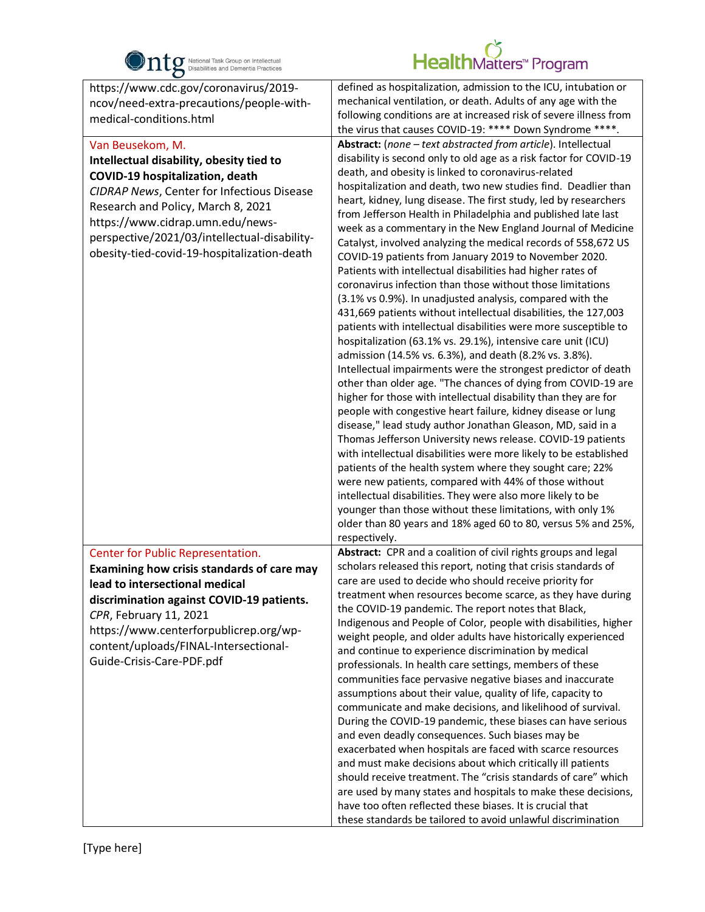

| $\bullet$                                                                                                                                                                                                                                                                                                              |                                                                                                                                                                                                                                                                                                                                                                                                                                                                                                                                                                                                                                                                                                                                                                                                                                                                                                                                                                                                                                                                                                                                                                                                                                                                                                                                                                                                                                                                                                                                                                                                                                                                                                                                                                                                                                                                      |
|------------------------------------------------------------------------------------------------------------------------------------------------------------------------------------------------------------------------------------------------------------------------------------------------------------------------|----------------------------------------------------------------------------------------------------------------------------------------------------------------------------------------------------------------------------------------------------------------------------------------------------------------------------------------------------------------------------------------------------------------------------------------------------------------------------------------------------------------------------------------------------------------------------------------------------------------------------------------------------------------------------------------------------------------------------------------------------------------------------------------------------------------------------------------------------------------------------------------------------------------------------------------------------------------------------------------------------------------------------------------------------------------------------------------------------------------------------------------------------------------------------------------------------------------------------------------------------------------------------------------------------------------------------------------------------------------------------------------------------------------------------------------------------------------------------------------------------------------------------------------------------------------------------------------------------------------------------------------------------------------------------------------------------------------------------------------------------------------------------------------------------------------------------------------------------------------------|
| https://www.cdc.gov/coronavirus/2019-<br>ncov/need-extra-precautions/people-with-<br>medical-conditions.html                                                                                                                                                                                                           | defined as hospitalization, admission to the ICU, intubation or<br>mechanical ventilation, or death. Adults of any age with the<br>following conditions are at increased risk of severe illness from<br>the virus that causes COVID-19: **** Down Syndrome ****.                                                                                                                                                                                                                                                                                                                                                                                                                                                                                                                                                                                                                                                                                                                                                                                                                                                                                                                                                                                                                                                                                                                                                                                                                                                                                                                                                                                                                                                                                                                                                                                                     |
| Van Beusekom, M.<br>Intellectual disability, obesity tied to<br>COVID-19 hospitalization, death<br>CIDRAP News, Center for Infectious Disease<br>Research and Policy, March 8, 2021<br>https://www.cidrap.umn.edu/news-<br>perspective/2021/03/intellectual-disability-<br>obesity-tied-covid-19-hospitalization-death | Abstract: (none - text abstracted from article). Intellectual<br>disability is second only to old age as a risk factor for COVID-19<br>death, and obesity is linked to coronavirus-related<br>hospitalization and death, two new studies find. Deadlier than<br>heart, kidney, lung disease. The first study, led by researchers<br>from Jefferson Health in Philadelphia and published late last<br>week as a commentary in the New England Journal of Medicine<br>Catalyst, involved analyzing the medical records of 558,672 US<br>COVID-19 patients from January 2019 to November 2020.<br>Patients with intellectual disabilities had higher rates of<br>coronavirus infection than those without those limitations<br>(3.1% vs 0.9%). In unadjusted analysis, compared with the<br>431,669 patients without intellectual disabilities, the 127,003<br>patients with intellectual disabilities were more susceptible to<br>hospitalization (63.1% vs. 29.1%), intensive care unit (ICU)<br>admission (14.5% vs. 6.3%), and death (8.2% vs. 3.8%).<br>Intellectual impairments were the strongest predictor of death<br>other than older age. "The chances of dying from COVID-19 are<br>higher for those with intellectual disability than they are for<br>people with congestive heart failure, kidney disease or lung<br>disease," lead study author Jonathan Gleason, MD, said in a<br>Thomas Jefferson University news release. COVID-19 patients<br>with intellectual disabilities were more likely to be established<br>patients of the health system where they sought care; 22%<br>were new patients, compared with 44% of those without<br>intellectual disabilities. They were also more likely to be<br>younger than those without these limitations, with only 1%<br>older than 80 years and 18% aged 60 to 80, versus 5% and 25%,<br>respectively. |
| Center for Public Representation.<br>Examining how crisis standards of care may<br>lead to intersectional medical<br>discrimination against COVID-19 patients.<br>CPR, February 11, 2021<br>https://www.centerforpublicrep.org/wp-<br>content/uploads/FINAL-Intersectional-<br>Guide-Crisis-Care-PDF.pdf               | Abstract: CPR and a coalition of civil rights groups and legal<br>scholars released this report, noting that crisis standards of<br>care are used to decide who should receive priority for<br>treatment when resources become scarce, as they have during<br>the COVID-19 pandemic. The report notes that Black,<br>Indigenous and People of Color, people with disabilities, higher<br>weight people, and older adults have historically experienced<br>and continue to experience discrimination by medical<br>professionals. In health care settings, members of these<br>communities face pervasive negative biases and inaccurate<br>assumptions about their value, quality of life, capacity to<br>communicate and make decisions, and likelihood of survival.<br>During the COVID-19 pandemic, these biases can have serious<br>and even deadly consequences. Such biases may be<br>exacerbated when hospitals are faced with scarce resources<br>and must make decisions about which critically ill patients<br>should receive treatment. The "crisis standards of care" which<br>are used by many states and hospitals to make these decisions,<br>have too often reflected these biases. It is crucial that<br>these standards be tailored to avoid unlawful discrimination                                                                                                                                                                                                                                                                                                                                                                                                                                                                                                                                                                               |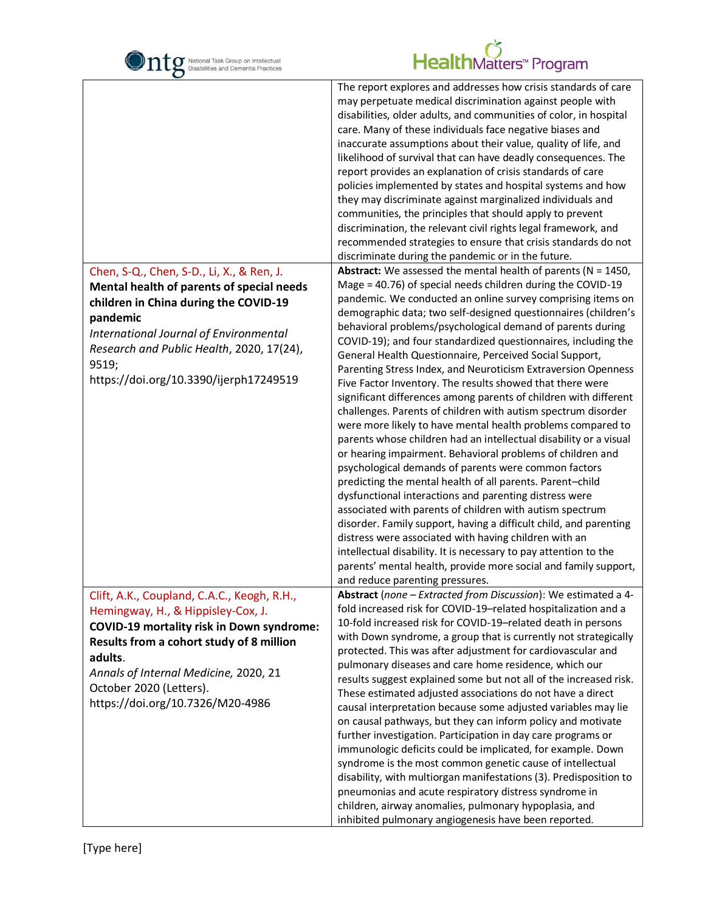| National Task Group on Intellectual<br>Disabilities and Dementia Practices                                                                                                                                                                                                                           | HealthMatters <sup>*</sup> Program                                                                                                                                                                                                                                                                                                                                                                                                                                                                                                                                                                                                                                                                                                                                                                                                                                                                                                                                                                                                                                                                                                                                                                                                                                                                                                                                                                                                                       |
|------------------------------------------------------------------------------------------------------------------------------------------------------------------------------------------------------------------------------------------------------------------------------------------------------|----------------------------------------------------------------------------------------------------------------------------------------------------------------------------------------------------------------------------------------------------------------------------------------------------------------------------------------------------------------------------------------------------------------------------------------------------------------------------------------------------------------------------------------------------------------------------------------------------------------------------------------------------------------------------------------------------------------------------------------------------------------------------------------------------------------------------------------------------------------------------------------------------------------------------------------------------------------------------------------------------------------------------------------------------------------------------------------------------------------------------------------------------------------------------------------------------------------------------------------------------------------------------------------------------------------------------------------------------------------------------------------------------------------------------------------------------------|
|                                                                                                                                                                                                                                                                                                      | The report explores and addresses how crisis standards of care<br>may perpetuate medical discrimination against people with<br>disabilities, older adults, and communities of color, in hospital<br>care. Many of these individuals face negative biases and<br>inaccurate assumptions about their value, quality of life, and<br>likelihood of survival that can have deadly consequences. The<br>report provides an explanation of crisis standards of care<br>policies implemented by states and hospital systems and how<br>they may discriminate against marginalized individuals and<br>communities, the principles that should apply to prevent<br>discrimination, the relevant civil rights legal framework, and<br>recommended strategies to ensure that crisis standards do not<br>discriminate during the pandemic or in the future.                                                                                                                                                                                                                                                                                                                                                                                                                                                                                                                                                                                                          |
| Chen, S-Q., Chen, S-D., Li, X., & Ren, J.<br>Mental health of parents of special needs<br>children in China during the COVID-19<br>pandemic<br>International Journal of Environmental<br>Research and Public Health, 2020, 17(24),<br>9519;<br>https://doi.org/10.3390/ijerph17249519                | <b>Abstract:</b> We assessed the mental health of parents ( $N = 1450$ ,<br>Mage = 40.76) of special needs children during the COVID-19<br>pandemic. We conducted an online survey comprising items on<br>demographic data; two self-designed questionnaires (children's<br>behavioral problems/psychological demand of parents during<br>COVID-19); and four standardized questionnaires, including the<br>General Health Questionnaire, Perceived Social Support,<br>Parenting Stress Index, and Neuroticism Extraversion Openness<br>Five Factor Inventory. The results showed that there were<br>significant differences among parents of children with different<br>challenges. Parents of children with autism spectrum disorder<br>were more likely to have mental health problems compared to<br>parents whose children had an intellectual disability or a visual<br>or hearing impairment. Behavioral problems of children and<br>psychological demands of parents were common factors<br>predicting the mental health of all parents. Parent-child<br>dysfunctional interactions and parenting distress were<br>associated with parents of children with autism spectrum<br>disorder. Family support, having a difficult child, and parenting<br>distress were associated with having children with an<br>intellectual disability. It is necessary to pay attention to the<br>parents' mental health, provide more social and family support, |
| Clift, A.K., Coupland, C.A.C., Keogh, R.H.,<br>Hemingway, H., & Hippisley-Cox, J.<br><b>COVID-19 mortality risk in Down syndrome:</b><br>Results from a cohort study of 8 million<br>adults.<br>Annals of Internal Medicine, 2020, 21<br>October 2020 (Letters).<br>https://doi.org/10.7326/M20-4986 | and reduce parenting pressures.<br>Abstract (none - Extracted from Discussion): We estimated a 4-<br>fold increased risk for COVID-19-related hospitalization and a<br>10-fold increased risk for COVID-19-related death in persons<br>with Down syndrome, a group that is currently not strategically<br>protected. This was after adjustment for cardiovascular and<br>pulmonary diseases and care home residence, which our<br>results suggest explained some but not all of the increased risk.<br>These estimated adjusted associations do not have a direct<br>causal interpretation because some adjusted variables may lie<br>on causal pathways, but they can inform policy and motivate<br>further investigation. Participation in day care programs or<br>immunologic deficits could be implicated, for example. Down<br>syndrome is the most common genetic cause of intellectual<br>disability, with multiorgan manifestations (3). Predisposition to<br>pneumonias and acute respiratory distress syndrome in<br>children, airway anomalies, pulmonary hypoplasia, and<br>inhibited pulmonary angiogenesis have been reported.                                                                                                                                                                                                                                                                                                             |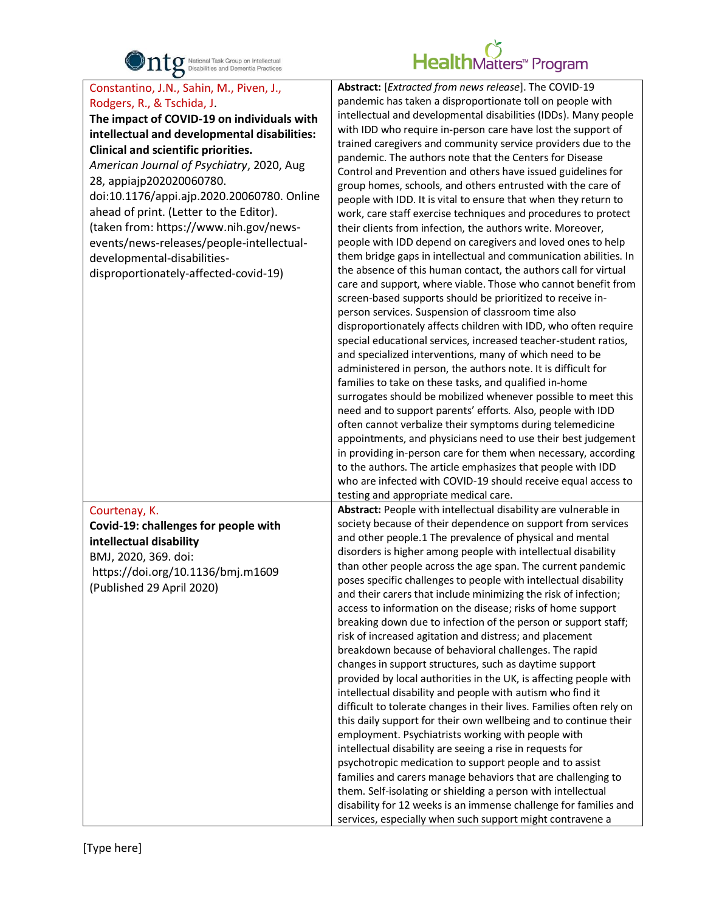

| Abstract: [Extracted from news release]. The COVID-19<br>pandemic has taken a disproportionate toll on people with<br>intellectual and developmental disabilities (IDDs). Many people<br>with IDD who require in-person care have lost the support of<br>trained caregivers and community service providers due to the<br>pandemic. The authors note that the Centers for Disease<br>Control and Prevention and others have issued guidelines for<br>group homes, schools, and others entrusted with the care of<br>people with IDD. It is vital to ensure that when they return to<br>work, care staff exercise techniques and procedures to protect<br>their clients from infection, the authors write. Moreover,<br>people with IDD depend on caregivers and loved ones to help<br>them bridge gaps in intellectual and communication abilities. In<br>the absence of this human contact, the authors call for virtual<br>care and support, where viable. Those who cannot benefit from<br>screen-based supports should be prioritized to receive in-<br>person services. Suspension of classroom time also<br>disproportionately affects children with IDD, who often require<br>special educational services, increased teacher-student ratios,<br>and specialized interventions, many of which need to be<br>administered in person, the authors note. It is difficult for<br>families to take on these tasks, and qualified in-home<br>surrogates should be mobilized whenever possible to meet this<br>need and to support parents' efforts. Also, people with IDD<br>often cannot verbalize their symptoms during telemedicine<br>appointments, and physicians need to use their best judgement<br>in providing in-person care for them when necessary, according<br>to the authors. The article emphasizes that people with IDD<br>who are infected with COVID-19 should receive equal access to |
|------------------------------------------------------------------------------------------------------------------------------------------------------------------------------------------------------------------------------------------------------------------------------------------------------------------------------------------------------------------------------------------------------------------------------------------------------------------------------------------------------------------------------------------------------------------------------------------------------------------------------------------------------------------------------------------------------------------------------------------------------------------------------------------------------------------------------------------------------------------------------------------------------------------------------------------------------------------------------------------------------------------------------------------------------------------------------------------------------------------------------------------------------------------------------------------------------------------------------------------------------------------------------------------------------------------------------------------------------------------------------------------------------------------------------------------------------------------------------------------------------------------------------------------------------------------------------------------------------------------------------------------------------------------------------------------------------------------------------------------------------------------------------------------------------------------------------------------------------------------------------------------------------------|
| testing and appropriate medical care.<br>Abstract: People with intellectual disability are vulnerable in<br>society because of their dependence on support from services<br>and other people.1 The prevalence of physical and mental<br>disorders is higher among people with intellectual disability<br>than other people across the age span. The current pandemic<br>poses specific challenges to people with intellectual disability<br>and their carers that include minimizing the risk of infection;<br>access to information on the disease; risks of home support<br>breaking down due to infection of the person or support staff;<br>risk of increased agitation and distress; and placement<br>breakdown because of behavioral challenges. The rapid<br>changes in support structures, such as daytime support<br>provided by local authorities in the UK, is affecting people with<br>intellectual disability and people with autism who find it<br>difficult to tolerate changes in their lives. Families often rely on<br>this daily support for their own wellbeing and to continue their<br>employment. Psychiatrists working with people with<br>intellectual disability are seeing a rise in requests for<br>psychotropic medication to support people and to assist<br>families and carers manage behaviors that are challenging to<br>them. Self-isolating or shielding a person with intellectual<br>disability for 12 weeks is an immense challenge for families and                                                                                                                                                                                                                                                                                                                                                                                                                |
|                                                                                                                                                                                                                                                                                                                                                                                                                                                                                                                                                                                                                                                                                                                                                                                                                                                                                                                                                                                                                                                                                                                                                                                                                                                                                                                                                                                                                                                                                                                                                                                                                                                                                                                                                                                                                                                                                                            |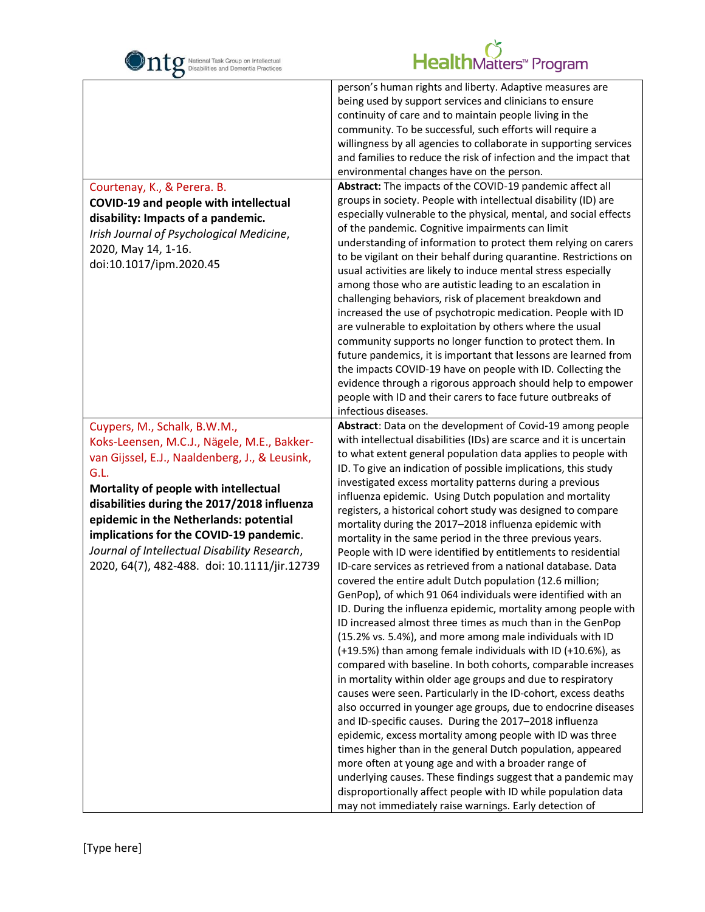

| $\mathbf C$                                                                                                                                                                                                                                                                                                                                                                                                        |                                                                                                                                                                                                                                                                                                                                                                                                                                                                                                                                                                                                                                                                                                                                                                                                                                                                                                                                                                                                                                                                                                                                                                                                                                                                                                                                                                                                                                                                                                                                                                                                                                                                                                                                                                                                                           |
|--------------------------------------------------------------------------------------------------------------------------------------------------------------------------------------------------------------------------------------------------------------------------------------------------------------------------------------------------------------------------------------------------------------------|---------------------------------------------------------------------------------------------------------------------------------------------------------------------------------------------------------------------------------------------------------------------------------------------------------------------------------------------------------------------------------------------------------------------------------------------------------------------------------------------------------------------------------------------------------------------------------------------------------------------------------------------------------------------------------------------------------------------------------------------------------------------------------------------------------------------------------------------------------------------------------------------------------------------------------------------------------------------------------------------------------------------------------------------------------------------------------------------------------------------------------------------------------------------------------------------------------------------------------------------------------------------------------------------------------------------------------------------------------------------------------------------------------------------------------------------------------------------------------------------------------------------------------------------------------------------------------------------------------------------------------------------------------------------------------------------------------------------------------------------------------------------------------------------------------------------------|
| Courtenay, K., & Perera. B.<br>COVID-19 and people with intellectual<br>disability: Impacts of a pandemic.<br>Irish Journal of Psychological Medicine,<br>2020, May 14, 1-16.<br>doi:10.1017/ipm.2020.45                                                                                                                                                                                                           | person's human rights and liberty. Adaptive measures are<br>being used by support services and clinicians to ensure<br>continuity of care and to maintain people living in the<br>community. To be successful, such efforts will require a<br>willingness by all agencies to collaborate in supporting services<br>and families to reduce the risk of infection and the impact that<br>environmental changes have on the person.<br>Abstract: The impacts of the COVID-19 pandemic affect all<br>groups in society. People with intellectual disability (ID) are<br>especially vulnerable to the physical, mental, and social effects<br>of the pandemic. Cognitive impairments can limit<br>understanding of information to protect them relying on carers<br>to be vigilant on their behalf during quarantine. Restrictions on<br>usual activities are likely to induce mental stress especially<br>among those who are autistic leading to an escalation in<br>challenging behaviors, risk of placement breakdown and<br>increased the use of psychotropic medication. People with ID<br>are vulnerable to exploitation by others where the usual<br>community supports no longer function to protect them. In<br>future pandemics, it is important that lessons are learned from<br>the impacts COVID-19 have on people with ID. Collecting the<br>evidence through a rigorous approach should help to empower<br>people with ID and their carers to face future outbreaks of                                                                                                                                                                                                                                                                                                                                         |
|                                                                                                                                                                                                                                                                                                                                                                                                                    | infectious diseases.                                                                                                                                                                                                                                                                                                                                                                                                                                                                                                                                                                                                                                                                                                                                                                                                                                                                                                                                                                                                                                                                                                                                                                                                                                                                                                                                                                                                                                                                                                                                                                                                                                                                                                                                                                                                      |
| Cuypers, M., Schalk, B.W.M.,<br>Koks-Leensen, M.C.J., Nägele, M.E., Bakker-<br>van Gijssel, E.J., Naaldenberg, J., & Leusink,<br>G.L.<br>Mortality of people with intellectual<br>disabilities during the 2017/2018 influenza<br>epidemic in the Netherlands: potential<br>implications for the COVID-19 pandemic.<br>Journal of Intellectual Disability Research,<br>2020, 64(7), 482-488. doi: 10.1111/jir.12739 | Abstract: Data on the development of Covid-19 among people<br>with intellectual disabilities (IDs) are scarce and it is uncertain<br>to what extent general population data applies to people with<br>ID. To give an indication of possible implications, this study<br>investigated excess mortality patterns during a previous<br>influenza epidemic. Using Dutch population and mortality<br>registers, a historical cohort study was designed to compare<br>mortality during the 2017-2018 influenza epidemic with<br>mortality in the same period in the three previous years.<br>People with ID were identified by entitlements to residential<br>ID-care services as retrieved from a national database. Data<br>covered the entire adult Dutch population (12.6 million;<br>GenPop), of which 91 064 individuals were identified with an<br>ID. During the influenza epidemic, mortality among people with<br>ID increased almost three times as much than in the GenPop<br>(15.2% vs. 5.4%), and more among male individuals with ID<br>(+19.5%) than among female individuals with ID (+10.6%), as<br>compared with baseline. In both cohorts, comparable increases<br>in mortality within older age groups and due to respiratory<br>causes were seen. Particularly in the ID-cohort, excess deaths<br>also occurred in younger age groups, due to endocrine diseases<br>and ID-specific causes. During the 2017-2018 influenza<br>epidemic, excess mortality among people with ID was three<br>times higher than in the general Dutch population, appeared<br>more often at young age and with a broader range of<br>underlying causes. These findings suggest that a pandemic may<br>disproportionally affect people with ID while population data<br>may not immediately raise warnings. Early detection of |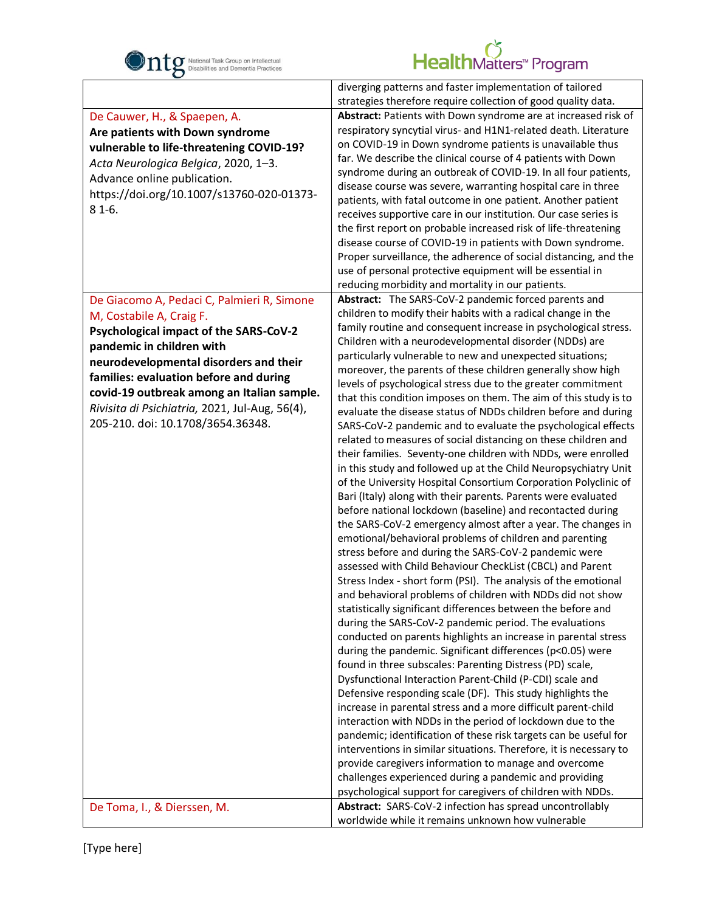

| O                                              |                                                                                                                        |
|------------------------------------------------|------------------------------------------------------------------------------------------------------------------------|
|                                                | diverging patterns and faster implementation of tailored                                                               |
|                                                | strategies therefore require collection of good quality data.                                                          |
| De Cauwer, H., & Spaepen, A.                   | Abstract: Patients with Down syndrome are at increased risk of                                                         |
| Are patients with Down syndrome                | respiratory syncytial virus- and H1N1-related death. Literature                                                        |
| vulnerable to life-threatening COVID-19?       | on COVID-19 in Down syndrome patients is unavailable thus                                                              |
| Acta Neurologica Belgica, 2020, 1-3.           | far. We describe the clinical course of 4 patients with Down                                                           |
| Advance online publication.                    | syndrome during an outbreak of COVID-19. In all four patients,                                                         |
| https://doi.org/10.1007/s13760-020-01373-      | disease course was severe, warranting hospital care in three                                                           |
| $81-6.$                                        | patients, with fatal outcome in one patient. Another patient                                                           |
|                                                | receives supportive care in our institution. Our case series is                                                        |
|                                                | the first report on probable increased risk of life-threatening                                                        |
|                                                | disease course of COVID-19 in patients with Down syndrome.                                                             |
|                                                | Proper surveillance, the adherence of social distancing, and the                                                       |
|                                                | use of personal protective equipment will be essential in                                                              |
|                                                | reducing morbidity and mortality in our patients.                                                                      |
| De Giacomo A, Pedaci C, Palmieri R, Simone     | Abstract: The SARS-CoV-2 pandemic forced parents and                                                                   |
| M, Costabile A, Craig F.                       | children to modify their habits with a radical change in the                                                           |
| Psychological impact of the SARS-CoV-2         | family routine and consequent increase in psychological stress.                                                        |
| pandemic in children with                      | Children with a neurodevelopmental disorder (NDDs) are                                                                 |
| neurodevelopmental disorders and their         | particularly vulnerable to new and unexpected situations;                                                              |
| families: evaluation before and during         | moreover, the parents of these children generally show high                                                            |
| covid-19 outbreak among an Italian sample.     | levels of psychological stress due to the greater commitment                                                           |
| Rivisita di Psichiatria, 2021, Jul-Aug, 56(4), | that this condition imposes on them. The aim of this study is to                                                       |
| 205-210. doi: 10.1708/3654.36348.              | evaluate the disease status of NDDs children before and during                                                         |
|                                                | SARS-CoV-2 pandemic and to evaluate the psychological effects                                                          |
|                                                | related to measures of social distancing on these children and                                                         |
|                                                | their families. Seventy-one children with NDDs, were enrolled                                                          |
|                                                | in this study and followed up at the Child Neuropsychiatry Unit                                                        |
|                                                | of the University Hospital Consortium Corporation Polyclinic of                                                        |
|                                                | Bari (Italy) along with their parents. Parents were evaluated                                                          |
|                                                | before national lockdown (baseline) and recontacted during                                                             |
|                                                | the SARS-CoV-2 emergency almost after a year. The changes in                                                           |
|                                                | emotional/behavioral problems of children and parenting                                                                |
|                                                | stress before and during the SARS-CoV-2 pandemic were                                                                  |
|                                                | assessed with Child Behaviour CheckList (CBCL) and Parent                                                              |
|                                                | Stress Index - short form (PSI). The analysis of the emotional                                                         |
|                                                | and behavioral problems of children with NDDs did not show                                                             |
|                                                | statistically significant differences between the before and<br>during the SARS-CoV-2 pandemic period. The evaluations |
|                                                | conducted on parents highlights an increase in parental stress                                                         |
|                                                | during the pandemic. Significant differences (p<0.05) were                                                             |
|                                                | found in three subscales: Parenting Distress (PD) scale,                                                               |
|                                                | Dysfunctional Interaction Parent-Child (P-CDI) scale and                                                               |
|                                                | Defensive responding scale (DF). This study highlights the                                                             |
|                                                | increase in parental stress and a more difficult parent-child                                                          |
|                                                | interaction with NDDs in the period of lockdown due to the                                                             |
|                                                | pandemic; identification of these risk targets can be useful for                                                       |
|                                                | interventions in similar situations. Therefore, it is necessary to                                                     |
|                                                | provide caregivers information to manage and overcome                                                                  |
|                                                | challenges experienced during a pandemic and providing                                                                 |
|                                                | psychological support for caregivers of children with NDDs.                                                            |
| De Toma, I., & Dierssen, M.                    | Abstract: SARS-CoV-2 infection has spread uncontrollably                                                               |
|                                                | worldwide while it remains unknown how vulnerable                                                                      |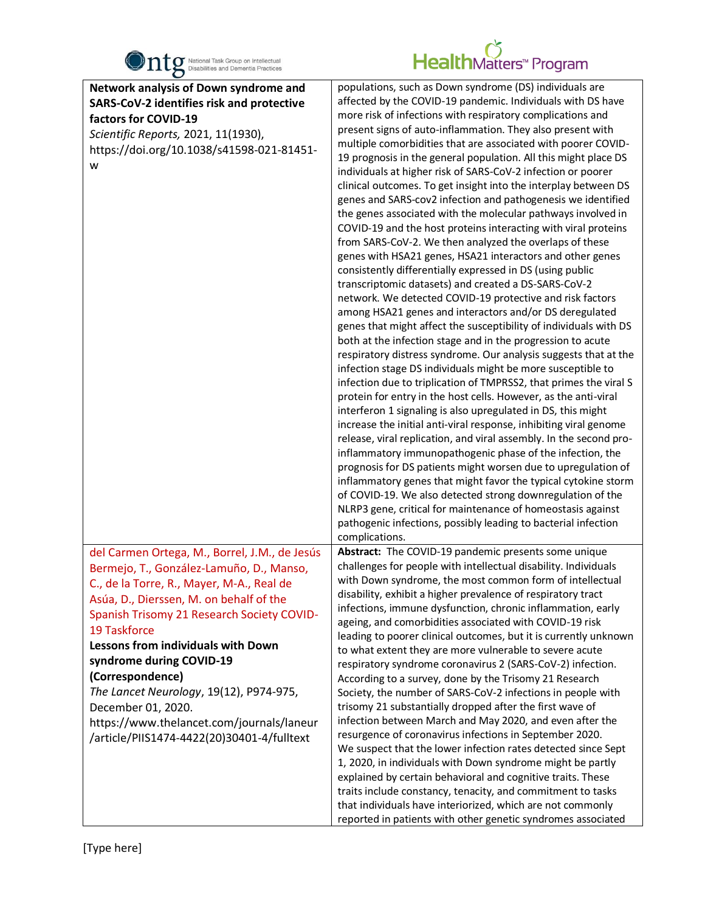

| $\bullet$                                                                             |                                                                                                                                         |
|---------------------------------------------------------------------------------------|-----------------------------------------------------------------------------------------------------------------------------------------|
| Network analysis of Down syndrome and                                                 | populations, such as Down syndrome (DS) individuals are                                                                                 |
| SARS-CoV-2 identifies risk and protective                                             | affected by the COVID-19 pandemic. Individuals with DS have                                                                             |
| factors for COVID-19                                                                  | more risk of infections with respiratory complications and                                                                              |
| Scientific Reports, 2021, 11(1930),                                                   | present signs of auto-inflammation. They also present with                                                                              |
| https://doi.org/10.1038/s41598-021-81451-                                             | multiple comorbidities that are associated with poorer COVID-<br>19 prognosis in the general population. All this might place DS        |
| W                                                                                     | individuals at higher risk of SARS-CoV-2 infection or poorer                                                                            |
|                                                                                       | clinical outcomes. To get insight into the interplay between DS                                                                         |
|                                                                                       | genes and SARS-cov2 infection and pathogenesis we identified                                                                            |
|                                                                                       | the genes associated with the molecular pathways involved in                                                                            |
|                                                                                       | COVID-19 and the host proteins interacting with viral proteins                                                                          |
|                                                                                       | from SARS-CoV-2. We then analyzed the overlaps of these                                                                                 |
|                                                                                       | genes with HSA21 genes, HSA21 interactors and other genes                                                                               |
|                                                                                       | consistently differentially expressed in DS (using public                                                                               |
|                                                                                       | transcriptomic datasets) and created a DS-SARS-CoV-2<br>network. We detected COVID-19 protective and risk factors                       |
|                                                                                       | among HSA21 genes and interactors and/or DS deregulated                                                                                 |
|                                                                                       | genes that might affect the susceptibility of individuals with DS                                                                       |
|                                                                                       | both at the infection stage and in the progression to acute                                                                             |
|                                                                                       | respiratory distress syndrome. Our analysis suggests that at the                                                                        |
|                                                                                       | infection stage DS individuals might be more susceptible to                                                                             |
|                                                                                       | infection due to triplication of TMPRSS2, that primes the viral S                                                                       |
|                                                                                       | protein for entry in the host cells. However, as the anti-viral                                                                         |
|                                                                                       | interferon 1 signaling is also upregulated in DS, this might                                                                            |
|                                                                                       | increase the initial anti-viral response, inhibiting viral genome<br>release, viral replication, and viral assembly. In the second pro- |
|                                                                                       | inflammatory immunopathogenic phase of the infection, the                                                                               |
|                                                                                       | prognosis for DS patients might worsen due to upregulation of                                                                           |
|                                                                                       | inflammatory genes that might favor the typical cytokine storm                                                                          |
|                                                                                       | of COVID-19. We also detected strong downregulation of the                                                                              |
|                                                                                       | NLRP3 gene, critical for maintenance of homeostasis against                                                                             |
|                                                                                       | pathogenic infections, possibly leading to bacterial infection                                                                          |
|                                                                                       | complications.                                                                                                                          |
| del Carmen Ortega, M., Borrel, J.M., de Jesús                                         | Abstract: The COVID-19 pandemic presents some unique<br>challenges for people with intellectual disability. Individuals                 |
| Bermejo, T., González-Lamuño, D., Manso,<br>C., de la Torre, R., Mayer, M-A., Real de | with Down syndrome, the most common form of intellectual                                                                                |
| Asúa, D., Dierssen, M. on behalf of the                                               | disability, exhibit a higher prevalence of respiratory tract                                                                            |
| Spanish Trisomy 21 Research Society COVID-                                            | infections, immune dysfunction, chronic inflammation, early                                                                             |
| 19 Taskforce                                                                          | ageing, and comorbidities associated with COVID-19 risk                                                                                 |
| Lessons from individuals with Down                                                    | leading to poorer clinical outcomes, but it is currently unknown                                                                        |
| syndrome during COVID-19                                                              | to what extent they are more vulnerable to severe acute                                                                                 |
| (Correspondence)                                                                      | respiratory syndrome coronavirus 2 (SARS-CoV-2) infection.<br>According to a survey, done by the Trisomy 21 Research                    |
| The Lancet Neurology, 19(12), P974-975,                                               | Society, the number of SARS-CoV-2 infections in people with                                                                             |
| December 01, 2020.                                                                    | trisomy 21 substantially dropped after the first wave of                                                                                |
| https://www.thelancet.com/journals/laneur                                             | infection between March and May 2020, and even after the                                                                                |
| /article/PIIS1474-4422(20)30401-4/fulltext                                            | resurgence of coronavirus infections in September 2020.                                                                                 |
|                                                                                       | We suspect that the lower infection rates detected since Sept                                                                           |
|                                                                                       | 1, 2020, in individuals with Down syndrome might be partly                                                                              |
|                                                                                       | explained by certain behavioral and cognitive traits. These                                                                             |
|                                                                                       | traits include constancy, tenacity, and commitment to tasks<br>that individuals have interiorized, which are not commonly               |
|                                                                                       | reported in patients with other genetic syndromes associated                                                                            |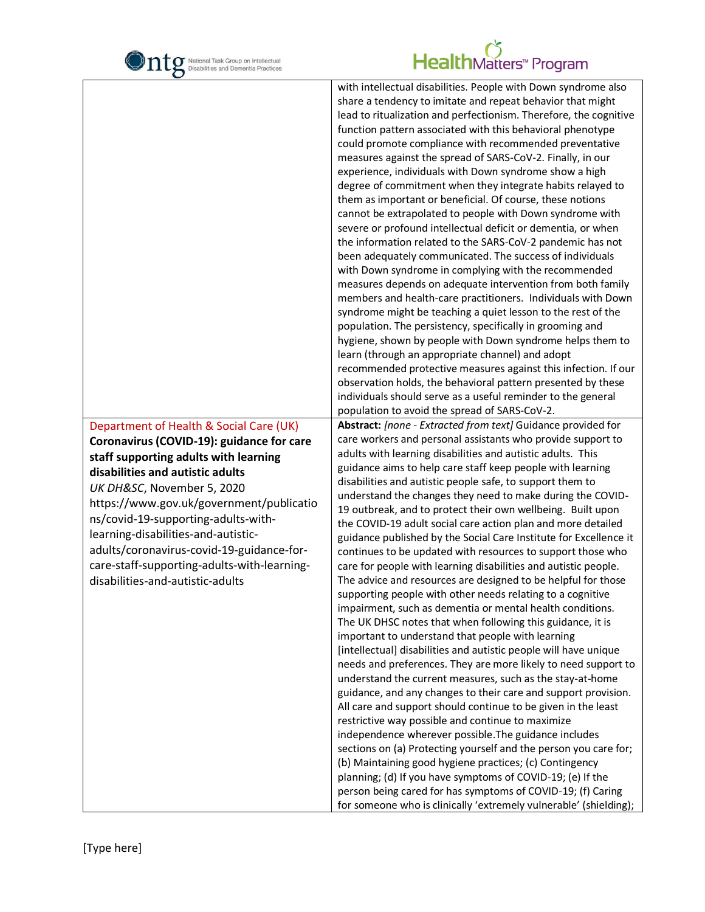

| $\mathbf C$                                                                                                                                                                                                                                                                                                                                                                                                                                               |                                                                                                                                                                                                                                                                                                                                                                                                                                                                                                                                                                                                                                                                                                                                                                                                                                                                                                                                                                                                                                                                                                                                                                                                                                                                                                                                                                                                                                                                                                                                                                                                                                                                                                                                                                                                                               |
|-----------------------------------------------------------------------------------------------------------------------------------------------------------------------------------------------------------------------------------------------------------------------------------------------------------------------------------------------------------------------------------------------------------------------------------------------------------|-------------------------------------------------------------------------------------------------------------------------------------------------------------------------------------------------------------------------------------------------------------------------------------------------------------------------------------------------------------------------------------------------------------------------------------------------------------------------------------------------------------------------------------------------------------------------------------------------------------------------------------------------------------------------------------------------------------------------------------------------------------------------------------------------------------------------------------------------------------------------------------------------------------------------------------------------------------------------------------------------------------------------------------------------------------------------------------------------------------------------------------------------------------------------------------------------------------------------------------------------------------------------------------------------------------------------------------------------------------------------------------------------------------------------------------------------------------------------------------------------------------------------------------------------------------------------------------------------------------------------------------------------------------------------------------------------------------------------------------------------------------------------------------------------------------------------------|
|                                                                                                                                                                                                                                                                                                                                                                                                                                                           | with intellectual disabilities. People with Down syndrome also<br>share a tendency to imitate and repeat behavior that might<br>lead to ritualization and perfectionism. Therefore, the cognitive<br>function pattern associated with this behavioral phenotype<br>could promote compliance with recommended preventative<br>measures against the spread of SARS-CoV-2. Finally, in our<br>experience, individuals with Down syndrome show a high<br>degree of commitment when they integrate habits relayed to<br>them as important or beneficial. Of course, these notions<br>cannot be extrapolated to people with Down syndrome with<br>severe or profound intellectual deficit or dementia, or when<br>the information related to the SARS-CoV-2 pandemic has not<br>been adequately communicated. The success of individuals<br>with Down syndrome in complying with the recommended<br>measures depends on adequate intervention from both family<br>members and health-care practitioners. Individuals with Down<br>syndrome might be teaching a quiet lesson to the rest of the<br>population. The persistency, specifically in grooming and<br>hygiene, shown by people with Down syndrome helps them to<br>learn (through an appropriate channel) and adopt<br>recommended protective measures against this infection. If our<br>observation holds, the behavioral pattern presented by these<br>individuals should serve as a useful reminder to the general<br>population to avoid the spread of SARS-CoV-2.                                                                                                                                                                                                                                                                                                     |
| Department of Health & Social Care (UK)<br>Coronavirus (COVID-19): guidance for care<br>staff supporting adults with learning<br>disabilities and autistic adults<br>UK DH&SC, November 5, 2020<br>https://www.gov.uk/government/publicatio<br>ns/covid-19-supporting-adults-with-<br>learning-disabilities-and-autistic-<br>adults/coronavirus-covid-19-guidance-for-<br>care-staff-supporting-adults-with-learning-<br>disabilities-and-autistic-adults | Abstract: [none - Extracted from text] Guidance provided for<br>care workers and personal assistants who provide support to<br>adults with learning disabilities and autistic adults. This<br>guidance aims to help care staff keep people with learning<br>disabilities and autistic people safe, to support them to<br>understand the changes they need to make during the COVID-<br>19 outbreak, and to protect their own wellbeing. Built upon<br>the COVID-19 adult social care action plan and more detailed<br>guidance published by the Social Care Institute for Excellence it<br>continues to be updated with resources to support those who<br>care for people with learning disabilities and autistic people.<br>The advice and resources are designed to be helpful for those<br>supporting people with other needs relating to a cognitive<br>impairment, such as dementia or mental health conditions.<br>The UK DHSC notes that when following this guidance, it is<br>important to understand that people with learning<br>[intellectual] disabilities and autistic people will have unique<br>needs and preferences. They are more likely to need support to<br>understand the current measures, such as the stay-at-home<br>guidance, and any changes to their care and support provision.<br>All care and support should continue to be given in the least<br>restrictive way possible and continue to maximize<br>independence wherever possible. The guidance includes<br>sections on (a) Protecting yourself and the person you care for;<br>(b) Maintaining good hygiene practices; (c) Contingency<br>planning; (d) If you have symptoms of COVID-19; (e) If the<br>person being cared for has symptoms of COVID-19; (f) Caring<br>for someone who is clinically 'extremely vulnerable' (shielding); |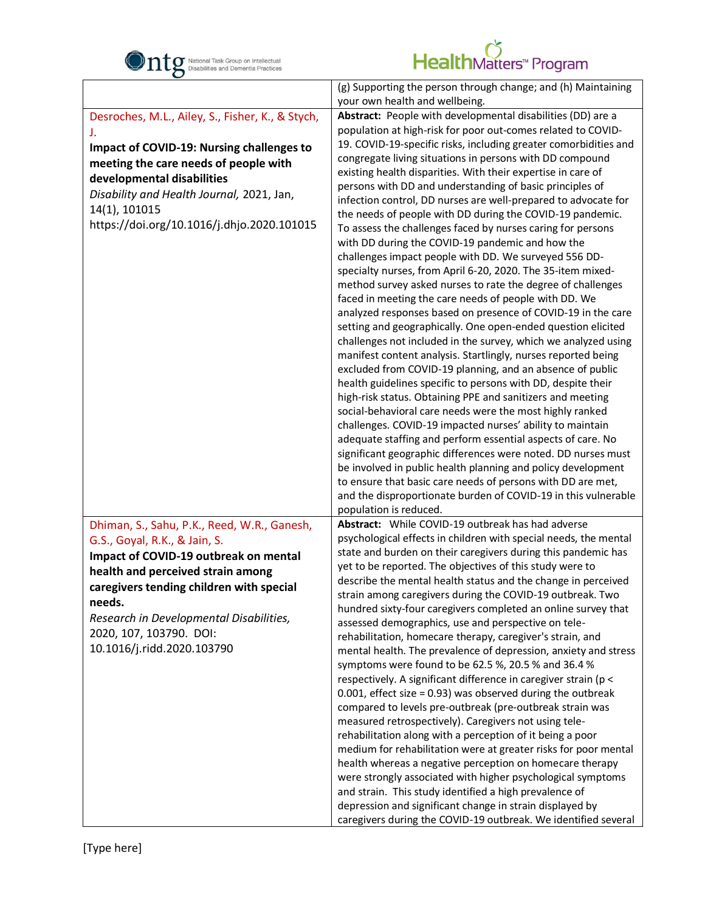

|                                                  | (g) Supporting the person through change; and (h) Maintaining                                                    |
|--------------------------------------------------|------------------------------------------------------------------------------------------------------------------|
|                                                  | your own health and wellbeing.                                                                                   |
| Desroches, M.L., Ailey, S., Fisher, K., & Stych, | Abstract: People with developmental disabilities (DD) are a                                                      |
| J.                                               | population at high-risk for poor out-comes related to COVID-                                                     |
| Impact of COVID-19: Nursing challenges to        | 19. COVID-19-specific risks, including greater comorbidities and                                                 |
| meeting the care needs of people with            | congregate living situations in persons with DD compound                                                         |
| developmental disabilities                       | existing health disparities. With their expertise in care of                                                     |
|                                                  | persons with DD and understanding of basic principles of                                                         |
| Disability and Health Journal, 2021, Jan,        | infection control, DD nurses are well-prepared to advocate for                                                   |
| 14(1), 101015                                    | the needs of people with DD during the COVID-19 pandemic.                                                        |
| https://doi.org/10.1016/j.dhjo.2020.101015       | To assess the challenges faced by nurses caring for persons                                                      |
|                                                  | with DD during the COVID-19 pandemic and how the                                                                 |
|                                                  | challenges impact people with DD. We surveyed 556 DD-                                                            |
|                                                  | specialty nurses, from April 6-20, 2020. The 35-item mixed-                                                      |
|                                                  | method survey asked nurses to rate the degree of challenges                                                      |
|                                                  | faced in meeting the care needs of people with DD. We                                                            |
|                                                  | analyzed responses based on presence of COVID-19 in the care                                                     |
|                                                  | setting and geographically. One open-ended question elicited                                                     |
|                                                  | challenges not included in the survey, which we analyzed using                                                   |
|                                                  | manifest content analysis. Startlingly, nurses reported being                                                    |
|                                                  | excluded from COVID-19 planning, and an absence of public                                                        |
|                                                  | health guidelines specific to persons with DD, despite their                                                     |
|                                                  | high-risk status. Obtaining PPE and sanitizers and meeting                                                       |
|                                                  | social-behavioral care needs were the most highly ranked                                                         |
|                                                  | challenges. COVID-19 impacted nurses' ability to maintain                                                        |
|                                                  | adequate staffing and perform essential aspects of care. No                                                      |
|                                                  | significant geographic differences were noted. DD nurses must                                                    |
|                                                  | be involved in public health planning and policy development                                                     |
|                                                  | to ensure that basic care needs of persons with DD are met,                                                      |
|                                                  | and the disproportionate burden of COVID-19 in this vulnerable                                                   |
|                                                  | population is reduced.                                                                                           |
| Dhiman, S., Sahu, P.K., Reed, W.R., Ganesh,      | Abstract: While COVID-19 outbreak has had adverse                                                                |
| G.S., Goyal, R.K., & Jain, S.                    | psychological effects in children with special needs, the mental                                                 |
| Impact of COVID-19 outbreak on mental            | state and burden on their caregivers during this pandemic has                                                    |
| health and perceived strain among                | yet to be reported. The objectives of this study were to                                                         |
| caregivers tending children with special         | describe the mental health status and the change in perceived                                                    |
| needs.                                           | strain among caregivers during the COVID-19 outbreak. Two                                                        |
| Research in Developmental Disabilities,          | hundred sixty-four caregivers completed an online survey that                                                    |
| 2020, 107, 103790. DOI:                          | assessed demographics, use and perspective on tele-<br>rehabilitation, homecare therapy, caregiver's strain, and |
| 10.1016/j.ridd.2020.103790                       | mental health. The prevalence of depression, anxiety and stress                                                  |
|                                                  | symptoms were found to be 62.5 %, 20.5 % and 36.4 %                                                              |
|                                                  | respectively. A significant difference in caregiver strain (p <                                                  |
|                                                  | 0.001, effect size = 0.93) was observed during the outbreak                                                      |
|                                                  | compared to levels pre-outbreak (pre-outbreak strain was                                                         |
|                                                  | measured retrospectively). Caregivers not using tele-                                                            |
|                                                  | rehabilitation along with a perception of it being a poor                                                        |
|                                                  | medium for rehabilitation were at greater risks for poor mental                                                  |
|                                                  | health whereas a negative perception on homecare therapy                                                         |
|                                                  | were strongly associated with higher psychological symptoms                                                      |
|                                                  | and strain. This study identified a high prevalence of                                                           |
|                                                  | depression and significant change in strain displayed by                                                         |
|                                                  | caregivers during the COVID-19 outbreak. We identified several                                                   |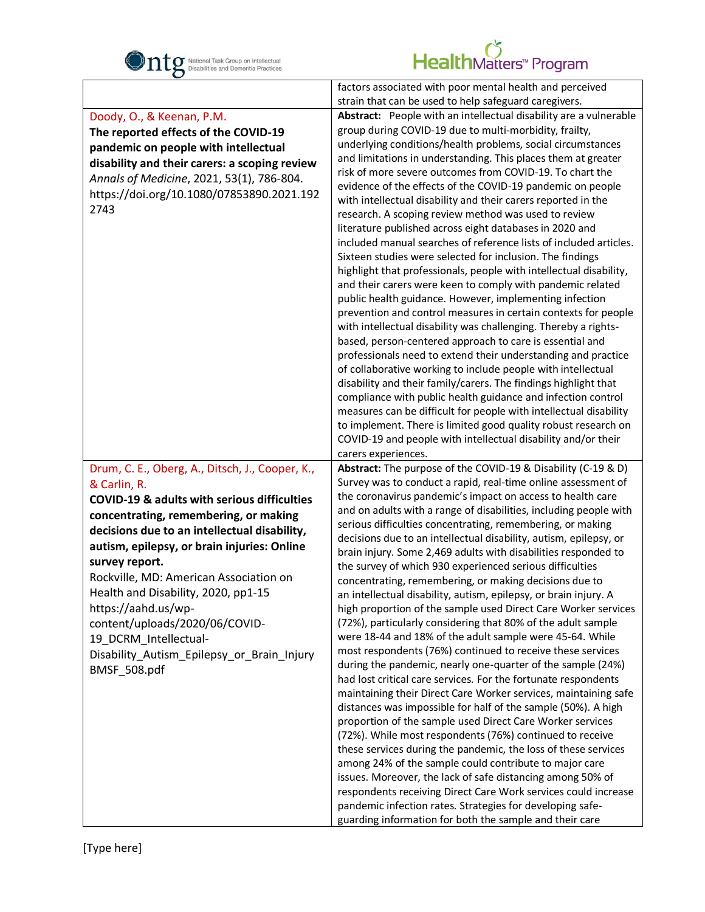

| $\mathbf C$                                            |                                                                                                                                     |
|--------------------------------------------------------|-------------------------------------------------------------------------------------------------------------------------------------|
|                                                        | factors associated with poor mental health and perceived                                                                            |
|                                                        | strain that can be used to help safeguard caregivers.                                                                               |
| Doody, O., & Keenan, P.M.                              | Abstract: People with an intellectual disability are a vulnerable                                                                   |
| The reported effects of the COVID-19                   | group during COVID-19 due to multi-morbidity, frailty,                                                                              |
| pandemic on people with intellectual                   | underlying conditions/health problems, social circumstances                                                                         |
| disability and their carers: a scoping review          | and limitations in understanding. This places them at greater                                                                       |
| Annals of Medicine, 2021, 53(1), 786-804.              | risk of more severe outcomes from COVID-19. To chart the                                                                            |
| https://doi.org/10.1080/07853890.2021.192              | evidence of the effects of the COVID-19 pandemic on people                                                                          |
| 2743                                                   | with intellectual disability and their carers reported in the                                                                       |
|                                                        | research. A scoping review method was used to review                                                                                |
|                                                        | literature published across eight databases in 2020 and                                                                             |
|                                                        | included manual searches of reference lists of included articles.                                                                   |
|                                                        | Sixteen studies were selected for inclusion. The findings                                                                           |
|                                                        | highlight that professionals, people with intellectual disability,                                                                  |
|                                                        | and their carers were keen to comply with pandemic related<br>public health guidance. However, implementing infection               |
|                                                        | prevention and control measures in certain contexts for people                                                                      |
|                                                        | with intellectual disability was challenging. Thereby a rights-                                                                     |
|                                                        | based, person-centered approach to care is essential and                                                                            |
|                                                        | professionals need to extend their understanding and practice                                                                       |
|                                                        | of collaborative working to include people with intellectual                                                                        |
|                                                        | disability and their family/carers. The findings highlight that                                                                     |
|                                                        | compliance with public health guidance and infection control                                                                        |
|                                                        | measures can be difficult for people with intellectual disability                                                                   |
|                                                        | to implement. There is limited good quality robust research on                                                                      |
|                                                        | COVID-19 and people with intellectual disability and/or their                                                                       |
|                                                        | carers experiences.                                                                                                                 |
| Drum, C. E., Oberg, A., Ditsch, J., Cooper, K.,        | Abstract: The purpose of the COVID-19 & Disability (C-19 & D)                                                                       |
| & Carlin, R.                                           | Survey was to conduct a rapid, real-time online assessment of                                                                       |
| <b>COVID-19 &amp; adults with serious difficulties</b> | the coronavirus pandemic's impact on access to health care                                                                          |
| concentrating, remembering, or making                  | and on adults with a range of disabilities, including people with                                                                   |
| decisions due to an intellectual disability,           | serious difficulties concentrating, remembering, or making                                                                          |
| autism, epilepsy, or brain injuries: Online            | decisions due to an intellectual disability, autism, epilepsy, or<br>brain injury. Some 2,469 adults with disabilities responded to |
| survey report.                                         | the survey of which 930 experienced serious difficulties                                                                            |
| Rockville, MD: American Association on                 | concentrating, remembering, or making decisions due to                                                                              |
| Health and Disability, 2020, pp1-15                    | an intellectual disability, autism, epilepsy, or brain injury. A                                                                    |
| https://aahd.us/wp-                                    | high proportion of the sample used Direct Care Worker services                                                                      |
| content/uploads/2020/06/COVID-                         | (72%), particularly considering that 80% of the adult sample                                                                        |
| 19 DCRM Intellectual-                                  | were 18-44 and 18% of the adult sample were 45-64. While                                                                            |
| Disability_Autism_Epilepsy_or_Brain_Injury             | most respondents (76%) continued to receive these services                                                                          |
| BMSF 508.pdf                                           | during the pandemic, nearly one-quarter of the sample (24%)                                                                         |
|                                                        | had lost critical care services. For the fortunate respondents                                                                      |
|                                                        | maintaining their Direct Care Worker services, maintaining safe                                                                     |
|                                                        | distances was impossible for half of the sample (50%). A high                                                                       |
|                                                        | proportion of the sample used Direct Care Worker services                                                                           |
|                                                        | (72%). While most respondents (76%) continued to receive                                                                            |
|                                                        | these services during the pandemic, the loss of these services                                                                      |
|                                                        | among 24% of the sample could contribute to major care                                                                              |
|                                                        | issues. Moreover, the lack of safe distancing among 50% of                                                                          |
|                                                        | respondents receiving Direct Care Work services could increase                                                                      |
|                                                        | pandemic infection rates. Strategies for developing safe-                                                                           |
|                                                        | guarding information for both the sample and their care                                                                             |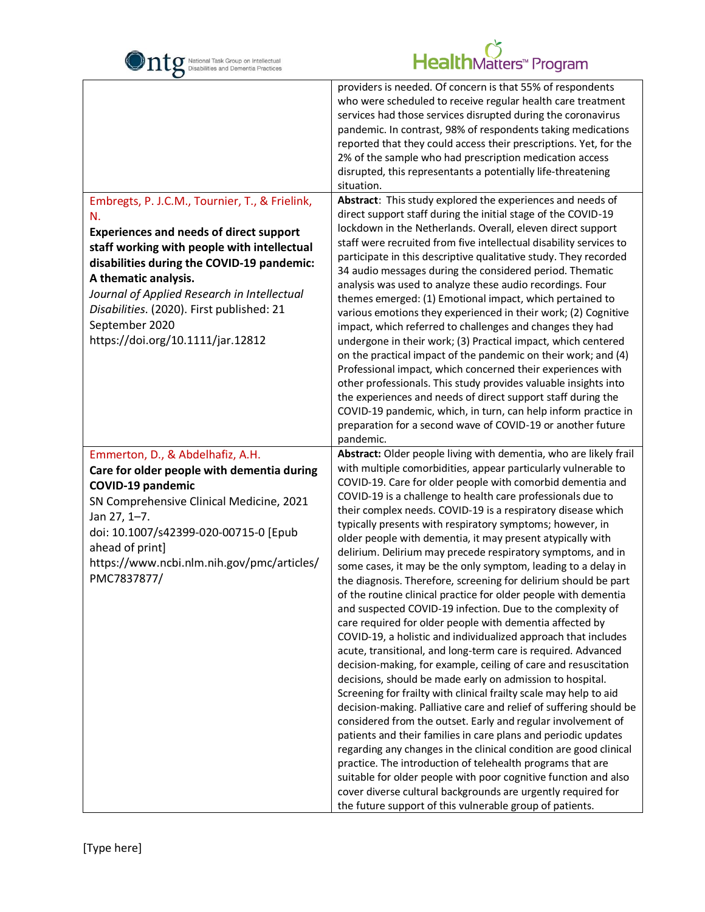

| $\mathbf C$                                                                                                                                                                                                                                                                                                                                                                    |                                                                                                                                                                                                                                                                                                                                                                                                                                                                                                                                                                                                                                                                                                                                                                                                                                                                                                                                                                                                                                                                                                                                                                                                                                                                                                                                                                                                                                                                                                                                                                                                                                                                                                                                               |
|--------------------------------------------------------------------------------------------------------------------------------------------------------------------------------------------------------------------------------------------------------------------------------------------------------------------------------------------------------------------------------|-----------------------------------------------------------------------------------------------------------------------------------------------------------------------------------------------------------------------------------------------------------------------------------------------------------------------------------------------------------------------------------------------------------------------------------------------------------------------------------------------------------------------------------------------------------------------------------------------------------------------------------------------------------------------------------------------------------------------------------------------------------------------------------------------------------------------------------------------------------------------------------------------------------------------------------------------------------------------------------------------------------------------------------------------------------------------------------------------------------------------------------------------------------------------------------------------------------------------------------------------------------------------------------------------------------------------------------------------------------------------------------------------------------------------------------------------------------------------------------------------------------------------------------------------------------------------------------------------------------------------------------------------------------------------------------------------------------------------------------------------|
| Embregts, P. J.C.M., Tournier, T., & Frielink,<br>N.<br><b>Experiences and needs of direct support</b><br>staff working with people with intellectual<br>disabilities during the COVID-19 pandemic:<br>A thematic analysis.<br>Journal of Applied Research in Intellectual<br>Disabilities. (2020). First published: 21<br>September 2020<br>https://doi.org/10.1111/jar.12812 | providers is needed. Of concern is that 55% of respondents<br>who were scheduled to receive regular health care treatment<br>services had those services disrupted during the coronavirus<br>pandemic. In contrast, 98% of respondents taking medications<br>reported that they could access their prescriptions. Yet, for the<br>2% of the sample who had prescription medication access<br>disrupted, this representants a potentially life-threatening<br>situation.<br>Abstract: This study explored the experiences and needs of<br>direct support staff during the initial stage of the COVID-19<br>lockdown in the Netherlands. Overall, eleven direct support<br>staff were recruited from five intellectual disability services to<br>participate in this descriptive qualitative study. They recorded<br>34 audio messages during the considered period. Thematic<br>analysis was used to analyze these audio recordings. Four<br>themes emerged: (1) Emotional impact, which pertained to<br>various emotions they experienced in their work; (2) Cognitive<br>impact, which referred to challenges and changes they had<br>undergone in their work; (3) Practical impact, which centered<br>on the practical impact of the pandemic on their work; and (4)<br>Professional impact, which concerned their experiences with<br>other professionals. This study provides valuable insights into<br>the experiences and needs of direct support staff during the<br>COVID-19 pandemic, which, in turn, can help inform practice in<br>preparation for a second wave of COVID-19 or another future<br>pandemic.                                                                                                                        |
| Emmerton, D., & Abdelhafiz, A.H.<br>Care for older people with dementia during<br><b>COVID-19 pandemic</b><br>SN Comprehensive Clinical Medicine, 2021<br>Jan 27, 1-7.<br>doi: 10.1007/s42399-020-00715-0 [Epub<br>ahead of print]<br>https://www.ncbi.nlm.nih.gov/pmc/articles/<br>PMC7837877/                                                                                | Abstract: Older people living with dementia, who are likely frail<br>with multiple comorbidities, appear particularly vulnerable to<br>COVID-19. Care for older people with comorbid dementia and<br>COVID-19 is a challenge to health care professionals due to<br>their complex needs. COVID-19 is a respiratory disease which<br>typically presents with respiratory symptoms; however, in<br>older people with dementia, it may present atypically with<br>delirium. Delirium may precede respiratory symptoms, and in<br>some cases, it may be the only symptom, leading to a delay in<br>the diagnosis. Therefore, screening for delirium should be part<br>of the routine clinical practice for older people with dementia<br>and suspected COVID-19 infection. Due to the complexity of<br>care required for older people with dementia affected by<br>COVID-19, a holistic and individualized approach that includes<br>acute, transitional, and long-term care is required. Advanced<br>decision-making, for example, ceiling of care and resuscitation<br>decisions, should be made early on admission to hospital.<br>Screening for frailty with clinical frailty scale may help to aid<br>decision-making. Palliative care and relief of suffering should be<br>considered from the outset. Early and regular involvement of<br>patients and their families in care plans and periodic updates<br>regarding any changes in the clinical condition are good clinical<br>practice. The introduction of telehealth programs that are<br>suitable for older people with poor cognitive function and also<br>cover diverse cultural backgrounds are urgently required for<br>the future support of this vulnerable group of patients. |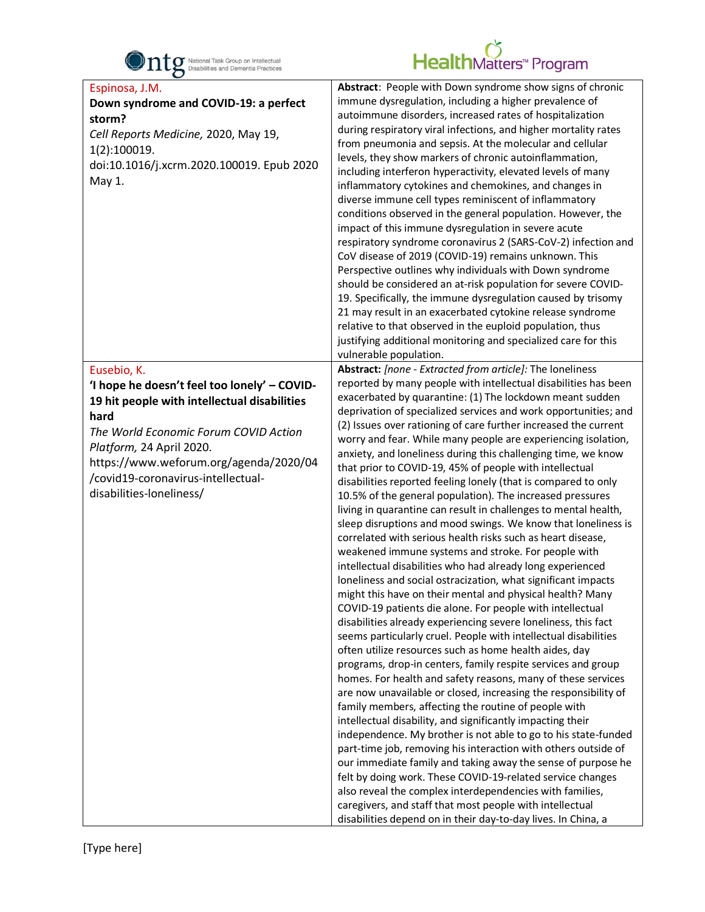

| $\mathbf C$                                                                                                                                                                                                                                                                                          |                                                                                                                                                                                                                                                                                                                                                                                                                                                                                                                                                                                                                                                                                                                                                                                                                                                                                                                                                                                                                                                                                                                                                                                                                                                                                                                                                                                                                                                                                                                                                                                                                                                                                                                                                                                                                                                                                                                                                                                                                                                                                                                                                                  |
|------------------------------------------------------------------------------------------------------------------------------------------------------------------------------------------------------------------------------------------------------------------------------------------------------|------------------------------------------------------------------------------------------------------------------------------------------------------------------------------------------------------------------------------------------------------------------------------------------------------------------------------------------------------------------------------------------------------------------------------------------------------------------------------------------------------------------------------------------------------------------------------------------------------------------------------------------------------------------------------------------------------------------------------------------------------------------------------------------------------------------------------------------------------------------------------------------------------------------------------------------------------------------------------------------------------------------------------------------------------------------------------------------------------------------------------------------------------------------------------------------------------------------------------------------------------------------------------------------------------------------------------------------------------------------------------------------------------------------------------------------------------------------------------------------------------------------------------------------------------------------------------------------------------------------------------------------------------------------------------------------------------------------------------------------------------------------------------------------------------------------------------------------------------------------------------------------------------------------------------------------------------------------------------------------------------------------------------------------------------------------------------------------------------------------------------------------------------------------|
| Espinosa, J.M.<br>Down syndrome and COVID-19: a perfect<br>storm?<br>Cell Reports Medicine, 2020, May 19,<br>1(2):100019.<br>doi:10.1016/j.xcrm.2020.100019. Epub 2020<br>May 1.                                                                                                                     | Abstract: People with Down syndrome show signs of chronic<br>immune dysregulation, including a higher prevalence of<br>autoimmune disorders, increased rates of hospitalization<br>during respiratory viral infections, and higher mortality rates<br>from pneumonia and sepsis. At the molecular and cellular<br>levels, they show markers of chronic autoinflammation,<br>including interferon hyperactivity, elevated levels of many<br>inflammatory cytokines and chemokines, and changes in<br>diverse immune cell types reminiscent of inflammatory<br>conditions observed in the general population. However, the<br>impact of this immune dysregulation in severe acute<br>respiratory syndrome coronavirus 2 (SARS-CoV-2) infection and<br>CoV disease of 2019 (COVID-19) remains unknown. This<br>Perspective outlines why individuals with Down syndrome<br>should be considered an at-risk population for severe COVID-<br>19. Specifically, the immune dysregulation caused by trisomy<br>21 may result in an exacerbated cytokine release syndrome<br>relative to that observed in the euploid population, thus<br>justifying additional monitoring and specialized care for this<br>vulnerable population.                                                                                                                                                                                                                                                                                                                                                                                                                                                                                                                                                                                                                                                                                                                                                                                                                                                                                                                                        |
| Eusebio, K.<br>'I hope he doesn't feel too lonely' - COVID-<br>19 hit people with intellectual disabilities<br>hard<br>The World Economic Forum COVID Action<br>Platform, 24 April 2020.<br>https://www.weforum.org/agenda/2020/04<br>/covid19-coronavirus-intellectual-<br>disabilities-loneliness/ | Abstract: [none - Extracted from article]: The loneliness<br>reported by many people with intellectual disabilities has been<br>exacerbated by quarantine: (1) The lockdown meant sudden<br>deprivation of specialized services and work opportunities; and<br>(2) Issues over rationing of care further increased the current<br>worry and fear. While many people are experiencing isolation,<br>anxiety, and loneliness during this challenging time, we know<br>that prior to COVID-19, 45% of people with intellectual<br>disabilities reported feeling lonely (that is compared to only<br>10.5% of the general population). The increased pressures<br>living in quarantine can result in challenges to mental health,<br>sleep disruptions and mood swings. We know that loneliness is<br>correlated with serious health risks such as heart disease,<br>weakened immune systems and stroke. For people with<br>intellectual disabilities who had already long experienced<br>loneliness and social ostracization, what significant impacts<br>might this have on their mental and physical health? Many<br>COVID-19 patients die alone. For people with intellectual<br>disabilities already experiencing severe loneliness, this fact<br>seems particularly cruel. People with intellectual disabilities<br>often utilize resources such as home health aides, day<br>programs, drop-in centers, family respite services and group<br>homes. For health and safety reasons, many of these services<br>are now unavailable or closed, increasing the responsibility of<br>family members, affecting the routine of people with<br>intellectual disability, and significantly impacting their<br>independence. My brother is not able to go to his state-funded<br>part-time job, removing his interaction with others outside of<br>our immediate family and taking away the sense of purpose he<br>felt by doing work. These COVID-19-related service changes<br>also reveal the complex interdependencies with families,<br>caregivers, and staff that most people with intellectual<br>disabilities depend on in their day-to-day lives. In China, a |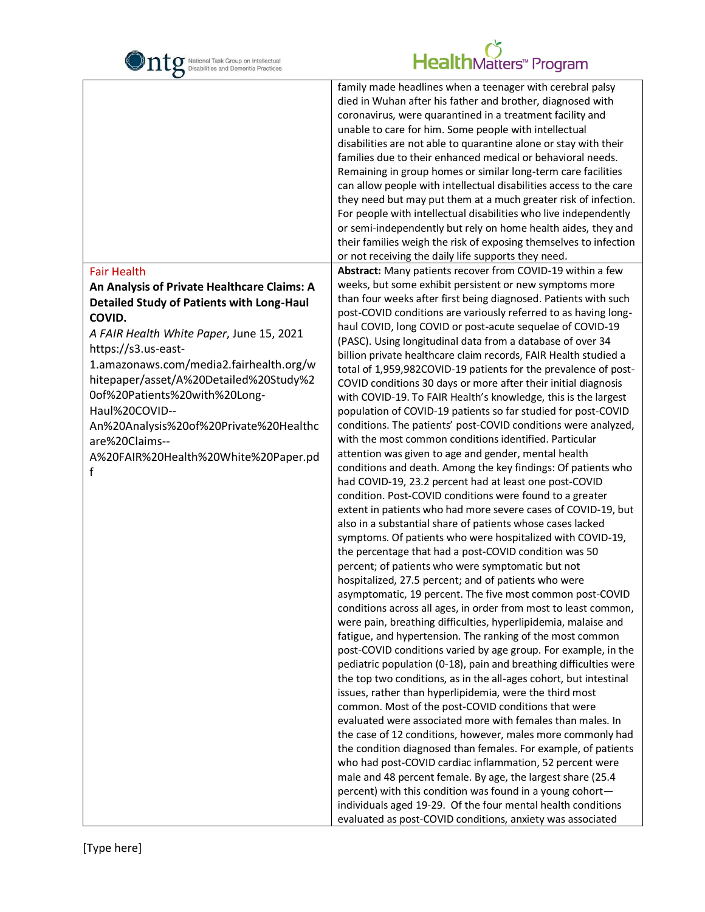

|                                                                                                                                                                                                                                                                                                                                                                                                                               | family made headlines when a teenager with cerebral palsy<br>died in Wuhan after his father and brother, diagnosed with<br>coronavirus, were quarantined in a treatment facility and<br>unable to care for him. Some people with intellectual<br>disabilities are not able to quarantine alone or stay with their<br>families due to their enhanced medical or behavioral needs.<br>Remaining in group homes or similar long-term care facilities<br>can allow people with intellectual disabilities access to the care<br>they need but may put them at a much greater risk of infection.<br>For people with intellectual disabilities who live independently<br>or semi-independently but rely on home health aides, they and<br>their families weigh the risk of exposing themselves to infection<br>or not receiving the daily life supports they need.                                                                                                                                                                                                                                                                                                                                                                                                                                                                                                                                                                                                                                                                                                                                                                                                                                                                                                                                                                                                                                                                                                                                                                                                                                                                                                                                                                                                               |
|-------------------------------------------------------------------------------------------------------------------------------------------------------------------------------------------------------------------------------------------------------------------------------------------------------------------------------------------------------------------------------------------------------------------------------|---------------------------------------------------------------------------------------------------------------------------------------------------------------------------------------------------------------------------------------------------------------------------------------------------------------------------------------------------------------------------------------------------------------------------------------------------------------------------------------------------------------------------------------------------------------------------------------------------------------------------------------------------------------------------------------------------------------------------------------------------------------------------------------------------------------------------------------------------------------------------------------------------------------------------------------------------------------------------------------------------------------------------------------------------------------------------------------------------------------------------------------------------------------------------------------------------------------------------------------------------------------------------------------------------------------------------------------------------------------------------------------------------------------------------------------------------------------------------------------------------------------------------------------------------------------------------------------------------------------------------------------------------------------------------------------------------------------------------------------------------------------------------------------------------------------------------------------------------------------------------------------------------------------------------------------------------------------------------------------------------------------------------------------------------------------------------------------------------------------------------------------------------------------------------------------------------------------------------------------------------------------------------|
| <b>Fair Health</b>                                                                                                                                                                                                                                                                                                                                                                                                            | Abstract: Many patients recover from COVID-19 within a few                                                                                                                                                                                                                                                                                                                                                                                                                                                                                                                                                                                                                                                                                                                                                                                                                                                                                                                                                                                                                                                                                                                                                                                                                                                                                                                                                                                                                                                                                                                                                                                                                                                                                                                                                                                                                                                                                                                                                                                                                                                                                                                                                                                                                |
| An Analysis of Private Healthcare Claims: A<br><b>Detailed Study of Patients with Long-Haul</b><br>COVID.<br>A FAIR Health White Paper, June 15, 2021<br>https://s3.us-east-<br>1.amazonaws.com/media2.fairhealth.org/w<br>hitepaper/asset/A%20Detailed%20Study%2<br>0of%20Patients%20with%20Long-<br>Haul%20COVID--<br>An%20Analysis%20of%20Private%20Healthc<br>are%20Claims--<br>A%20FAIR%20Health%20White%20Paper.pd<br>f | weeks, but some exhibit persistent or new symptoms more<br>than four weeks after first being diagnosed. Patients with such<br>post-COVID conditions are variously referred to as having long-<br>haul COVID, long COVID or post-acute sequelae of COVID-19<br>(PASC). Using longitudinal data from a database of over 34<br>billion private healthcare claim records, FAIR Health studied a<br>total of 1,959,982COVID-19 patients for the prevalence of post-<br>COVID conditions 30 days or more after their initial diagnosis<br>with COVID-19. To FAIR Health's knowledge, this is the largest<br>population of COVID-19 patients so far studied for post-COVID<br>conditions. The patients' post-COVID conditions were analyzed,<br>with the most common conditions identified. Particular<br>attention was given to age and gender, mental health<br>conditions and death. Among the key findings: Of patients who<br>had COVID-19, 23.2 percent had at least one post-COVID<br>condition. Post-COVID conditions were found to a greater<br>extent in patients who had more severe cases of COVID-19, but<br>also in a substantial share of patients whose cases lacked<br>symptoms. Of patients who were hospitalized with COVID-19,<br>the percentage that had a post-COVID condition was 50<br>percent; of patients who were symptomatic but not<br>hospitalized, 27.5 percent; and of patients who were<br>asymptomatic, 19 percent. The five most common post-COVID<br>conditions across all ages, in order from most to least common,<br>were pain, breathing difficulties, hyperlipidemia, malaise and<br>fatigue, and hypertension. The ranking of the most common<br>post-COVID conditions varied by age group. For example, in the<br>pediatric population (0-18), pain and breathing difficulties were<br>the top two conditions, as in the all-ages cohort, but intestinal<br>issues, rather than hyperlipidemia, were the third most<br>common. Most of the post-COVID conditions that were<br>evaluated were associated more with females than males. In<br>the case of 12 conditions, however, males more commonly had<br>the condition diagnosed than females. For example, of patients<br>who had post-COVID cardiac inflammation, 52 percent were |
|                                                                                                                                                                                                                                                                                                                                                                                                                               | male and 48 percent female. By age, the largest share (25.4<br>percent) with this condition was found in a young cohort-<br>individuals aged 19-29. Of the four mental health conditions<br>evaluated as post-COVID conditions, anxiety was associated                                                                                                                                                                                                                                                                                                                                                                                                                                                                                                                                                                                                                                                                                                                                                                                                                                                                                                                                                                                                                                                                                                                                                                                                                                                                                                                                                                                                                                                                                                                                                                                                                                                                                                                                                                                                                                                                                                                                                                                                                    |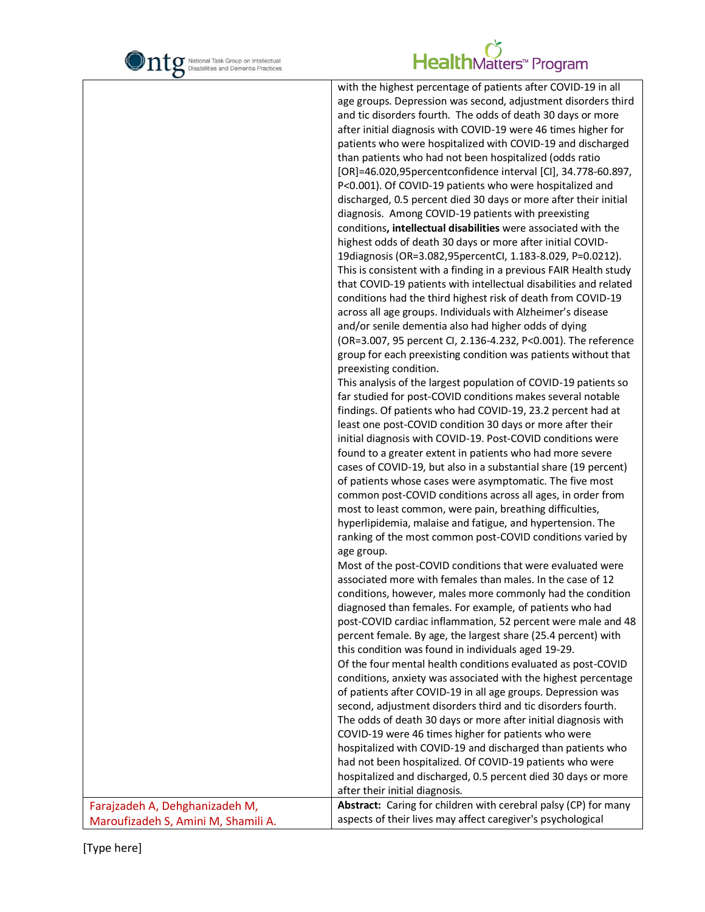

|                                     | with the highest percentage of patients after COVID-19 in all     |
|-------------------------------------|-------------------------------------------------------------------|
|                                     | age groups. Depression was second, adjustment disorders third     |
|                                     | and tic disorders fourth. The odds of death 30 days or more       |
|                                     | after initial diagnosis with COVID-19 were 46 times higher for    |
|                                     | patients who were hospitalized with COVID-19 and discharged       |
|                                     | than patients who had not been hospitalized (odds ratio           |
|                                     | [OR]=46.020,95percentconfidence interval [Cl], 34.778-60.897,     |
|                                     | P<0.001). Of COVID-19 patients who were hospitalized and          |
|                                     | discharged, 0.5 percent died 30 days or more after their initial  |
|                                     | diagnosis. Among COVID-19 patients with preexisting               |
|                                     | conditions, intellectual disabilities were associated with the    |
|                                     | highest odds of death 30 days or more after initial COVID-        |
|                                     | 19diagnosis (OR=3.082,95percentCl, 1.183-8.029, P=0.0212).        |
|                                     | This is consistent with a finding in a previous FAIR Health study |
|                                     | that COVID-19 patients with intellectual disabilities and related |
|                                     | conditions had the third highest risk of death from COVID-19      |
|                                     | across all age groups. Individuals with Alzheimer's disease       |
|                                     | and/or senile dementia also had higher odds of dying              |
|                                     |                                                                   |
|                                     | (OR=3.007, 95 percent CI, 2.136-4.232, P<0.001). The reference    |
|                                     | group for each preexisting condition was patients without that    |
|                                     | preexisting condition.                                            |
|                                     | This analysis of the largest population of COVID-19 patients so   |
|                                     | far studied for post-COVID conditions makes several notable       |
|                                     | findings. Of patients who had COVID-19, 23.2 percent had at       |
|                                     | least one post-COVID condition 30 days or more after their        |
|                                     | initial diagnosis with COVID-19. Post-COVID conditions were       |
|                                     | found to a greater extent in patients who had more severe         |
|                                     | cases of COVID-19, but also in a substantial share (19 percent)   |
|                                     | of patients whose cases were asymptomatic. The five most          |
|                                     | common post-COVID conditions across all ages, in order from       |
|                                     | most to least common, were pain, breathing difficulties,          |
|                                     | hyperlipidemia, malaise and fatigue, and hypertension. The        |
|                                     | ranking of the most common post-COVID conditions varied by        |
|                                     | age group.                                                        |
|                                     | Most of the post-COVID conditions that were evaluated were        |
|                                     | associated more with females than males. In the case of 12        |
|                                     | conditions, however, males more commonly had the condition        |
|                                     | diagnosed than females. For example, of patients who had          |
|                                     | post-COVID cardiac inflammation, 52 percent were male and 48      |
|                                     | percent female. By age, the largest share (25.4 percent) with     |
|                                     | this condition was found in individuals aged 19-29.               |
|                                     | Of the four mental health conditions evaluated as post-COVID      |
|                                     | conditions, anxiety was associated with the highest percentage    |
|                                     | of patients after COVID-19 in all age groups. Depression was      |
|                                     | second, adjustment disorders third and tic disorders fourth.      |
|                                     | The odds of death 30 days or more after initial diagnosis with    |
|                                     | COVID-19 were 46 times higher for patients who were               |
|                                     | hospitalized with COVID-19 and discharged than patients who       |
|                                     | had not been hospitalized. Of COVID-19 patients who were          |
|                                     | hospitalized and discharged, 0.5 percent died 30 days or more     |
|                                     | after their initial diagnosis.                                    |
| Farajzadeh A, Dehghanizadeh M,      | Abstract: Caring for children with cerebral palsy (CP) for many   |
| Maroufizadeh S, Amini M, Shamili A. | aspects of their lives may affect caregiver's psychological       |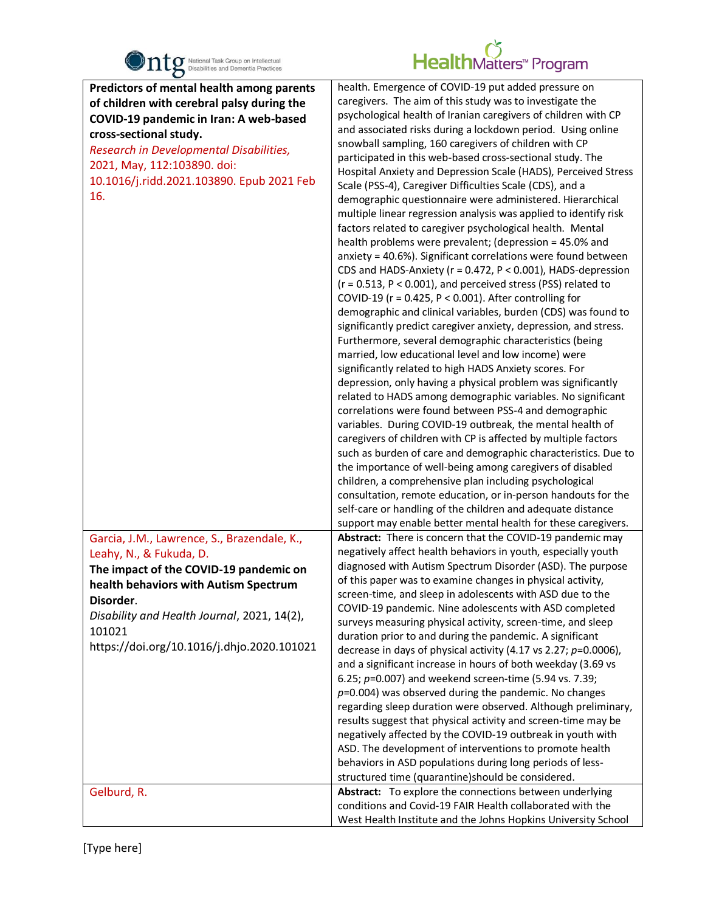

| $\bullet$                                                                                                                                                                                                                                                                                    |                                                                                                                                                                                                                                                                                                                                                                                                                                                                                                                                                                                                                                                                                                                                                                                                                                                                                                                                                                                                                                                                                                                                                                                                                                                                                                                                                                                                                                                                                                                                                                                                                                                                                                                                                                                                                                                                                                                                                                                                      |
|----------------------------------------------------------------------------------------------------------------------------------------------------------------------------------------------------------------------------------------------------------------------------------------------|------------------------------------------------------------------------------------------------------------------------------------------------------------------------------------------------------------------------------------------------------------------------------------------------------------------------------------------------------------------------------------------------------------------------------------------------------------------------------------------------------------------------------------------------------------------------------------------------------------------------------------------------------------------------------------------------------------------------------------------------------------------------------------------------------------------------------------------------------------------------------------------------------------------------------------------------------------------------------------------------------------------------------------------------------------------------------------------------------------------------------------------------------------------------------------------------------------------------------------------------------------------------------------------------------------------------------------------------------------------------------------------------------------------------------------------------------------------------------------------------------------------------------------------------------------------------------------------------------------------------------------------------------------------------------------------------------------------------------------------------------------------------------------------------------------------------------------------------------------------------------------------------------------------------------------------------------------------------------------------------------|
| Predictors of mental health among parents<br>of children with cerebral palsy during the<br>COVID-19 pandemic in Iran: A web-based<br>cross-sectional study.<br>Research in Developmental Disabilities,<br>2021, May, 112:103890. doi:<br>10.1016/j.ridd.2021.103890. Epub 2021 Feb<br>16.    | health. Emergence of COVID-19 put added pressure on<br>caregivers. The aim of this study was to investigate the<br>psychological health of Iranian caregivers of children with CP<br>and associated risks during a lockdown period. Using online<br>snowball sampling, 160 caregivers of children with CP<br>participated in this web-based cross-sectional study. The<br>Hospital Anxiety and Depression Scale (HADS), Perceived Stress<br>Scale (PSS-4), Caregiver Difficulties Scale (CDS), and a<br>demographic questionnaire were administered. Hierarchical<br>multiple linear regression analysis was applied to identify risk<br>factors related to caregiver psychological health. Mental<br>health problems were prevalent; (depression = 45.0% and<br>anxiety = 40.6%). Significant correlations were found between<br>CDS and HADS-Anxiety (r = 0.472, P < 0.001), HADS-depression<br>$(r = 0.513, P < 0.001)$ , and perceived stress (PSS) related to<br>COVID-19 ( $r = 0.425$ , $P < 0.001$ ). After controlling for<br>demographic and clinical variables, burden (CDS) was found to<br>significantly predict caregiver anxiety, depression, and stress.<br>Furthermore, several demographic characteristics (being<br>married, low educational level and low income) were<br>significantly related to high HADS Anxiety scores. For<br>depression, only having a physical problem was significantly<br>related to HADS among demographic variables. No significant<br>correlations were found between PSS-4 and demographic<br>variables. During COVID-19 outbreak, the mental health of<br>caregivers of children with CP is affected by multiple factors<br>such as burden of care and demographic characteristics. Due to<br>the importance of well-being among caregivers of disabled<br>children, a comprehensive plan including psychological<br>consultation, remote education, or in-person handouts for the<br>self-care or handling of the children and adequate distance |
|                                                                                                                                                                                                                                                                                              | support may enable better mental health for these caregivers.                                                                                                                                                                                                                                                                                                                                                                                                                                                                                                                                                                                                                                                                                                                                                                                                                                                                                                                                                                                                                                                                                                                                                                                                                                                                                                                                                                                                                                                                                                                                                                                                                                                                                                                                                                                                                                                                                                                                        |
| Garcia, J.M., Lawrence, S., Brazendale, K.,<br>Leahy, N., & Fukuda, D.<br>The impact of the COVID-19 pandemic on<br>health behaviors with Autism Spectrum<br>Disorder.<br>Disability and Health Journal, 2021, 14(2),<br>101021<br>https://doi.org/10.1016/j.dhjo.2020.101021<br>Gelburd, R. | Abstract: There is concern that the COVID-19 pandemic may<br>negatively affect health behaviors in youth, especially youth<br>diagnosed with Autism Spectrum Disorder (ASD). The purpose<br>of this paper was to examine changes in physical activity,<br>screen-time, and sleep in adolescents with ASD due to the<br>COVID-19 pandemic. Nine adolescents with ASD completed<br>surveys measuring physical activity, screen-time, and sleep<br>duration prior to and during the pandemic. A significant<br>decrease in days of physical activity (4.17 vs 2.27; $p=0.0006$ ),<br>and a significant increase in hours of both weekday (3.69 vs<br>6.25; $p=0.007$ ) and weekend screen-time (5.94 vs. 7.39;<br>$p=0.004$ ) was observed during the pandemic. No changes<br>regarding sleep duration were observed. Although preliminary,<br>results suggest that physical activity and screen-time may be<br>negatively affected by the COVID-19 outbreak in youth with<br>ASD. The development of interventions to promote health<br>behaviors in ASD populations during long periods of less-<br>structured time (quarantine)should be considered.<br>Abstract: To explore the connections between underlying                                                                                                                                                                                                                                                                                                                                                                                                                                                                                                                                                                                                                                                                                                                                                                                      |
|                                                                                                                                                                                                                                                                                              | conditions and Covid-19 FAIR Health collaborated with the<br>West Health Institute and the Johns Hopkins University School                                                                                                                                                                                                                                                                                                                                                                                                                                                                                                                                                                                                                                                                                                                                                                                                                                                                                                                                                                                                                                                                                                                                                                                                                                                                                                                                                                                                                                                                                                                                                                                                                                                                                                                                                                                                                                                                           |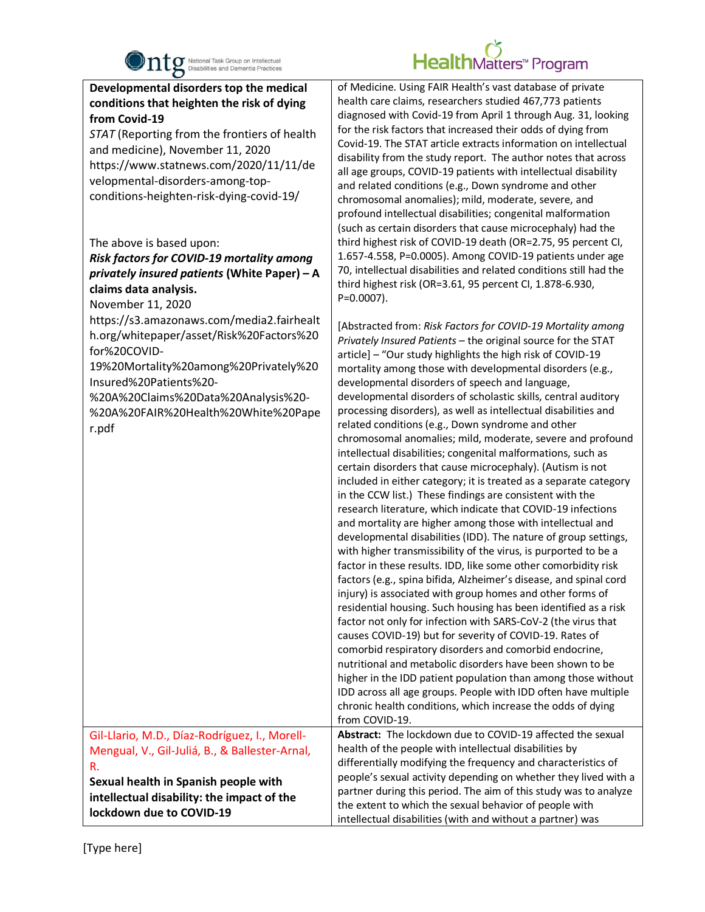

| $\bullet$                                                                                                                                                                                                                                                                                                                                                                                                                                                              |                                                                                                                                                                                                                                                                                                                                                                                                                                                                                                                                                                                                                                                                                                                                                                                                                                                                                                                                                                                                                                                                                                                                                                                                                                                                                                                                                                                                                                                                                                                                                                                                                                                                                                                                                                                                                                                     |
|------------------------------------------------------------------------------------------------------------------------------------------------------------------------------------------------------------------------------------------------------------------------------------------------------------------------------------------------------------------------------------------------------------------------------------------------------------------------|-----------------------------------------------------------------------------------------------------------------------------------------------------------------------------------------------------------------------------------------------------------------------------------------------------------------------------------------------------------------------------------------------------------------------------------------------------------------------------------------------------------------------------------------------------------------------------------------------------------------------------------------------------------------------------------------------------------------------------------------------------------------------------------------------------------------------------------------------------------------------------------------------------------------------------------------------------------------------------------------------------------------------------------------------------------------------------------------------------------------------------------------------------------------------------------------------------------------------------------------------------------------------------------------------------------------------------------------------------------------------------------------------------------------------------------------------------------------------------------------------------------------------------------------------------------------------------------------------------------------------------------------------------------------------------------------------------------------------------------------------------------------------------------------------------------------------------------------------------|
| Developmental disorders top the medical<br>conditions that heighten the risk of dying<br>from Covid-19<br>STAT (Reporting from the frontiers of health<br>and medicine), November 11, 2020<br>https://www.statnews.com/2020/11/11/de<br>velopmental-disorders-among-top-<br>conditions-heighten-risk-dying-covid-19/<br>The above is based upon:<br>Risk factors for COVID-19 mortality among<br>privately insured patients (White Paper) - A<br>claims data analysis. | of Medicine. Using FAIR Health's vast database of private<br>health care claims, researchers studied 467,773 patients<br>diagnosed with Covid-19 from April 1 through Aug. 31, looking<br>for the risk factors that increased their odds of dying from<br>Covid-19. The STAT article extracts information on intellectual<br>disability from the study report. The author notes that across<br>all age groups, COVID-19 patients with intellectual disability<br>and related conditions (e.g., Down syndrome and other<br>chromosomal anomalies); mild, moderate, severe, and<br>profound intellectual disabilities; congenital malformation<br>(such as certain disorders that cause microcephaly) had the<br>third highest risk of COVID-19 death (OR=2.75, 95 percent CI,<br>1.657-4.558, P=0.0005). Among COVID-19 patients under age<br>70, intellectual disabilities and related conditions still had the<br>third highest risk (OR=3.61, 95 percent CI, 1.878-6.930,<br>P=0.0007).                                                                                                                                                                                                                                                                                                                                                                                                                                                                                                                                                                                                                                                                                                                                                                                                                                                           |
| November 11, 2020<br>https://s3.amazonaws.com/media2.fairhealt<br>h.org/whitepaper/asset/Risk%20Factors%20<br>for%20COVID-<br>19%20Mortality%20among%20Privately%20<br>Insured%20Patients%20-<br>%20A%20Claims%20Data%20Analysis%20-<br>%20A%20FAIR%20Health%20White%20Pape<br>r.pdf                                                                                                                                                                                   | [Abstracted from: Risk Factors for COVID-19 Mortality among<br>Privately Insured Patients - the original source for the STAT<br>article] - "Our study highlights the high risk of COVID-19<br>mortality among those with developmental disorders (e.g.,<br>developmental disorders of speech and language,<br>developmental disorders of scholastic skills, central auditory<br>processing disorders), as well as intellectual disabilities and<br>related conditions (e.g., Down syndrome and other<br>chromosomal anomalies; mild, moderate, severe and profound<br>intellectual disabilities; congenital malformations, such as<br>certain disorders that cause microcephaly). (Autism is not<br>included in either category; it is treated as a separate category<br>in the CCW list.) These findings are consistent with the<br>research literature, which indicate that COVID-19 infections<br>and mortality are higher among those with intellectual and<br>developmental disabilities (IDD). The nature of group settings,<br>with higher transmissibility of the virus, is purported to be a<br>factor in these results. IDD, like some other comorbidity risk<br>factors (e.g., spina bifida, Alzheimer's disease, and spinal cord<br>injury) is associated with group homes and other forms of<br>residential housing. Such housing has been identified as a risk<br>factor not only for infection with SARS-CoV-2 (the virus that<br>causes COVID-19) but for severity of COVID-19. Rates of<br>comorbid respiratory disorders and comorbid endocrine,<br>nutritional and metabolic disorders have been shown to be<br>higher in the IDD patient population than among those without<br>IDD across all age groups. People with IDD often have multiple<br>chronic health conditions, which increase the odds of dying<br>from COVID-19. |
| Gil-Llario, M.D., Díaz-Rodríguez, I., Morell-<br>Mengual, V., Gil-Juliá, B., & Ballester-Arnal,<br>R.<br>Sexual health in Spanish people with<br>intellectual disability: the impact of the<br>lockdown due to COVID-19                                                                                                                                                                                                                                                | Abstract: The lockdown due to COVID-19 affected the sexual<br>health of the people with intellectual disabilities by<br>differentially modifying the frequency and characteristics of<br>people's sexual activity depending on whether they lived with a<br>partner during this period. The aim of this study was to analyze<br>the extent to which the sexual behavior of people with<br>intellectual disabilities (with and without a partner) was                                                                                                                                                                                                                                                                                                                                                                                                                                                                                                                                                                                                                                                                                                                                                                                                                                                                                                                                                                                                                                                                                                                                                                                                                                                                                                                                                                                                |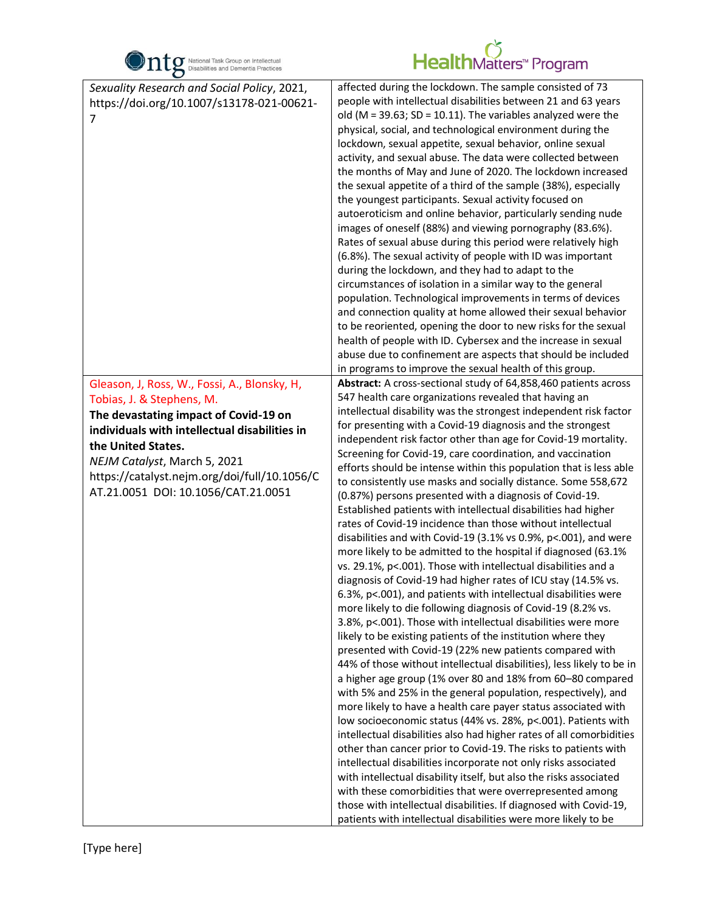

| O                                                                                                                                         |                                                                                                                                                                                                                                                                                                                                                                                                                                                                                                                                                                                                                                                                                                                                                                                                                                                                                                                                                                                                                                                                                                                                                                                                                                                                                                                                                                                                                                                                                                                                                                                                                                                                                                                                                                                                                                                                                                          |
|-------------------------------------------------------------------------------------------------------------------------------------------|----------------------------------------------------------------------------------------------------------------------------------------------------------------------------------------------------------------------------------------------------------------------------------------------------------------------------------------------------------------------------------------------------------------------------------------------------------------------------------------------------------------------------------------------------------------------------------------------------------------------------------------------------------------------------------------------------------------------------------------------------------------------------------------------------------------------------------------------------------------------------------------------------------------------------------------------------------------------------------------------------------------------------------------------------------------------------------------------------------------------------------------------------------------------------------------------------------------------------------------------------------------------------------------------------------------------------------------------------------------------------------------------------------------------------------------------------------------------------------------------------------------------------------------------------------------------------------------------------------------------------------------------------------------------------------------------------------------------------------------------------------------------------------------------------------------------------------------------------------------------------------------------------------|
| Sexuality Research and Social Policy, 2021,<br>https://doi.org/10.1007/s13178-021-00621-<br>7                                             | affected during the lockdown. The sample consisted of 73<br>people with intellectual disabilities between 21 and 63 years<br>old (M = 39.63; SD = 10.11). The variables analyzed were the<br>physical, social, and technological environment during the<br>lockdown, sexual appetite, sexual behavior, online sexual<br>activity, and sexual abuse. The data were collected between<br>the months of May and June of 2020. The lockdown increased<br>the sexual appetite of a third of the sample (38%), especially<br>the youngest participants. Sexual activity focused on<br>autoeroticism and online behavior, particularly sending nude<br>images of oneself (88%) and viewing pornography (83.6%).<br>Rates of sexual abuse during this period were relatively high<br>(6.8%). The sexual activity of people with ID was important<br>during the lockdown, and they had to adapt to the<br>circumstances of isolation in a similar way to the general<br>population. Technological improvements in terms of devices<br>and connection quality at home allowed their sexual behavior<br>to be reoriented, opening the door to new risks for the sexual<br>health of people with ID. Cybersex and the increase in sexual<br>abuse due to confinement are aspects that should be included<br>in programs to improve the sexual health of this group.                                                                                                                                                                                                                                                                                                                                                                                                                                                                                                                                                  |
| Gleason, J, Ross, W., Fossi, A., Blonsky, H,                                                                                              | Abstract: A cross-sectional study of 64,858,460 patients across<br>547 health care organizations revealed that having an                                                                                                                                                                                                                                                                                                                                                                                                                                                                                                                                                                                                                                                                                                                                                                                                                                                                                                                                                                                                                                                                                                                                                                                                                                                                                                                                                                                                                                                                                                                                                                                                                                                                                                                                                                                 |
| Tobias, J. & Stephens, M.                                                                                                                 | intellectual disability was the strongest independent risk factor                                                                                                                                                                                                                                                                                                                                                                                                                                                                                                                                                                                                                                                                                                                                                                                                                                                                                                                                                                                                                                                                                                                                                                                                                                                                                                                                                                                                                                                                                                                                                                                                                                                                                                                                                                                                                                        |
| The devastating impact of Covid-19 on<br>individuals with intellectual disabilities in                                                    | for presenting with a Covid-19 diagnosis and the strongest                                                                                                                                                                                                                                                                                                                                                                                                                                                                                                                                                                                                                                                                                                                                                                                                                                                                                                                                                                                                                                                                                                                                                                                                                                                                                                                                                                                                                                                                                                                                                                                                                                                                                                                                                                                                                                               |
| the United States.<br>NEJM Catalyst, March 5, 2021<br>https://catalyst.nejm.org/doi/full/10.1056/C<br>AT.21.0051 DOI: 10.1056/CAT.21.0051 | independent risk factor other than age for Covid-19 mortality.<br>Screening for Covid-19, care coordination, and vaccination<br>efforts should be intense within this population that is less able<br>to consistently use masks and socially distance. Some 558,672<br>(0.87%) persons presented with a diagnosis of Covid-19.<br>Established patients with intellectual disabilities had higher<br>rates of Covid-19 incidence than those without intellectual<br>disabilities and with Covid-19 (3.1% vs 0.9%, p<.001), and were<br>more likely to be admitted to the hospital if diagnosed (63.1%<br>vs. 29.1%, p<.001). Those with intellectual disabilities and a<br>diagnosis of Covid-19 had higher rates of ICU stay (14.5% vs.<br>6.3%, p<.001), and patients with intellectual disabilities were<br>more likely to die following diagnosis of Covid-19 (8.2% vs.<br>3.8%, p<.001). Those with intellectual disabilities were more<br>likely to be existing patients of the institution where they<br>presented with Covid-19 (22% new patients compared with<br>44% of those without intellectual disabilities), less likely to be in<br>a higher age group (1% over 80 and 18% from 60-80 compared<br>with 5% and 25% in the general population, respectively), and<br>more likely to have a health care payer status associated with<br>low socioeconomic status (44% vs. 28%, p<.001). Patients with<br>intellectual disabilities also had higher rates of all comorbidities<br>other than cancer prior to Covid-19. The risks to patients with<br>intellectual disabilities incorporate not only risks associated<br>with intellectual disability itself, but also the risks associated<br>with these comorbidities that were overrepresented among<br>those with intellectual disabilities. If diagnosed with Covid-19,<br>patients with intellectual disabilities were more likely to be |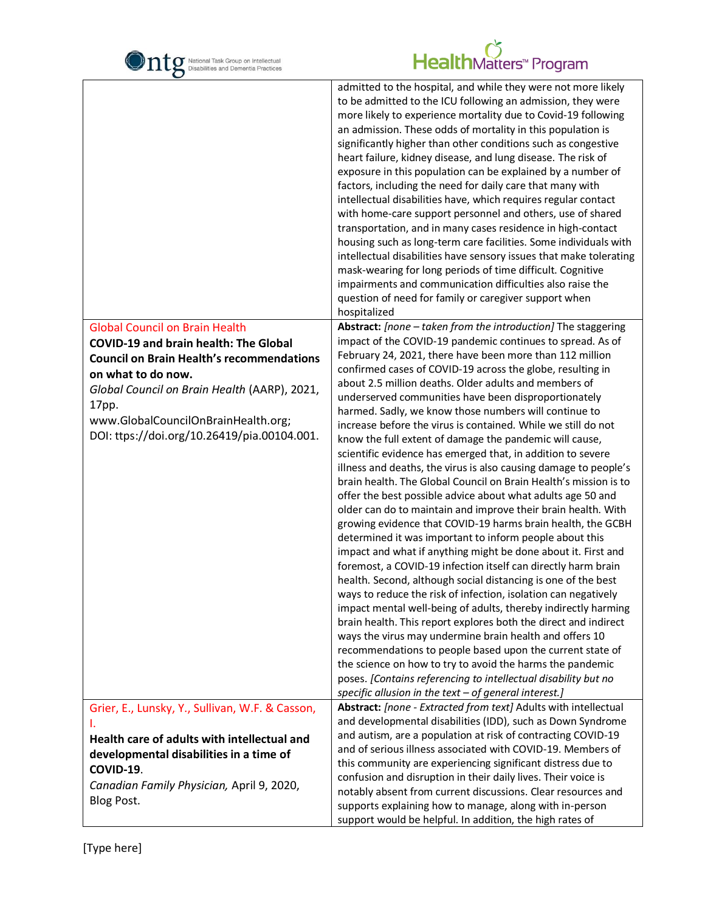| National Task Group on Intellectual<br>Disabilities and Dementia Practices                                                                                                                                                                                                                                     | HealthMatters <sup>*</sup> Program                                                                                                                                                                                                                                                                                                                                                                                                                                                                                                                                                                                                                                                                                                                                                                                                                                                                                                                                                                                                                                                                                                                                                                                                                                                                                                                                                                                                                                                                                                                                                                                                                                                                                                                     |
|----------------------------------------------------------------------------------------------------------------------------------------------------------------------------------------------------------------------------------------------------------------------------------------------------------------|--------------------------------------------------------------------------------------------------------------------------------------------------------------------------------------------------------------------------------------------------------------------------------------------------------------------------------------------------------------------------------------------------------------------------------------------------------------------------------------------------------------------------------------------------------------------------------------------------------------------------------------------------------------------------------------------------------------------------------------------------------------------------------------------------------------------------------------------------------------------------------------------------------------------------------------------------------------------------------------------------------------------------------------------------------------------------------------------------------------------------------------------------------------------------------------------------------------------------------------------------------------------------------------------------------------------------------------------------------------------------------------------------------------------------------------------------------------------------------------------------------------------------------------------------------------------------------------------------------------------------------------------------------------------------------------------------------------------------------------------------------|
|                                                                                                                                                                                                                                                                                                                | admitted to the hospital, and while they were not more likely<br>to be admitted to the ICU following an admission, they were<br>more likely to experience mortality due to Covid-19 following<br>an admission. These odds of mortality in this population is<br>significantly higher than other conditions such as congestive<br>heart failure, kidney disease, and lung disease. The risk of<br>exposure in this population can be explained by a number of<br>factors, including the need for daily care that many with<br>intellectual disabilities have, which requires regular contact<br>with home-care support personnel and others, use of shared<br>transportation, and in many cases residence in high-contact<br>housing such as long-term care facilities. Some individuals with<br>intellectual disabilities have sensory issues that make tolerating<br>mask-wearing for long periods of time difficult. Cognitive<br>impairments and communication difficulties also raise the<br>question of need for family or caregiver support when<br>hospitalized                                                                                                                                                                                                                                                                                                                                                                                                                                                                                                                                                                                                                                                                                 |
| <b>Global Council on Brain Health</b><br><b>COVID-19 and brain health: The Global</b><br><b>Council on Brain Health's recommendations</b><br>on what to do now.<br>Global Council on Brain Health (AARP), 2021,<br>17pp.<br>www.GlobalCouncilOnBrainHealth.org;<br>DOI: ttps://doi.org/10.26419/pia.00104.001. | Abstract: [none - taken from the introduction] The staggering<br>impact of the COVID-19 pandemic continues to spread. As of<br>February 24, 2021, there have been more than 112 million<br>confirmed cases of COVID-19 across the globe, resulting in<br>about 2.5 million deaths. Older adults and members of<br>underserved communities have been disproportionately<br>harmed. Sadly, we know those numbers will continue to<br>increase before the virus is contained. While we still do not<br>know the full extent of damage the pandemic will cause,<br>scientific evidence has emerged that, in addition to severe<br>illness and deaths, the virus is also causing damage to people's<br>brain health. The Global Council on Brain Health's mission is to<br>offer the best possible advice about what adults age 50 and<br>older can do to maintain and improve their brain health. With<br>growing evidence that COVID-19 harms brain health, the GCBH<br>determined it was important to inform people about this<br>impact and what if anything might be done about it. First and<br>foremost, a COVID-19 infection itself can directly harm brain<br>health. Second, although social distancing is one of the best<br>ways to reduce the risk of infection, isolation can negatively<br>impact mental well-being of adults, thereby indirectly harming<br>brain health. This report explores both the direct and indirect<br>ways the virus may undermine brain health and offers 10<br>recommendations to people based upon the current state of<br>the science on how to try to avoid the harms the pandemic<br>poses. [Contains referencing to intellectual disability but no<br>specific allusion in the text - of general interest.] |
| Grier, E., Lunsky, Y., Sullivan, W.F. & Casson,<br>I.<br>Health care of adults with intellectual and<br>developmental disabilities in a time of<br>COVID-19.<br>Canadian Family Physician, April 9, 2020,<br>Blog Post.                                                                                        | Abstract: [none - Extracted from text] Adults with intellectual<br>and developmental disabilities (IDD), such as Down Syndrome<br>and autism, are a population at risk of contracting COVID-19<br>and of serious illness associated with COVID-19. Members of<br>this community are experiencing significant distress due to<br>confusion and disruption in their daily lives. Their voice is<br>notably absent from current discussions. Clear resources and<br>supports explaining how to manage, along with in-person<br>support would be helpful. In addition, the high rates of                                                                                                                                                                                                                                                                                                                                                                                                                                                                                                                                                                                                                                                                                                                                                                                                                                                                                                                                                                                                                                                                                                                                                                   |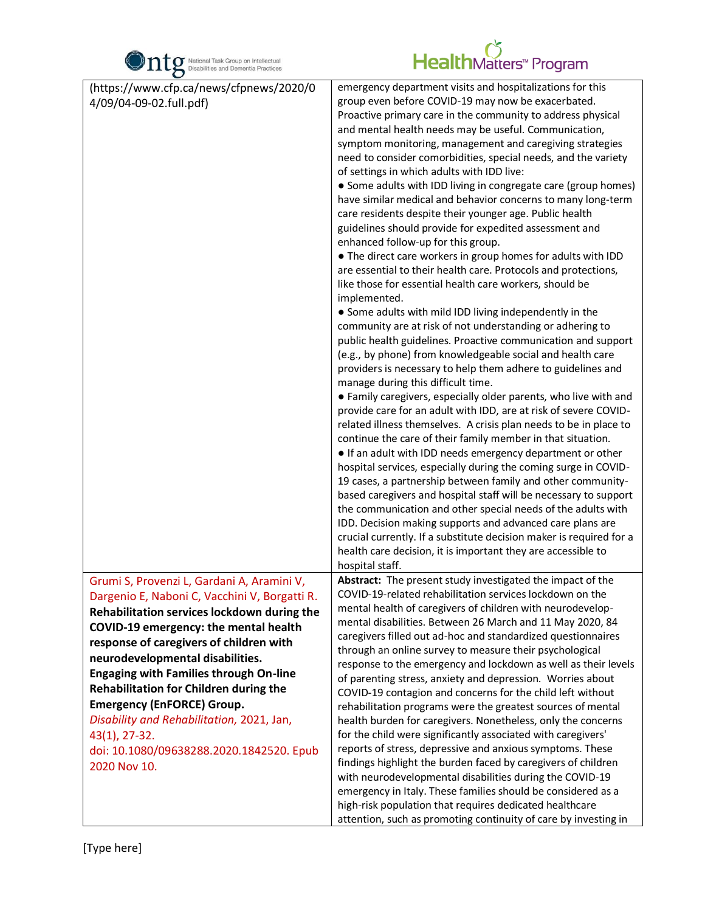

| $\bullet$                                                                                   |                                                                                                                                                                                                                                                                                                                                                                                                                                                                                                                                                                                                                                                                                                                                                                                                                                                                                                                                                                                                                                                                                                                                                                                                                                                                                                                                                                                                                                                                                                                                                                                                                                                                                                                                                                                                                                                                                                                                                                                                                                                                                                                |
|---------------------------------------------------------------------------------------------|----------------------------------------------------------------------------------------------------------------------------------------------------------------------------------------------------------------------------------------------------------------------------------------------------------------------------------------------------------------------------------------------------------------------------------------------------------------------------------------------------------------------------------------------------------------------------------------------------------------------------------------------------------------------------------------------------------------------------------------------------------------------------------------------------------------------------------------------------------------------------------------------------------------------------------------------------------------------------------------------------------------------------------------------------------------------------------------------------------------------------------------------------------------------------------------------------------------------------------------------------------------------------------------------------------------------------------------------------------------------------------------------------------------------------------------------------------------------------------------------------------------------------------------------------------------------------------------------------------------------------------------------------------------------------------------------------------------------------------------------------------------------------------------------------------------------------------------------------------------------------------------------------------------------------------------------------------------------------------------------------------------------------------------------------------------------------------------------------------------|
| (https://www.cfp.ca/news/cfpnews/2020/0<br>4/09/04-09-02.full.pdf)                          | emergency department visits and hospitalizations for this<br>group even before COVID-19 may now be exacerbated.<br>Proactive primary care in the community to address physical<br>and mental health needs may be useful. Communication,<br>symptom monitoring, management and caregiving strategies<br>need to consider comorbidities, special needs, and the variety<br>of settings in which adults with IDD live:<br>• Some adults with IDD living in congregate care (group homes)<br>have similar medical and behavior concerns to many long-term<br>care residents despite their younger age. Public health<br>guidelines should provide for expedited assessment and<br>enhanced follow-up for this group.<br>• The direct care workers in group homes for adults with IDD<br>are essential to their health care. Protocols and protections,<br>like those for essential health care workers, should be<br>implemented.<br>• Some adults with mild IDD living independently in the<br>community are at risk of not understanding or adhering to<br>public health guidelines. Proactive communication and support<br>(e.g., by phone) from knowledgeable social and health care<br>providers is necessary to help them adhere to guidelines and<br>manage during this difficult time.<br>• Family caregivers, especially older parents, who live with and<br>provide care for an adult with IDD, are at risk of severe COVID-<br>related illness themselves. A crisis plan needs to be in place to<br>continue the care of their family member in that situation.<br>• If an adult with IDD needs emergency department or other<br>hospital services, especially during the coming surge in COVID-<br>19 cases, a partnership between family and other community-<br>based caregivers and hospital staff will be necessary to support<br>the communication and other special needs of the adults with<br>IDD. Decision making supports and advanced care plans are<br>crucial currently. If a substitute decision maker is required for a<br>health care decision, it is important they are accessible to |
|                                                                                             | hospital staff.                                                                                                                                                                                                                                                                                                                                                                                                                                                                                                                                                                                                                                                                                                                                                                                                                                                                                                                                                                                                                                                                                                                                                                                                                                                                                                                                                                                                                                                                                                                                                                                                                                                                                                                                                                                                                                                                                                                                                                                                                                                                                                |
| Grumi S, Provenzi L, Gardani A, Aramini V,<br>Dargenio E, Naboni C, Vacchini V, Borgatti R. | Abstract: The present study investigated the impact of the<br>COVID-19-related rehabilitation services lockdown on the                                                                                                                                                                                                                                                                                                                                                                                                                                                                                                                                                                                                                                                                                                                                                                                                                                                                                                                                                                                                                                                                                                                                                                                                                                                                                                                                                                                                                                                                                                                                                                                                                                                                                                                                                                                                                                                                                                                                                                                         |
| Rehabilitation services lockdown during the                                                 | mental health of caregivers of children with neurodevelop-                                                                                                                                                                                                                                                                                                                                                                                                                                                                                                                                                                                                                                                                                                                                                                                                                                                                                                                                                                                                                                                                                                                                                                                                                                                                                                                                                                                                                                                                                                                                                                                                                                                                                                                                                                                                                                                                                                                                                                                                                                                     |
| COVID-19 emergency: the mental health                                                       | mental disabilities. Between 26 March and 11 May 2020, 84                                                                                                                                                                                                                                                                                                                                                                                                                                                                                                                                                                                                                                                                                                                                                                                                                                                                                                                                                                                                                                                                                                                                                                                                                                                                                                                                                                                                                                                                                                                                                                                                                                                                                                                                                                                                                                                                                                                                                                                                                                                      |
| response of caregivers of children with                                                     | caregivers filled out ad-hoc and standardized questionnaires                                                                                                                                                                                                                                                                                                                                                                                                                                                                                                                                                                                                                                                                                                                                                                                                                                                                                                                                                                                                                                                                                                                                                                                                                                                                                                                                                                                                                                                                                                                                                                                                                                                                                                                                                                                                                                                                                                                                                                                                                                                   |
| neurodevelopmental disabilities.                                                            | through an online survey to measure their psychological                                                                                                                                                                                                                                                                                                                                                                                                                                                                                                                                                                                                                                                                                                                                                                                                                                                                                                                                                                                                                                                                                                                                                                                                                                                                                                                                                                                                                                                                                                                                                                                                                                                                                                                                                                                                                                                                                                                                                                                                                                                        |
| <b>Engaging with Families through On-line</b>                                               | response to the emergency and lockdown as well as their levels                                                                                                                                                                                                                                                                                                                                                                                                                                                                                                                                                                                                                                                                                                                                                                                                                                                                                                                                                                                                                                                                                                                                                                                                                                                                                                                                                                                                                                                                                                                                                                                                                                                                                                                                                                                                                                                                                                                                                                                                                                                 |
| <b>Rehabilitation for Children during the</b>                                               | of parenting stress, anxiety and depression. Worries about                                                                                                                                                                                                                                                                                                                                                                                                                                                                                                                                                                                                                                                                                                                                                                                                                                                                                                                                                                                                                                                                                                                                                                                                                                                                                                                                                                                                                                                                                                                                                                                                                                                                                                                                                                                                                                                                                                                                                                                                                                                     |
| <b>Emergency (EnFORCE) Group.</b>                                                           | COVID-19 contagion and concerns for the child left without                                                                                                                                                                                                                                                                                                                                                                                                                                                                                                                                                                                                                                                                                                                                                                                                                                                                                                                                                                                                                                                                                                                                                                                                                                                                                                                                                                                                                                                                                                                                                                                                                                                                                                                                                                                                                                                                                                                                                                                                                                                     |
| Disability and Rehabilitation, 2021, Jan,                                                   | rehabilitation programs were the greatest sources of mental                                                                                                                                                                                                                                                                                                                                                                                                                                                                                                                                                                                                                                                                                                                                                                                                                                                                                                                                                                                                                                                                                                                                                                                                                                                                                                                                                                                                                                                                                                                                                                                                                                                                                                                                                                                                                                                                                                                                                                                                                                                    |
| 43(1), 27-32.                                                                               | health burden for caregivers. Nonetheless, only the concerns<br>for the child were significantly associated with caregivers'                                                                                                                                                                                                                                                                                                                                                                                                                                                                                                                                                                                                                                                                                                                                                                                                                                                                                                                                                                                                                                                                                                                                                                                                                                                                                                                                                                                                                                                                                                                                                                                                                                                                                                                                                                                                                                                                                                                                                                                   |
| doi: 10.1080/09638288.2020.1842520. Epub                                                    | reports of stress, depressive and anxious symptoms. These                                                                                                                                                                                                                                                                                                                                                                                                                                                                                                                                                                                                                                                                                                                                                                                                                                                                                                                                                                                                                                                                                                                                                                                                                                                                                                                                                                                                                                                                                                                                                                                                                                                                                                                                                                                                                                                                                                                                                                                                                                                      |
| 2020 Nov 10.                                                                                | findings highlight the burden faced by caregivers of children                                                                                                                                                                                                                                                                                                                                                                                                                                                                                                                                                                                                                                                                                                                                                                                                                                                                                                                                                                                                                                                                                                                                                                                                                                                                                                                                                                                                                                                                                                                                                                                                                                                                                                                                                                                                                                                                                                                                                                                                                                                  |
|                                                                                             | with neurodevelopmental disabilities during the COVID-19                                                                                                                                                                                                                                                                                                                                                                                                                                                                                                                                                                                                                                                                                                                                                                                                                                                                                                                                                                                                                                                                                                                                                                                                                                                                                                                                                                                                                                                                                                                                                                                                                                                                                                                                                                                                                                                                                                                                                                                                                                                       |
|                                                                                             | emergency in Italy. These families should be considered as a                                                                                                                                                                                                                                                                                                                                                                                                                                                                                                                                                                                                                                                                                                                                                                                                                                                                                                                                                                                                                                                                                                                                                                                                                                                                                                                                                                                                                                                                                                                                                                                                                                                                                                                                                                                                                                                                                                                                                                                                                                                   |
|                                                                                             | high-risk population that requires dedicated healthcare                                                                                                                                                                                                                                                                                                                                                                                                                                                                                                                                                                                                                                                                                                                                                                                                                                                                                                                                                                                                                                                                                                                                                                                                                                                                                                                                                                                                                                                                                                                                                                                                                                                                                                                                                                                                                                                                                                                                                                                                                                                        |
|                                                                                             | attention, such as promoting continuity of care by investing in                                                                                                                                                                                                                                                                                                                                                                                                                                                                                                                                                                                                                                                                                                                                                                                                                                                                                                                                                                                                                                                                                                                                                                                                                                                                                                                                                                                                                                                                                                                                                                                                                                                                                                                                                                                                                                                                                                                                                                                                                                                |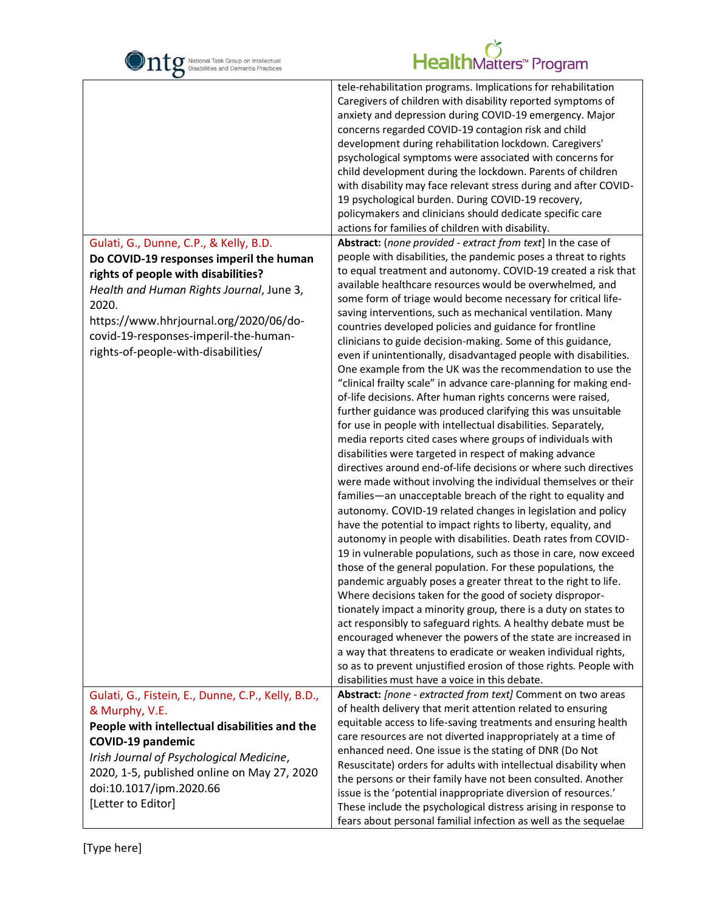

| $\mathbf C$                                        |                                                                                                                               |
|----------------------------------------------------|-------------------------------------------------------------------------------------------------------------------------------|
|                                                    | tele-rehabilitation programs. Implications for rehabilitation                                                                 |
|                                                    | Caregivers of children with disability reported symptoms of                                                                   |
|                                                    | anxiety and depression during COVID-19 emergency. Major                                                                       |
|                                                    | concerns regarded COVID-19 contagion risk and child                                                                           |
|                                                    | development during rehabilitation lockdown. Caregivers'                                                                       |
|                                                    | psychological symptoms were associated with concerns for                                                                      |
|                                                    | child development during the lockdown. Parents of children                                                                    |
|                                                    | with disability may face relevant stress during and after COVID-                                                              |
|                                                    | 19 psychological burden. During COVID-19 recovery,                                                                            |
|                                                    | policymakers and clinicians should dedicate specific care<br>actions for families of children with disability.                |
|                                                    | Abstract: (none provided - extract from text] In the case of                                                                  |
| Gulati, G., Dunne, C.P., & Kelly, B.D.             | people with disabilities, the pandemic poses a threat to rights                                                               |
| Do COVID-19 responses imperil the human            | to equal treatment and autonomy. COVID-19 created a risk that                                                                 |
| rights of people with disabilities?                | available healthcare resources would be overwhelmed, and                                                                      |
| Health and Human Rights Journal, June 3,           | some form of triage would become necessary for critical life-                                                                 |
| 2020.                                              | saving interventions, such as mechanical ventilation. Many                                                                    |
| https://www.hhrjournal.org/2020/06/do-             | countries developed policies and guidance for frontline                                                                       |
| covid-19-responses-imperil-the-human-              | clinicians to guide decision-making. Some of this guidance,                                                                   |
| rights-of-people-with-disabilities/                | even if unintentionally, disadvantaged people with disabilities.                                                              |
|                                                    | One example from the UK was the recommendation to use the                                                                     |
|                                                    | "clinical frailty scale" in advance care-planning for making end-                                                             |
|                                                    | of-life decisions. After human rights concerns were raised,                                                                   |
|                                                    | further guidance was produced clarifying this was unsuitable                                                                  |
|                                                    | for use in people with intellectual disabilities. Separately,                                                                 |
|                                                    | media reports cited cases where groups of individuals with                                                                    |
|                                                    | disabilities were targeted in respect of making advance                                                                       |
|                                                    | directives around end-of-life decisions or where such directives                                                              |
|                                                    | were made without involving the individual themselves or their                                                                |
|                                                    | families-an unacceptable breach of the right to equality and                                                                  |
|                                                    | autonomy. COVID-19 related changes in legislation and policy                                                                  |
|                                                    | have the potential to impact rights to liberty, equality, and                                                                 |
|                                                    | autonomy in people with disabilities. Death rates from COVID-                                                                 |
|                                                    | 19 in vulnerable populations, such as those in care, now exceed                                                               |
|                                                    | those of the general population. For these populations, the<br>pandemic arguably poses a greater threat to the right to life. |
|                                                    | Where decisions taken for the good of society dispropor-                                                                      |
|                                                    | tionately impact a minority group, there is a duty on states to                                                               |
|                                                    | act responsibly to safeguard rights. A healthy debate must be                                                                 |
|                                                    | encouraged whenever the powers of the state are increased in                                                                  |
|                                                    | a way that threatens to eradicate or weaken individual rights,                                                                |
|                                                    | so as to prevent unjustified erosion of those rights. People with                                                             |
|                                                    | disabilities must have a voice in this debate.                                                                                |
| Gulati, G., Fistein, E., Dunne, C.P., Kelly, B.D., | Abstract: [none - extracted from text] Comment on two areas                                                                   |
| & Murphy, V.E.                                     | of health delivery that merit attention related to ensuring                                                                   |
| People with intellectual disabilities and the      | equitable access to life-saving treatments and ensuring health                                                                |
| <b>COVID-19 pandemic</b>                           | care resources are not diverted inappropriately at a time of                                                                  |
| Irish Journal of Psychological Medicine,           | enhanced need. One issue is the stating of DNR (Do Not                                                                        |
| 2020, 1-5, published online on May 27, 2020        | Resuscitate) orders for adults with intellectual disability when                                                              |
| doi:10.1017/ipm.2020.66                            | the persons or their family have not been consulted. Another                                                                  |
|                                                    | issue is the 'potential inappropriate diversion of resources.'                                                                |
| [Letter to Editor]                                 | These include the psychological distress arising in response to                                                               |
|                                                    | fears about personal familial infection as well as the sequelae                                                               |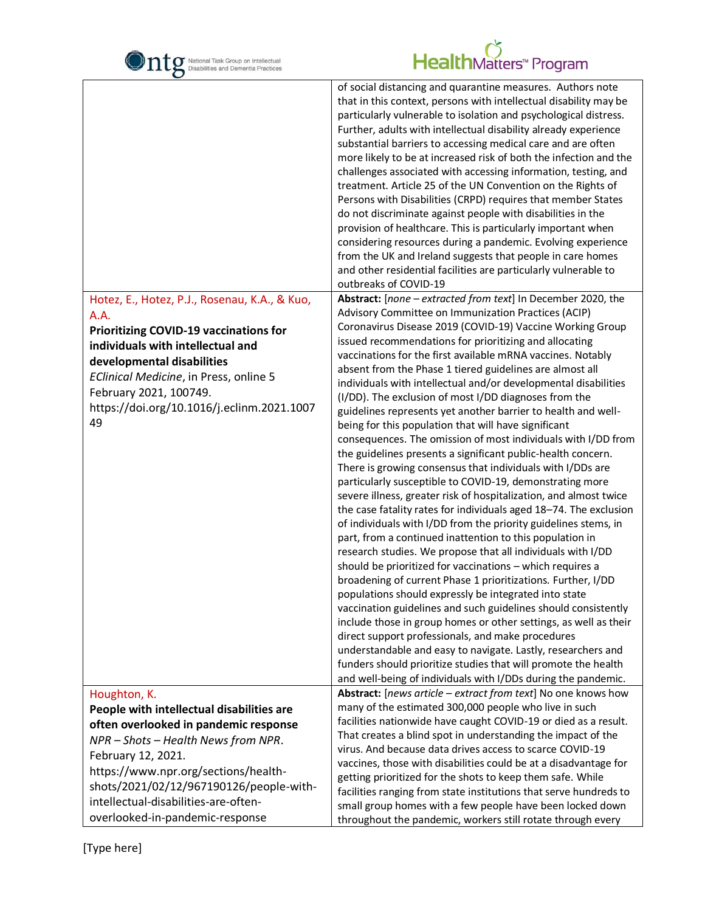| National Task Group on Intellectual<br>Disabilities and Dementia Practices                                                                                                                                                                                                                        | HealthMatters <sup>M</sup> Program                                                                                                                                                                                                                                                                                                                                                                                                                                                                                                                                                                                                                                                                                                                                                                                                                                                                                                                                                                                                                                                                                                                                                                                                                                                                                                                                                                                                                                                                                                                                                                                                                                                                                                                                                                                |
|---------------------------------------------------------------------------------------------------------------------------------------------------------------------------------------------------------------------------------------------------------------------------------------------------|-------------------------------------------------------------------------------------------------------------------------------------------------------------------------------------------------------------------------------------------------------------------------------------------------------------------------------------------------------------------------------------------------------------------------------------------------------------------------------------------------------------------------------------------------------------------------------------------------------------------------------------------------------------------------------------------------------------------------------------------------------------------------------------------------------------------------------------------------------------------------------------------------------------------------------------------------------------------------------------------------------------------------------------------------------------------------------------------------------------------------------------------------------------------------------------------------------------------------------------------------------------------------------------------------------------------------------------------------------------------------------------------------------------------------------------------------------------------------------------------------------------------------------------------------------------------------------------------------------------------------------------------------------------------------------------------------------------------------------------------------------------------------------------------------------------------|
|                                                                                                                                                                                                                                                                                                   | of social distancing and quarantine measures. Authors note<br>that in this context, persons with intellectual disability may be<br>particularly vulnerable to isolation and psychological distress.<br>Further, adults with intellectual disability already experience<br>substantial barriers to accessing medical care and are often<br>more likely to be at increased risk of both the infection and the<br>challenges associated with accessing information, testing, and<br>treatment. Article 25 of the UN Convention on the Rights of<br>Persons with Disabilities (CRPD) requires that member States<br>do not discriminate against people with disabilities in the<br>provision of healthcare. This is particularly important when<br>considering resources during a pandemic. Evolving experience<br>from the UK and Ireland suggests that people in care homes<br>and other residential facilities are particularly vulnerable to<br>outbreaks of COVID-19                                                                                                                                                                                                                                                                                                                                                                                                                                                                                                                                                                                                                                                                                                                                                                                                                                             |
| Hotez, E., Hotez, P.J., Rosenau, K.A., & Kuo,<br>A.A.<br><b>Prioritizing COVID-19 vaccinations for</b><br>individuals with intellectual and<br>developmental disabilities<br>EClinical Medicine, in Press, online 5<br>February 2021, 100749.<br>https://doi.org/10.1016/j.eclinm.2021.1007<br>49 | Abstract: [none - extracted from text] In December 2020, the<br>Advisory Committee on Immunization Practices (ACIP)<br>Coronavirus Disease 2019 (COVID-19) Vaccine Working Group<br>issued recommendations for prioritizing and allocating<br>vaccinations for the first available mRNA vaccines. Notably<br>absent from the Phase 1 tiered guidelines are almost all<br>individuals with intellectual and/or developmental disabilities<br>(I/DD). The exclusion of most I/DD diagnoses from the<br>guidelines represents yet another barrier to health and well-<br>being for this population that will have significant<br>consequences. The omission of most individuals with I/DD from<br>the guidelines presents a significant public-health concern.<br>There is growing consensus that individuals with I/DDs are<br>particularly susceptible to COVID-19, demonstrating more<br>severe illness, greater risk of hospitalization, and almost twice<br>the case fatality rates for individuals aged 18-74. The exclusion<br>of individuals with I/DD from the priority guidelines stems, in<br>part, from a continued inattention to this population in<br>research studies. We propose that all individuals with I/DD<br>should be prioritized for vaccinations - which requires a<br>broadening of current Phase 1 prioritizations. Further, I/DD<br>populations should expressly be integrated into state<br>vaccination guidelines and such guidelines should consistently<br>include those in group homes or other settings, as well as their<br>direct support professionals, and make procedures<br>understandable and easy to navigate. Lastly, researchers and<br>funders should prioritize studies that will promote the health<br>and well-being of individuals with I/DDs during the pandemic. |
| Houghton, K.                                                                                                                                                                                                                                                                                      | Abstract: [news article - extract from text] No one knows how                                                                                                                                                                                                                                                                                                                                                                                                                                                                                                                                                                                                                                                                                                                                                                                                                                                                                                                                                                                                                                                                                                                                                                                                                                                                                                                                                                                                                                                                                                                                                                                                                                                                                                                                                     |
| People with intellectual disabilities are                                                                                                                                                                                                                                                         | many of the estimated 300,000 people who live in such<br>facilities nationwide have caught COVID-19 or died as a result.                                                                                                                                                                                                                                                                                                                                                                                                                                                                                                                                                                                                                                                                                                                                                                                                                                                                                                                                                                                                                                                                                                                                                                                                                                                                                                                                                                                                                                                                                                                                                                                                                                                                                          |
| often overlooked in pandemic response                                                                                                                                                                                                                                                             | That creates a blind spot in understanding the impact of the                                                                                                                                                                                                                                                                                                                                                                                                                                                                                                                                                                                                                                                                                                                                                                                                                                                                                                                                                                                                                                                                                                                                                                                                                                                                                                                                                                                                                                                                                                                                                                                                                                                                                                                                                      |
| NPR - Shots - Health News from NPR.                                                                                                                                                                                                                                                               | virus. And because data drives access to scarce COVID-19                                                                                                                                                                                                                                                                                                                                                                                                                                                                                                                                                                                                                                                                                                                                                                                                                                                                                                                                                                                                                                                                                                                                                                                                                                                                                                                                                                                                                                                                                                                                                                                                                                                                                                                                                          |
| February 12, 2021.                                                                                                                                                                                                                                                                                | vaccines, those with disabilities could be at a disadvantage for                                                                                                                                                                                                                                                                                                                                                                                                                                                                                                                                                                                                                                                                                                                                                                                                                                                                                                                                                                                                                                                                                                                                                                                                                                                                                                                                                                                                                                                                                                                                                                                                                                                                                                                                                  |
| https://www.npr.org/sections/health-                                                                                                                                                                                                                                                              | getting prioritized for the shots to keep them safe. While                                                                                                                                                                                                                                                                                                                                                                                                                                                                                                                                                                                                                                                                                                                                                                                                                                                                                                                                                                                                                                                                                                                                                                                                                                                                                                                                                                                                                                                                                                                                                                                                                                                                                                                                                        |
| shots/2021/02/12/967190126/people-with-                                                                                                                                                                                                                                                           | facilities ranging from state institutions that serve hundreds to                                                                                                                                                                                                                                                                                                                                                                                                                                                                                                                                                                                                                                                                                                                                                                                                                                                                                                                                                                                                                                                                                                                                                                                                                                                                                                                                                                                                                                                                                                                                                                                                                                                                                                                                                 |
| intellectual-disabilities-are-often-                                                                                                                                                                                                                                                              | small group homes with a few people have been locked down                                                                                                                                                                                                                                                                                                                                                                                                                                                                                                                                                                                                                                                                                                                                                                                                                                                                                                                                                                                                                                                                                                                                                                                                                                                                                                                                                                                                                                                                                                                                                                                                                                                                                                                                                         |
| overlooked-in-pandemic-response                                                                                                                                                                                                                                                                   | throughout the pandemic, workers still rotate through every                                                                                                                                                                                                                                                                                                                                                                                                                                                                                                                                                                                                                                                                                                                                                                                                                                                                                                                                                                                                                                                                                                                                                                                                                                                                                                                                                                                                                                                                                                                                                                                                                                                                                                                                                       |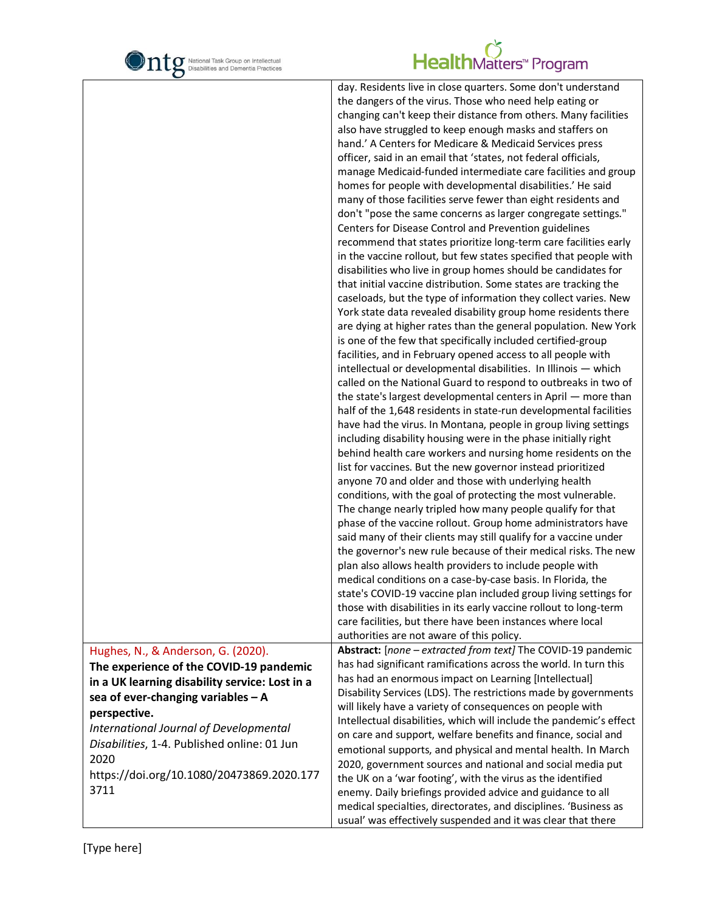

|                                                                                                                                                                                                                                                                                                                                               | day. Residents live in close quarters. Some don't understand<br>the dangers of the virus. Those who need help eating or<br>changing can't keep their distance from others. Many facilities<br>also have struggled to keep enough masks and staffers on<br>hand.' A Centers for Medicare & Medicaid Services press<br>officer, said in an email that 'states, not federal officials,<br>manage Medicaid-funded intermediate care facilities and group<br>homes for people with developmental disabilities.' He said<br>many of those facilities serve fewer than eight residents and<br>don't "pose the same concerns as larger congregate settings."<br>Centers for Disease Control and Prevention guidelines<br>recommend that states prioritize long-term care facilities early<br>in the vaccine rollout, but few states specified that people with<br>disabilities who live in group homes should be candidates for<br>that initial vaccine distribution. Some states are tracking the<br>caseloads, but the type of information they collect varies. New<br>York state data revealed disability group home residents there<br>are dying at higher rates than the general population. New York<br>is one of the few that specifically included certified-group<br>facilities, and in February opened access to all people with<br>intellectual or developmental disabilities. In Illinois - which<br>called on the National Guard to respond to outbreaks in two of<br>the state's largest developmental centers in April - more than<br>half of the 1,648 residents in state-run developmental facilities<br>have had the virus. In Montana, people in group living settings<br>including disability housing were in the phase initially right<br>behind health care workers and nursing home residents on the<br>list for vaccines. But the new governor instead prioritized<br>anyone 70 and older and those with underlying health<br>conditions, with the goal of protecting the most vulnerable.<br>The change nearly tripled how many people qualify for that<br>phase of the vaccine rollout. Group home administrators have<br>said many of their clients may still qualify for a vaccine under<br>the governor's new rule because of their medical risks. The new<br>plan also allows health providers to include people with<br>medical conditions on a case-by-case basis. In Florida, the<br>state's COVID-19 vaccine plan included group living settings for<br>those with disabilities in its early vaccine rollout to long-term |  |
|-----------------------------------------------------------------------------------------------------------------------------------------------------------------------------------------------------------------------------------------------------------------------------------------------------------------------------------------------|-----------------------------------------------------------------------------------------------------------------------------------------------------------------------------------------------------------------------------------------------------------------------------------------------------------------------------------------------------------------------------------------------------------------------------------------------------------------------------------------------------------------------------------------------------------------------------------------------------------------------------------------------------------------------------------------------------------------------------------------------------------------------------------------------------------------------------------------------------------------------------------------------------------------------------------------------------------------------------------------------------------------------------------------------------------------------------------------------------------------------------------------------------------------------------------------------------------------------------------------------------------------------------------------------------------------------------------------------------------------------------------------------------------------------------------------------------------------------------------------------------------------------------------------------------------------------------------------------------------------------------------------------------------------------------------------------------------------------------------------------------------------------------------------------------------------------------------------------------------------------------------------------------------------------------------------------------------------------------------------------------------------------------------------------------------------------------------------------------------------------------------------------------------------------------------------------------------------------------------------------------------------------------------------------------------------------------------------------------------------------------------------------------------------------------------------------------------------------------------------------------------------------------------------------------|--|
|                                                                                                                                                                                                                                                                                                                                               | care facilities, but there have been instances where local                                                                                                                                                                                                                                                                                                                                                                                                                                                                                                                                                                                                                                                                                                                                                                                                                                                                                                                                                                                                                                                                                                                                                                                                                                                                                                                                                                                                                                                                                                                                                                                                                                                                                                                                                                                                                                                                                                                                                                                                                                                                                                                                                                                                                                                                                                                                                                                                                                                                                          |  |
| Hughes, N., & Anderson, G. (2020).<br>The experience of the COVID-19 pandemic<br>in a UK learning disability service: Lost in a<br>sea of ever-changing variables $-$ A<br>perspective.<br>International Journal of Developmental<br>Disabilities, 1-4. Published online: 01 Jun<br>2020<br>https://doi.org/10.1080/20473869.2020.177<br>3711 | authorities are not aware of this policy.<br>Abstract: [none - extracted from text] The COVID-19 pandemic<br>has had significant ramifications across the world. In turn this<br>has had an enormous impact on Learning [Intellectual]<br>Disability Services (LDS). The restrictions made by governments<br>will likely have a variety of consequences on people with<br>Intellectual disabilities, which will include the pandemic's effect<br>on care and support, welfare benefits and finance, social and<br>emotional supports, and physical and mental health. In March<br>2020, government sources and national and social media put<br>the UK on a 'war footing', with the virus as the identified<br>enemy. Daily briefings provided advice and guidance to all<br>medical specialties, directorates, and disciplines. 'Business as<br>usual' was effectively suspended and it was clear that there                                                                                                                                                                                                                                                                                                                                                                                                                                                                                                                                                                                                                                                                                                                                                                                                                                                                                                                                                                                                                                                                                                                                                                                                                                                                                                                                                                                                                                                                                                                                                                                                                                       |  |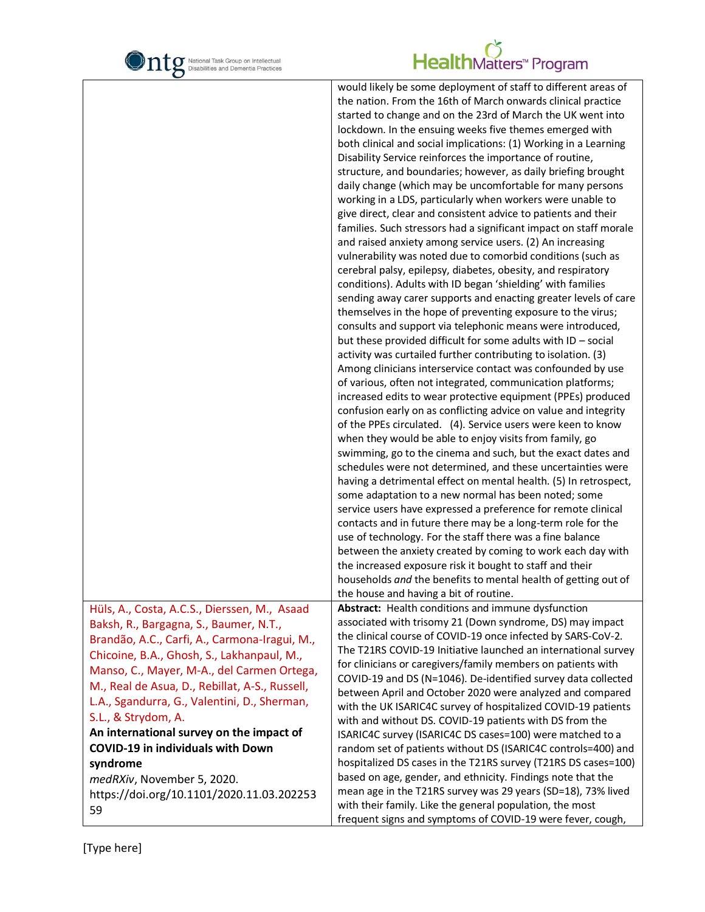

#### HealthMatters<sup>\*</sup> Program

|                                                | would likely be some deployment of staff to different areas of    |
|------------------------------------------------|-------------------------------------------------------------------|
|                                                | the nation. From the 16th of March onwards clinical practice      |
|                                                | started to change and on the 23rd of March the UK went into       |
|                                                | lockdown. In the ensuing weeks five themes emerged with           |
|                                                | both clinical and social implications: (1) Working in a Learning  |
|                                                | Disability Service reinforces the importance of routine,          |
|                                                |                                                                   |
|                                                | structure, and boundaries; however, as daily briefing brought     |
|                                                | daily change (which may be uncomfortable for many persons         |
|                                                | working in a LDS, particularly when workers were unable to        |
|                                                | give direct, clear and consistent advice to patients and their    |
|                                                | families. Such stressors had a significant impact on staff morale |
|                                                | and raised anxiety among service users. (2) An increasing         |
|                                                | vulnerability was noted due to comorbid conditions (such as       |
|                                                | cerebral palsy, epilepsy, diabetes, obesity, and respiratory      |
|                                                | conditions). Adults with ID began 'shielding' with families       |
|                                                | sending away carer supports and enacting greater levels of care   |
|                                                | themselves in the hope of preventing exposure to the virus;       |
|                                                |                                                                   |
|                                                | consults and support via telephonic means were introduced,        |
|                                                | but these provided difficult for some adults with ID - social     |
|                                                | activity was curtailed further contributing to isolation. (3)     |
|                                                | Among clinicians interservice contact was confounded by use       |
|                                                | of various, often not integrated, communication platforms;        |
|                                                | increased edits to wear protective equipment (PPEs) produced      |
|                                                | confusion early on as conflicting advice on value and integrity   |
|                                                | of the PPEs circulated. (4). Service users were keen to know      |
|                                                | when they would be able to enjoy visits from family, go           |
|                                                | swimming, go to the cinema and such, but the exact dates and      |
|                                                | schedules were not determined, and these uncertainties were       |
|                                                |                                                                   |
|                                                | having a detrimental effect on mental health. (5) In retrospect,  |
|                                                | some adaptation to a new normal has been noted; some              |
|                                                | service users have expressed a preference for remote clinical     |
|                                                | contacts and in future there may be a long-term role for the      |
|                                                | use of technology. For the staff there was a fine balance         |
|                                                | between the anxiety created by coming to work each day with       |
|                                                | the increased exposure risk it bought to staff and their          |
|                                                | households and the benefits to mental health of getting out of    |
|                                                | the house and having a bit of routine.                            |
| Hüls, A., Costa, A.C.S., Dierssen, M., Asaad   | Abstract: Health conditions and immune dysfunction                |
| Baksh, R., Bargagna, S., Baumer, N.T.,         | associated with trisomy 21 (Down syndrome, DS) may impact         |
|                                                | the clinical course of COVID-19 once infected by SARS-CoV-2.      |
| Brandão, A.C., Carfi, A., Carmona-Iragui, M.,  | The T21RS COVID-19 Initiative launched an international survey    |
| Chicoine, B.A., Ghosh, S., Lakhanpaul, M.,     | for clinicians or caregivers/family members on patients with      |
| Manso, C., Mayer, M-A., del Carmen Ortega,     |                                                                   |
| M., Real de Asua, D., Rebillat, A-S., Russell, | COVID-19 and DS (N=1046). De-identified survey data collected     |
| L.A., Sgandurra, G., Valentini, D., Sherman,   | between April and October 2020 were analyzed and compared         |
| S.L., & Strydom, A.                            | with the UK ISARIC4C survey of hospitalized COVID-19 patients     |
|                                                | with and without DS. COVID-19 patients with DS from the           |
| An international survey on the impact of       | ISARIC4C survey (ISARIC4C DS cases=100) were matched to a         |
| <b>COVID-19 in individuals with Down</b>       | random set of patients without DS (ISARIC4C controls=400) and     |
| syndrome                                       | hospitalized DS cases in the T21RS survey (T21RS DS cases=100)    |
| medRXiv, November 5, 2020.                     | based on age, gender, and ethnicity. Findings note that the       |
| https://doi.org/10.1101/2020.11.03.202253      | mean age in the T21RS survey was 29 years (SD=18), 73% lived      |
|                                                | with their family. Like the general population, the most          |
| 59                                             | frequent signs and symptoms of COVID-19 were fever, cough,        |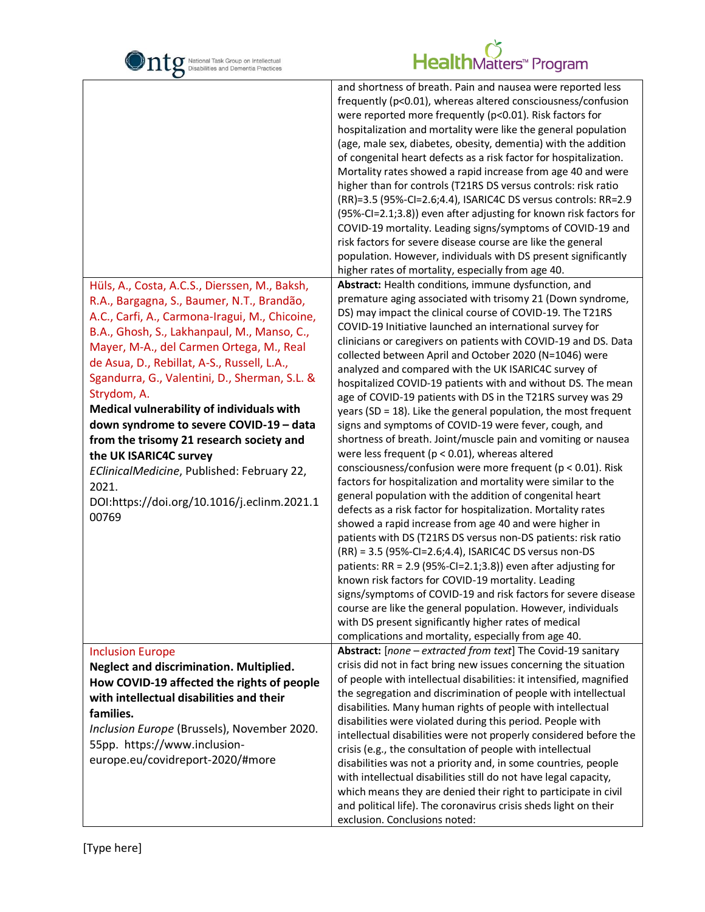

| O                                                                                                                                                                                                                                                                                                                                                                                                                                                                                                                                                                                                                                    |                                                                                                                                                                                                                                                                                                                                                                                                                                                                                                                                                                                                                                                                                                                                                                                                                                                                                                                                                                                                                                                                                                                                                                                                                                                                                                                                                                                                                                                                                                                                                                                                                                                   |
|--------------------------------------------------------------------------------------------------------------------------------------------------------------------------------------------------------------------------------------------------------------------------------------------------------------------------------------------------------------------------------------------------------------------------------------------------------------------------------------------------------------------------------------------------------------------------------------------------------------------------------------|---------------------------------------------------------------------------------------------------------------------------------------------------------------------------------------------------------------------------------------------------------------------------------------------------------------------------------------------------------------------------------------------------------------------------------------------------------------------------------------------------------------------------------------------------------------------------------------------------------------------------------------------------------------------------------------------------------------------------------------------------------------------------------------------------------------------------------------------------------------------------------------------------------------------------------------------------------------------------------------------------------------------------------------------------------------------------------------------------------------------------------------------------------------------------------------------------------------------------------------------------------------------------------------------------------------------------------------------------------------------------------------------------------------------------------------------------------------------------------------------------------------------------------------------------------------------------------------------------------------------------------------------------|
|                                                                                                                                                                                                                                                                                                                                                                                                                                                                                                                                                                                                                                      | and shortness of breath. Pain and nausea were reported less<br>frequently (p<0.01), whereas altered consciousness/confusion<br>were reported more frequently (p<0.01). Risk factors for<br>hospitalization and mortality were like the general population<br>(age, male sex, diabetes, obesity, dementia) with the addition<br>of congenital heart defects as a risk factor for hospitalization.<br>Mortality rates showed a rapid increase from age 40 and were<br>higher than for controls (T21RS DS versus controls: risk ratio<br>(RR)=3.5 (95%-Cl=2.6;4.4), ISARIC4C DS versus controls: RR=2.9<br>(95%-CI=2.1;3.8)) even after adjusting for known risk factors for<br>COVID-19 mortality. Leading signs/symptoms of COVID-19 and<br>risk factors for severe disease course are like the general<br>population. However, individuals with DS present significantly<br>higher rates of mortality, especially from age 40.                                                                                                                                                                                                                                                                                                                                                                                                                                                                                                                                                                                                                                                                                                                    |
| Hüls, A., Costa, A.C.S., Dierssen, M., Baksh,<br>R.A., Bargagna, S., Baumer, N.T., Brandão,<br>A.C., Carfi, A., Carmona-Iragui, M., Chicoine,<br>B.A., Ghosh, S., Lakhanpaul, M., Manso, C.,<br>Mayer, M-A., del Carmen Ortega, M., Real<br>de Asua, D., Rebillat, A-S., Russell, L.A.,<br>Sgandurra, G., Valentini, D., Sherman, S.L. &<br>Strydom, A.<br>Medical vulnerability of individuals with<br>down syndrome to severe COVID-19 - data<br>from the trisomy 21 research society and<br>the UK ISARIC4C survey<br>EClinicalMedicine, Published: February 22,<br>2021.<br>DOI:https://doi.org/10.1016/j.eclinm.2021.1<br>00769 | Abstract: Health conditions, immune dysfunction, and<br>premature aging associated with trisomy 21 (Down syndrome,<br>DS) may impact the clinical course of COVID-19. The T21RS<br>COVID-19 Initiative launched an international survey for<br>clinicians or caregivers on patients with COVID-19 and DS. Data<br>collected between April and October 2020 (N=1046) were<br>analyzed and compared with the UK ISARIC4C survey of<br>hospitalized COVID-19 patients with and without DS. The mean<br>age of COVID-19 patients with DS in the T21RS survey was 29<br>years (SD = $18$ ). Like the general population, the most frequent<br>signs and symptoms of COVID-19 were fever, cough, and<br>shortness of breath. Joint/muscle pain and vomiting or nausea<br>were less frequent ( $p < 0.01$ ), whereas altered<br>consciousness/confusion were more frequent (p < 0.01). Risk<br>factors for hospitalization and mortality were similar to the<br>general population with the addition of congenital heart<br>defects as a risk factor for hospitalization. Mortality rates<br>showed a rapid increase from age 40 and were higher in<br>patients with DS (T21RS DS versus non-DS patients: risk ratio<br>(RR) = 3.5 (95%-CI=2.6;4.4), ISARIC4C DS versus non-DS<br>patients: RR = 2.9 (95%-CI=2.1;3.8)) even after adjusting for<br>known risk factors for COVID-19 mortality. Leading<br>signs/symptoms of COVID-19 and risk factors for severe disease<br>course are like the general population. However, individuals<br>with DS present significantly higher rates of medical<br>complications and mortality, especially from age 40. |
| <b>Inclusion Europe</b><br>Neglect and discrimination. Multiplied.<br>How COVID-19 affected the rights of people<br>with intellectual disabilities and their<br>families.<br>Inclusion Europe (Brussels), November 2020.<br>55pp. https://www.inclusion-<br>europe.eu/covidreport-2020/#more                                                                                                                                                                                                                                                                                                                                         | Abstract: [none - extracted from text] The Covid-19 sanitary<br>crisis did not in fact bring new issues concerning the situation<br>of people with intellectual disabilities: it intensified, magnified<br>the segregation and discrimination of people with intellectual<br>disabilities. Many human rights of people with intellectual<br>disabilities were violated during this period. People with<br>intellectual disabilities were not properly considered before the<br>crisis (e.g., the consultation of people with intellectual<br>disabilities was not a priority and, in some countries, people<br>with intellectual disabilities still do not have legal capacity,<br>which means they are denied their right to participate in civil<br>and political life). The coronavirus crisis sheds light on their<br>exclusion. Conclusions noted:                                                                                                                                                                                                                                                                                                                                                                                                                                                                                                                                                                                                                                                                                                                                                                                           |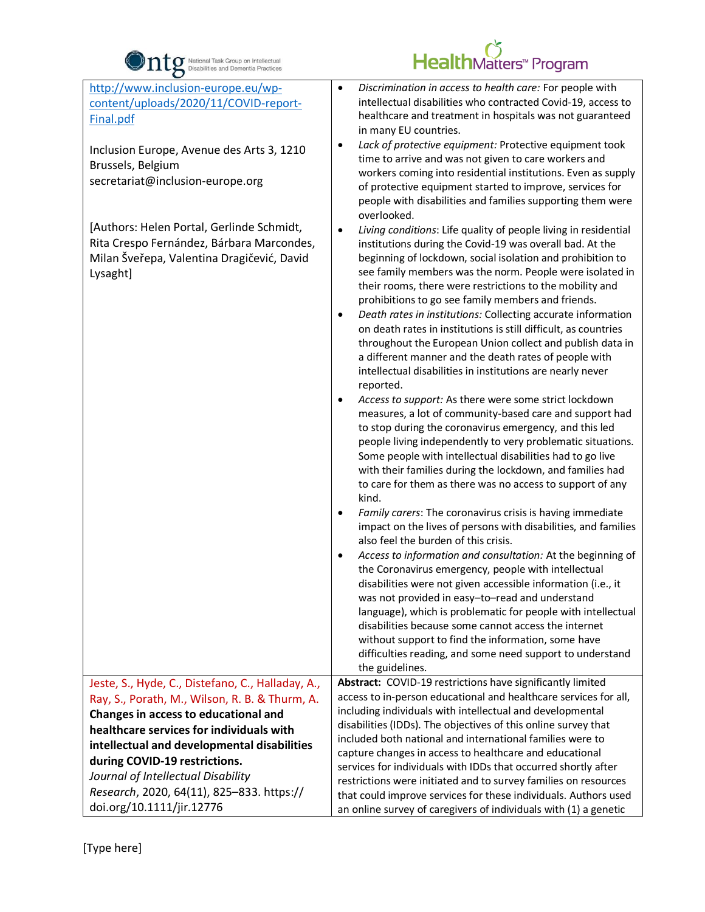

| http://www.inclusion-europe.eu/wp-<br>content/uploads/2020/11/COVID-report-<br>Final.pdf<br>Inclusion Europe, Avenue des Arts 3, 1210<br>Brussels, Belgium<br>secretariat@inclusion-europe.org<br>[Authors: Helen Portal, Gerlinde Schmidt,<br>Rita Crespo Fernández, Bárbara Marcondes,<br>Milan Šveřepa, Valentina Dragičević, David<br>Lysaght] | Discrimination in access to health care: For people with<br>$\bullet$<br>intellectual disabilities who contracted Covid-19, access to<br>healthcare and treatment in hospitals was not guaranteed<br>in many EU countries.<br>Lack of protective equipment: Protective equipment took<br>٠<br>time to arrive and was not given to care workers and<br>workers coming into residential institutions. Even as supply<br>of protective equipment started to improve, services for<br>people with disabilities and families supporting them were<br>overlooked.<br>Living conditions: Life quality of people living in residential<br>٠<br>institutions during the Covid-19 was overall bad. At the<br>beginning of lockdown, social isolation and prohibition to<br>see family members was the norm. People were isolated in<br>their rooms, there were restrictions to the mobility and |
|----------------------------------------------------------------------------------------------------------------------------------------------------------------------------------------------------------------------------------------------------------------------------------------------------------------------------------------------------|---------------------------------------------------------------------------------------------------------------------------------------------------------------------------------------------------------------------------------------------------------------------------------------------------------------------------------------------------------------------------------------------------------------------------------------------------------------------------------------------------------------------------------------------------------------------------------------------------------------------------------------------------------------------------------------------------------------------------------------------------------------------------------------------------------------------------------------------------------------------------------------|
|                                                                                                                                                                                                                                                                                                                                                    | prohibitions to go see family members and friends.                                                                                                                                                                                                                                                                                                                                                                                                                                                                                                                                                                                                                                                                                                                                                                                                                                    |
|                                                                                                                                                                                                                                                                                                                                                    | Death rates in institutions: Collecting accurate information<br>$\bullet$                                                                                                                                                                                                                                                                                                                                                                                                                                                                                                                                                                                                                                                                                                                                                                                                             |
|                                                                                                                                                                                                                                                                                                                                                    | on death rates in institutions is still difficult, as countries                                                                                                                                                                                                                                                                                                                                                                                                                                                                                                                                                                                                                                                                                                                                                                                                                       |
|                                                                                                                                                                                                                                                                                                                                                    | throughout the European Union collect and publish data in<br>a different manner and the death rates of people with                                                                                                                                                                                                                                                                                                                                                                                                                                                                                                                                                                                                                                                                                                                                                                    |
|                                                                                                                                                                                                                                                                                                                                                    | intellectual disabilities in institutions are nearly never                                                                                                                                                                                                                                                                                                                                                                                                                                                                                                                                                                                                                                                                                                                                                                                                                            |
|                                                                                                                                                                                                                                                                                                                                                    | reported.                                                                                                                                                                                                                                                                                                                                                                                                                                                                                                                                                                                                                                                                                                                                                                                                                                                                             |
|                                                                                                                                                                                                                                                                                                                                                    | Access to support: As there were some strict lockdown<br>$\bullet$                                                                                                                                                                                                                                                                                                                                                                                                                                                                                                                                                                                                                                                                                                                                                                                                                    |
|                                                                                                                                                                                                                                                                                                                                                    | measures, a lot of community-based care and support had                                                                                                                                                                                                                                                                                                                                                                                                                                                                                                                                                                                                                                                                                                                                                                                                                               |
|                                                                                                                                                                                                                                                                                                                                                    | to stop during the coronavirus emergency, and this led                                                                                                                                                                                                                                                                                                                                                                                                                                                                                                                                                                                                                                                                                                                                                                                                                                |
|                                                                                                                                                                                                                                                                                                                                                    | people living independently to very problematic situations.<br>Some people with intellectual disabilities had to go live                                                                                                                                                                                                                                                                                                                                                                                                                                                                                                                                                                                                                                                                                                                                                              |
|                                                                                                                                                                                                                                                                                                                                                    | with their families during the lockdown, and families had                                                                                                                                                                                                                                                                                                                                                                                                                                                                                                                                                                                                                                                                                                                                                                                                                             |
|                                                                                                                                                                                                                                                                                                                                                    | to care for them as there was no access to support of any                                                                                                                                                                                                                                                                                                                                                                                                                                                                                                                                                                                                                                                                                                                                                                                                                             |
|                                                                                                                                                                                                                                                                                                                                                    | kind.                                                                                                                                                                                                                                                                                                                                                                                                                                                                                                                                                                                                                                                                                                                                                                                                                                                                                 |
|                                                                                                                                                                                                                                                                                                                                                    | Family carers: The coronavirus crisis is having immediate<br>impact on the lives of persons with disabilities, and families<br>also feel the burden of this crisis.                                                                                                                                                                                                                                                                                                                                                                                                                                                                                                                                                                                                                                                                                                                   |
|                                                                                                                                                                                                                                                                                                                                                    | Access to information and consultation: At the beginning of<br>٠                                                                                                                                                                                                                                                                                                                                                                                                                                                                                                                                                                                                                                                                                                                                                                                                                      |
|                                                                                                                                                                                                                                                                                                                                                    | the Coronavirus emergency, people with intellectual                                                                                                                                                                                                                                                                                                                                                                                                                                                                                                                                                                                                                                                                                                                                                                                                                                   |
|                                                                                                                                                                                                                                                                                                                                                    | disabilities were not given accessible information (i.e., it                                                                                                                                                                                                                                                                                                                                                                                                                                                                                                                                                                                                                                                                                                                                                                                                                          |
|                                                                                                                                                                                                                                                                                                                                                    | was not provided in easy-to-read and understand<br>language), which is problematic for people with intellectual                                                                                                                                                                                                                                                                                                                                                                                                                                                                                                                                                                                                                                                                                                                                                                       |
|                                                                                                                                                                                                                                                                                                                                                    | disabilities because some cannot access the internet                                                                                                                                                                                                                                                                                                                                                                                                                                                                                                                                                                                                                                                                                                                                                                                                                                  |
|                                                                                                                                                                                                                                                                                                                                                    | without support to find the information, some have                                                                                                                                                                                                                                                                                                                                                                                                                                                                                                                                                                                                                                                                                                                                                                                                                                    |
|                                                                                                                                                                                                                                                                                                                                                    | difficulties reading, and some need support to understand                                                                                                                                                                                                                                                                                                                                                                                                                                                                                                                                                                                                                                                                                                                                                                                                                             |
| Jeste, S., Hyde, C., Distefano, C., Halladay, A.,                                                                                                                                                                                                                                                                                                  | the guidelines.<br>Abstract: COVID-19 restrictions have significantly limited                                                                                                                                                                                                                                                                                                                                                                                                                                                                                                                                                                                                                                                                                                                                                                                                         |
| Ray, S., Porath, M., Wilson, R. B. & Thurm, A.                                                                                                                                                                                                                                                                                                     | access to in-person educational and healthcare services for all,                                                                                                                                                                                                                                                                                                                                                                                                                                                                                                                                                                                                                                                                                                                                                                                                                      |
| Changes in access to educational and                                                                                                                                                                                                                                                                                                               | including individuals with intellectual and developmental                                                                                                                                                                                                                                                                                                                                                                                                                                                                                                                                                                                                                                                                                                                                                                                                                             |
| healthcare services for individuals with                                                                                                                                                                                                                                                                                                           | disabilities (IDDs). The objectives of this online survey that                                                                                                                                                                                                                                                                                                                                                                                                                                                                                                                                                                                                                                                                                                                                                                                                                        |
| intellectual and developmental disabilities                                                                                                                                                                                                                                                                                                        | included both national and international families were to                                                                                                                                                                                                                                                                                                                                                                                                                                                                                                                                                                                                                                                                                                                                                                                                                             |
| during COVID-19 restrictions.                                                                                                                                                                                                                                                                                                                      | capture changes in access to healthcare and educational<br>services for individuals with IDDs that occurred shortly after                                                                                                                                                                                                                                                                                                                                                                                                                                                                                                                                                                                                                                                                                                                                                             |
| Journal of Intellectual Disability                                                                                                                                                                                                                                                                                                                 | restrictions were initiated and to survey families on resources                                                                                                                                                                                                                                                                                                                                                                                                                                                                                                                                                                                                                                                                                                                                                                                                                       |
| Research, 2020, 64(11), 825-833. https://                                                                                                                                                                                                                                                                                                          | that could improve services for these individuals. Authors used                                                                                                                                                                                                                                                                                                                                                                                                                                                                                                                                                                                                                                                                                                                                                                                                                       |
| doi.org/10.1111/jir.12776                                                                                                                                                                                                                                                                                                                          | an online survey of caregivers of individuals with (1) a genetic                                                                                                                                                                                                                                                                                                                                                                                                                                                                                                                                                                                                                                                                                                                                                                                                                      |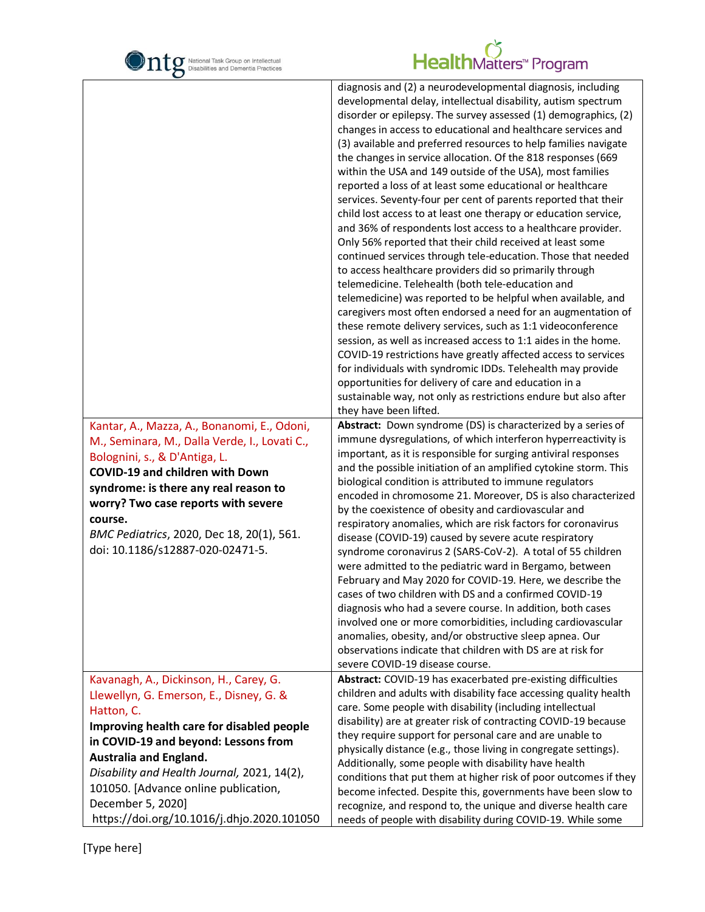

|                                               | diagnosis and (2) a neurodevelopmental diagnosis, including                                                                     |
|-----------------------------------------------|---------------------------------------------------------------------------------------------------------------------------------|
|                                               | developmental delay, intellectual disability, autism spectrum                                                                   |
|                                               | disorder or epilepsy. The survey assessed (1) demographics, (2)                                                                 |
|                                               | changes in access to educational and healthcare services and                                                                    |
|                                               | (3) available and preferred resources to help families navigate                                                                 |
|                                               | the changes in service allocation. Of the 818 responses (669                                                                    |
|                                               | within the USA and 149 outside of the USA), most families                                                                       |
|                                               | reported a loss of at least some educational or healthcare                                                                      |
|                                               | services. Seventy-four per cent of parents reported that their                                                                  |
|                                               | child lost access to at least one therapy or education service,<br>and 36% of respondents lost access to a healthcare provider. |
|                                               | Only 56% reported that their child received at least some                                                                       |
|                                               | continued services through tele-education. Those that needed                                                                    |
|                                               | to access healthcare providers did so primarily through                                                                         |
|                                               | telemedicine. Telehealth (both tele-education and                                                                               |
|                                               | telemedicine) was reported to be helpful when available, and                                                                    |
|                                               | caregivers most often endorsed a need for an augmentation of                                                                    |
|                                               | these remote delivery services, such as 1:1 videoconference                                                                     |
|                                               | session, as well as increased access to 1:1 aides in the home.                                                                  |
|                                               | COVID-19 restrictions have greatly affected access to services                                                                  |
|                                               | for individuals with syndromic IDDs. Telehealth may provide                                                                     |
|                                               | opportunities for delivery of care and education in a                                                                           |
|                                               | sustainable way, not only as restrictions endure but also after                                                                 |
|                                               | they have been lifted.                                                                                                          |
| Kantar, A., Mazza, A., Bonanomi, E., Odoni,   | Abstract: Down syndrome (DS) is characterized by a series of                                                                    |
| M., Seminara, M., Dalla Verde, I., Lovati C., | immune dysregulations, of which interferon hyperreactivity is                                                                   |
| Bolognini, s., & D'Antiga, L.                 | important, as it is responsible for surging antiviral responses                                                                 |
| <b>COVID-19 and children with Down</b>        | and the possible initiation of an amplified cytokine storm. This                                                                |
| syndrome: is there any real reason to         | biological condition is attributed to immune regulators<br>encoded in chromosome 21. Moreover, DS is also characterized         |
| worry? Two case reports with severe           | by the coexistence of obesity and cardiovascular and                                                                            |
| course.                                       | respiratory anomalies, which are risk factors for coronavirus                                                                   |
| BMC Pediatrics, 2020, Dec 18, 20(1), 561.     | disease (COVID-19) caused by severe acute respiratory                                                                           |
| doi: 10.1186/s12887-020-02471-5.              | syndrome coronavirus 2 (SARS-CoV-2). A total of 55 children                                                                     |
|                                               | were admitted to the pediatric ward in Bergamo, between                                                                         |
|                                               | February and May 2020 for COVID-19. Here, we describe the                                                                       |
|                                               | cases of two children with DS and a confirmed COVID-19                                                                          |
|                                               | diagnosis who had a severe course. In addition, both cases                                                                      |
|                                               | involved one or more comorbidities, including cardiovascular                                                                    |
|                                               | anomalies, obesity, and/or obstructive sleep apnea. Our                                                                         |
|                                               | observations indicate that children with DS are at risk for                                                                     |
|                                               | severe COVID-19 disease course.                                                                                                 |
| Kavanagh, A., Dickinson, H., Carey, G.        | Abstract: COVID-19 has exacerbated pre-existing difficulties                                                                    |
| Llewellyn, G. Emerson, E., Disney, G. &       | children and adults with disability face accessing quality health                                                               |
| Hatton, C.                                    | care. Some people with disability (including intellectual<br>disability) are at greater risk of contracting COVID-19 because    |
| Improving health care for disabled people     | they require support for personal care and are unable to                                                                        |
| in COVID-19 and beyond: Lessons from          | physically distance (e.g., those living in congregate settings).                                                                |
| <b>Australia and England.</b>                 | Additionally, some people with disability have health                                                                           |
| Disability and Health Journal, 2021, 14(2),   | conditions that put them at higher risk of poor outcomes if they                                                                |
| 101050. [Advance online publication,          | become infected. Despite this, governments have been slow to                                                                    |
| December 5, 2020]                             | recognize, and respond to, the unique and diverse health care                                                                   |
| https://doi.org/10.1016/j.dhjo.2020.101050    | needs of people with disability during COVID-19. While some                                                                     |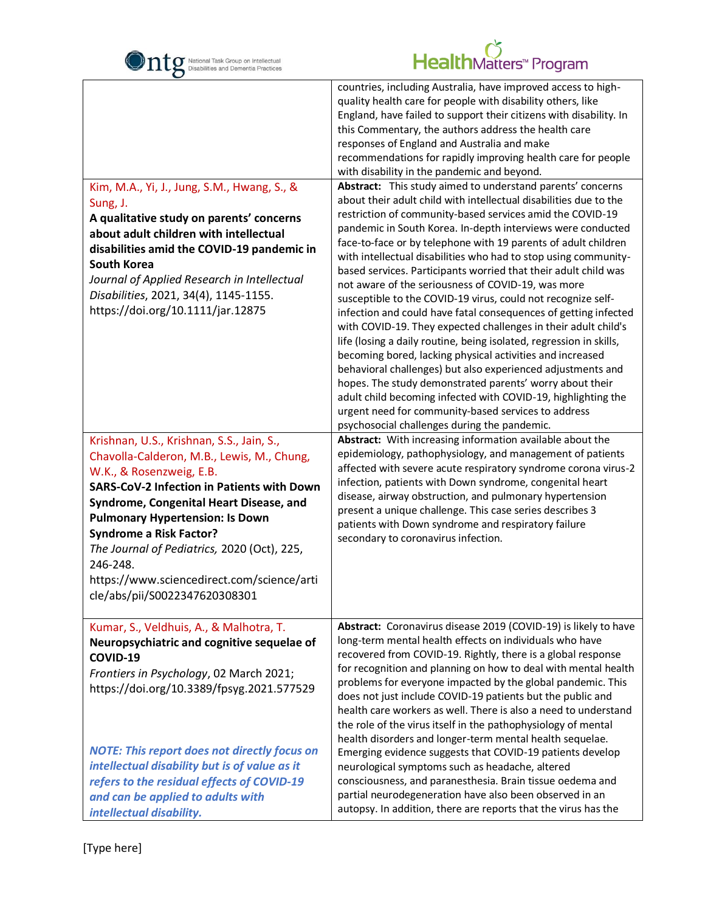

| O                                                                                                                                                                                                                                                                                                                                                                                                                                         |                                                                                                                                                                                                                                                                                                                                                                                                                                                                                                                                                                                                                                                                                                                                                                                                                                                                                                                                                                                                                                                                                                                                                                                                                                                                                                |
|-------------------------------------------------------------------------------------------------------------------------------------------------------------------------------------------------------------------------------------------------------------------------------------------------------------------------------------------------------------------------------------------------------------------------------------------|------------------------------------------------------------------------------------------------------------------------------------------------------------------------------------------------------------------------------------------------------------------------------------------------------------------------------------------------------------------------------------------------------------------------------------------------------------------------------------------------------------------------------------------------------------------------------------------------------------------------------------------------------------------------------------------------------------------------------------------------------------------------------------------------------------------------------------------------------------------------------------------------------------------------------------------------------------------------------------------------------------------------------------------------------------------------------------------------------------------------------------------------------------------------------------------------------------------------------------------------------------------------------------------------|
| Kim, M.A., Yi, J., Jung, S.M., Hwang, S., &<br>Sung, J.<br>A qualitative study on parents' concerns<br>about adult children with intellectual<br>disabilities amid the COVID-19 pandemic in<br><b>South Korea</b><br>Journal of Applied Research in Intellectual<br>Disabilities, 2021, 34(4), 1145-1155.<br>https://doi.org/10.1111/jar.12875                                                                                            | countries, including Australia, have improved access to high-<br>quality health care for people with disability others, like<br>England, have failed to support their citizens with disability. In<br>this Commentary, the authors address the health care<br>responses of England and Australia and make<br>recommendations for rapidly improving health care for people<br>with disability in the pandemic and beyond.<br>Abstract: This study aimed to understand parents' concerns<br>about their adult child with intellectual disabilities due to the<br>restriction of community-based services amid the COVID-19<br>pandemic in South Korea. In-depth interviews were conducted<br>face-to-face or by telephone with 19 parents of adult children<br>with intellectual disabilities who had to stop using community-<br>based services. Participants worried that their adult child was<br>not aware of the seriousness of COVID-19, was more<br>susceptible to the COVID-19 virus, could not recognize self-<br>infection and could have fatal consequences of getting infected<br>with COVID-19. They expected challenges in their adult child's<br>life (losing a daily routine, being isolated, regression in skills,<br>becoming bored, lacking physical activities and increased |
|                                                                                                                                                                                                                                                                                                                                                                                                                                           | behavioral challenges) but also experienced adjustments and<br>hopes. The study demonstrated parents' worry about their<br>adult child becoming infected with COVID-19, highlighting the<br>urgent need for community-based services to address<br>psychosocial challenges during the pandemic.                                                                                                                                                                                                                                                                                                                                                                                                                                                                                                                                                                                                                                                                                                                                                                                                                                                                                                                                                                                                |
| Krishnan, U.S., Krishnan, S.S., Jain, S.,<br>Chavolla-Calderon, M.B., Lewis, M., Chung,<br>W.K., & Rosenzweig, E.B.<br><b>SARS-CoV-2 Infection in Patients with Down</b><br>Syndrome, Congenital Heart Disease, and<br><b>Pulmonary Hypertension: Is Down</b><br><b>Syndrome a Risk Factor?</b><br>The Journal of Pediatrics, 2020 (Oct), 225,<br>246-248.<br>https://www.sciencedirect.com/science/arti<br>cle/abs/pii/S0022347620308301 | Abstract: With increasing information available about the<br>epidemiology, pathophysiology, and management of patients<br>affected with severe acute respiratory syndrome corona virus-2<br>infection, patients with Down syndrome, congenital heart<br>disease, airway obstruction, and pulmonary hypertension<br>present a unique challenge. This case series describes 3<br>patients with Down syndrome and respiratory failure<br>secondary to coronavirus infection.                                                                                                                                                                                                                                                                                                                                                                                                                                                                                                                                                                                                                                                                                                                                                                                                                      |
| Kumar, S., Veldhuis, A., & Malhotra, T.<br>Neuropsychiatric and cognitive sequelae of<br>COVID-19<br>Frontiers in Psychology, 02 March 2021;<br>https://doi.org/10.3389/fpsyg.2021.577529<br><b>NOTE: This report does not directly focus on</b><br>intellectual disability but is of value as it                                                                                                                                         | Abstract: Coronavirus disease 2019 (COVID-19) is likely to have<br>long-term mental health effects on individuals who have<br>recovered from COVID-19. Rightly, there is a global response<br>for recognition and planning on how to deal with mental health<br>problems for everyone impacted by the global pandemic. This<br>does not just include COVID-19 patients but the public and<br>health care workers as well. There is also a need to understand<br>the role of the virus itself in the pathophysiology of mental<br>health disorders and longer-term mental health sequelae.<br>Emerging evidence suggests that COVID-19 patients develop<br>neurological symptoms such as headache, altered                                                                                                                                                                                                                                                                                                                                                                                                                                                                                                                                                                                      |
| refers to the residual effects of COVID-19<br>and can be applied to adults with<br>intellectual disability.                                                                                                                                                                                                                                                                                                                               | consciousness, and paranesthesia. Brain tissue oedema and<br>partial neurodegeneration have also been observed in an<br>autopsy. In addition, there are reports that the virus has the                                                                                                                                                                                                                                                                                                                                                                                                                                                                                                                                                                                                                                                                                                                                                                                                                                                                                                                                                                                                                                                                                                         |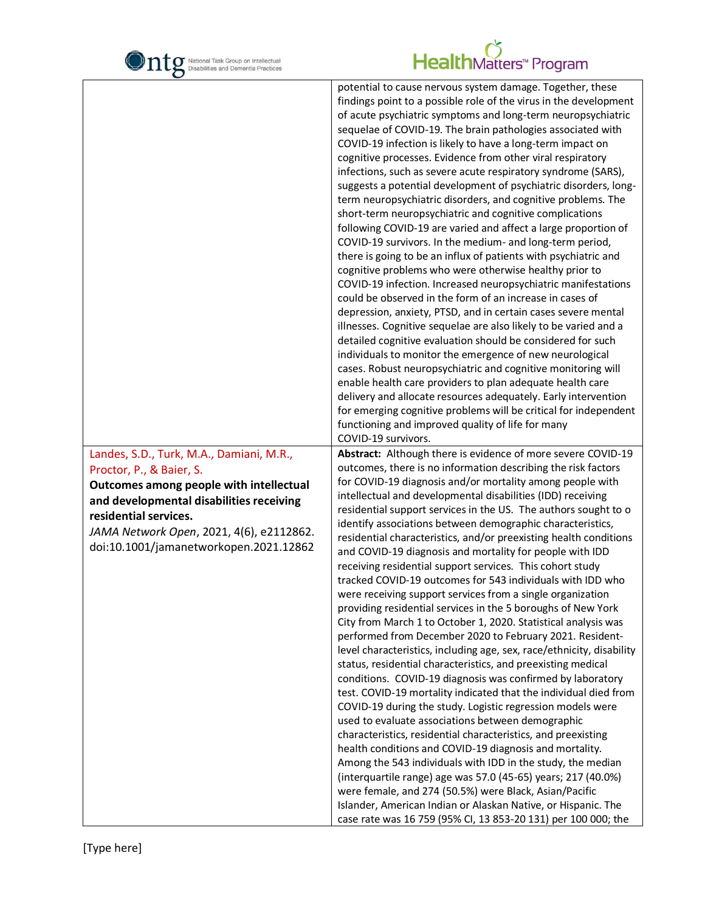

| O                                                                                                                                                                                                  |                                                                                                                                                                                                                                                                                                                                                                                                                                                                                                                                                                                                                                                                                                                                                                                                                                                                                                                                                                                                                                                                                                                                                                                                                                                                                                                                                                                                                                                                                                                                                                                                                                                                  |
|----------------------------------------------------------------------------------------------------------------------------------------------------------------------------------------------------|------------------------------------------------------------------------------------------------------------------------------------------------------------------------------------------------------------------------------------------------------------------------------------------------------------------------------------------------------------------------------------------------------------------------------------------------------------------------------------------------------------------------------------------------------------------------------------------------------------------------------------------------------------------------------------------------------------------------------------------------------------------------------------------------------------------------------------------------------------------------------------------------------------------------------------------------------------------------------------------------------------------------------------------------------------------------------------------------------------------------------------------------------------------------------------------------------------------------------------------------------------------------------------------------------------------------------------------------------------------------------------------------------------------------------------------------------------------------------------------------------------------------------------------------------------------------------------------------------------------------------------------------------------------|
|                                                                                                                                                                                                    | potential to cause nervous system damage. Together, these<br>findings point to a possible role of the virus in the development<br>of acute psychiatric symptoms and long-term neuropsychiatric<br>sequelae of COVID-19. The brain pathologies associated with<br>COVID-19 infection is likely to have a long-term impact on<br>cognitive processes. Evidence from other viral respiratory<br>infections, such as severe acute respiratory syndrome (SARS),<br>suggests a potential development of psychiatric disorders, long-<br>term neuropsychiatric disorders, and cognitive problems. The<br>short-term neuropsychiatric and cognitive complications<br>following COVID-19 are varied and affect a large proportion of<br>COVID-19 survivors. In the medium- and long-term period,<br>there is going to be an influx of patients with psychiatric and<br>cognitive problems who were otherwise healthy prior to<br>COVID-19 infection. Increased neuropsychiatric manifestations<br>could be observed in the form of an increase in cases of<br>depression, anxiety, PTSD, and in certain cases severe mental<br>illnesses. Cognitive sequelae are also likely to be varied and a<br>detailed cognitive evaluation should be considered for such<br>individuals to monitor the emergence of new neurological<br>cases. Robust neuropsychiatric and cognitive monitoring will<br>enable health care providers to plan adequate health care<br>delivery and allocate resources adequately. Early intervention<br>for emerging cognitive problems will be critical for independent<br>functioning and improved quality of life for many<br>COVID-19 survivors. |
| Landes, S.D., Turk, M.A., Damiani, M.R.,<br>Proctor, P., & Baier, S.                                                                                                                               | Abstract: Although there is evidence of more severe COVID-19<br>outcomes, there is no information describing the risk factors                                                                                                                                                                                                                                                                                                                                                                                                                                                                                                                                                                                                                                                                                                                                                                                                                                                                                                                                                                                                                                                                                                                                                                                                                                                                                                                                                                                                                                                                                                                                    |
| Outcomes among people with intellectual<br>and developmental disabilities receiving<br>residential services.<br>JAMA Network Open, 2021, 4(6), e2112862.<br>doi:10.1001/jamanetworkopen.2021.12862 | for COVID-19 diagnosis and/or mortality among people with<br>intellectual and developmental disabilities (IDD) receiving<br>residential support services in the US. The authors sought to o<br>identify associations between demographic characteristics,<br>residential characteristics, and/or preexisting health conditions<br>and COVID-19 diagnosis and mortality for people with IDD<br>receiving residential support services. This cohort study<br>tracked COVID-19 outcomes for 543 individuals with IDD who<br>were receiving support services from a single organization<br>providing residential services in the 5 boroughs of New York<br>City from March 1 to October 1, 2020. Statistical analysis was<br>performed from December 2020 to February 2021. Resident-<br>level characteristics, including age, sex, race/ethnicity, disability<br>status, residential characteristics, and preexisting medical<br>conditions. COVID-19 diagnosis was confirmed by laboratory<br>test. COVID-19 mortality indicated that the individual died from<br>COVID-19 during the study. Logistic regression models were<br>used to evaluate associations between demographic                                                                                                                                                                                                                                                                                                                                                                                                                                                                                  |
|                                                                                                                                                                                                    | characteristics, residential characteristics, and preexisting<br>health conditions and COVID-19 diagnosis and mortality.<br>Among the 543 individuals with IDD in the study, the median<br>(interquartile range) age was 57.0 (45-65) years; 217 (40.0%)<br>were female, and 274 (50.5%) were Black, Asian/Pacific<br>Islander, American Indian or Alaskan Native, or Hispanic. The<br>case rate was 16 759 (95% CI, 13 853-20 131) per 100 000; the                                                                                                                                                                                                                                                                                                                                                                                                                                                                                                                                                                                                                                                                                                                                                                                                                                                                                                                                                                                                                                                                                                                                                                                                             |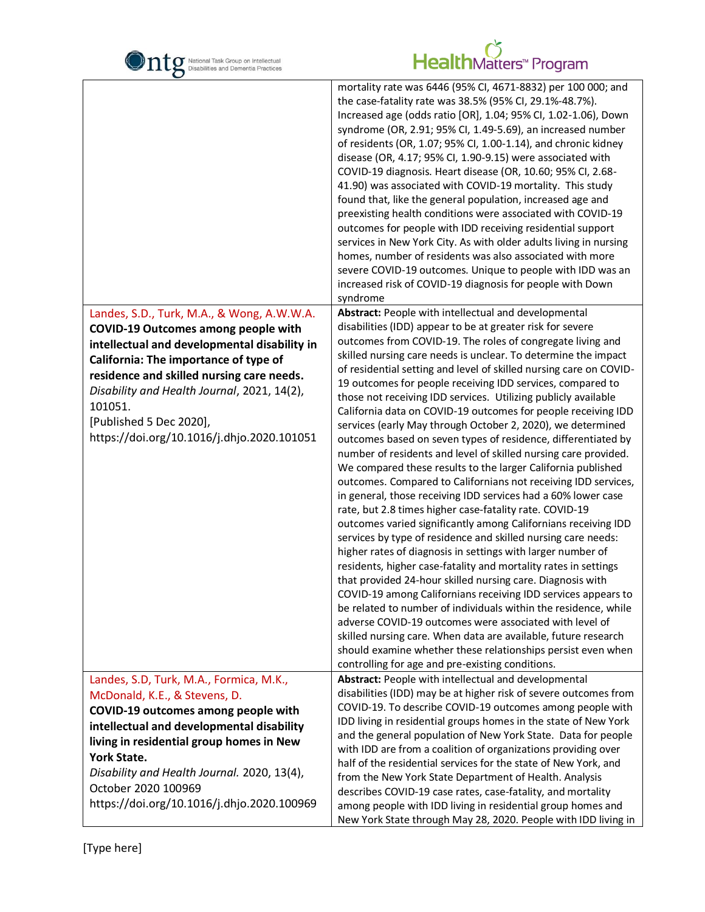| National Task Group on Intellectual<br>Disabilities and Dementia Practices                                                                                                                                                                                                                                                                                        | HealthMatters <sup>*</sup> Program                                                                                                                                                                                                                                                                                                                                                                                                                                                                                                                                                                                                                                                                                                                                                                                                                                                                                                                                                                                                                                                                                                                                                                                                                                                                                                                                                                                                                                                                                                                                                                                                                                                                                 |
|-------------------------------------------------------------------------------------------------------------------------------------------------------------------------------------------------------------------------------------------------------------------------------------------------------------------------------------------------------------------|--------------------------------------------------------------------------------------------------------------------------------------------------------------------------------------------------------------------------------------------------------------------------------------------------------------------------------------------------------------------------------------------------------------------------------------------------------------------------------------------------------------------------------------------------------------------------------------------------------------------------------------------------------------------------------------------------------------------------------------------------------------------------------------------------------------------------------------------------------------------------------------------------------------------------------------------------------------------------------------------------------------------------------------------------------------------------------------------------------------------------------------------------------------------------------------------------------------------------------------------------------------------------------------------------------------------------------------------------------------------------------------------------------------------------------------------------------------------------------------------------------------------------------------------------------------------------------------------------------------------------------------------------------------------------------------------------------------------|
|                                                                                                                                                                                                                                                                                                                                                                   | mortality rate was 6446 (95% CI, 4671-8832) per 100 000; and<br>the case-fatality rate was 38.5% (95% CI, 29.1%-48.7%).<br>Increased age (odds ratio [OR], 1.04; 95% CI, 1.02-1.06), Down<br>syndrome (OR, 2.91; 95% CI, 1.49-5.69), an increased number<br>of residents (OR, 1.07; 95% CI, 1.00-1.14), and chronic kidney<br>disease (OR, 4.17; 95% CI, 1.90-9.15) were associated with<br>COVID-19 diagnosis. Heart disease (OR, 10.60; 95% CI, 2.68-<br>41.90) was associated with COVID-19 mortality. This study<br>found that, like the general population, increased age and<br>preexisting health conditions were associated with COVID-19<br>outcomes for people with IDD receiving residential support<br>services in New York City. As with older adults living in nursing<br>homes, number of residents was also associated with more<br>severe COVID-19 outcomes. Unique to people with IDD was an<br>increased risk of COVID-19 diagnosis for people with Down<br>syndrome                                                                                                                                                                                                                                                                                                                                                                                                                                                                                                                                                                                                                                                                                                                            |
| Landes, S.D., Turk, M.A., & Wong, A.W.W.A.<br><b>COVID-19 Outcomes among people with</b><br>intellectual and developmental disability in<br>California: The importance of type of<br>residence and skilled nursing care needs.<br>Disability and Health Journal, 2021, 14(2),<br>101051.<br>[Published 5 Dec 2020],<br>https://doi.org/10.1016/j.dhjo.2020.101051 | Abstract: People with intellectual and developmental<br>disabilities (IDD) appear to be at greater risk for severe<br>outcomes from COVID-19. The roles of congregate living and<br>skilled nursing care needs is unclear. To determine the impact<br>of residential setting and level of skilled nursing care on COVID-<br>19 outcomes for people receiving IDD services, compared to<br>those not receiving IDD services. Utilizing publicly available<br>California data on COVID-19 outcomes for people receiving IDD<br>services (early May through October 2, 2020), we determined<br>outcomes based on seven types of residence, differentiated by<br>number of residents and level of skilled nursing care provided.<br>We compared these results to the larger California published<br>outcomes. Compared to Californians not receiving IDD services,<br>in general, those receiving IDD services had a 60% lower case<br>rate, but 2.8 times higher case-fatality rate. COVID-19<br>outcomes varied significantly among Californians receiving IDD<br>services by type of residence and skilled nursing care needs:<br>higher rates of diagnosis in settings with larger number of<br>residents, higher case-fatality and mortality rates in settings<br>that provided 24-hour skilled nursing care. Diagnosis with<br>COVID-19 among Californians receiving IDD services appears to<br>be related to number of individuals within the residence, while<br>adverse COVID-19 outcomes were associated with level of<br>skilled nursing care. When data are available, future research<br>should examine whether these relationships persist even when<br>controlling for age and pre-existing conditions. |
| Landes, S.D, Turk, M.A., Formica, M.K.,<br>McDonald, K.E., & Stevens, D.<br>COVID-19 outcomes among people with<br>intellectual and developmental disability<br>living in residential group homes in New<br>York State.<br>Disability and Health Journal. 2020, 13(4),<br>October 2020 100969<br>https://doi.org/10.1016/j.dhjo.2020.100969                       | Abstract: People with intellectual and developmental<br>disabilities (IDD) may be at higher risk of severe outcomes from<br>COVID-19. To describe COVID-19 outcomes among people with<br>IDD living in residential groups homes in the state of New York<br>and the general population of New York State. Data for people<br>with IDD are from a coalition of organizations providing over<br>half of the residential services for the state of New York, and<br>from the New York State Department of Health. Analysis<br>describes COVID-19 case rates, case-fatality, and mortality<br>among people with IDD living in residential group homes and                                                                                                                                                                                                                                                                                                                                                                                                                                                                                                                                                                                                                                                                                                                                                                                                                                                                                                                                                                                                                                                              |
|                                                                                                                                                                                                                                                                                                                                                                   | New York State through May 28, 2020. People with IDD living in                                                                                                                                                                                                                                                                                                                                                                                                                                                                                                                                                                                                                                                                                                                                                                                                                                                                                                                                                                                                                                                                                                                                                                                                                                                                                                                                                                                                                                                                                                                                                                                                                                                     |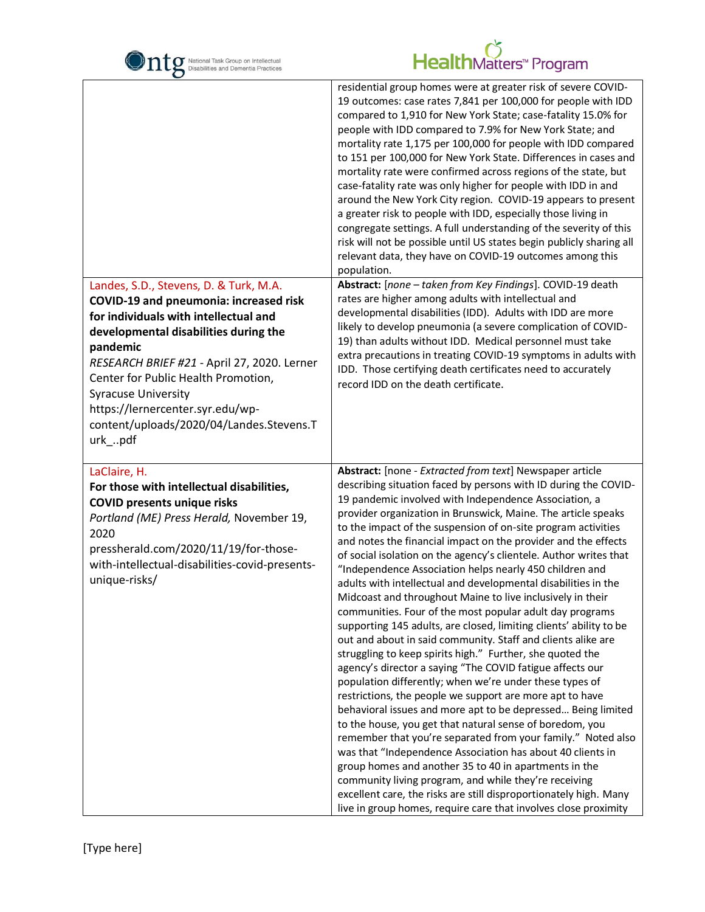| National Task Group on Intellectual<br>Disabilities and Dementia Practices                                                                                                                                                                                                                                                                                                                           | HealthMatters <sup>*</sup> Program                                                                                                                                                                                                                                                                                                                                                                                                                                                                                                                                                                                                                                                                                                                                                                                                                                                                                                                                                                                                                                                                                                                                                                                                                                                                                                                                                                                                                                                                                                                                                                                              |
|------------------------------------------------------------------------------------------------------------------------------------------------------------------------------------------------------------------------------------------------------------------------------------------------------------------------------------------------------------------------------------------------------|---------------------------------------------------------------------------------------------------------------------------------------------------------------------------------------------------------------------------------------------------------------------------------------------------------------------------------------------------------------------------------------------------------------------------------------------------------------------------------------------------------------------------------------------------------------------------------------------------------------------------------------------------------------------------------------------------------------------------------------------------------------------------------------------------------------------------------------------------------------------------------------------------------------------------------------------------------------------------------------------------------------------------------------------------------------------------------------------------------------------------------------------------------------------------------------------------------------------------------------------------------------------------------------------------------------------------------------------------------------------------------------------------------------------------------------------------------------------------------------------------------------------------------------------------------------------------------------------------------------------------------|
|                                                                                                                                                                                                                                                                                                                                                                                                      | residential group homes were at greater risk of severe COVID-<br>19 outcomes: case rates 7,841 per 100,000 for people with IDD<br>compared to 1,910 for New York State; case-fatality 15.0% for<br>people with IDD compared to 7.9% for New York State; and<br>mortality rate 1,175 per 100,000 for people with IDD compared<br>to 151 per 100,000 for New York State. Differences in cases and<br>mortality rate were confirmed across regions of the state, but<br>case-fatality rate was only higher for people with IDD in and<br>around the New York City region. COVID-19 appears to present<br>a greater risk to people with IDD, especially those living in<br>congregate settings. A full understanding of the severity of this<br>risk will not be possible until US states begin publicly sharing all<br>relevant data, they have on COVID-19 outcomes among this<br>population.                                                                                                                                                                                                                                                                                                                                                                                                                                                                                                                                                                                                                                                                                                                                     |
| Landes, S.D., Stevens, D. & Turk, M.A.<br><b>COVID-19 and pneumonia: increased risk</b><br>for individuals with intellectual and<br>developmental disabilities during the<br>pandemic<br>RESEARCH BRIEF #21 - April 27, 2020. Lerner<br>Center for Public Health Promotion,<br><b>Syracuse University</b><br>https://lernercenter.syr.edu/wp-<br>content/uploads/2020/04/Landes.Stevens.T<br>urk_pdf | Abstract: [none - taken from Key Findings]. COVID-19 death<br>rates are higher among adults with intellectual and<br>developmental disabilities (IDD). Adults with IDD are more<br>likely to develop pneumonia (a severe complication of COVID-<br>19) than adults without IDD. Medical personnel must take<br>extra precautions in treating COVID-19 symptoms in adults with<br>IDD. Those certifying death certificates need to accurately<br>record IDD on the death certificate.                                                                                                                                                                                                                                                                                                                                                                                                                                                                                                                                                                                                                                                                                                                                                                                                                                                                                                                                                                                                                                                                                                                                            |
| LaClaire, H.<br>For those with intellectual disabilities,<br><b>COVID presents unique risks</b><br>Portland (ME) Press Herald, November 19,<br>2020<br>pressherald.com/2020/11/19/for-those-<br>with-intellectual-disabilities-covid-presents-<br>unique-risks/                                                                                                                                      | Abstract: [none - Extracted from text] Newspaper article<br>describing situation faced by persons with ID during the COVID-<br>19 pandemic involved with Independence Association, a<br>provider organization in Brunswick, Maine. The article speaks<br>to the impact of the suspension of on-site program activities<br>and notes the financial impact on the provider and the effects<br>of social isolation on the agency's clientele. Author writes that<br>"Independence Association helps nearly 450 children and<br>adults with intellectual and developmental disabilities in the<br>Midcoast and throughout Maine to live inclusively in their<br>communities. Four of the most popular adult day programs<br>supporting 145 adults, are closed, limiting clients' ability to be<br>out and about in said community. Staff and clients alike are<br>struggling to keep spirits high." Further, she quoted the<br>agency's director a saying "The COVID fatigue affects our<br>population differently; when we're under these types of<br>restrictions, the people we support are more apt to have<br>behavioral issues and more apt to be depressed Being limited<br>to the house, you get that natural sense of boredom, you<br>remember that you're separated from your family." Noted also<br>was that "Independence Association has about 40 clients in<br>group homes and another 35 to 40 in apartments in the<br>community living program, and while they're receiving<br>excellent care, the risks are still disproportionately high. Many<br>live in group homes, require care that involves close proximity |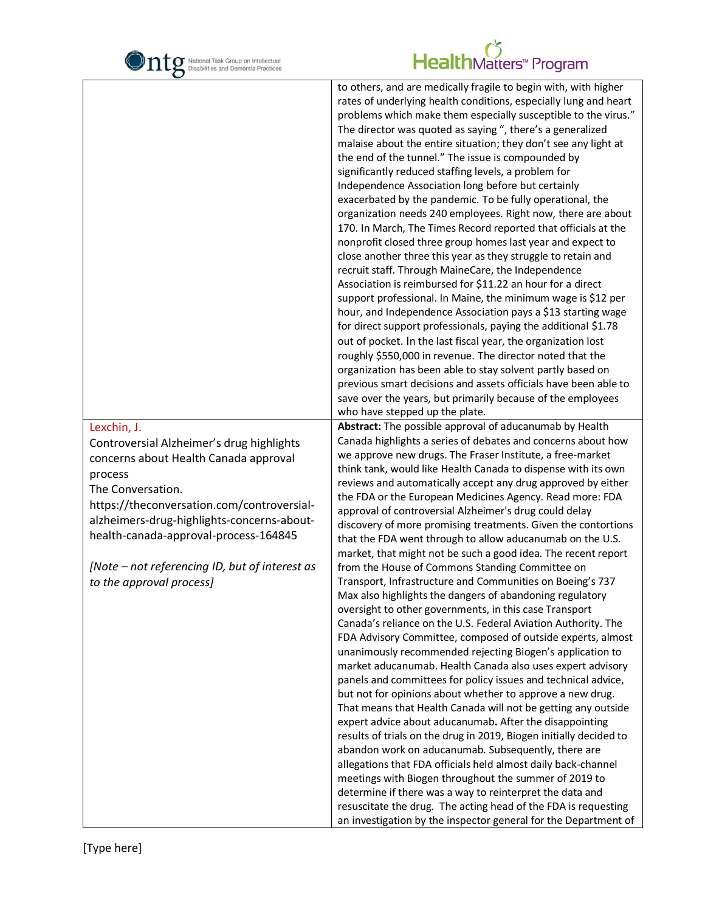

|                                                                                                                                                                                                                                                                                                                                                      | to others, and are medically fragile to begin with, with higher<br>rates of underlying health conditions, especially lung and heart<br>problems which make them especially susceptible to the virus."<br>The director was quoted as saying ", there's a generalized<br>malaise about the entire situation; they don't see any light at<br>the end of the tunnel." The issue is compounded by<br>significantly reduced staffing levels, a problem for<br>Independence Association long before but certainly<br>exacerbated by the pandemic. To be fully operational, the<br>organization needs 240 employees. Right now, there are about<br>170. In March, The Times Record reported that officials at the<br>nonprofit closed three group homes last year and expect to<br>close another three this year as they struggle to retain and<br>recruit staff. Through MaineCare, the Independence<br>Association is reimbursed for \$11.22 an hour for a direct<br>support professional. In Maine, the minimum wage is \$12 per<br>hour, and Independence Association pays a \$13 starting wage<br>for direct support professionals, paying the additional \$1.78<br>out of pocket. In the last fiscal year, the organization lost<br>roughly \$550,000 in revenue. The director noted that the<br>organization has been able to stay solvent partly based on<br>previous smart decisions and assets officials have been able to<br>save over the years, but primarily because of the employees<br>who have stepped up the plate.                                                                                                                                                                                            |
|------------------------------------------------------------------------------------------------------------------------------------------------------------------------------------------------------------------------------------------------------------------------------------------------------------------------------------------------------|--------------------------------------------------------------------------------------------------------------------------------------------------------------------------------------------------------------------------------------------------------------------------------------------------------------------------------------------------------------------------------------------------------------------------------------------------------------------------------------------------------------------------------------------------------------------------------------------------------------------------------------------------------------------------------------------------------------------------------------------------------------------------------------------------------------------------------------------------------------------------------------------------------------------------------------------------------------------------------------------------------------------------------------------------------------------------------------------------------------------------------------------------------------------------------------------------------------------------------------------------------------------------------------------------------------------------------------------------------------------------------------------------------------------------------------------------------------------------------------------------------------------------------------------------------------------------------------------------------------------------------------------------------------------------------------------------------------------------|
| Lexchin, J.<br>Controversial Alzheimer's drug highlights<br>concerns about Health Canada approval<br>process<br>The Conversation.<br>https://theconversation.com/controversial-<br>alzheimers-drug-highlights-concerns-about-<br>health-canada-approval-process-164845<br>[Note – not referencing ID, but of interest as<br>to the approval process] | Abstract: The possible approval of aducanumab by Health<br>Canada highlights a series of debates and concerns about how<br>we approve new drugs. The Fraser Institute, a free-market<br>think tank, would like Health Canada to dispense with its own<br>reviews and automatically accept any drug approved by either<br>the FDA or the European Medicines Agency. Read more: FDA<br>approval of controversial Alzheimer's drug could delay<br>discovery of more promising treatments. Given the contortions<br>that the FDA went through to allow aducanumab on the U.S.<br>market, that might not be such a good idea. The recent report<br>from the House of Commons Standing Committee on<br>Transport, Infrastructure and Communities on Boeing's 737<br>Max also highlights the dangers of abandoning regulatory<br>oversight to other governments, in this case Transport<br>Canada's reliance on the U.S. Federal Aviation Authority. The<br>FDA Advisory Committee, composed of outside experts, almost<br>unanimously recommended rejecting Biogen's application to<br>market aducanumab. Health Canada also uses expert advisory<br>panels and committees for policy issues and technical advice,<br>but not for opinions about whether to approve a new drug.<br>That means that Health Canada will not be getting any outside<br>expert advice about aducanumab. After the disappointing<br>results of trials on the drug in 2019, Biogen initially decided to<br>abandon work on aducanumab. Subsequently, there are<br>allegations that FDA officials held almost daily back-channel<br>meetings with Biogen throughout the summer of 2019 to<br>determine if there was a way to reinterpret the data and |
|                                                                                                                                                                                                                                                                                                                                                      | resuscitate the drug. The acting head of the FDA is requesting<br>an investigation by the inspector general for the Department of                                                                                                                                                                                                                                                                                                                                                                                                                                                                                                                                                                                                                                                                                                                                                                                                                                                                                                                                                                                                                                                                                                                                                                                                                                                                                                                                                                                                                                                                                                                                                                                        |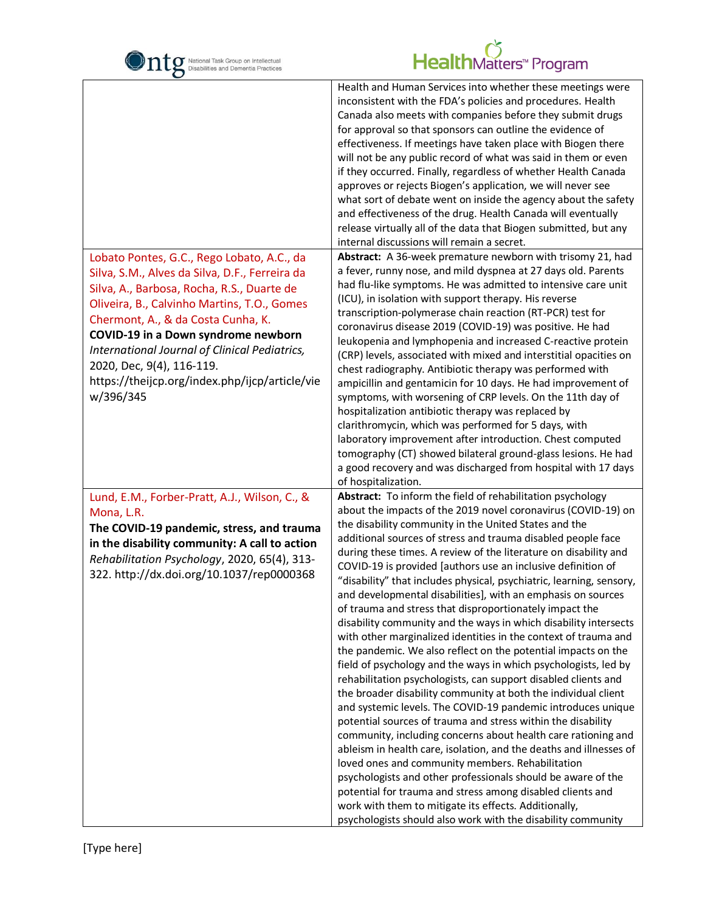| National Task Group on Intellectual<br>Disabilities and Dementia Practices                                                                                                                                                                                                                                                                                                                                          | HealthMatters <sup>*</sup> Program                                                                                                                                                                                                                                                                                                                                                                                                                                                                                                                                                                                                                                                                                                                                                                                                                                                                                                                                                                                                                                                                                                                                                                                                                                                                                                                                                                                                                                                                                                                                                           |
|---------------------------------------------------------------------------------------------------------------------------------------------------------------------------------------------------------------------------------------------------------------------------------------------------------------------------------------------------------------------------------------------------------------------|----------------------------------------------------------------------------------------------------------------------------------------------------------------------------------------------------------------------------------------------------------------------------------------------------------------------------------------------------------------------------------------------------------------------------------------------------------------------------------------------------------------------------------------------------------------------------------------------------------------------------------------------------------------------------------------------------------------------------------------------------------------------------------------------------------------------------------------------------------------------------------------------------------------------------------------------------------------------------------------------------------------------------------------------------------------------------------------------------------------------------------------------------------------------------------------------------------------------------------------------------------------------------------------------------------------------------------------------------------------------------------------------------------------------------------------------------------------------------------------------------------------------------------------------------------------------------------------------|
|                                                                                                                                                                                                                                                                                                                                                                                                                     | Health and Human Services into whether these meetings were<br>inconsistent with the FDA's policies and procedures. Health<br>Canada also meets with companies before they submit drugs<br>for approval so that sponsors can outline the evidence of<br>effectiveness. If meetings have taken place with Biogen there<br>will not be any public record of what was said in them or even<br>if they occurred. Finally, regardless of whether Health Canada<br>approves or rejects Biogen's application, we will never see<br>what sort of debate went on inside the agency about the safety<br>and effectiveness of the drug. Health Canada will eventually<br>release virtually all of the data that Biogen submitted, but any<br>internal discussions will remain a secret.                                                                                                                                                                                                                                                                                                                                                                                                                                                                                                                                                                                                                                                                                                                                                                                                                  |
| Lobato Pontes, G.C., Rego Lobato, A.C., da<br>Silva, S.M., Alves da Silva, D.F., Ferreira da<br>Silva, A., Barbosa, Rocha, R.S., Duarte de<br>Oliveira, B., Calvinho Martins, T.O., Gomes<br>Chermont, A., & da Costa Cunha, K.<br>COVID-19 in a Down syndrome newborn<br>International Journal of Clinical Pediatrics,<br>2020, Dec, 9(4), 116-119.<br>https://theijcp.org/index.php/ijcp/article/vie<br>w/396/345 | Abstract: A 36-week premature newborn with trisomy 21, had<br>a fever, runny nose, and mild dyspnea at 27 days old. Parents<br>had flu-like symptoms. He was admitted to intensive care unit<br>(ICU), in isolation with support therapy. His reverse<br>transcription-polymerase chain reaction (RT-PCR) test for<br>coronavirus disease 2019 (COVID-19) was positive. He had<br>leukopenia and lymphopenia and increased C-reactive protein<br>(CRP) levels, associated with mixed and interstitial opacities on<br>chest radiography. Antibiotic therapy was performed with<br>ampicillin and gentamicin for 10 days. He had improvement of<br>symptoms, with worsening of CRP levels. On the 11th day of<br>hospitalization antibiotic therapy was replaced by<br>clarithromycin, which was performed for 5 days, with<br>laboratory improvement after introduction. Chest computed<br>tomography (CT) showed bilateral ground-glass lesions. He had<br>a good recovery and was discharged from hospital with 17 days<br>of hospitalization.                                                                                                                                                                                                                                                                                                                                                                                                                                                                                                                                             |
| Lund, E.M., Forber-Pratt, A.J., Wilson, C., &<br>Mona, L.R.<br>The COVID-19 pandemic, stress, and trauma<br>in the disability community: A call to action<br>Rehabilitation Psychology, 2020, 65(4), 313-<br>322. http://dx.doi.org/10.1037/rep0000368                                                                                                                                                              | Abstract: To inform the field of rehabilitation psychology<br>about the impacts of the 2019 novel coronavirus (COVID-19) on<br>the disability community in the United States and the<br>additional sources of stress and trauma disabled people face<br>during these times. A review of the literature on disability and<br>COVID-19 is provided [authors use an inclusive definition of<br>"disability" that includes physical, psychiatric, learning, sensory,<br>and developmental disabilities], with an emphasis on sources<br>of trauma and stress that disproportionately impact the<br>disability community and the ways in which disability intersects<br>with other marginalized identities in the context of trauma and<br>the pandemic. We also reflect on the potential impacts on the<br>field of psychology and the ways in which psychologists, led by<br>rehabilitation psychologists, can support disabled clients and<br>the broader disability community at both the individual client<br>and systemic levels. The COVID-19 pandemic introduces unique<br>potential sources of trauma and stress within the disability<br>community, including concerns about health care rationing and<br>ableism in health care, isolation, and the deaths and illnesses of<br>loved ones and community members. Rehabilitation<br>psychologists and other professionals should be aware of the<br>potential for trauma and stress among disabled clients and<br>work with them to mitigate its effects. Additionally,<br>psychologists should also work with the disability community |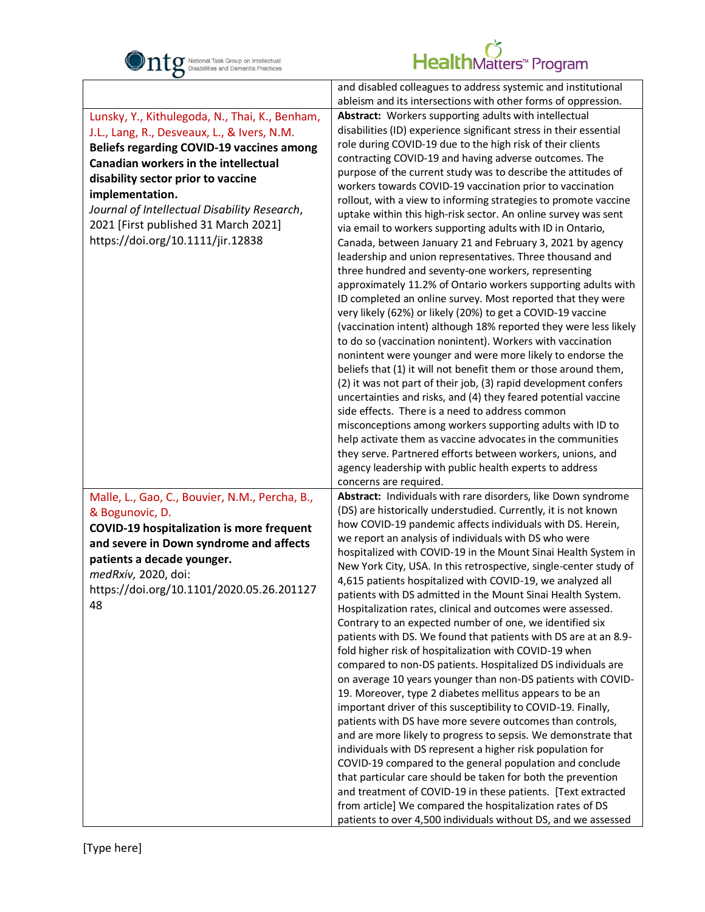

| $\bullet$                                                                                                                                                                                                                                                                                                                                                                       |                                                                                                                                                                                                                                                                                                                                                                                                                                                                                                                                                                                                                                                                                                                                                                                                                                                                                                                                                                                                                                                                                                                                                                                                                                                                                                                                                                                                                                                                                                                                                                                                                                                                                                             |
|---------------------------------------------------------------------------------------------------------------------------------------------------------------------------------------------------------------------------------------------------------------------------------------------------------------------------------------------------------------------------------|-------------------------------------------------------------------------------------------------------------------------------------------------------------------------------------------------------------------------------------------------------------------------------------------------------------------------------------------------------------------------------------------------------------------------------------------------------------------------------------------------------------------------------------------------------------------------------------------------------------------------------------------------------------------------------------------------------------------------------------------------------------------------------------------------------------------------------------------------------------------------------------------------------------------------------------------------------------------------------------------------------------------------------------------------------------------------------------------------------------------------------------------------------------------------------------------------------------------------------------------------------------------------------------------------------------------------------------------------------------------------------------------------------------------------------------------------------------------------------------------------------------------------------------------------------------------------------------------------------------------------------------------------------------------------------------------------------------|
|                                                                                                                                                                                                                                                                                                                                                                                 | and disabled colleagues to address systemic and institutional<br>ableism and its intersections with other forms of oppression.                                                                                                                                                                                                                                                                                                                                                                                                                                                                                                                                                                                                                                                                                                                                                                                                                                                                                                                                                                                                                                                                                                                                                                                                                                                                                                                                                                                                                                                                                                                                                                              |
| Lunsky, Y., Kithulegoda, N., Thai, K., Benham,<br>J.L., Lang, R., Desveaux, L., & Ivers, N.M.<br><b>Beliefs regarding COVID-19 vaccines among</b><br>Canadian workers in the intellectual<br>disability sector prior to vaccine<br>implementation.<br>Journal of Intellectual Disability Research,<br>2021 [First published 31 March 2021]<br>https://doi.org/10.1111/jir.12838 | Abstract: Workers supporting adults with intellectual<br>disabilities (ID) experience significant stress in their essential<br>role during COVID-19 due to the high risk of their clients<br>contracting COVID-19 and having adverse outcomes. The<br>purpose of the current study was to describe the attitudes of<br>workers towards COVID-19 vaccination prior to vaccination<br>rollout, with a view to informing strategies to promote vaccine<br>uptake within this high-risk sector. An online survey was sent<br>via email to workers supporting adults with ID in Ontario,<br>Canada, between January 21 and February 3, 2021 by agency<br>leadership and union representatives. Three thousand and<br>three hundred and seventy-one workers, representing<br>approximately 11.2% of Ontario workers supporting adults with<br>ID completed an online survey. Most reported that they were<br>very likely (62%) or likely (20%) to get a COVID-19 vaccine<br>(vaccination intent) although 18% reported they were less likely<br>to do so (vaccination nonintent). Workers with vaccination<br>nonintent were younger and were more likely to endorse the<br>beliefs that (1) it will not benefit them or those around them,<br>(2) it was not part of their job, (3) rapid development confers<br>uncertainties and risks, and (4) they feared potential vaccine<br>side effects. There is a need to address common<br>misconceptions among workers supporting adults with ID to<br>help activate them as vaccine advocates in the communities<br>they serve. Partnered efforts between workers, unions, and<br>agency leadership with public health experts to address<br>concerns are required. |
| Malle, L., Gao, C., Bouvier, N.M., Percha, B.,<br>& Bogunovic, D.<br><b>COVID-19 hospitalization is more frequent</b><br>and severe in Down syndrome and affects<br>patients a decade younger.<br>medRxiv, 2020, doi:<br>https://doi.org/10.1101/2020.05.26.201127<br>48                                                                                                        | Abstract: Individuals with rare disorders, like Down syndrome<br>(DS) are historically understudied. Currently, it is not known<br>how COVID-19 pandemic affects individuals with DS. Herein,<br>we report an analysis of individuals with DS who were<br>hospitalized with COVID-19 in the Mount Sinai Health System in<br>New York City, USA. In this retrospective, single-center study of<br>4,615 patients hospitalized with COVID-19, we analyzed all<br>patients with DS admitted in the Mount Sinai Health System.<br>Hospitalization rates, clinical and outcomes were assessed.<br>Contrary to an expected number of one, we identified six<br>patients with DS. We found that patients with DS are at an 8.9-<br>fold higher risk of hospitalization with COVID-19 when<br>compared to non-DS patients. Hospitalized DS individuals are<br>on average 10 years younger than non-DS patients with COVID-<br>19. Moreover, type 2 diabetes mellitus appears to be an<br>important driver of this susceptibility to COVID-19. Finally,<br>patients with DS have more severe outcomes than controls,<br>and are more likely to progress to sepsis. We demonstrate that<br>individuals with DS represent a higher risk population for<br>COVID-19 compared to the general population and conclude<br>that particular care should be taken for both the prevention<br>and treatment of COVID-19 in these patients. [Text extracted<br>from article] We compared the hospitalization rates of DS<br>patients to over 4,500 individuals without DS, and we assessed                                                                                                                                      |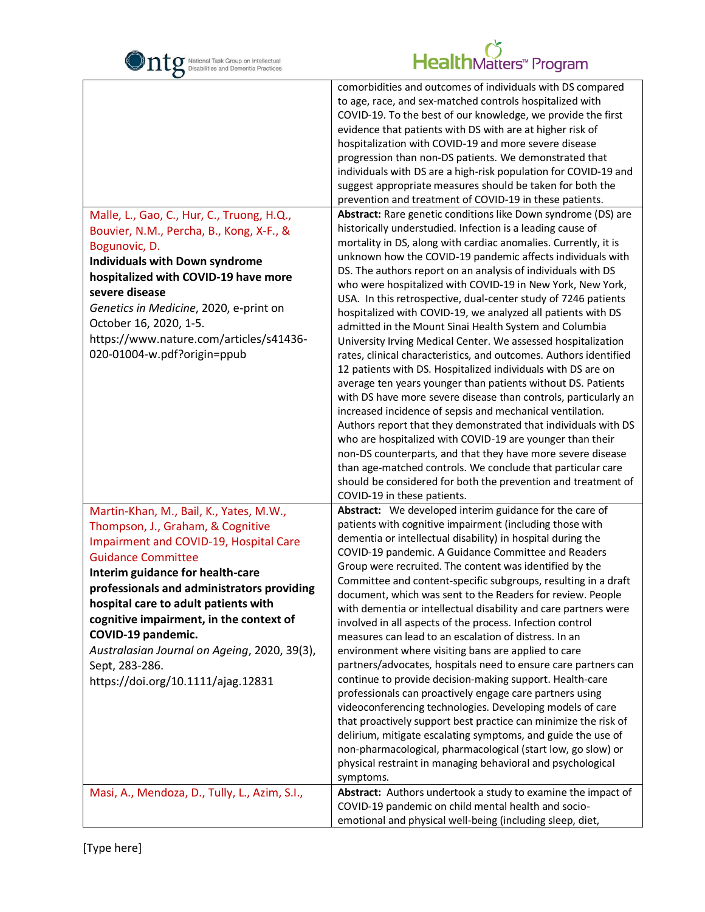

| $\mathbf C$                                                                                                                                                                                                                                                                                                                                                                                                                                                                                             |                                                                                                                                                                                                                                                                                                                                                                                                                                                                                                                                                                                                                                                                                                                                                                                                                                                                                                                                                                                                                                                                                                                                                                                                                                                                                            |
|---------------------------------------------------------------------------------------------------------------------------------------------------------------------------------------------------------------------------------------------------------------------------------------------------------------------------------------------------------------------------------------------------------------------------------------------------------------------------------------------------------|--------------------------------------------------------------------------------------------------------------------------------------------------------------------------------------------------------------------------------------------------------------------------------------------------------------------------------------------------------------------------------------------------------------------------------------------------------------------------------------------------------------------------------------------------------------------------------------------------------------------------------------------------------------------------------------------------------------------------------------------------------------------------------------------------------------------------------------------------------------------------------------------------------------------------------------------------------------------------------------------------------------------------------------------------------------------------------------------------------------------------------------------------------------------------------------------------------------------------------------------------------------------------------------------|
| Malle, L., Gao, C., Hur, C., Truong, H.Q.,                                                                                                                                                                                                                                                                                                                                                                                                                                                              | comorbidities and outcomes of individuals with DS compared<br>to age, race, and sex-matched controls hospitalized with<br>COVID-19. To the best of our knowledge, we provide the first<br>evidence that patients with DS with are at higher risk of<br>hospitalization with COVID-19 and more severe disease<br>progression than non-DS patients. We demonstrated that<br>individuals with DS are a high-risk population for COVID-19 and<br>suggest appropriate measures should be taken for both the<br>prevention and treatment of COVID-19 in these patients.<br>Abstract: Rare genetic conditions like Down syndrome (DS) are                                                                                                                                                                                                                                                                                                                                                                                                                                                                                                                                                                                                                                                         |
| Bouvier, N.M., Percha, B., Kong, X-F., &<br>Bogunovic, D.<br><b>Individuals with Down syndrome</b><br>hospitalized with COVID-19 have more<br>severe disease<br>Genetics in Medicine, 2020, e-print on<br>October 16, 2020, 1-5.<br>https://www.nature.com/articles/s41436-<br>020-01004-w.pdf?origin=ppub                                                                                                                                                                                              | historically understudied. Infection is a leading cause of<br>mortality in DS, along with cardiac anomalies. Currently, it is<br>unknown how the COVID-19 pandemic affects individuals with<br>DS. The authors report on an analysis of individuals with DS<br>who were hospitalized with COVID-19 in New York, New York,<br>USA. In this retrospective, dual-center study of 7246 patients<br>hospitalized with COVID-19, we analyzed all patients with DS<br>admitted in the Mount Sinai Health System and Columbia<br>University Irving Medical Center. We assessed hospitalization<br>rates, clinical characteristics, and outcomes. Authors identified<br>12 patients with DS. Hospitalized individuals with DS are on<br>average ten years younger than patients without DS. Patients<br>with DS have more severe disease than controls, particularly an<br>increased incidence of sepsis and mechanical ventilation.<br>Authors report that they demonstrated that individuals with DS<br>who are hospitalized with COVID-19 are younger than their<br>non-DS counterparts, and that they have more severe disease<br>than age-matched controls. We conclude that particular care<br>should be considered for both the prevention and treatment of<br>COVID-19 in these patients.   |
| Martin-Khan, M., Bail, K., Yates, M.W.,<br>Thompson, J., Graham, & Cognitive<br>Impairment and COVID-19, Hospital Care<br><b>Guidance Committee</b><br>Interim guidance for health-care<br>professionals and administrators providing<br>hospital care to adult patients with<br>cognitive impairment, in the context of<br>COVID-19 pandemic.<br>Australasian Journal on Ageing, 2020, 39(3),<br>Sept, 283-286.<br>https://doi.org/10.1111/ajag.12831<br>Masi, A., Mendoza, D., Tully, L., Azim, S.I., | Abstract: We developed interim guidance for the care of<br>patients with cognitive impairment (including those with<br>dementia or intellectual disability) in hospital during the<br>COVID-19 pandemic. A Guidance Committee and Readers<br>Group were recruited. The content was identified by the<br>Committee and content-specific subgroups, resulting in a draft<br>document, which was sent to the Readers for review. People<br>with dementia or intellectual disability and care partners were<br>involved in all aspects of the process. Infection control<br>measures can lead to an escalation of distress. In an<br>environment where visiting bans are applied to care<br>partners/advocates, hospitals need to ensure care partners can<br>continue to provide decision-making support. Health-care<br>professionals can proactively engage care partners using<br>videoconferencing technologies. Developing models of care<br>that proactively support best practice can minimize the risk of<br>delirium, mitigate escalating symptoms, and guide the use of<br>non-pharmacological, pharmacological (start low, go slow) or<br>physical restraint in managing behavioral and psychological<br>symptoms.<br>Abstract: Authors undertook a study to examine the impact of |
|                                                                                                                                                                                                                                                                                                                                                                                                                                                                                                         | COVID-19 pandemic on child mental health and socio-<br>emotional and physical well-being (including sleep, diet,                                                                                                                                                                                                                                                                                                                                                                                                                                                                                                                                                                                                                                                                                                                                                                                                                                                                                                                                                                                                                                                                                                                                                                           |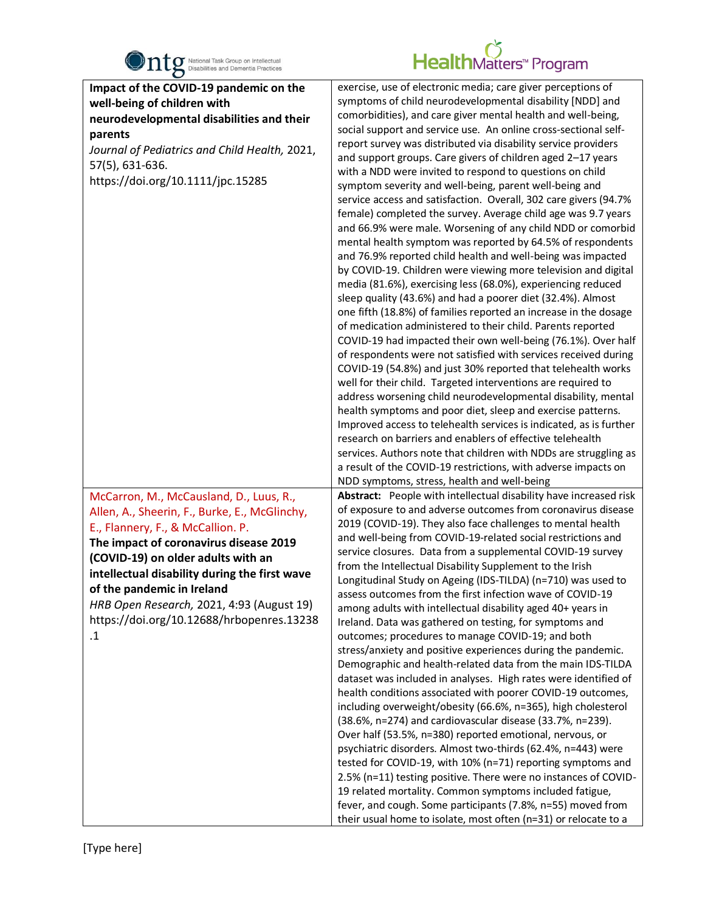

| $\bullet$                                                             |                                                                                                                                    |
|-----------------------------------------------------------------------|------------------------------------------------------------------------------------------------------------------------------------|
| Impact of the COVID-19 pandemic on the<br>well-being of children with | exercise, use of electronic media; care giver perceptions of<br>symptoms of child neurodevelopmental disability [NDD] and          |
| neurodevelopmental disabilities and their                             | comorbidities), and care giver mental health and well-being,                                                                       |
|                                                                       | social support and service use. An online cross-sectional self-                                                                    |
| parents                                                               | report survey was distributed via disability service providers                                                                     |
| Journal of Pediatrics and Child Health, 2021,                         | and support groups. Care givers of children aged 2-17 years                                                                        |
| 57(5), 631-636.                                                       | with a NDD were invited to respond to questions on child                                                                           |
| https://doi.org/10.1111/jpc.15285                                     | symptom severity and well-being, parent well-being and                                                                             |
|                                                                       | service access and satisfaction. Overall, 302 care givers (94.7%                                                                   |
|                                                                       | female) completed the survey. Average child age was 9.7 years                                                                      |
|                                                                       | and 66.9% were male. Worsening of any child NDD or comorbid                                                                        |
|                                                                       |                                                                                                                                    |
|                                                                       | mental health symptom was reported by 64.5% of respondents<br>and 76.9% reported child health and well-being was impacted          |
|                                                                       |                                                                                                                                    |
|                                                                       | by COVID-19. Children were viewing more television and digital                                                                     |
|                                                                       | media (81.6%), exercising less (68.0%), experiencing reduced                                                                       |
|                                                                       | sleep quality (43.6%) and had a poorer diet (32.4%). Almost                                                                        |
|                                                                       | one fifth (18.8%) of families reported an increase in the dosage                                                                   |
|                                                                       | of medication administered to their child. Parents reported                                                                        |
|                                                                       | COVID-19 had impacted their own well-being (76.1%). Over half                                                                      |
|                                                                       | of respondents were not satisfied with services received during                                                                    |
|                                                                       | COVID-19 (54.8%) and just 30% reported that telehealth works                                                                       |
|                                                                       | well for their child. Targeted interventions are required to                                                                       |
|                                                                       | address worsening child neurodevelopmental disability, mental                                                                      |
|                                                                       | health symptoms and poor diet, sleep and exercise patterns.                                                                        |
|                                                                       | Improved access to telehealth services is indicated, as is further                                                                 |
|                                                                       | research on barriers and enablers of effective telehealth                                                                          |
|                                                                       | services. Authors note that children with NDDs are struggling as<br>a result of the COVID-19 restrictions, with adverse impacts on |
|                                                                       | NDD symptoms, stress, health and well-being                                                                                        |
| McCarron, M., McCausland, D., Luus, R.,                               | Abstract: People with intellectual disability have increased risk                                                                  |
|                                                                       | of exposure to and adverse outcomes from coronavirus disease                                                                       |
| Allen, A., Sheerin, F., Burke, E., McGlinchy,                         | 2019 (COVID-19). They also face challenges to mental health                                                                        |
| E., Flannery, F., & McCallion. P.                                     | and well-being from COVID-19-related social restrictions and                                                                       |
| The impact of coronavirus disease 2019                                | service closures. Data from a supplemental COVID-19 survey                                                                         |
| (COVID-19) on older adults with an                                    | from the Intellectual Disability Supplement to the Irish                                                                           |
| intellectual disability during the first wave                         | Longitudinal Study on Ageing (IDS-TILDA) (n=710) was used to                                                                       |
| of the pandemic in Ireland                                            | assess outcomes from the first infection wave of COVID-19                                                                          |
| HRB Open Research, 2021, 4:93 (August 19)                             | among adults with intellectual disability aged 40+ years in                                                                        |
| https://doi.org/10.12688/hrbopenres.13238                             | Ireland. Data was gathered on testing, for symptoms and                                                                            |
| $\cdot$ 1                                                             | outcomes; procedures to manage COVID-19; and both                                                                                  |
|                                                                       | stress/anxiety and positive experiences during the pandemic.                                                                       |
|                                                                       | Demographic and health-related data from the main IDS-TILDA                                                                        |
|                                                                       | dataset was included in analyses. High rates were identified of                                                                    |
|                                                                       | health conditions associated with poorer COVID-19 outcomes,                                                                        |
|                                                                       | including overweight/obesity (66.6%, n=365), high cholesterol                                                                      |
|                                                                       | (38.6%, n=274) and cardiovascular disease (33.7%, n=239).                                                                          |
|                                                                       | Over half (53.5%, n=380) reported emotional, nervous, or                                                                           |
|                                                                       | psychiatric disorders. Almost two-thirds (62.4%, n=443) were                                                                       |
|                                                                       | tested for COVID-19, with 10% (n=71) reporting symptoms and                                                                        |
|                                                                       | 2.5% (n=11) testing positive. There were no instances of COVID-                                                                    |
|                                                                       | 19 related mortality. Common symptoms included fatigue,                                                                            |
|                                                                       | fever, and cough. Some participants (7.8%, n=55) moved from                                                                        |
|                                                                       | their usual home to isolate, most often (n=31) or relocate to a                                                                    |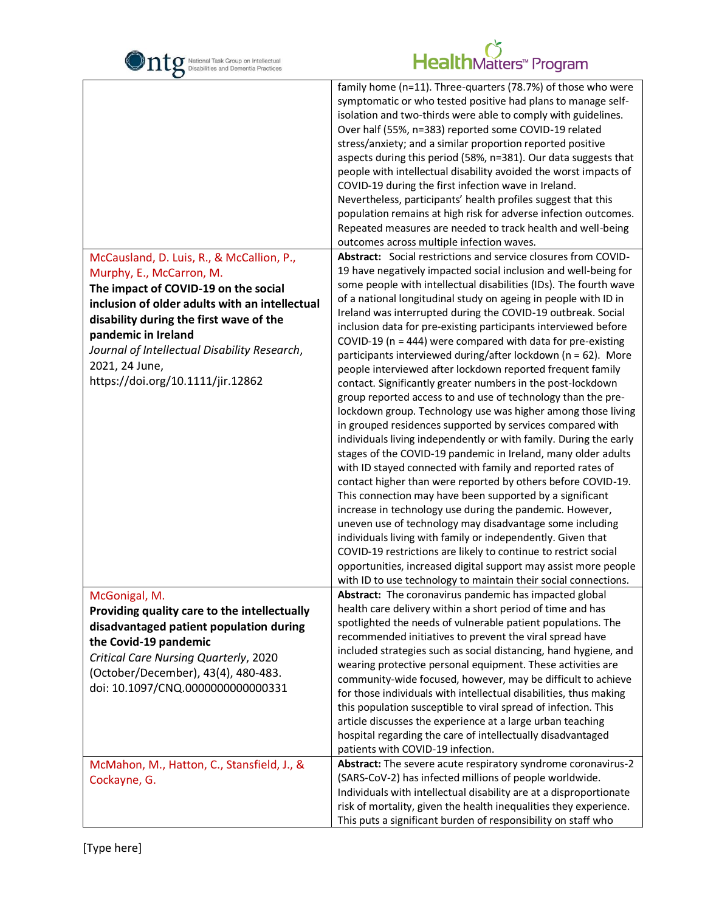| National Task Group on Intellectual<br>Disabilities and Dementia Practices                                                                                                                                                                                                                                                               | HealthMatters <sup>*</sup> Program                                                                                                                                                                                                                                                                                                                                                                                                                                                                                                                                                                                                                                                                                                                                                                                                                                                                                                                                                                                                                                                                                                                                                                                                                                                                                                                                                                                                                                                                                                                                                                         |
|------------------------------------------------------------------------------------------------------------------------------------------------------------------------------------------------------------------------------------------------------------------------------------------------------------------------------------------|------------------------------------------------------------------------------------------------------------------------------------------------------------------------------------------------------------------------------------------------------------------------------------------------------------------------------------------------------------------------------------------------------------------------------------------------------------------------------------------------------------------------------------------------------------------------------------------------------------------------------------------------------------------------------------------------------------------------------------------------------------------------------------------------------------------------------------------------------------------------------------------------------------------------------------------------------------------------------------------------------------------------------------------------------------------------------------------------------------------------------------------------------------------------------------------------------------------------------------------------------------------------------------------------------------------------------------------------------------------------------------------------------------------------------------------------------------------------------------------------------------------------------------------------------------------------------------------------------------|
|                                                                                                                                                                                                                                                                                                                                          | family home (n=11). Three-quarters (78.7%) of those who were<br>symptomatic or who tested positive had plans to manage self-<br>isolation and two-thirds were able to comply with guidelines.<br>Over half (55%, n=383) reported some COVID-19 related<br>stress/anxiety; and a similar proportion reported positive<br>aspects during this period (58%, n=381). Our data suggests that<br>people with intellectual disability avoided the worst impacts of<br>COVID-19 during the first infection wave in Ireland.<br>Nevertheless, participants' health profiles suggest that this<br>population remains at high risk for adverse infection outcomes.<br>Repeated measures are needed to track health and well-being<br>outcomes across multiple infection waves.                                                                                                                                                                                                                                                                                                                                                                                                                                                                                                                                                                                                                                                                                                                                                                                                                                        |
| McCausland, D. Luis, R., & McCallion, P.,<br>Murphy, E., McCarron, M.<br>The impact of COVID-19 on the social<br>inclusion of older adults with an intellectual<br>disability during the first wave of the<br>pandemic in Ireland<br>Journal of Intellectual Disability Research,<br>2021, 24 June,<br>https://doi.org/10.1111/jir.12862 | Abstract: Social restrictions and service closures from COVID-<br>19 have negatively impacted social inclusion and well-being for<br>some people with intellectual disabilities (IDs). The fourth wave<br>of a national longitudinal study on ageing in people with ID in<br>Ireland was interrupted during the COVID-19 outbreak. Social<br>inclusion data for pre-existing participants interviewed before<br>COVID-19 ( $n = 444$ ) were compared with data for pre-existing<br>participants interviewed during/after lockdown (n = 62). More<br>people interviewed after lockdown reported frequent family<br>contact. Significantly greater numbers in the post-lockdown<br>group reported access to and use of technology than the pre-<br>lockdown group. Technology use was higher among those living<br>in grouped residences supported by services compared with<br>individuals living independently or with family. During the early<br>stages of the COVID-19 pandemic in Ireland, many older adults<br>with ID stayed connected with family and reported rates of<br>contact higher than were reported by others before COVID-19.<br>This connection may have been supported by a significant<br>increase in technology use during the pandemic. However,<br>uneven use of technology may disadvantage some including<br>individuals living with family or independently. Given that<br>COVID-19 restrictions are likely to continue to restrict social<br>opportunities, increased digital support may assist more people<br>with ID to use technology to maintain their social connections. |
| McGonigal, M.<br>Providing quality care to the intellectually<br>disadvantaged patient population during<br>the Covid-19 pandemic<br>Critical Care Nursing Quarterly, 2020<br>(October/December), 43(4), 480-483.<br>doi: 10.1097/CNQ.0000000000000331                                                                                   | Abstract: The coronavirus pandemic has impacted global<br>health care delivery within a short period of time and has<br>spotlighted the needs of vulnerable patient populations. The<br>recommended initiatives to prevent the viral spread have<br>included strategies such as social distancing, hand hygiene, and<br>wearing protective personal equipment. These activities are<br>community-wide focused, however, may be difficult to achieve<br>for those individuals with intellectual disabilities, thus making<br>this population susceptible to viral spread of infection. This<br>article discusses the experience at a large urban teaching<br>hospital regarding the care of intellectually disadvantaged<br>patients with COVID-19 infection.                                                                                                                                                                                                                                                                                                                                                                                                                                                                                                                                                                                                                                                                                                                                                                                                                                               |
| McMahon, M., Hatton, C., Stansfield, J., &<br>Cockayne, G.                                                                                                                                                                                                                                                                               | Abstract: The severe acute respiratory syndrome coronavirus-2<br>(SARS-CoV-2) has infected millions of people worldwide.<br>Individuals with intellectual disability are at a disproportionate<br>risk of mortality, given the health inequalities they experience.<br>This puts a significant burden of responsibility on staff who                                                                                                                                                                                                                                                                                                                                                                                                                                                                                                                                                                                                                                                                                                                                                                                                                                                                                                                                                                                                                                                                                                                                                                                                                                                                       |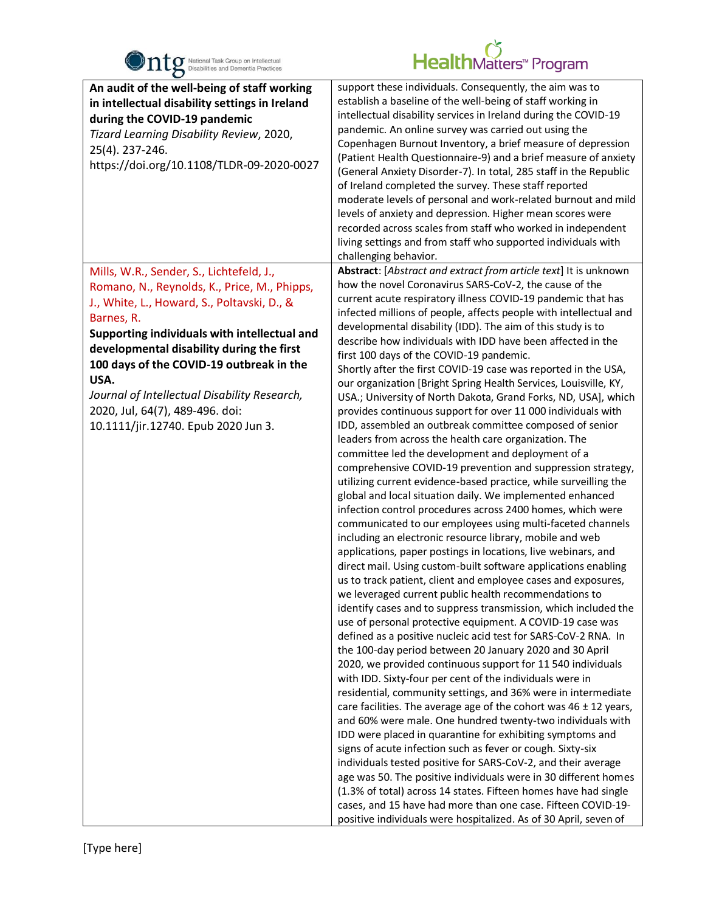

| $\bullet$                                                                                                                                                                                                                                                                                                                                                                                                                        |                                                                                                                                                                                                                                                                                                                                                                                                                                                                                                                                                                                                                                                                                                                                                                                                                                                                                                                                                                                                                                                                                                                                                                                                                                                                                                                                                                                                                                                                                                                                                                                                                                                                                                                                                                                                                                                                                                                                                                                                                                                                                                                                                                                                                                                                                                                                                                                                                                                                                                                                                                                                                       |
|----------------------------------------------------------------------------------------------------------------------------------------------------------------------------------------------------------------------------------------------------------------------------------------------------------------------------------------------------------------------------------------------------------------------------------|-----------------------------------------------------------------------------------------------------------------------------------------------------------------------------------------------------------------------------------------------------------------------------------------------------------------------------------------------------------------------------------------------------------------------------------------------------------------------------------------------------------------------------------------------------------------------------------------------------------------------------------------------------------------------------------------------------------------------------------------------------------------------------------------------------------------------------------------------------------------------------------------------------------------------------------------------------------------------------------------------------------------------------------------------------------------------------------------------------------------------------------------------------------------------------------------------------------------------------------------------------------------------------------------------------------------------------------------------------------------------------------------------------------------------------------------------------------------------------------------------------------------------------------------------------------------------------------------------------------------------------------------------------------------------------------------------------------------------------------------------------------------------------------------------------------------------------------------------------------------------------------------------------------------------------------------------------------------------------------------------------------------------------------------------------------------------------------------------------------------------------------------------------------------------------------------------------------------------------------------------------------------------------------------------------------------------------------------------------------------------------------------------------------------------------------------------------------------------------------------------------------------------------------------------------------------------------------------------------------------------|
| An audit of the well-being of staff working<br>in intellectual disability settings in Ireland<br>during the COVID-19 pandemic<br>Tizard Learning Disability Review, 2020,<br>25(4). 237-246.<br>https://doi.org/10.1108/TLDR-09-2020-0027                                                                                                                                                                                        | support these individuals. Consequently, the aim was to<br>establish a baseline of the well-being of staff working in<br>intellectual disability services in Ireland during the COVID-19<br>pandemic. An online survey was carried out using the<br>Copenhagen Burnout Inventory, a brief measure of depression<br>(Patient Health Questionnaire-9) and a brief measure of anxiety<br>(General Anxiety Disorder-7). In total, 285 staff in the Republic<br>of Ireland completed the survey. These staff reported<br>moderate levels of personal and work-related burnout and mild<br>levels of anxiety and depression. Higher mean scores were<br>recorded across scales from staff who worked in independent<br>living settings and from staff who supported individuals with<br>challenging behavior.                                                                                                                                                                                                                                                                                                                                                                                                                                                                                                                                                                                                                                                                                                                                                                                                                                                                                                                                                                                                                                                                                                                                                                                                                                                                                                                                                                                                                                                                                                                                                                                                                                                                                                                                                                                                               |
| Mills, W.R., Sender, S., Lichtefeld, J.,<br>Romano, N., Reynolds, K., Price, M., Phipps,<br>J., White, L., Howard, S., Poltavski, D., &<br>Barnes, R.<br>Supporting individuals with intellectual and<br>developmental disability during the first<br>100 days of the COVID-19 outbreak in the<br>USA.<br>Journal of Intellectual Disability Research,<br>2020, Jul, 64(7), 489-496. doi:<br>10.1111/jir.12740. Epub 2020 Jun 3. | Abstract: [Abstract and extract from article text] It is unknown<br>how the novel Coronavirus SARS-CoV-2, the cause of the<br>current acute respiratory illness COVID-19 pandemic that has<br>infected millions of people, affects people with intellectual and<br>developmental disability (IDD). The aim of this study is to<br>describe how individuals with IDD have been affected in the<br>first 100 days of the COVID-19 pandemic.<br>Shortly after the first COVID-19 case was reported in the USA,<br>our organization [Bright Spring Health Services, Louisville, KY,<br>USA.; University of North Dakota, Grand Forks, ND, USA], which<br>provides continuous support for over 11 000 individuals with<br>IDD, assembled an outbreak committee composed of senior<br>leaders from across the health care organization. The<br>committee led the development and deployment of a<br>comprehensive COVID-19 prevention and suppression strategy,<br>utilizing current evidence-based practice, while surveilling the<br>global and local situation daily. We implemented enhanced<br>infection control procedures across 2400 homes, which were<br>communicated to our employees using multi-faceted channels<br>including an electronic resource library, mobile and web<br>applications, paper postings in locations, live webinars, and<br>direct mail. Using custom-built software applications enabling<br>us to track patient, client and employee cases and exposures,<br>we leveraged current public health recommendations to<br>identify cases and to suppress transmission, which included the<br>use of personal protective equipment. A COVID-19 case was<br>defined as a positive nucleic acid test for SARS-CoV-2 RNA. In<br>the 100-day period between 20 January 2020 and 30 April<br>2020, we provided continuous support for 11 540 individuals<br>with IDD. Sixty-four per cent of the individuals were in<br>residential, community settings, and 36% were in intermediate<br>care facilities. The average age of the cohort was $46 \pm 12$ years,<br>and 60% were male. One hundred twenty-two individuals with<br>IDD were placed in quarantine for exhibiting symptoms and<br>signs of acute infection such as fever or cough. Sixty-six<br>individuals tested positive for SARS-CoV-2, and their average<br>age was 50. The positive individuals were in 30 different homes<br>(1.3% of total) across 14 states. Fifteen homes have had single<br>cases, and 15 have had more than one case. Fifteen COVID-19-<br>positive individuals were hospitalized. As of 30 April, seven of |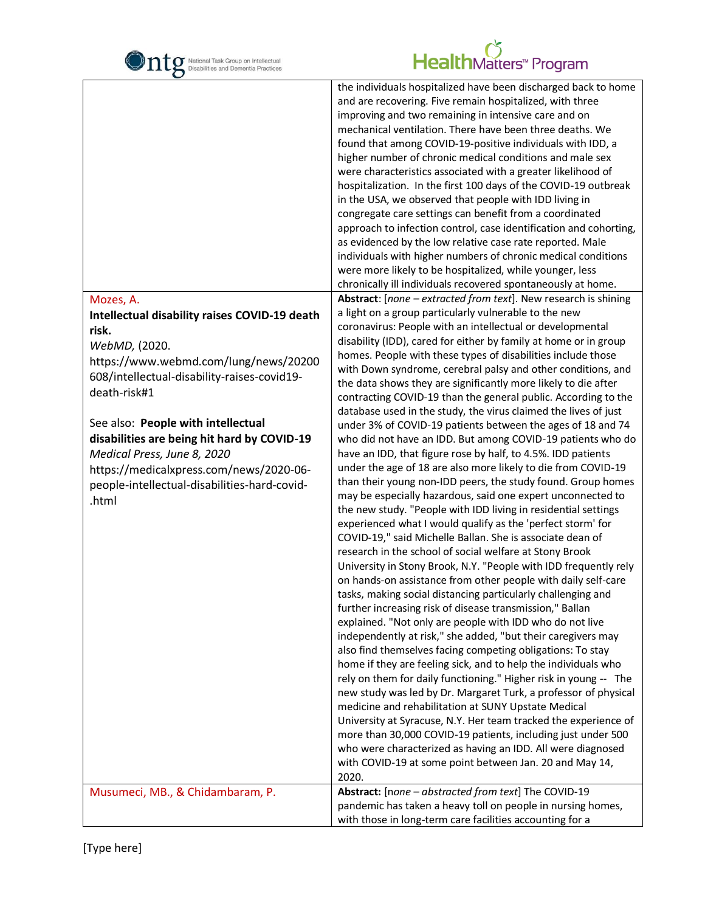

#### latters<sup>™</sup> Program

the individuals hospitalized have been discharged back to home

| Mozes, A.<br>Intellectual disability raises COVID-19 death<br>risk.<br>WebMD, (2020.<br>https://www.webmd.com/lung/news/20200<br>608/intellectual-disability-raises-covid19-<br>death-risk#1<br>See also: People with intellectual<br>disabilities are being hit hard by COVID-19<br>Medical Press, June 8, 2020<br>https://medicalxpress.com/news/2020-06-<br>people-intellectual-disabilities-hard-covid-<br>.html | and are recovering. Five remain hospitalized, with three<br>improving and two remaining in intensive care and on<br>mechanical ventilation. There have been three deaths. We<br>found that among COVID-19-positive individuals with IDD, a<br>higher number of chronic medical conditions and male sex<br>were characteristics associated with a greater likelihood of<br>hospitalization. In the first 100 days of the COVID-19 outbreak<br>in the USA, we observed that people with IDD living in<br>congregate care settings can benefit from a coordinated<br>approach to infection control, case identification and cohorting,<br>as evidenced by the low relative case rate reported. Male<br>individuals with higher numbers of chronic medical conditions<br>were more likely to be hospitalized, while younger, less<br>chronically ill individuals recovered spontaneously at home.<br>Abstract: [none - extracted from text]. New research is shining<br>a light on a group particularly vulnerable to the new<br>coronavirus: People with an intellectual or developmental<br>disability (IDD), cared for either by family at home or in group<br>homes. People with these types of disabilities include those<br>with Down syndrome, cerebral palsy and other conditions, and<br>the data shows they are significantly more likely to die after<br>contracting COVID-19 than the general public. According to the<br>database used in the study, the virus claimed the lives of just<br>under 3% of COVID-19 patients between the ages of 18 and 74<br>who did not have an IDD. But among COVID-19 patients who do<br>have an IDD, that figure rose by half, to 4.5%. IDD patients<br>under the age of 18 are also more likely to die from COVID-19<br>than their young non-IDD peers, the study found. Group homes<br>may be especially hazardous, said one expert unconnected to<br>the new study. "People with IDD living in residential settings<br>experienced what I would qualify as the 'perfect storm' for<br>COVID-19," said Michelle Ballan. She is associate dean of<br>research in the school of social welfare at Stony Brook<br>University in Stony Brook, N.Y. "People with IDD frequently rely<br>on hands-on assistance from other people with daily self-care<br>tasks, making social distancing particularly challenging and<br>further increasing risk of disease transmission," Ballan<br>explained. "Not only are people with IDD who do not live<br>independently at risk," she added, "but their caregivers may<br>also find themselves facing competing obligations: To stay<br>home if they are feeling sick, and to help the individuals who<br>rely on them for daily functioning." Higher risk in young -- The<br>new study was led by Dr. Margaret Turk, a professor of physical<br>medicine and rehabilitation at SUNY Upstate Medical<br>University at Syracuse, N.Y. Her team tracked the experience of<br>more than 30,000 COVID-19 patients, including just under 500<br>who were characterized as having an IDD. All were diagnosed<br>with COVID-19 at some point between Jan. 20 and May 14, |
|----------------------------------------------------------------------------------------------------------------------------------------------------------------------------------------------------------------------------------------------------------------------------------------------------------------------------------------------------------------------------------------------------------------------|--------------------------------------------------------------------------------------------------------------------------------------------------------------------------------------------------------------------------------------------------------------------------------------------------------------------------------------------------------------------------------------------------------------------------------------------------------------------------------------------------------------------------------------------------------------------------------------------------------------------------------------------------------------------------------------------------------------------------------------------------------------------------------------------------------------------------------------------------------------------------------------------------------------------------------------------------------------------------------------------------------------------------------------------------------------------------------------------------------------------------------------------------------------------------------------------------------------------------------------------------------------------------------------------------------------------------------------------------------------------------------------------------------------------------------------------------------------------------------------------------------------------------------------------------------------------------------------------------------------------------------------------------------------------------------------------------------------------------------------------------------------------------------------------------------------------------------------------------------------------------------------------------------------------------------------------------------------------------------------------------------------------------------------------------------------------------------------------------------------------------------------------------------------------------------------------------------------------------------------------------------------------------------------------------------------------------------------------------------------------------------------------------------------------------------------------------------------------------------------------------------------------------------------------------------------------------------------------------------------------------------------------------------------------------------------------------------------------------------------------------------------------------------------------------------------------------------------------------------------------------------------------------------------------------------------------------------------------------------------------------------------------------------------------------------------------------------------------------------------------------------------------------|
| Musumeci, MB., & Chidambaram, P.                                                                                                                                                                                                                                                                                                                                                                                     | 2020.<br>Abstract: [none - abstracted from text] The COVID-19                                                                                                                                                                                                                                                                                                                                                                                                                                                                                                                                                                                                                                                                                                                                                                                                                                                                                                                                                                                                                                                                                                                                                                                                                                                                                                                                                                                                                                                                                                                                                                                                                                                                                                                                                                                                                                                                                                                                                                                                                                                                                                                                                                                                                                                                                                                                                                                                                                                                                                                                                                                                                                                                                                                                                                                                                                                                                                                                                                                                                                                                                    |
|                                                                                                                                                                                                                                                                                                                                                                                                                      | pandemic has taken a heavy toll on people in nursing homes,<br>with those in long-term care facilities accounting for a                                                                                                                                                                                                                                                                                                                                                                                                                                                                                                                                                                                                                                                                                                                                                                                                                                                                                                                                                                                                                                                                                                                                                                                                                                                                                                                                                                                                                                                                                                                                                                                                                                                                                                                                                                                                                                                                                                                                                                                                                                                                                                                                                                                                                                                                                                                                                                                                                                                                                                                                                                                                                                                                                                                                                                                                                                                                                                                                                                                                                          |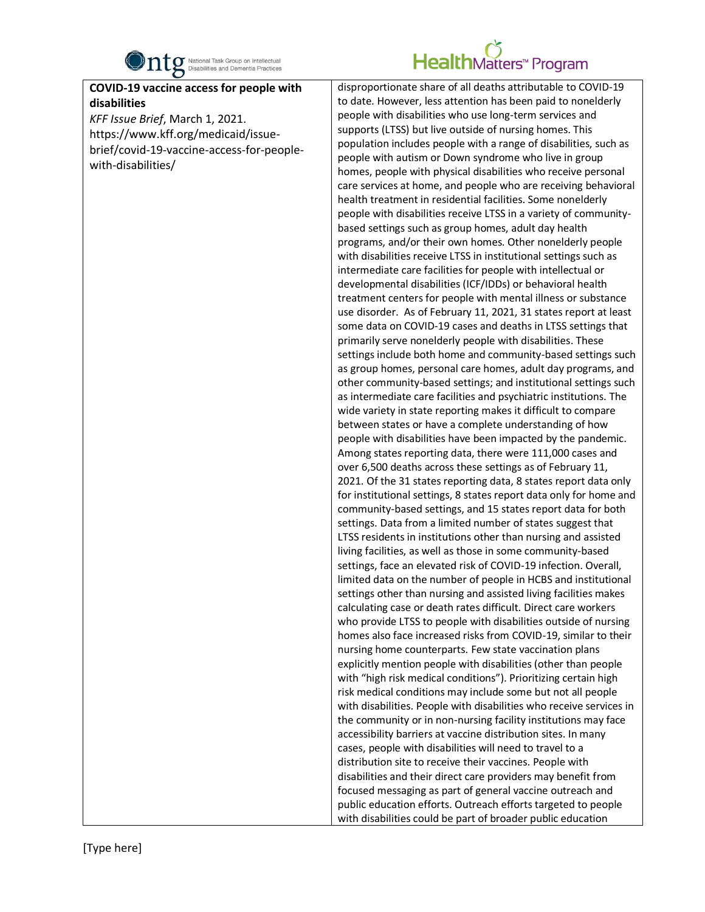

#### **1Matters™ Program**

**COVID-19 vaccine access for people with disabilities**

*KFF Issue Brief*, March 1, 2021. https://www.kff.org/medicaid/issuebrief/covid-19-vaccine-access-for-peoplewith-disabilities/

disproportionate share of all deaths attributable to COVID-19 to date. However, less attention has been paid to nonelderly people with disabilities who use long-term services and supports (LTSS) but live outside of nursing homes. This population includes people with a range of disabilities, such as people with autism or Down syndrome who live in group homes, people with physical disabilities who receive personal care services at home, and people who are receiving behavioral health treatment in residential facilities. Some nonelderly people with disabilities receive LTSS in a variety of communitybased settings such as group homes, adult day health programs, and/or their own homes. Other nonelderly people with disabilities receive LTSS in institutional settings such as intermediate care facilities for people with intellectual or developmental disabilities (ICF/IDDs) or behavioral health treatment centers for people with mental illness or substance use disorder. As of February 11, 2021, 31 states report at least some data on COVID-19 cases and deaths in LTSS settings that primarily serve nonelderly people with disabilities. These settings include both home and community-based settings such as group homes, personal care homes, adult day programs, and other community-based settings; and institutional settings such as intermediate care facilities and psychiatric institutions. The wide variety in state reporting makes it difficult to compare between states or have a complete understanding of how people with disabilities have been impacted by the pandemic. Among states reporting data, there were 111,000 cases and over 6,500 deaths across these settings as of February 11, 2021. Of the 31 states reporting data, 8 states report data only for institutional settings, 8 states report data only for home and community-based settings, and 15 states report data for both settings. Data from a limited number of states suggest that LTSS residents in institutions other than nursing and assisted living facilities, as well as those in some community-based settings, face an elevated risk of COVID-19 infection. Overall, limited data on the number of people in HCBS and institutional settings other than nursing and assisted living facilities makes calculating case or death rates difficult. Direct care workers who provide LTSS to people with disabilities outside of nursing homes also face increased risks from COVID-19, similar to their nursing home counterparts. Few state vaccination plans explicitly mention people with disabilities (other than people with "high risk medical conditions"). Prioritizing certain high risk medical conditions may include some but not all people with disabilities. People with disabilities who receive services in the community or in non-nursing facility institutions may face accessibility barriers at vaccine distribution sites. In many cases, people with disabilities will need to travel to a distribution site to receive their vaccines. People with disabilities and their direct care providers may benefit from focused messaging as part of general vaccine outreach and public education efforts. Outreach efforts targeted to people with disabilities could be part of broader public education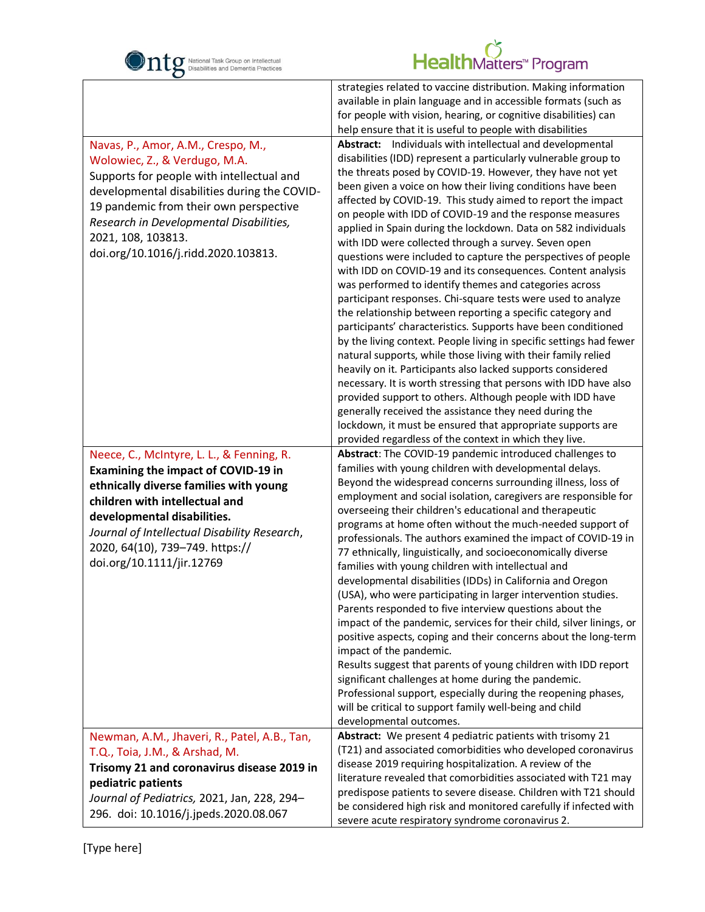

|                                                                                                                                                                                                                                                                                                                    | strategies related to vaccine distribution. Making information<br>available in plain language and in accessible formats (such as<br>for people with vision, hearing, or cognitive disabilities) can<br>help ensure that it is useful to people with disabilities                                                                                                                                                                                                                                                                                                                                                                                                                                                                                                                                                                                                                                                                                                                                                                                                                                                                                                                                                                                                                                                                                                                                                                |
|--------------------------------------------------------------------------------------------------------------------------------------------------------------------------------------------------------------------------------------------------------------------------------------------------------------------|---------------------------------------------------------------------------------------------------------------------------------------------------------------------------------------------------------------------------------------------------------------------------------------------------------------------------------------------------------------------------------------------------------------------------------------------------------------------------------------------------------------------------------------------------------------------------------------------------------------------------------------------------------------------------------------------------------------------------------------------------------------------------------------------------------------------------------------------------------------------------------------------------------------------------------------------------------------------------------------------------------------------------------------------------------------------------------------------------------------------------------------------------------------------------------------------------------------------------------------------------------------------------------------------------------------------------------------------------------------------------------------------------------------------------------|
| Navas, P., Amor, A.M., Crespo, M.,<br>Wolowiec, Z., & Verdugo, M.A.<br>Supports for people with intellectual and<br>developmental disabilities during the COVID-<br>19 pandemic from their own perspective<br>Research in Developmental Disabilities,<br>2021, 108, 103813.<br>doi.org/10.1016/j.ridd.2020.103813. | Abstract: Individuals with intellectual and developmental<br>disabilities (IDD) represent a particularly vulnerable group to<br>the threats posed by COVID-19. However, they have not yet<br>been given a voice on how their living conditions have been<br>affected by COVID-19. This study aimed to report the impact<br>on people with IDD of COVID-19 and the response measures<br>applied in Spain during the lockdown. Data on 582 individuals<br>with IDD were collected through a survey. Seven open<br>questions were included to capture the perspectives of people<br>with IDD on COVID-19 and its consequences. Content analysis<br>was performed to identify themes and categories across<br>participant responses. Chi-square tests were used to analyze<br>the relationship between reporting a specific category and<br>participants' characteristics. Supports have been conditioned<br>by the living context. People living in specific settings had fewer<br>natural supports, while those living with their family relied<br>heavily on it. Participants also lacked supports considered<br>necessary. It is worth stressing that persons with IDD have also<br>provided support to others. Although people with IDD have<br>generally received the assistance they need during the<br>lockdown, it must be ensured that appropriate supports are<br>provided regardless of the context in which they live. |
| Neece, C., McIntyre, L. L., & Fenning, R.<br><b>Examining the impact of COVID-19 in</b><br>ethnically diverse families with young<br>children with intellectual and<br>developmental disabilities.<br>Journal of Intellectual Disability Research,<br>2020, 64(10), 739-749. https://<br>doi.org/10.1111/jir.12769 | Abstract: The COVID-19 pandemic introduced challenges to<br>families with young children with developmental delays.<br>Beyond the widespread concerns surrounding illness, loss of<br>employment and social isolation, caregivers are responsible for<br>overseeing their children's educational and therapeutic<br>programs at home often without the much-needed support of<br>professionals. The authors examined the impact of COVID-19 in<br>77 ethnically, linguistically, and socioeconomically diverse<br>families with young children with intellectual and<br>developmental disabilities (IDDs) in California and Oregon<br>(USA), who were participating in larger intervention studies.<br>Parents responded to five interview questions about the<br>impact of the pandemic, services for their child, silver linings, or<br>positive aspects, coping and their concerns about the long-term<br>impact of the pandemic.<br>Results suggest that parents of young children with IDD report<br>significant challenges at home during the pandemic.<br>Professional support, especially during the reopening phases,<br>will be critical to support family well-being and child<br>developmental outcomes.                                                                                                                                                                                                            |
| Newman, A.M., Jhaveri, R., Patel, A.B., Tan,<br>T.Q., Toia, J.M., & Arshad, M.<br>Trisomy 21 and coronavirus disease 2019 in<br>pediatric patients<br>Journal of Pediatrics, 2021, Jan, 228, 294-<br>296. doi: 10.1016/j.jpeds.2020.08.067                                                                         | Abstract: We present 4 pediatric patients with trisomy 21<br>(T21) and associated comorbidities who developed coronavirus<br>disease 2019 requiring hospitalization. A review of the<br>literature revealed that comorbidities associated with T21 may<br>predispose patients to severe disease. Children with T21 should<br>be considered high risk and monitored carefully if infected with<br>severe acute respiratory syndrome coronavirus 2.                                                                                                                                                                                                                                                                                                                                                                                                                                                                                                                                                                                                                                                                                                                                                                                                                                                                                                                                                                               |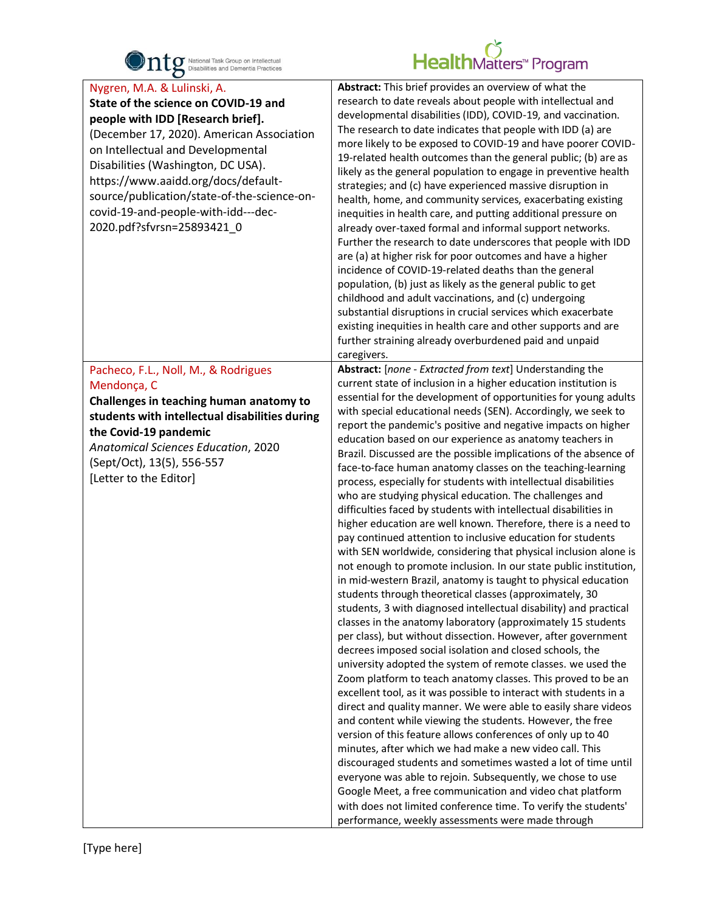

| $\bullet$                                                                                                                                                                                                                                                                                                                                                                                   |                                                                                                                                                                                                                                                                                                                                                                                                                                                                                                                                                                                                                                                                                                                                                                                                                                                                                                                                                                                                                                                                                                                                                                                                                                                                                                                                                                                                                                                                                                                                                                                                                                                                                                                                                                                                                                                                                                                                                                                                                                                                                                                                                                                              |
|---------------------------------------------------------------------------------------------------------------------------------------------------------------------------------------------------------------------------------------------------------------------------------------------------------------------------------------------------------------------------------------------|----------------------------------------------------------------------------------------------------------------------------------------------------------------------------------------------------------------------------------------------------------------------------------------------------------------------------------------------------------------------------------------------------------------------------------------------------------------------------------------------------------------------------------------------------------------------------------------------------------------------------------------------------------------------------------------------------------------------------------------------------------------------------------------------------------------------------------------------------------------------------------------------------------------------------------------------------------------------------------------------------------------------------------------------------------------------------------------------------------------------------------------------------------------------------------------------------------------------------------------------------------------------------------------------------------------------------------------------------------------------------------------------------------------------------------------------------------------------------------------------------------------------------------------------------------------------------------------------------------------------------------------------------------------------------------------------------------------------------------------------------------------------------------------------------------------------------------------------------------------------------------------------------------------------------------------------------------------------------------------------------------------------------------------------------------------------------------------------------------------------------------------------------------------------------------------------|
| Nygren, M.A. & Lulinski, A.<br>State of the science on COVID-19 and<br>people with IDD [Research brief].<br>(December 17, 2020). American Association<br>on Intellectual and Developmental<br>Disabilities (Washington, DC USA).<br>https://www.aaidd.org/docs/default-<br>source/publication/state-of-the-science-on-<br>covid-19-and-people-with-idd---dec-<br>2020.pdf?sfvrsn=25893421 0 | Abstract: This brief provides an overview of what the<br>research to date reveals about people with intellectual and<br>developmental disabilities (IDD), COVID-19, and vaccination.<br>The research to date indicates that people with IDD (a) are<br>more likely to be exposed to COVID-19 and have poorer COVID-<br>19-related health outcomes than the general public; (b) are as<br>likely as the general population to engage in preventive health<br>strategies; and (c) have experienced massive disruption in<br>health, home, and community services, exacerbating existing<br>inequities in health care, and putting additional pressure on<br>already over-taxed formal and informal support networks.<br>Further the research to date underscores that people with IDD<br>are (a) at higher risk for poor outcomes and have a higher<br>incidence of COVID-19-related deaths than the general<br>population, (b) just as likely as the general public to get<br>childhood and adult vaccinations, and (c) undergoing<br>substantial disruptions in crucial services which exacerbate<br>existing inequities in health care and other supports and are<br>further straining already overburdened paid and unpaid<br>caregivers.                                                                                                                                                                                                                                                                                                                                                                                                                                                                                                                                                                                                                                                                                                                                                                                                                                                                                                                                                  |
| Pacheco, F.L., Noll, M., & Rodrigues<br>Mendonça, C<br>Challenges in teaching human anatomy to<br>students with intellectual disabilities during<br>the Covid-19 pandemic<br>Anatomical Sciences Education, 2020<br>(Sept/Oct), 13(5), 556-557<br>[Letter to the Editor]                                                                                                                    | Abstract: [none - Extracted from text] Understanding the<br>current state of inclusion in a higher education institution is<br>essential for the development of opportunities for young adults<br>with special educational needs (SEN). Accordingly, we seek to<br>report the pandemic's positive and negative impacts on higher<br>education based on our experience as anatomy teachers in<br>Brazil. Discussed are the possible implications of the absence of<br>face-to-face human anatomy classes on the teaching-learning<br>process, especially for students with intellectual disabilities<br>who are studying physical education. The challenges and<br>difficulties faced by students with intellectual disabilities in<br>higher education are well known. Therefore, there is a need to<br>pay continued attention to inclusive education for students<br>with SEN worldwide, considering that physical inclusion alone is<br>not enough to promote inclusion. In our state public institution,<br>in mid-western Brazil, anatomy is taught to physical education<br>students through theoretical classes (approximately, 30<br>students, 3 with diagnosed intellectual disability) and practical<br>classes in the anatomy laboratory (approximately 15 students<br>per class), but without dissection. However, after government<br>decrees imposed social isolation and closed schools, the<br>university adopted the system of remote classes. we used the<br>Zoom platform to teach anatomy classes. This proved to be an<br>excellent tool, as it was possible to interact with students in a<br>direct and quality manner. We were able to easily share videos<br>and content while viewing the students. However, the free<br>version of this feature allows conferences of only up to 40<br>minutes, after which we had make a new video call. This<br>discouraged students and sometimes wasted a lot of time until<br>everyone was able to rejoin. Subsequently, we chose to use<br>Google Meet, a free communication and video chat platform<br>with does not limited conference time. To verify the students'<br>performance, weekly assessments were made through |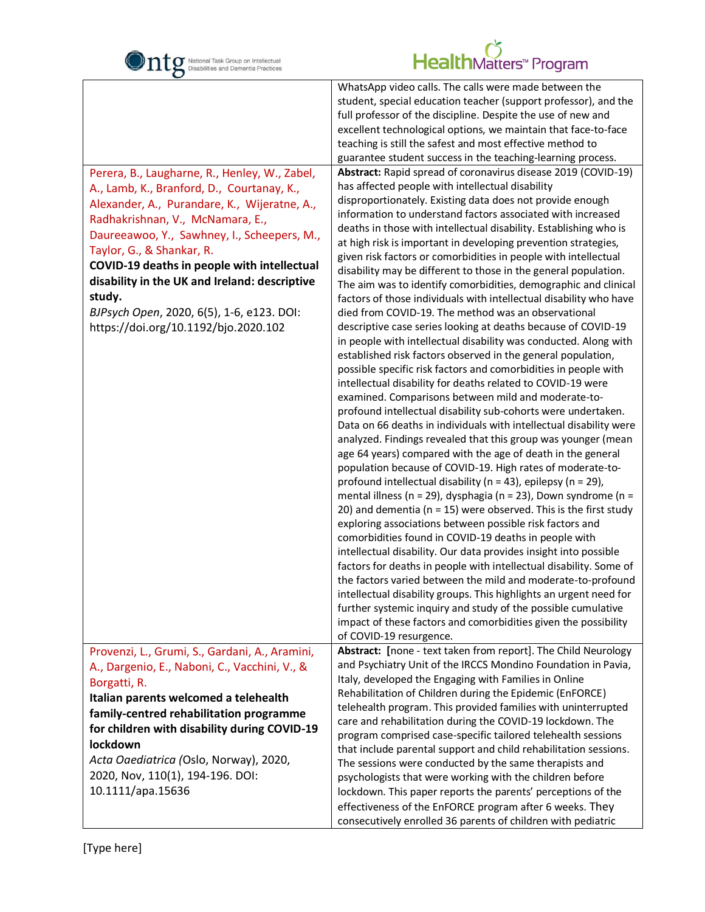

| O                                                                                                                                                                                                                                                                                                                                                                                                                                                          |                                                                                                                                                                                                                                                                                                                                                                                                                                                                                                                                                                                                                                                                                                                                                                                                                                                                                                                                                                                                                                                                                                                                                                                                                                                                                                                                                                                                                                                                                                                                                                                                                                                                                                                                                                                                                                                                                                                                                                                                                                                                                                                                                                                                                                                                                                                                                                                                                                                                                                                                                                                                                                                 |
|------------------------------------------------------------------------------------------------------------------------------------------------------------------------------------------------------------------------------------------------------------------------------------------------------------------------------------------------------------------------------------------------------------------------------------------------------------|-------------------------------------------------------------------------------------------------------------------------------------------------------------------------------------------------------------------------------------------------------------------------------------------------------------------------------------------------------------------------------------------------------------------------------------------------------------------------------------------------------------------------------------------------------------------------------------------------------------------------------------------------------------------------------------------------------------------------------------------------------------------------------------------------------------------------------------------------------------------------------------------------------------------------------------------------------------------------------------------------------------------------------------------------------------------------------------------------------------------------------------------------------------------------------------------------------------------------------------------------------------------------------------------------------------------------------------------------------------------------------------------------------------------------------------------------------------------------------------------------------------------------------------------------------------------------------------------------------------------------------------------------------------------------------------------------------------------------------------------------------------------------------------------------------------------------------------------------------------------------------------------------------------------------------------------------------------------------------------------------------------------------------------------------------------------------------------------------------------------------------------------------------------------------------------------------------------------------------------------------------------------------------------------------------------------------------------------------------------------------------------------------------------------------------------------------------------------------------------------------------------------------------------------------------------------------------------------------------------------------------------------------|
| Perera, B., Laugharne, R., Henley, W., Zabel,<br>A., Lamb, K., Branford, D., Courtanay, K.,<br>Alexander, A., Purandare, K., Wijeratne, A.,<br>Radhakrishnan, V., McNamara, E.,<br>Daureeawoo, Y., Sawhney, I., Scheepers, M.,<br>Taylor, G., & Shankar, R.<br>COVID-19 deaths in people with intellectual<br>disability in the UK and Ireland: descriptive<br>study.<br>BJPsych Open, 2020, 6(5), 1-6, e123. DOI:<br>https://doi.org/10.1192/bjo.2020.102 | WhatsApp video calls. The calls were made between the<br>student, special education teacher (support professor), and the<br>full professor of the discipline. Despite the use of new and<br>excellent technological options, we maintain that face-to-face<br>teaching is still the safest and most effective method to<br>guarantee student success in the teaching-learning process.<br>Abstract: Rapid spread of coronavirus disease 2019 (COVID-19)<br>has affected people with intellectual disability<br>disproportionately. Existing data does not provide enough<br>information to understand factors associated with increased<br>deaths in those with intellectual disability. Establishing who is<br>at high risk is important in developing prevention strategies,<br>given risk factors or comorbidities in people with intellectual<br>disability may be different to those in the general population.<br>The aim was to identify comorbidities, demographic and clinical<br>factors of those individuals with intellectual disability who have<br>died from COVID-19. The method was an observational<br>descriptive case series looking at deaths because of COVID-19<br>in people with intellectual disability was conducted. Along with<br>established risk factors observed in the general population,<br>possible specific risk factors and comorbidities in people with<br>intellectual disability for deaths related to COVID-19 were<br>examined. Comparisons between mild and moderate-to-<br>profound intellectual disability sub-cohorts were undertaken.<br>Data on 66 deaths in individuals with intellectual disability were<br>analyzed. Findings revealed that this group was younger (mean<br>age 64 years) compared with the age of death in the general<br>population because of COVID-19. High rates of moderate-to-<br>profound intellectual disability ( $n = 43$ ), epilepsy ( $n = 29$ ),<br>mental illness (n = 29), dysphagia (n = 23), Down syndrome (n =<br>20) and dementia ( $n = 15$ ) were observed. This is the first study<br>exploring associations between possible risk factors and<br>comorbidities found in COVID-19 deaths in people with<br>intellectual disability. Our data provides insight into possible<br>factors for deaths in people with intellectual disability. Some of<br>the factors varied between the mild and moderate-to-profound<br>intellectual disability groups. This highlights an urgent need for<br>further systemic inquiry and study of the possible cumulative<br>impact of these factors and comorbidities given the possibility<br>of COVID-19 resurgence. |
| Provenzi, L., Grumi, S., Gardani, A., Aramini,<br>A., Dargenio, E., Naboni, C., Vacchini, V., &<br>Borgatti, R.<br>Italian parents welcomed a telehealth<br>family-centred rehabilitation programme<br>for children with disability during COVID-19<br>lockdown<br>Acta Oaediatrica (Oslo, Norway), 2020,<br>2020, Nov, 110(1), 194-196. DOI:<br>10.1111/apa.15636                                                                                         | Abstract: [none - text taken from report]. The Child Neurology<br>and Psychiatry Unit of the IRCCS Mondino Foundation in Pavia,<br>Italy, developed the Engaging with Families in Online<br>Rehabilitation of Children during the Epidemic (EnFORCE)<br>telehealth program. This provided families with uninterrupted<br>care and rehabilitation during the COVID-19 lockdown. The<br>program comprised case-specific tailored telehealth sessions<br>that include parental support and child rehabilitation sessions.<br>The sessions were conducted by the same therapists and<br>psychologists that were working with the children before<br>lockdown. This paper reports the parents' perceptions of the<br>effectiveness of the EnFORCE program after 6 weeks. They<br>consecutively enrolled 36 parents of children with pediatric                                                                                                                                                                                                                                                                                                                                                                                                                                                                                                                                                                                                                                                                                                                                                                                                                                                                                                                                                                                                                                                                                                                                                                                                                                                                                                                                                                                                                                                                                                                                                                                                                                                                                                                                                                                                        |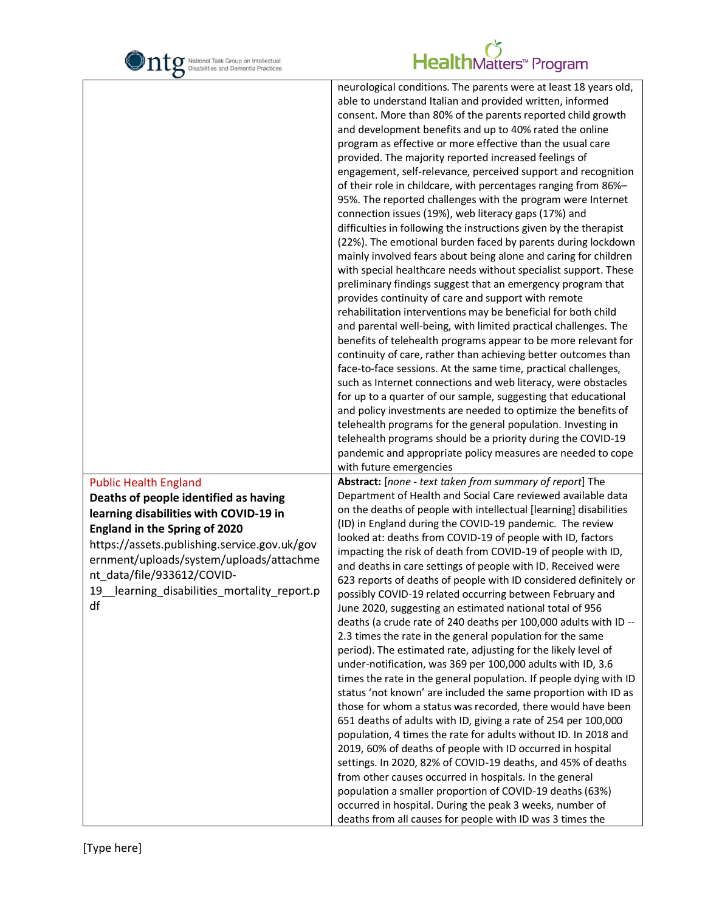

| O                                                                                                                                                                                                                                                                                                                                     |                                                                                                                                                                                                                                                                                                                                                                                                                                                                                                                                                                                                                                                                                                                                                                                                                                                                                                                                                                                                                                                                                                                                                                                                                                                                                                                                                                                                                                                                                                                                                                                                                                                                                                                                                                                                                   |
|---------------------------------------------------------------------------------------------------------------------------------------------------------------------------------------------------------------------------------------------------------------------------------------------------------------------------------------|-------------------------------------------------------------------------------------------------------------------------------------------------------------------------------------------------------------------------------------------------------------------------------------------------------------------------------------------------------------------------------------------------------------------------------------------------------------------------------------------------------------------------------------------------------------------------------------------------------------------------------------------------------------------------------------------------------------------------------------------------------------------------------------------------------------------------------------------------------------------------------------------------------------------------------------------------------------------------------------------------------------------------------------------------------------------------------------------------------------------------------------------------------------------------------------------------------------------------------------------------------------------------------------------------------------------------------------------------------------------------------------------------------------------------------------------------------------------------------------------------------------------------------------------------------------------------------------------------------------------------------------------------------------------------------------------------------------------------------------------------------------------------------------------------------------------|
|                                                                                                                                                                                                                                                                                                                                       | neurological conditions. The parents were at least 18 years old,<br>able to understand Italian and provided written, informed<br>consent. More than 80% of the parents reported child growth<br>and development benefits and up to 40% rated the online<br>program as effective or more effective than the usual care<br>provided. The majority reported increased feelings of<br>engagement, self-relevance, perceived support and recognition<br>of their role in childcare, with percentages ranging from 86%-<br>95%. The reported challenges with the program were Internet<br>connection issues (19%), web literacy gaps (17%) and<br>difficulties in following the instructions given by the therapist<br>(22%). The emotional burden faced by parents during lockdown<br>mainly involved fears about being alone and caring for children<br>with special healthcare needs without specialist support. These<br>preliminary findings suggest that an emergency program that<br>provides continuity of care and support with remote<br>rehabilitation interventions may be beneficial for both child<br>and parental well-being, with limited practical challenges. The<br>benefits of telehealth programs appear to be more relevant for<br>continuity of care, rather than achieving better outcomes than<br>face-to-face sessions. At the same time, practical challenges,<br>such as Internet connections and web literacy, were obstacles<br>for up to a quarter of our sample, suggesting that educational<br>and policy investments are needed to optimize the benefits of<br>telehealth programs for the general population. Investing in<br>telehealth programs should be a priority during the COVID-19<br>pandemic and appropriate policy measures are needed to cope<br>with future emergencies |
| <b>Public Health England</b><br>Deaths of people identified as having<br>learning disabilities with COVID-19 in<br><b>England in the Spring of 2020</b><br>https://assets.publishing.service.gov.uk/gov<br>ernment/uploads/system/uploads/attachme<br>nt_data/file/933612/COVID-<br>19_learning_disabilities_mortality_report.p<br>df | Abstract: [none - text taken from summary of report] The<br>Department of Health and Social Care reviewed available data<br>on the deaths of people with intellectual [learning] disabilities<br>(ID) in England during the COVID-19 pandemic. The review<br>looked at: deaths from COVID-19 of people with ID, factors<br>impacting the risk of death from COVID-19 of people with ID,<br>and deaths in care settings of people with ID. Received were<br>623 reports of deaths of people with ID considered definitely or<br>possibly COVID-19 related occurring between February and<br>June 2020, suggesting an estimated national total of 956<br>deaths (a crude rate of 240 deaths per 100,000 adults with ID --<br>2.3 times the rate in the general population for the same<br>period). The estimated rate, adjusting for the likely level of<br>under-notification, was 369 per 100,000 adults with ID, 3.6<br>times the rate in the general population. If people dying with ID<br>status 'not known' are included the same proportion with ID as<br>those for whom a status was recorded, there would have been<br>651 deaths of adults with ID, giving a rate of 254 per 100,000<br>population, 4 times the rate for adults without ID. In 2018 and<br>2019, 60% of deaths of people with ID occurred in hospital<br>settings. In 2020, 82% of COVID-19 deaths, and 45% of deaths<br>from other causes occurred in hospitals. In the general<br>population a smaller proportion of COVID-19 deaths (63%)<br>occurred in hospital. During the peak 3 weeks, number of<br>deaths from all causes for people with ID was 3 times the                                                                                                                                                                    |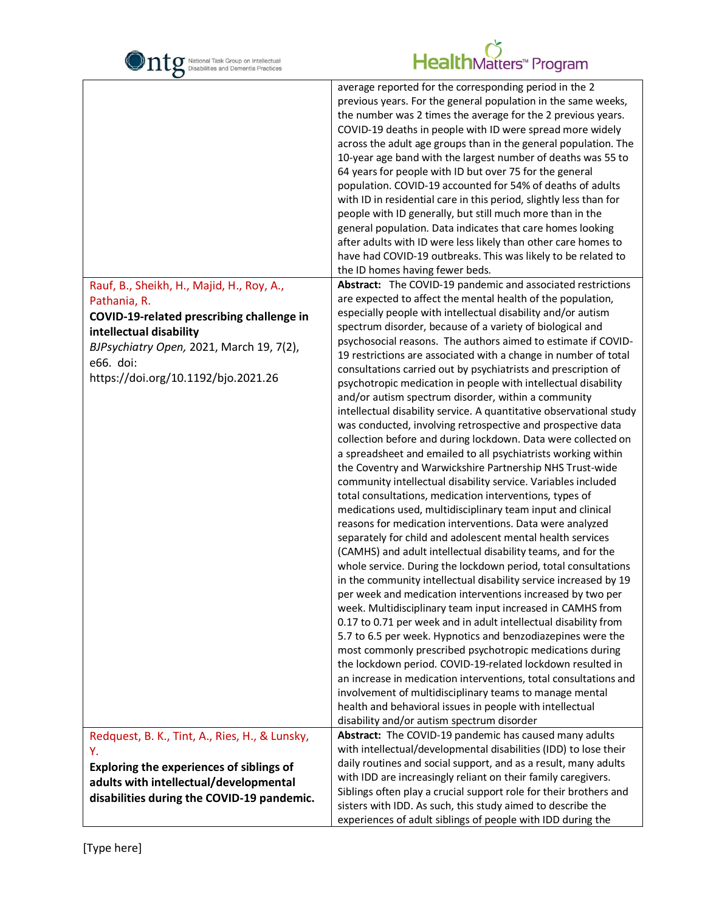| National Task Group on Intellectual<br>Disabilities and Dementia Practices                                                                                                                                                        | HealthMatters <sup>™</sup> Program                                                                                                                                                                                                                                                                                                                                                                                                                                                                                                                                                                                                                                                                                                                                                                                                                                                                                                                                                                                                              |
|-----------------------------------------------------------------------------------------------------------------------------------------------------------------------------------------------------------------------------------|-------------------------------------------------------------------------------------------------------------------------------------------------------------------------------------------------------------------------------------------------------------------------------------------------------------------------------------------------------------------------------------------------------------------------------------------------------------------------------------------------------------------------------------------------------------------------------------------------------------------------------------------------------------------------------------------------------------------------------------------------------------------------------------------------------------------------------------------------------------------------------------------------------------------------------------------------------------------------------------------------------------------------------------------------|
|                                                                                                                                                                                                                                   | average reported for the corresponding period in the 2<br>previous years. For the general population in the same weeks,<br>the number was 2 times the average for the 2 previous years.<br>COVID-19 deaths in people with ID were spread more widely<br>across the adult age groups than in the general population. The<br>10-year age band with the largest number of deaths was 55 to<br>64 years for people with ID but over 75 for the general<br>population. COVID-19 accounted for 54% of deaths of adults<br>with ID in residential care in this period, slightly less than for<br>people with ID generally, but still much more than in the<br>general population. Data indicates that care homes looking<br>after adults with ID were less likely than other care homes to<br>have had COVID-19 outbreaks. This was likely to be related to<br>the ID homes having fewer beds.                                                                                                                                                         |
| Rauf, B., Sheikh, H., Majid, H., Roy, A.,<br>Pathania, R.<br>COVID-19-related prescribing challenge in<br>intellectual disability<br>BJPsychiatry Open, 2021, March 19, 7(2),<br>e66. doi:<br>https://doi.org/10.1192/bjo.2021.26 | Abstract: The COVID-19 pandemic and associated restrictions<br>are expected to affect the mental health of the population,<br>especially people with intellectual disability and/or autism<br>spectrum disorder, because of a variety of biological and<br>psychosocial reasons. The authors aimed to estimate if COVID-<br>19 restrictions are associated with a change in number of total<br>consultations carried out by psychiatrists and prescription of<br>psychotropic medication in people with intellectual disability<br>and/or autism spectrum disorder, within a community<br>intellectual disability service. A quantitative observational study<br>was conducted, involving retrospective and prospective data<br>collection before and during lockdown. Data were collected on<br>a spreadsheet and emailed to all psychiatrists working within                                                                                                                                                                                  |
|                                                                                                                                                                                                                                   | the Coventry and Warwickshire Partnership NHS Trust-wide<br>community intellectual disability service. Variables included<br>total consultations, medication interventions, types of<br>medications used, multidisciplinary team input and clinical<br>reasons for medication interventions. Data were analyzed<br>separately for child and adolescent mental health services<br>(CAMHS) and adult intellectual disability teams, and for the<br>whole service. During the lockdown period, total consultations<br>in the community intellectual disability service increased by 19<br>per week and medication interventions increased by two per<br>week. Multidisciplinary team input increased in CAMHS from<br>0.17 to 0.71 per week and in adult intellectual disability from<br>5.7 to 6.5 per week. Hypnotics and benzodiazepines were the<br>most commonly prescribed psychotropic medications during<br>the lockdown period. COVID-19-related lockdown resulted in<br>an increase in medication interventions, total consultations and |
| Redquest, B. K., Tint, A., Ries, H., & Lunsky,                                                                                                                                                                                    | involvement of multidisciplinary teams to manage mental<br>health and behavioral issues in people with intellectual<br>disability and/or autism spectrum disorder<br>Abstract: The COVID-19 pandemic has caused many adults                                                                                                                                                                                                                                                                                                                                                                                                                                                                                                                                                                                                                                                                                                                                                                                                                     |
| Υ.<br><b>Exploring the experiences of siblings of</b><br>adults with intellectual/developmental<br>disabilities during the COVID-19 pandemic.                                                                                     | with intellectual/developmental disabilities (IDD) to lose their<br>daily routines and social support, and as a result, many adults<br>with IDD are increasingly reliant on their family caregivers.<br>Siblings often play a crucial support role for their brothers and<br>sisters with IDD. As such, this study aimed to describe the<br>experiences of adult siblings of people with IDD during the                                                                                                                                                                                                                                                                                                                                                                                                                                                                                                                                                                                                                                         |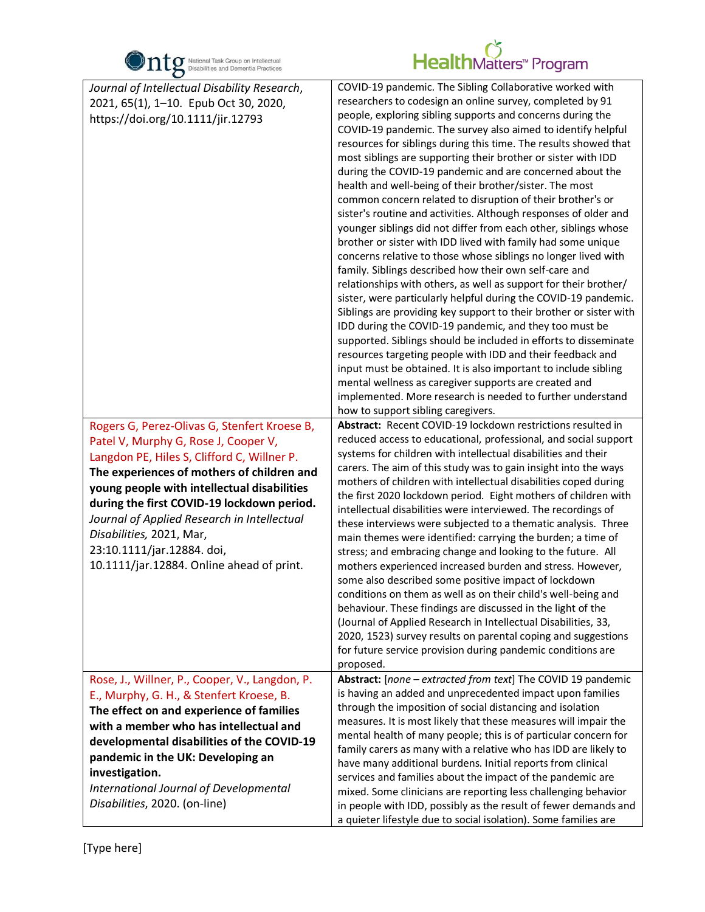

| O                                                                                                                                                                                                                                                                                                                                                                                                                                                                                                                                                                  |                                                                                                                                                                                                                                                                                                                                                                                                                                                                                                                                                                                                                                                                                                                                                                                                                                                                                                                                                                                                                                                                                                                                                                                                                                                                                                                                                                                                                                                                                                                                                                                                                                                                                                                                                                                                                                                                                                                                                                                                                                                                                                                                                                                                                                                                                                                                                                                                                                                                                                                                                                                                                              |
|--------------------------------------------------------------------------------------------------------------------------------------------------------------------------------------------------------------------------------------------------------------------------------------------------------------------------------------------------------------------------------------------------------------------------------------------------------------------------------------------------------------------------------------------------------------------|------------------------------------------------------------------------------------------------------------------------------------------------------------------------------------------------------------------------------------------------------------------------------------------------------------------------------------------------------------------------------------------------------------------------------------------------------------------------------------------------------------------------------------------------------------------------------------------------------------------------------------------------------------------------------------------------------------------------------------------------------------------------------------------------------------------------------------------------------------------------------------------------------------------------------------------------------------------------------------------------------------------------------------------------------------------------------------------------------------------------------------------------------------------------------------------------------------------------------------------------------------------------------------------------------------------------------------------------------------------------------------------------------------------------------------------------------------------------------------------------------------------------------------------------------------------------------------------------------------------------------------------------------------------------------------------------------------------------------------------------------------------------------------------------------------------------------------------------------------------------------------------------------------------------------------------------------------------------------------------------------------------------------------------------------------------------------------------------------------------------------------------------------------------------------------------------------------------------------------------------------------------------------------------------------------------------------------------------------------------------------------------------------------------------------------------------------------------------------------------------------------------------------------------------------------------------------------------------------------------------------|
| Journal of Intellectual Disability Research,<br>2021, 65(1), 1-10. Epub Oct 30, 2020,<br>https://doi.org/10.1111/jir.12793<br>Rogers G, Perez-Olivas G, Stenfert Kroese B,<br>Patel V, Murphy G, Rose J, Cooper V,<br>Langdon PE, Hiles S, Clifford C, Willner P.<br>The experiences of mothers of children and<br>young people with intellectual disabilities<br>during the first COVID-19 lockdown period.<br>Journal of Applied Research in Intellectual<br>Disabilities, 2021, Mar,<br>23:10.1111/jar.12884. doi,<br>10.1111/jar.12884. Online ahead of print. | COVID-19 pandemic. The Sibling Collaborative worked with<br>researchers to codesign an online survey, completed by 91<br>people, exploring sibling supports and concerns during the<br>COVID-19 pandemic. The survey also aimed to identify helpful<br>resources for siblings during this time. The results showed that<br>most siblings are supporting their brother or sister with IDD<br>during the COVID-19 pandemic and are concerned about the<br>health and well-being of their brother/sister. The most<br>common concern related to disruption of their brother's or<br>sister's routine and activities. Although responses of older and<br>younger siblings did not differ from each other, siblings whose<br>brother or sister with IDD lived with family had some unique<br>concerns relative to those whose siblings no longer lived with<br>family. Siblings described how their own self-care and<br>relationships with others, as well as support for their brother/<br>sister, were particularly helpful during the COVID-19 pandemic.<br>Siblings are providing key support to their brother or sister with<br>IDD during the COVID-19 pandemic, and they too must be<br>supported. Siblings should be included in efforts to disseminate<br>resources targeting people with IDD and their feedback and<br>input must be obtained. It is also important to include sibling<br>mental wellness as caregiver supports are created and<br>implemented. More research is needed to further understand<br>how to support sibling caregivers.<br>Abstract: Recent COVID-19 lockdown restrictions resulted in<br>reduced access to educational, professional, and social support<br>systems for children with intellectual disabilities and their<br>carers. The aim of this study was to gain insight into the ways<br>mothers of children with intellectual disabilities coped during<br>the first 2020 lockdown period. Eight mothers of children with<br>intellectual disabilities were interviewed. The recordings of<br>these interviews were subjected to a thematic analysis. Three<br>main themes were identified: carrying the burden; a time of<br>stress; and embracing change and looking to the future. All<br>mothers experienced increased burden and stress. However,<br>some also described some positive impact of lockdown<br>conditions on them as well as on their child's well-being and<br>behaviour. These findings are discussed in the light of the<br>(Journal of Applied Research in Intellectual Disabilities, 33,<br>2020, 1523) survey results on parental coping and suggestions |
|                                                                                                                                                                                                                                                                                                                                                                                                                                                                                                                                                                    | for future service provision during pandemic conditions are<br>proposed.                                                                                                                                                                                                                                                                                                                                                                                                                                                                                                                                                                                                                                                                                                                                                                                                                                                                                                                                                                                                                                                                                                                                                                                                                                                                                                                                                                                                                                                                                                                                                                                                                                                                                                                                                                                                                                                                                                                                                                                                                                                                                                                                                                                                                                                                                                                                                                                                                                                                                                                                                     |
| Rose, J., Willner, P., Cooper, V., Langdon, P.<br>E., Murphy, G. H., & Stenfert Kroese, B.<br>The effect on and experience of families<br>with a member who has intellectual and<br>developmental disabilities of the COVID-19<br>pandemic in the UK: Developing an<br>investigation.<br>International Journal of Developmental<br>Disabilities, 2020. (on-line)                                                                                                                                                                                                   | Abstract: [none - extracted from text] The COVID 19 pandemic<br>is having an added and unprecedented impact upon families<br>through the imposition of social distancing and isolation<br>measures. It is most likely that these measures will impair the<br>mental health of many people; this is of particular concern for<br>family carers as many with a relative who has IDD are likely to<br>have many additional burdens. Initial reports from clinical<br>services and families about the impact of the pandemic are<br>mixed. Some clinicians are reporting less challenging behavior<br>in people with IDD, possibly as the result of fewer demands and<br>a quieter lifestyle due to social isolation). Some families are                                                                                                                                                                                                                                                                                                                                                                                                                                                                                                                                                                                                                                                                                                                                                                                                                                                                                                                                                                                                                                                                                                                                                                                                                                                                                                                                                                                                                                                                                                                                                                                                                                                                                                                                                                                                                                                                                         |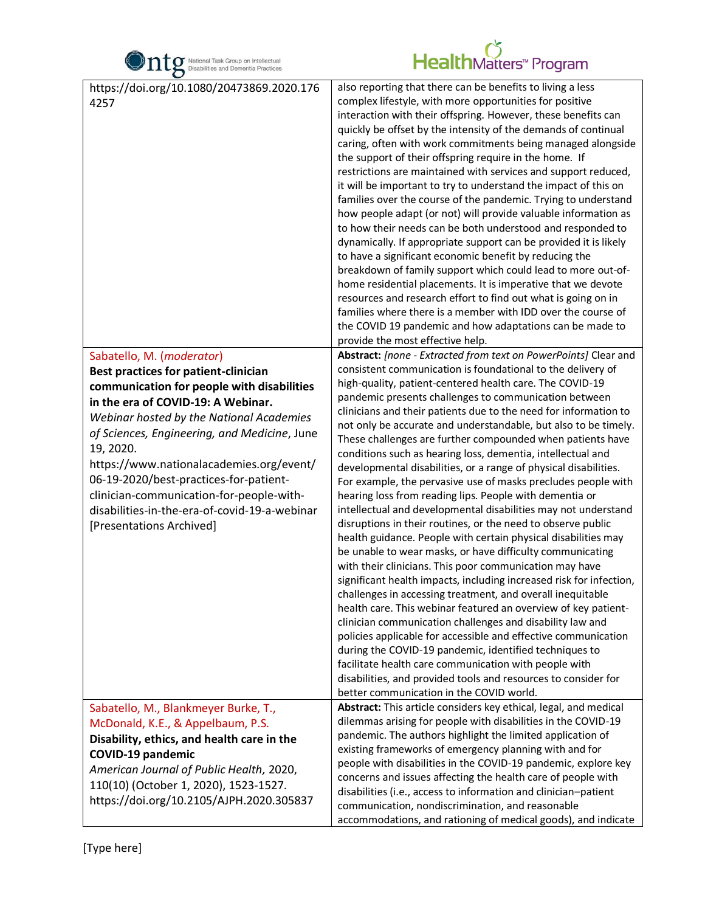

| $\bullet$                                         |                                                                                                                                                                                                                                                                                                                                                                                                                                                                                                                                                                                                                                                                                                                                                                                                                                                                                                                                                                                                                                                                                                                                                                                                                         |
|---------------------------------------------------|-------------------------------------------------------------------------------------------------------------------------------------------------------------------------------------------------------------------------------------------------------------------------------------------------------------------------------------------------------------------------------------------------------------------------------------------------------------------------------------------------------------------------------------------------------------------------------------------------------------------------------------------------------------------------------------------------------------------------------------------------------------------------------------------------------------------------------------------------------------------------------------------------------------------------------------------------------------------------------------------------------------------------------------------------------------------------------------------------------------------------------------------------------------------------------------------------------------------------|
| https://doi.org/10.1080/20473869.2020.176<br>4257 | also reporting that there can be benefits to living a less<br>complex lifestyle, with more opportunities for positive<br>interaction with their offspring. However, these benefits can<br>quickly be offset by the intensity of the demands of continual<br>caring, often with work commitments being managed alongside<br>the support of their offspring require in the home. If<br>restrictions are maintained with services and support reduced,<br>it will be important to try to understand the impact of this on<br>families over the course of the pandemic. Trying to understand<br>how people adapt (or not) will provide valuable information as<br>to how their needs can be both understood and responded to<br>dynamically. If appropriate support can be provided it is likely<br>to have a significant economic benefit by reducing the<br>breakdown of family support which could lead to more out-of-<br>home residential placements. It is imperative that we devote<br>resources and research effort to find out what is going on in<br>families where there is a member with IDD over the course of<br>the COVID 19 pandemic and how adaptations can be made to<br>provide the most effective help. |
|                                                   |                                                                                                                                                                                                                                                                                                                                                                                                                                                                                                                                                                                                                                                                                                                                                                                                                                                                                                                                                                                                                                                                                                                                                                                                                         |
| Sabatello, M. (moderator)                         | Abstract: [none - Extracted from text on PowerPoints] Clear and                                                                                                                                                                                                                                                                                                                                                                                                                                                                                                                                                                                                                                                                                                                                                                                                                                                                                                                                                                                                                                                                                                                                                         |
| <b>Best practices for patient-clinician</b>       | consistent communication is foundational to the delivery of<br>high-quality, patient-centered health care. The COVID-19                                                                                                                                                                                                                                                                                                                                                                                                                                                                                                                                                                                                                                                                                                                                                                                                                                                                                                                                                                                                                                                                                                 |
| communication for people with disabilities        | pandemic presents challenges to communication between                                                                                                                                                                                                                                                                                                                                                                                                                                                                                                                                                                                                                                                                                                                                                                                                                                                                                                                                                                                                                                                                                                                                                                   |
| in the era of COVID-19: A Webinar.                | clinicians and their patients due to the need for information to                                                                                                                                                                                                                                                                                                                                                                                                                                                                                                                                                                                                                                                                                                                                                                                                                                                                                                                                                                                                                                                                                                                                                        |
| Webinar hosted by the National Academies          | not only be accurate and understandable, but also to be timely.                                                                                                                                                                                                                                                                                                                                                                                                                                                                                                                                                                                                                                                                                                                                                                                                                                                                                                                                                                                                                                                                                                                                                         |
| of Sciences, Engineering, and Medicine, June      | These challenges are further compounded when patients have                                                                                                                                                                                                                                                                                                                                                                                                                                                                                                                                                                                                                                                                                                                                                                                                                                                                                                                                                                                                                                                                                                                                                              |
| 19, 2020.                                         | conditions such as hearing loss, dementia, intellectual and                                                                                                                                                                                                                                                                                                                                                                                                                                                                                                                                                                                                                                                                                                                                                                                                                                                                                                                                                                                                                                                                                                                                                             |
| https://www.nationalacademies.org/event/          | developmental disabilities, or a range of physical disabilities.                                                                                                                                                                                                                                                                                                                                                                                                                                                                                                                                                                                                                                                                                                                                                                                                                                                                                                                                                                                                                                                                                                                                                        |
| 06-19-2020/best-practices-for-patient-            | For example, the pervasive use of masks precludes people with                                                                                                                                                                                                                                                                                                                                                                                                                                                                                                                                                                                                                                                                                                                                                                                                                                                                                                                                                                                                                                                                                                                                                           |
| clinician-communication-for-people-with-          | hearing loss from reading lips. People with dementia or                                                                                                                                                                                                                                                                                                                                                                                                                                                                                                                                                                                                                                                                                                                                                                                                                                                                                                                                                                                                                                                                                                                                                                 |
| disabilities-in-the-era-of-covid-19-a-webinar     | intellectual and developmental disabilities may not understand                                                                                                                                                                                                                                                                                                                                                                                                                                                                                                                                                                                                                                                                                                                                                                                                                                                                                                                                                                                                                                                                                                                                                          |
| [Presentations Archived]                          | disruptions in their routines, or the need to observe public                                                                                                                                                                                                                                                                                                                                                                                                                                                                                                                                                                                                                                                                                                                                                                                                                                                                                                                                                                                                                                                                                                                                                            |
|                                                   | health guidance. People with certain physical disabilities may                                                                                                                                                                                                                                                                                                                                                                                                                                                                                                                                                                                                                                                                                                                                                                                                                                                                                                                                                                                                                                                                                                                                                          |
|                                                   | be unable to wear masks, or have difficulty communicating<br>with their clinicians. This poor communication may have                                                                                                                                                                                                                                                                                                                                                                                                                                                                                                                                                                                                                                                                                                                                                                                                                                                                                                                                                                                                                                                                                                    |
|                                                   | significant health impacts, including increased risk for infection,                                                                                                                                                                                                                                                                                                                                                                                                                                                                                                                                                                                                                                                                                                                                                                                                                                                                                                                                                                                                                                                                                                                                                     |
|                                                   | challenges in accessing treatment, and overall inequitable                                                                                                                                                                                                                                                                                                                                                                                                                                                                                                                                                                                                                                                                                                                                                                                                                                                                                                                                                                                                                                                                                                                                                              |
|                                                   | health care. This webinar featured an overview of key patient-                                                                                                                                                                                                                                                                                                                                                                                                                                                                                                                                                                                                                                                                                                                                                                                                                                                                                                                                                                                                                                                                                                                                                          |
|                                                   | clinician communication challenges and disability law and                                                                                                                                                                                                                                                                                                                                                                                                                                                                                                                                                                                                                                                                                                                                                                                                                                                                                                                                                                                                                                                                                                                                                               |
|                                                   | policies applicable for accessible and effective communication                                                                                                                                                                                                                                                                                                                                                                                                                                                                                                                                                                                                                                                                                                                                                                                                                                                                                                                                                                                                                                                                                                                                                          |
|                                                   | during the COVID-19 pandemic, identified techniques to                                                                                                                                                                                                                                                                                                                                                                                                                                                                                                                                                                                                                                                                                                                                                                                                                                                                                                                                                                                                                                                                                                                                                                  |
|                                                   | facilitate health care communication with people with                                                                                                                                                                                                                                                                                                                                                                                                                                                                                                                                                                                                                                                                                                                                                                                                                                                                                                                                                                                                                                                                                                                                                                   |
|                                                   | disabilities, and provided tools and resources to consider for                                                                                                                                                                                                                                                                                                                                                                                                                                                                                                                                                                                                                                                                                                                                                                                                                                                                                                                                                                                                                                                                                                                                                          |
|                                                   | better communication in the COVID world.                                                                                                                                                                                                                                                                                                                                                                                                                                                                                                                                                                                                                                                                                                                                                                                                                                                                                                                                                                                                                                                                                                                                                                                |
| Sabatello, M., Blankmeyer Burke, T.,              | Abstract: This article considers key ethical, legal, and medical                                                                                                                                                                                                                                                                                                                                                                                                                                                                                                                                                                                                                                                                                                                                                                                                                                                                                                                                                                                                                                                                                                                                                        |
| McDonald, K.E., & Appelbaum, P.S.                 | dilemmas arising for people with disabilities in the COVID-19                                                                                                                                                                                                                                                                                                                                                                                                                                                                                                                                                                                                                                                                                                                                                                                                                                                                                                                                                                                                                                                                                                                                                           |
| Disability, ethics, and health care in the        | pandemic. The authors highlight the limited application of                                                                                                                                                                                                                                                                                                                                                                                                                                                                                                                                                                                                                                                                                                                                                                                                                                                                                                                                                                                                                                                                                                                                                              |
| <b>COVID-19 pandemic</b>                          | existing frameworks of emergency planning with and for<br>people with disabilities in the COVID-19 pandemic, explore key                                                                                                                                                                                                                                                                                                                                                                                                                                                                                                                                                                                                                                                                                                                                                                                                                                                                                                                                                                                                                                                                                                |
| American Journal of Public Health, 2020,          | concerns and issues affecting the health care of people with                                                                                                                                                                                                                                                                                                                                                                                                                                                                                                                                                                                                                                                                                                                                                                                                                                                                                                                                                                                                                                                                                                                                                            |
| 110(10) (October 1, 2020), 1523-1527.             | disabilities (i.e., access to information and clinician-patient                                                                                                                                                                                                                                                                                                                                                                                                                                                                                                                                                                                                                                                                                                                                                                                                                                                                                                                                                                                                                                                                                                                                                         |
| https://doi.org/10.2105/AJPH.2020.305837          | communication, nondiscrimination, and reasonable                                                                                                                                                                                                                                                                                                                                                                                                                                                                                                                                                                                                                                                                                                                                                                                                                                                                                                                                                                                                                                                                                                                                                                        |
|                                                   | accommodations, and rationing of medical goods), and indicate                                                                                                                                                                                                                                                                                                                                                                                                                                                                                                                                                                                                                                                                                                                                                                                                                                                                                                                                                                                                                                                                                                                                                           |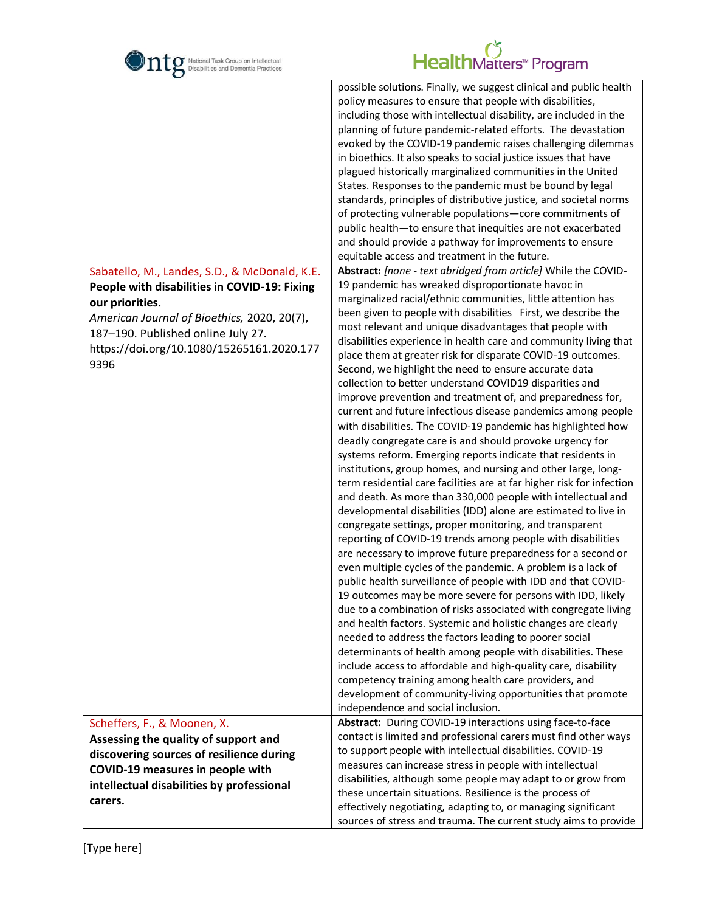| National Task Group on Intellectual<br>Disabilities and Dementia Practices                                                                                                                                | HealthMatters <sup>*</sup> Program                                                                                                                                                                                                                                                                                                                                                                                                                                                                                                                                                                                                                                                                                                                                                                                                                                                                                                                                                                                                                                                                                                                                                                                                                                                                                                                                                                                                                                                                                                                                      |
|-----------------------------------------------------------------------------------------------------------------------------------------------------------------------------------------------------------|-------------------------------------------------------------------------------------------------------------------------------------------------------------------------------------------------------------------------------------------------------------------------------------------------------------------------------------------------------------------------------------------------------------------------------------------------------------------------------------------------------------------------------------------------------------------------------------------------------------------------------------------------------------------------------------------------------------------------------------------------------------------------------------------------------------------------------------------------------------------------------------------------------------------------------------------------------------------------------------------------------------------------------------------------------------------------------------------------------------------------------------------------------------------------------------------------------------------------------------------------------------------------------------------------------------------------------------------------------------------------------------------------------------------------------------------------------------------------------------------------------------------------------------------------------------------------|
|                                                                                                                                                                                                           | possible solutions. Finally, we suggest clinical and public health<br>policy measures to ensure that people with disabilities,<br>including those with intellectual disability, are included in the<br>planning of future pandemic-related efforts. The devastation<br>evoked by the COVID-19 pandemic raises challenging dilemmas<br>in bioethics. It also speaks to social justice issues that have<br>plagued historically marginalized communities in the United<br>States. Responses to the pandemic must be bound by legal<br>standards, principles of distributive justice, and societal norms<br>of protecting vulnerable populations-core commitments of<br>public health-to ensure that inequities are not exacerbated<br>and should provide a pathway for improvements to ensure<br>equitable access and treatment in the future.                                                                                                                                                                                                                                                                                                                                                                                                                                                                                                                                                                                                                                                                                                                            |
| Sabatello, M., Landes, S.D., & McDonald, K.E.                                                                                                                                                             | Abstract: [none - text abridged from article] While the COVID-                                                                                                                                                                                                                                                                                                                                                                                                                                                                                                                                                                                                                                                                                                                                                                                                                                                                                                                                                                                                                                                                                                                                                                                                                                                                                                                                                                                                                                                                                                          |
| People with disabilities in COVID-19: Fixing<br>our priorities.<br>American Journal of Bioethics, 2020, 20(7),<br>187-190. Published online July 27.<br>https://doi.org/10.1080/15265161.2020.177<br>9396 | 19 pandemic has wreaked disproportionate havoc in<br>marginalized racial/ethnic communities, little attention has<br>been given to people with disabilities First, we describe the<br>most relevant and unique disadvantages that people with<br>disabilities experience in health care and community living that<br>place them at greater risk for disparate COVID-19 outcomes.<br>Second, we highlight the need to ensure accurate data<br>collection to better understand COVID19 disparities and<br>improve prevention and treatment of, and preparedness for,<br>current and future infectious disease pandemics among people<br>with disabilities. The COVID-19 pandemic has highlighted how<br>deadly congregate care is and should provoke urgency for<br>systems reform. Emerging reports indicate that residents in<br>institutions, group homes, and nursing and other large, long-<br>term residential care facilities are at far higher risk for infection<br>and death. As more than 330,000 people with intellectual and<br>developmental disabilities (IDD) alone are estimated to live in<br>congregate settings, proper monitoring, and transparent<br>reporting of COVID-19 trends among people with disabilities<br>are necessary to improve future preparedness for a second or<br>even multiple cycles of the pandemic. A problem is a lack of<br>public health surveillance of people with IDD and that COVID-<br>19 outcomes may be more severe for persons with IDD, likely<br>due to a combination of risks associated with congregate living |
|                                                                                                                                                                                                           | and health factors. Systemic and holistic changes are clearly<br>needed to address the factors leading to poorer social<br>determinants of health among people with disabilities. These<br>include access to affordable and high-quality care, disability<br>competency training among health care providers, and<br>development of community-living opportunities that promote<br>independence and social inclusion.                                                                                                                                                                                                                                                                                                                                                                                                                                                                                                                                                                                                                                                                                                                                                                                                                                                                                                                                                                                                                                                                                                                                                   |
| Scheffers, F., & Moonen, X.                                                                                                                                                                               | Abstract: During COVID-19 interactions using face-to-face                                                                                                                                                                                                                                                                                                                                                                                                                                                                                                                                                                                                                                                                                                                                                                                                                                                                                                                                                                                                                                                                                                                                                                                                                                                                                                                                                                                                                                                                                                               |
| Assessing the quality of support and                                                                                                                                                                      | contact is limited and professional carers must find other ways                                                                                                                                                                                                                                                                                                                                                                                                                                                                                                                                                                                                                                                                                                                                                                                                                                                                                                                                                                                                                                                                                                                                                                                                                                                                                                                                                                                                                                                                                                         |
| discovering sources of resilience during                                                                                                                                                                  | to support people with intellectual disabilities. COVID-19                                                                                                                                                                                                                                                                                                                                                                                                                                                                                                                                                                                                                                                                                                                                                                                                                                                                                                                                                                                                                                                                                                                                                                                                                                                                                                                                                                                                                                                                                                              |
| COVID-19 measures in people with                                                                                                                                                                          | measures can increase stress in people with intellectual                                                                                                                                                                                                                                                                                                                                                                                                                                                                                                                                                                                                                                                                                                                                                                                                                                                                                                                                                                                                                                                                                                                                                                                                                                                                                                                                                                                                                                                                                                                |
| intellectual disabilities by professional                                                                                                                                                                 | disabilities, although some people may adapt to or grow from<br>these uncertain situations. Resilience is the process of                                                                                                                                                                                                                                                                                                                                                                                                                                                                                                                                                                                                                                                                                                                                                                                                                                                                                                                                                                                                                                                                                                                                                                                                                                                                                                                                                                                                                                                |
| carers.                                                                                                                                                                                                   | effectively negotiating, adapting to, or managing significant                                                                                                                                                                                                                                                                                                                                                                                                                                                                                                                                                                                                                                                                                                                                                                                                                                                                                                                                                                                                                                                                                                                                                                                                                                                                                                                                                                                                                                                                                                           |
|                                                                                                                                                                                                           | sources of stress and trauma. The current study aims to provide                                                                                                                                                                                                                                                                                                                                                                                                                                                                                                                                                                                                                                                                                                                                                                                                                                                                                                                                                                                                                                                                                                                                                                                                                                                                                                                                                                                                                                                                                                         |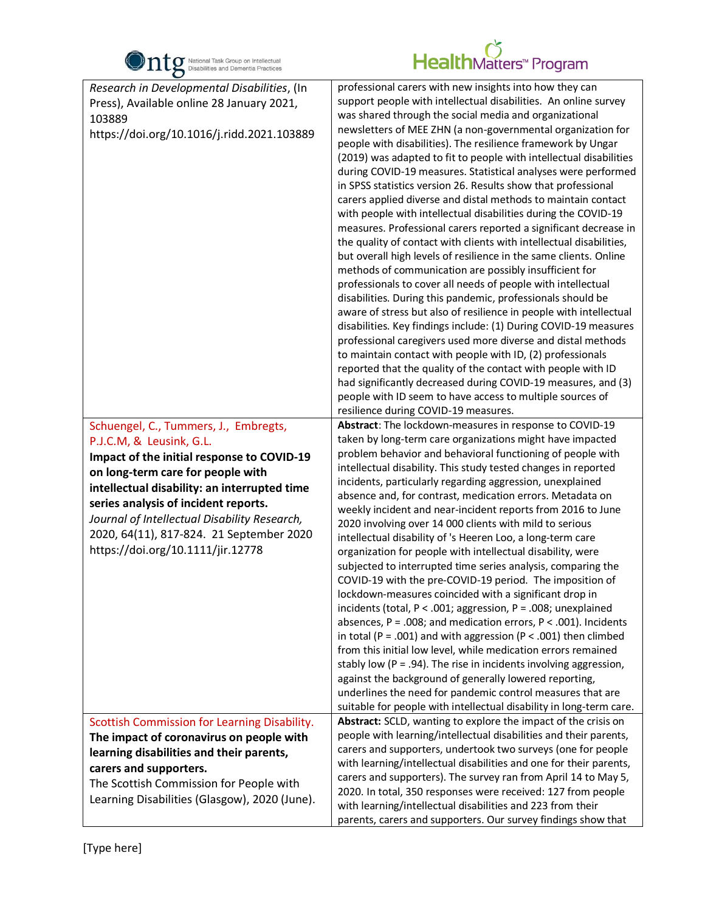

| O                                                                                                                                                                                                                                                                                                                                                                                                                                                                                                                                 |                                                                                                                                                                                                                                                                                                                                                                                                                                                                                                                                                                                                                                                                                                                                                                                                                                                                                                                                                                                                                                                                                                                                                                                                                                                                                                                                                                                                                                                                                                                                                                                                                                                                                                                                                                                                                                                                                                                                                                                                                                                                                                                                                                                                                                                                                                                                                                                                                                                                                                                                                                                                                                                                                                                                                                                                                                                                                                          |
|-----------------------------------------------------------------------------------------------------------------------------------------------------------------------------------------------------------------------------------------------------------------------------------------------------------------------------------------------------------------------------------------------------------------------------------------------------------------------------------------------------------------------------------|----------------------------------------------------------------------------------------------------------------------------------------------------------------------------------------------------------------------------------------------------------------------------------------------------------------------------------------------------------------------------------------------------------------------------------------------------------------------------------------------------------------------------------------------------------------------------------------------------------------------------------------------------------------------------------------------------------------------------------------------------------------------------------------------------------------------------------------------------------------------------------------------------------------------------------------------------------------------------------------------------------------------------------------------------------------------------------------------------------------------------------------------------------------------------------------------------------------------------------------------------------------------------------------------------------------------------------------------------------------------------------------------------------------------------------------------------------------------------------------------------------------------------------------------------------------------------------------------------------------------------------------------------------------------------------------------------------------------------------------------------------------------------------------------------------------------------------------------------------------------------------------------------------------------------------------------------------------------------------------------------------------------------------------------------------------------------------------------------------------------------------------------------------------------------------------------------------------------------------------------------------------------------------------------------------------------------------------------------------------------------------------------------------------------------------------------------------------------------------------------------------------------------------------------------------------------------------------------------------------------------------------------------------------------------------------------------------------------------------------------------------------------------------------------------------------------------------------------------------------------------------------------------------|
| Research in Developmental Disabilities, (In<br>Press), Available online 28 January 2021,<br>103889<br>https://doi.org/10.1016/j.ridd.2021.103889<br>Schuengel, C., Tummers, J., Embregts,<br>P.J.C.M, & Leusink, G.L.<br>Impact of the initial response to COVID-19<br>on long-term care for people with<br>intellectual disability: an interrupted time<br>series analysis of incident reports.<br>Journal of Intellectual Disability Research,<br>2020, 64(11), 817-824. 21 September 2020<br>https://doi.org/10.1111/jir.12778 | professional carers with new insights into how they can<br>support people with intellectual disabilities. An online survey<br>was shared through the social media and organizational<br>newsletters of MEE ZHN (a non-governmental organization for<br>people with disabilities). The resilience framework by Ungar<br>(2019) was adapted to fit to people with intellectual disabilities<br>during COVID-19 measures. Statistical analyses were performed<br>in SPSS statistics version 26. Results show that professional<br>carers applied diverse and distal methods to maintain contact<br>with people with intellectual disabilities during the COVID-19<br>measures. Professional carers reported a significant decrease in<br>the quality of contact with clients with intellectual disabilities,<br>but overall high levels of resilience in the same clients. Online<br>methods of communication are possibly insufficient for<br>professionals to cover all needs of people with intellectual<br>disabilities. During this pandemic, professionals should be<br>aware of stress but also of resilience in people with intellectual<br>disabilities. Key findings include: (1) During COVID-19 measures<br>professional caregivers used more diverse and distal methods<br>to maintain contact with people with ID, (2) professionals<br>reported that the quality of the contact with people with ID<br>had significantly decreased during COVID-19 measures, and (3)<br>people with ID seem to have access to multiple sources of<br>resilience during COVID-19 measures.<br>Abstract: The lockdown-measures in response to COVID-19<br>taken by long-term care organizations might have impacted<br>problem behavior and behavioral functioning of people with<br>intellectual disability. This study tested changes in reported<br>incidents, particularly regarding aggression, unexplained<br>absence and, for contrast, medication errors. Metadata on<br>weekly incident and near-incident reports from 2016 to June<br>2020 involving over 14 000 clients with mild to serious<br>intellectual disability of 's Heeren Loo, a long-term care<br>organization for people with intellectual disability, were<br>subjected to interrupted time series analysis, comparing the<br>COVID-19 with the pre-COVID-19 period. The imposition of<br>lockdown-measures coincided with a significant drop in<br>incidents (total, $P < .001$ ; aggression, $P = .008$ ; unexplained<br>absences, $P = .008$ ; and medication errors, $P < .001$ ). Incidents<br>in total (P = .001) and with aggression (P < .001) then climbed<br>from this initial low level, while medication errors remained<br>stably low ( $P = .94$ ). The rise in incidents involving aggression,<br>against the background of generally lowered reporting,<br>underlines the need for pandemic control measures that are |
|                                                                                                                                                                                                                                                                                                                                                                                                                                                                                                                                   | suitable for people with intellectual disability in long-term care.                                                                                                                                                                                                                                                                                                                                                                                                                                                                                                                                                                                                                                                                                                                                                                                                                                                                                                                                                                                                                                                                                                                                                                                                                                                                                                                                                                                                                                                                                                                                                                                                                                                                                                                                                                                                                                                                                                                                                                                                                                                                                                                                                                                                                                                                                                                                                                                                                                                                                                                                                                                                                                                                                                                                                                                                                                      |
| Scottish Commission for Learning Disability.<br>The impact of coronavirus on people with<br>learning disabilities and their parents,<br>carers and supporters.<br>The Scottish Commission for People with<br>Learning Disabilities (Glasgow), 2020 (June).                                                                                                                                                                                                                                                                        | Abstract: SCLD, wanting to explore the impact of the crisis on<br>people with learning/intellectual disabilities and their parents,<br>carers and supporters, undertook two surveys (one for people<br>with learning/intellectual disabilities and one for their parents,<br>carers and supporters). The survey ran from April 14 to May 5,<br>2020. In total, 350 responses were received: 127 from people<br>with learning/intellectual disabilities and 223 from their<br>parents, carers and supporters. Our survey findings show that                                                                                                                                                                                                                                                                                                                                                                                                                                                                                                                                                                                                                                                                                                                                                                                                                                                                                                                                                                                                                                                                                                                                                                                                                                                                                                                                                                                                                                                                                                                                                                                                                                                                                                                                                                                                                                                                                                                                                                                                                                                                                                                                                                                                                                                                                                                                                               |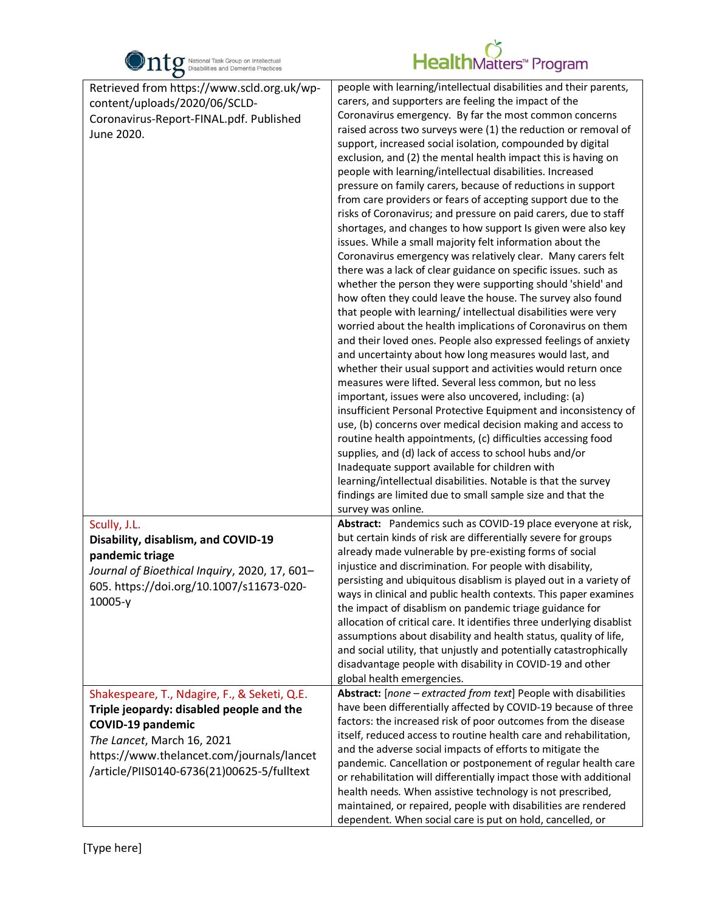

| $\bullet$                                                                                                                                                                                                                                     |                                                                                                                                                                                                                                                                                                                                                                                                                                                                                                                                                                                                                                                                                                                                                                                                                                                                                                                                                                                                                                                                                                                                                                                                                                                                                                                                                                                                                                                                                                                                                                                                                                                                                                                                                                                                                                                                                                                                                   |
|-----------------------------------------------------------------------------------------------------------------------------------------------------------------------------------------------------------------------------------------------|---------------------------------------------------------------------------------------------------------------------------------------------------------------------------------------------------------------------------------------------------------------------------------------------------------------------------------------------------------------------------------------------------------------------------------------------------------------------------------------------------------------------------------------------------------------------------------------------------------------------------------------------------------------------------------------------------------------------------------------------------------------------------------------------------------------------------------------------------------------------------------------------------------------------------------------------------------------------------------------------------------------------------------------------------------------------------------------------------------------------------------------------------------------------------------------------------------------------------------------------------------------------------------------------------------------------------------------------------------------------------------------------------------------------------------------------------------------------------------------------------------------------------------------------------------------------------------------------------------------------------------------------------------------------------------------------------------------------------------------------------------------------------------------------------------------------------------------------------------------------------------------------------------------------------------------------------|
| Retrieved from https://www.scld.org.uk/wp-<br>content/uploads/2020/06/SCLD-<br>Coronavirus-Report-FINAL.pdf. Published<br>June 2020.                                                                                                          | people with learning/intellectual disabilities and their parents,<br>carers, and supporters are feeling the impact of the<br>Coronavirus emergency. By far the most common concerns<br>raised across two surveys were (1) the reduction or removal of<br>support, increased social isolation, compounded by digital<br>exclusion, and (2) the mental health impact this is having on<br>people with learning/intellectual disabilities. Increased<br>pressure on family carers, because of reductions in support<br>from care providers or fears of accepting support due to the<br>risks of Coronavirus; and pressure on paid carers, due to staff<br>shortages, and changes to how support Is given were also key<br>issues. While a small majority felt information about the<br>Coronavirus emergency was relatively clear. Many carers felt<br>there was a lack of clear guidance on specific issues. such as<br>whether the person they were supporting should 'shield' and<br>how often they could leave the house. The survey also found<br>that people with learning/intellectual disabilities were very<br>worried about the health implications of Coronavirus on them<br>and their loved ones. People also expressed feelings of anxiety<br>and uncertainty about how long measures would last, and<br>whether their usual support and activities would return once<br>measures were lifted. Several less common, but no less<br>important, issues were also uncovered, including: (a)<br>insufficient Personal Protective Equipment and inconsistency of<br>use, (b) concerns over medical decision making and access to<br>routine health appointments, (c) difficulties accessing food<br>supplies, and (d) lack of access to school hubs and/or<br>Inadequate support available for children with<br>learning/intellectual disabilities. Notable is that the survey<br>findings are limited due to small sample size and that the |
| Scully, J.L.<br>Disability, disablism, and COVID-19<br>pandemic triage<br>Journal of Bioethical Inquiry, 2020, 17, 601-<br>605. https://doi.org/10.1007/s11673-020-<br>$10005-y$                                                              | survey was online.<br>Abstract: Pandemics such as COVID-19 place everyone at risk,<br>but certain kinds of risk are differentially severe for groups<br>already made vulnerable by pre-existing forms of social<br>injustice and discrimination. For people with disability,<br>persisting and ubiquitous disablism is played out in a variety of<br>ways in clinical and public health contexts. This paper examines<br>the impact of disablism on pandemic triage guidance for<br>allocation of critical care. It identifies three underlying disablist<br>assumptions about disability and health status, quality of life,<br>and social utility, that unjustly and potentially catastrophically<br>disadvantage people with disability in COVID-19 and other<br>global health emergencies.                                                                                                                                                                                                                                                                                                                                                                                                                                                                                                                                                                                                                                                                                                                                                                                                                                                                                                                                                                                                                                                                                                                                                    |
| Shakespeare, T., Ndagire, F., & Seketi, Q.E.<br>Triple jeopardy: disabled people and the<br><b>COVID-19 pandemic</b><br>The Lancet, March 16, 2021<br>https://www.thelancet.com/journals/lancet<br>/article/PIIS0140-6736(21)00625-5/fulltext | Abstract: [none - extracted from text] People with disabilities<br>have been differentially affected by COVID-19 because of three<br>factors: the increased risk of poor outcomes from the disease<br>itself, reduced access to routine health care and rehabilitation,<br>and the adverse social impacts of efforts to mitigate the<br>pandemic. Cancellation or postponement of regular health care<br>or rehabilitation will differentially impact those with additional<br>health needs. When assistive technology is not prescribed,<br>maintained, or repaired, people with disabilities are rendered<br>dependent. When social care is put on hold, cancelled, or                                                                                                                                                                                                                                                                                                                                                                                                                                                                                                                                                                                                                                                                                                                                                                                                                                                                                                                                                                                                                                                                                                                                                                                                                                                                          |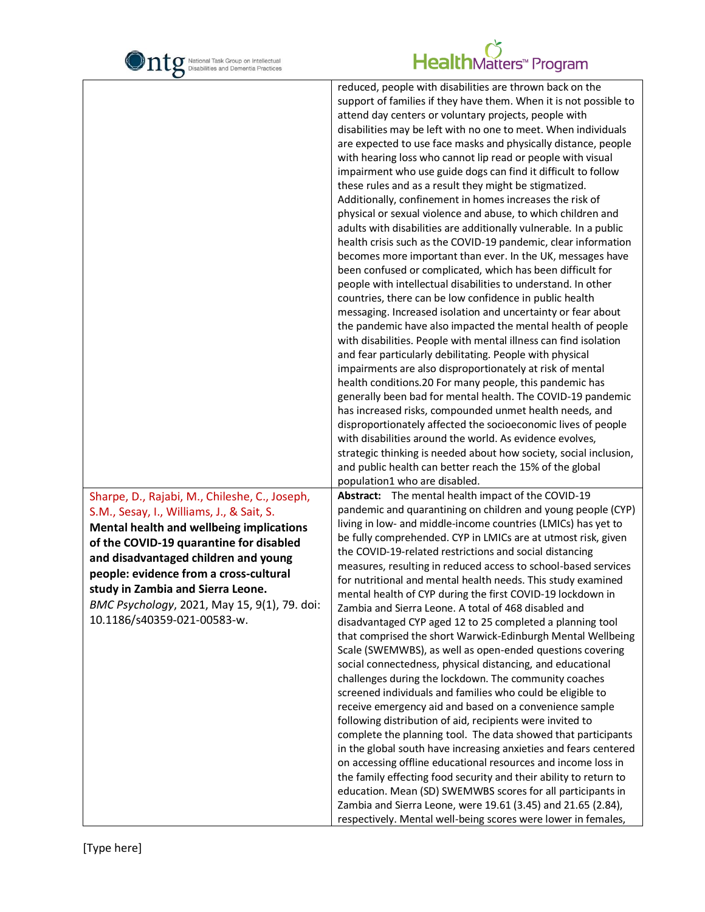

|                                                                                                                                                                                                                                                                                                                                                                                                | reduced, people with disabilities are thrown back on the<br>support of families if they have them. When it is not possible to<br>attend day centers or voluntary projects, people with<br>disabilities may be left with no one to meet. When individuals<br>are expected to use face masks and physically distance, people<br>with hearing loss who cannot lip read or people with visual<br>impairment who use guide dogs can find it difficult to follow<br>these rules and as a result they might be stigmatized.<br>Additionally, confinement in homes increases the risk of<br>physical or sexual violence and abuse, to which children and<br>adults with disabilities are additionally vulnerable. In a public<br>health crisis such as the COVID-19 pandemic, clear information<br>becomes more important than ever. In the UK, messages have<br>been confused or complicated, which has been difficult for<br>people with intellectual disabilities to understand. In other<br>countries, there can be low confidence in public health<br>messaging. Increased isolation and uncertainty or fear about<br>the pandemic have also impacted the mental health of people<br>with disabilities. People with mental illness can find isolation<br>and fear particularly debilitating. People with physical<br>impairments are also disproportionately at risk of mental<br>health conditions.20 For many people, this pandemic has<br>generally been bad for mental health. The COVID-19 pandemic<br>has increased risks, compounded unmet health needs, and<br>disproportionately affected the socioeconomic lives of people<br>with disabilities around the world. As evidence evolves,<br>strategic thinking is needed about how society, social inclusion,<br>and public health can better reach the 15% of the global |
|------------------------------------------------------------------------------------------------------------------------------------------------------------------------------------------------------------------------------------------------------------------------------------------------------------------------------------------------------------------------------------------------|--------------------------------------------------------------------------------------------------------------------------------------------------------------------------------------------------------------------------------------------------------------------------------------------------------------------------------------------------------------------------------------------------------------------------------------------------------------------------------------------------------------------------------------------------------------------------------------------------------------------------------------------------------------------------------------------------------------------------------------------------------------------------------------------------------------------------------------------------------------------------------------------------------------------------------------------------------------------------------------------------------------------------------------------------------------------------------------------------------------------------------------------------------------------------------------------------------------------------------------------------------------------------------------------------------------------------------------------------------------------------------------------------------------------------------------------------------------------------------------------------------------------------------------------------------------------------------------------------------------------------------------------------------------------------------------------------------------------------------------------------------------------------------------------------------------------------------|
| Sharpe, D., Rajabi, M., Chileshe, C., Joseph,<br>S.M., Sesay, I., Williams, J., & Sait, S.<br><b>Mental health and wellbeing implications</b><br>of the COVID-19 quarantine for disabled<br>and disadvantaged children and young<br>people: evidence from a cross-cultural<br>study in Zambia and Sierra Leone.<br>BMC Psychology, 2021, May 15, 9(1), 79. doi:<br>10.1186/s40359-021-00583-w. | population1 who are disabled.<br>Abstract: The mental health impact of the COVID-19<br>pandemic and quarantining on children and young people (CYP)<br>living in low- and middle-income countries (LMICs) has yet to<br>be fully comprehended. CYP in LMICs are at utmost risk, given<br>the COVID-19-related restrictions and social distancing<br>measures, resulting in reduced access to school-based services<br>for nutritional and mental health needs. This study examined<br>mental health of CYP during the first COVID-19 lockdown in<br>Zambia and Sierra Leone. A total of 468 disabled and<br>disadvantaged CYP aged 12 to 25 completed a planning tool<br>that comprised the short Warwick-Edinburgh Mental Wellbeing<br>Scale (SWEMWBS), as well as open-ended questions covering<br>social connectedness, physical distancing, and educational<br>challenges during the lockdown. The community coaches<br>screened individuals and families who could be eligible to<br>receive emergency aid and based on a convenience sample<br>following distribution of aid, recipients were invited to<br>complete the planning tool. The data showed that participants<br>in the global south have increasing anxieties and fears centered<br>on accessing offline educational resources and income loss in<br>the family effecting food security and their ability to return to<br>education. Mean (SD) SWEMWBS scores for all participants in<br>Zambia and Sierra Leone, were 19.61 (3.45) and 21.65 (2.84),<br>respectively. Mental well-being scores were lower in females,                                                                                                                                                                                                                                      |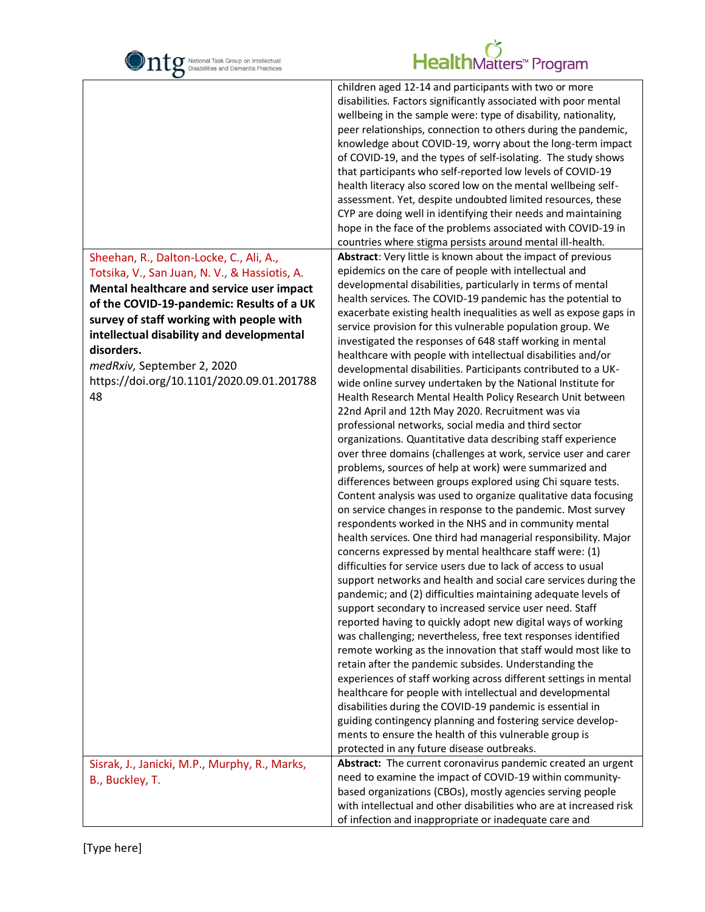| National Task Group on Intellectual<br>Disabilities and Dementia Practices                                                                                                                                                                                                                                                                                                 | HealthMatters <sup>*</sup> Program                                                                                                                                                                                                                                                                                                                                                                                                                                                                                                                                                                                                                                                                                                                                                                                                                                                                                                                                                                                                                                                                                                                                                                                                                                                                                                                                                                                                                                                                                                                                                                                                                                                                                                                                                                                                                                                                                                                                                                                                                                                                                                                                                                         |
|----------------------------------------------------------------------------------------------------------------------------------------------------------------------------------------------------------------------------------------------------------------------------------------------------------------------------------------------------------------------------|------------------------------------------------------------------------------------------------------------------------------------------------------------------------------------------------------------------------------------------------------------------------------------------------------------------------------------------------------------------------------------------------------------------------------------------------------------------------------------------------------------------------------------------------------------------------------------------------------------------------------------------------------------------------------------------------------------------------------------------------------------------------------------------------------------------------------------------------------------------------------------------------------------------------------------------------------------------------------------------------------------------------------------------------------------------------------------------------------------------------------------------------------------------------------------------------------------------------------------------------------------------------------------------------------------------------------------------------------------------------------------------------------------------------------------------------------------------------------------------------------------------------------------------------------------------------------------------------------------------------------------------------------------------------------------------------------------------------------------------------------------------------------------------------------------------------------------------------------------------------------------------------------------------------------------------------------------------------------------------------------------------------------------------------------------------------------------------------------------------------------------------------------------------------------------------------------------|
|                                                                                                                                                                                                                                                                                                                                                                            | children aged 12-14 and participants with two or more<br>disabilities. Factors significantly associated with poor mental<br>wellbeing in the sample were: type of disability, nationality,<br>peer relationships, connection to others during the pandemic,<br>knowledge about COVID-19, worry about the long-term impact<br>of COVID-19, and the types of self-isolating. The study shows<br>that participants who self-reported low levels of COVID-19<br>health literacy also scored low on the mental wellbeing self-<br>assessment. Yet, despite undoubted limited resources, these<br>CYP are doing well in identifying their needs and maintaining<br>hope in the face of the problems associated with COVID-19 in<br>countries where stigma persists around mental ill-health.                                                                                                                                                                                                                                                                                                                                                                                                                                                                                                                                                                                                                                                                                                                                                                                                                                                                                                                                                                                                                                                                                                                                                                                                                                                                                                                                                                                                                     |
| Sheehan, R., Dalton-Locke, C., Ali, A.,<br>Totsika, V., San Juan, N. V., & Hassiotis, A.<br>Mental healthcare and service user impact<br>of the COVID-19-pandemic: Results of a UK<br>survey of staff working with people with<br>intellectual disability and developmental<br>disorders.<br>medRxiv, September 2, 2020<br>https://doi.org/10.1101/2020.09.01.201788<br>48 | Abstract: Very little is known about the impact of previous<br>epidemics on the care of people with intellectual and<br>developmental disabilities, particularly in terms of mental<br>health services. The COVID-19 pandemic has the potential to<br>exacerbate existing health inequalities as well as expose gaps in<br>service provision for this vulnerable population group. We<br>investigated the responses of 648 staff working in mental<br>healthcare with people with intellectual disabilities and/or<br>developmental disabilities. Participants contributed to a UK-<br>wide online survey undertaken by the National Institute for<br>Health Research Mental Health Policy Research Unit between<br>22nd April and 12th May 2020. Recruitment was via<br>professional networks, social media and third sector<br>organizations. Quantitative data describing staff experience<br>over three domains (challenges at work, service user and carer<br>problems, sources of help at work) were summarized and<br>differences between groups explored using Chi square tests.<br>Content analysis was used to organize qualitative data focusing<br>on service changes in response to the pandemic. Most survey<br>respondents worked in the NHS and in community mental<br>health services. One third had managerial responsibility. Major<br>concerns expressed by mental healthcare staff were: (1)<br>difficulties for service users due to lack of access to usual<br>support networks and health and social care services during the<br>pandemic; and (2) difficulties maintaining adequate levels of<br>support secondary to increased service user need. Staff<br>reported having to quickly adopt new digital ways of working<br>was challenging; nevertheless, free text responses identified<br>remote working as the innovation that staff would most like to<br>retain after the pandemic subsides. Understanding the<br>experiences of staff working across different settings in mental<br>healthcare for people with intellectual and developmental<br>disabilities during the COVID-19 pandemic is essential in<br>guiding contingency planning and fostering service develop- |
|                                                                                                                                                                                                                                                                                                                                                                            | ments to ensure the health of this vulnerable group is<br>protected in any future disease outbreaks.                                                                                                                                                                                                                                                                                                                                                                                                                                                                                                                                                                                                                                                                                                                                                                                                                                                                                                                                                                                                                                                                                                                                                                                                                                                                                                                                                                                                                                                                                                                                                                                                                                                                                                                                                                                                                                                                                                                                                                                                                                                                                                       |
| Sisrak, J., Janicki, M.P., Murphy, R., Marks,<br>B., Buckley, T.                                                                                                                                                                                                                                                                                                           | Abstract: The current coronavirus pandemic created an urgent<br>need to examine the impact of COVID-19 within community-<br>based organizations (CBOs), mostly agencies serving people<br>with intellectual and other disabilities who are at increased risk<br>of infection and inappropriate or inadequate care and                                                                                                                                                                                                                                                                                                                                                                                                                                                                                                                                                                                                                                                                                                                                                                                                                                                                                                                                                                                                                                                                                                                                                                                                                                                                                                                                                                                                                                                                                                                                                                                                                                                                                                                                                                                                                                                                                      |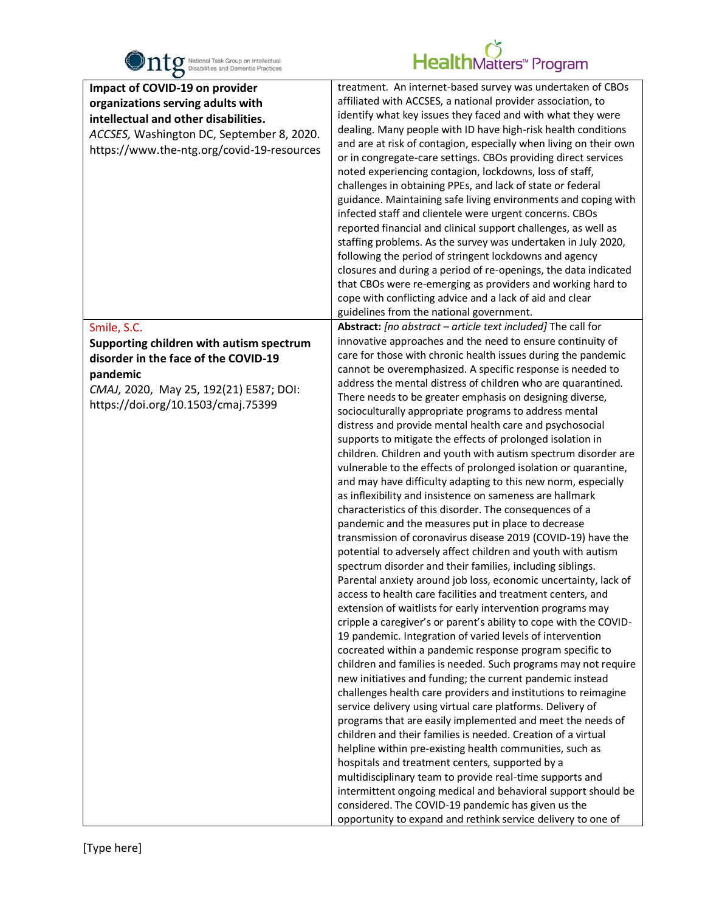

| O                                                                                                                                                                                                      |                                                                                                                                                                                                                                                                                                                                                                                                                                                                                                                                                                                                                                                                                                                                                                                                                                                                                                                                                                                                                                                                                                                                                                                                                                                                                                                                                                                                                                                                                                                                                                                                                                                                                                                                                                                                                                                                                                                                                                                                                                                                                                                                                                                                                                                        |
|--------------------------------------------------------------------------------------------------------------------------------------------------------------------------------------------------------|--------------------------------------------------------------------------------------------------------------------------------------------------------------------------------------------------------------------------------------------------------------------------------------------------------------------------------------------------------------------------------------------------------------------------------------------------------------------------------------------------------------------------------------------------------------------------------------------------------------------------------------------------------------------------------------------------------------------------------------------------------------------------------------------------------------------------------------------------------------------------------------------------------------------------------------------------------------------------------------------------------------------------------------------------------------------------------------------------------------------------------------------------------------------------------------------------------------------------------------------------------------------------------------------------------------------------------------------------------------------------------------------------------------------------------------------------------------------------------------------------------------------------------------------------------------------------------------------------------------------------------------------------------------------------------------------------------------------------------------------------------------------------------------------------------------------------------------------------------------------------------------------------------------------------------------------------------------------------------------------------------------------------------------------------------------------------------------------------------------------------------------------------------------------------------------------------------------------------------------------------------|
| Impact of COVID-19 on provider<br>organizations serving adults with<br>intellectual and other disabilities.<br>ACCSES, Washington DC, September 8, 2020.<br>https://www.the-ntg.org/covid-19-resources | treatment. An internet-based survey was undertaken of CBOs<br>affiliated with ACCSES, a national provider association, to<br>identify what key issues they faced and with what they were<br>dealing. Many people with ID have high-risk health conditions<br>and are at risk of contagion, especially when living on their own<br>or in congregate-care settings. CBOs providing direct services<br>noted experiencing contagion, lockdowns, loss of staff,<br>challenges in obtaining PPEs, and lack of state or federal<br>guidance. Maintaining safe living environments and coping with<br>infected staff and clientele were urgent concerns. CBOs<br>reported financial and clinical support challenges, as well as<br>staffing problems. As the survey was undertaken in July 2020,<br>following the period of stringent lockdowns and agency<br>closures and during a period of re-openings, the data indicated<br>that CBOs were re-emerging as providers and working hard to<br>cope with conflicting advice and a lack of aid and clear<br>guidelines from the national government.                                                                                                                                                                                                                                                                                                                                                                                                                                                                                                                                                                                                                                                                                                                                                                                                                                                                                                                                                                                                                                                                                                                                                          |
| Smile, S.C.                                                                                                                                                                                            | Abstract: [no abstract - article text included] The call for                                                                                                                                                                                                                                                                                                                                                                                                                                                                                                                                                                                                                                                                                                                                                                                                                                                                                                                                                                                                                                                                                                                                                                                                                                                                                                                                                                                                                                                                                                                                                                                                                                                                                                                                                                                                                                                                                                                                                                                                                                                                                                                                                                                           |
| Supporting children with autism spectrum<br>disorder in the face of the COVID-19<br>pandemic<br>CMAJ, 2020, May 25, 192(21) E587; DOI:<br>https://doi.org/10.1503/cmaj.75399                           | innovative approaches and the need to ensure continuity of<br>care for those with chronic health issues during the pandemic<br>cannot be overemphasized. A specific response is needed to<br>address the mental distress of children who are quarantined.<br>There needs to be greater emphasis on designing diverse,<br>socioculturally appropriate programs to address mental<br>distress and provide mental health care and psychosocial<br>supports to mitigate the effects of prolonged isolation in<br>children. Children and youth with autism spectrum disorder are<br>vulnerable to the effects of prolonged isolation or quarantine,<br>and may have difficulty adapting to this new norm, especially<br>as inflexibility and insistence on sameness are hallmark<br>characteristics of this disorder. The consequences of a<br>pandemic and the measures put in place to decrease<br>transmission of coronavirus disease 2019 (COVID-19) have the<br>potential to adversely affect children and youth with autism<br>spectrum disorder and their families, including siblings.<br>Parental anxiety around job loss, economic uncertainty, lack of<br>access to health care facilities and treatment centers, and<br>extension of waitlists for early intervention programs may<br>cripple a caregiver's or parent's ability to cope with the COVID-<br>19 pandemic. Integration of varied levels of intervention<br>cocreated within a pandemic response program specific to<br>children and families is needed. Such programs may not require<br>new initiatives and funding; the current pandemic instead<br>challenges health care providers and institutions to reimagine<br>service delivery using virtual care platforms. Delivery of<br>programs that are easily implemented and meet the needs of<br>children and their families is needed. Creation of a virtual<br>helpline within pre-existing health communities, such as<br>hospitals and treatment centers, supported by a<br>multidisciplinary team to provide real-time supports and<br>intermittent ongoing medical and behavioral support should be<br>considered. The COVID-19 pandemic has given us the<br>opportunity to expand and rethink service delivery to one of |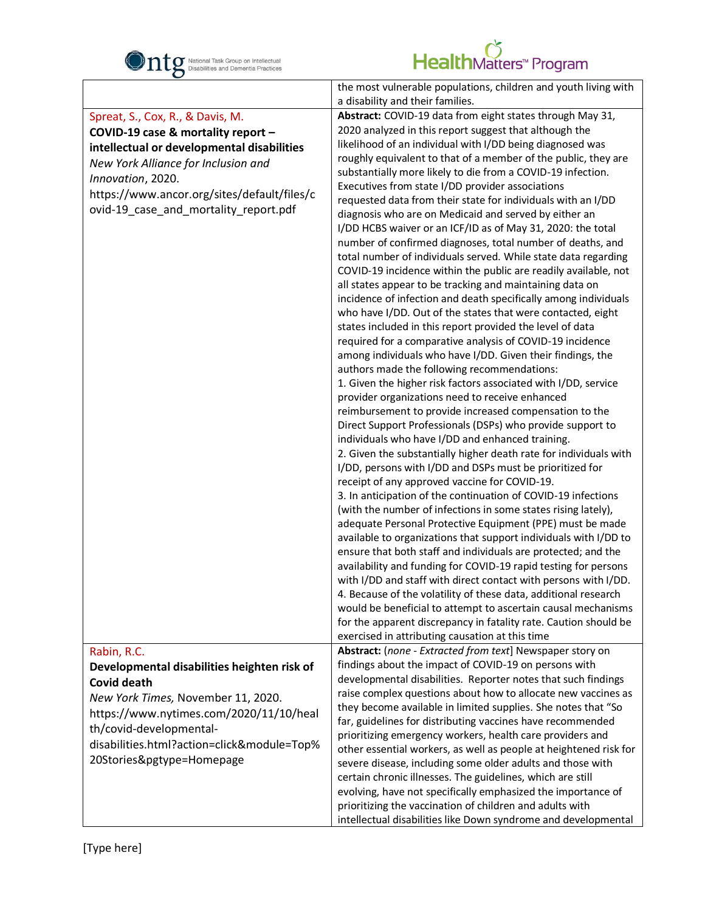

| $\mathbf C$                                 |                                                                                                     |
|---------------------------------------------|-----------------------------------------------------------------------------------------------------|
|                                             | the most vulnerable populations, children and youth living with<br>a disability and their families. |
| Spreat, S., Cox, R., & Davis, M.            | Abstract: COVID-19 data from eight states through May 31,                                           |
|                                             |                                                                                                     |
| COVID-19 case & mortality report -          | 2020 analyzed in this report suggest that although the                                              |
| intellectual or developmental disabilities  | likelihood of an individual with I/DD being diagnosed was                                           |
| New York Alliance for Inclusion and         | roughly equivalent to that of a member of the public, they are                                      |
|                                             | substantially more likely to die from a COVID-19 infection.                                         |
| Innovation, 2020.                           | Executives from state I/DD provider associations                                                    |
| https://www.ancor.org/sites/default/files/c | requested data from their state for individuals with an I/DD                                        |
| ovid-19_case_and_mortality_report.pdf       | diagnosis who are on Medicaid and served by either an                                               |
|                                             |                                                                                                     |
|                                             | I/DD HCBS waiver or an ICF/ID as of May 31, 2020: the total                                         |
|                                             | number of confirmed diagnoses, total number of deaths, and                                          |
|                                             | total number of individuals served. While state data regarding                                      |
|                                             | COVID-19 incidence within the public are readily available, not                                     |
|                                             | all states appear to be tracking and maintaining data on                                            |
|                                             | incidence of infection and death specifically among individuals                                     |
|                                             | who have I/DD. Out of the states that were contacted, eight                                         |
|                                             |                                                                                                     |
|                                             | states included in this report provided the level of data                                           |
|                                             | required for a comparative analysis of COVID-19 incidence                                           |
|                                             | among individuals who have I/DD. Given their findings, the                                          |
|                                             | authors made the following recommendations:                                                         |
|                                             | 1. Given the higher risk factors associated with I/DD, service                                      |
|                                             | provider organizations need to receive enhanced                                                     |
|                                             | reimbursement to provide increased compensation to the                                              |
|                                             | Direct Support Professionals (DSPs) who provide support to                                          |
|                                             | individuals who have I/DD and enhanced training.                                                    |
|                                             |                                                                                                     |
|                                             | 2. Given the substantially higher death rate for individuals with                                   |
|                                             | I/DD, persons with I/DD and DSPs must be prioritized for                                            |
|                                             | receipt of any approved vaccine for COVID-19.                                                       |
|                                             | 3. In anticipation of the continuation of COVID-19 infections                                       |
|                                             | (with the number of infections in some states rising lately),                                       |
|                                             | adequate Personal Protective Equipment (PPE) must be made                                           |
|                                             | available to organizations that support individuals with I/DD to                                    |
|                                             | ensure that both staff and individuals are protected; and the                                       |
|                                             |                                                                                                     |
|                                             | availability and funding for COVID-19 rapid testing for persons                                     |
|                                             | with I/DD and staff with direct contact with persons with I/DD.                                     |
|                                             | 4. Because of the volatility of these data, additional research                                     |
|                                             | would be beneficial to attempt to ascertain causal mechanisms                                       |
|                                             | for the apparent discrepancy in fatality rate. Caution should be                                    |
|                                             | exercised in attributing causation at this time                                                     |
| Rabin, R.C.                                 | Abstract: (none - Extracted from text] Newspaper story on                                           |
| Developmental disabilities heighten risk of | findings about the impact of COVID-19 on persons with                                               |
| <b>Covid death</b>                          | developmental disabilities. Reporter notes that such findings                                       |
|                                             | raise complex questions about how to allocate new vaccines as                                       |
| New York Times, November 11, 2020.          | they become available in limited supplies. She notes that "So                                       |
| https://www.nytimes.com/2020/11/10/heal     |                                                                                                     |
| th/covid-developmental-                     | far, guidelines for distributing vaccines have recommended                                          |
| disabilities.html?action=click&module=Top%  | prioritizing emergency workers, health care providers and                                           |
|                                             | other essential workers, as well as people at heightened risk for                                   |
| 20Stories&pgtype=Homepage                   | severe disease, including some older adults and those with                                          |
|                                             | certain chronic illnesses. The guidelines, which are still                                          |
|                                             | evolving, have not specifically emphasized the importance of                                        |
|                                             | prioritizing the vaccination of children and adults with                                            |
|                                             | intellectual disabilities like Down syndrome and developmental                                      |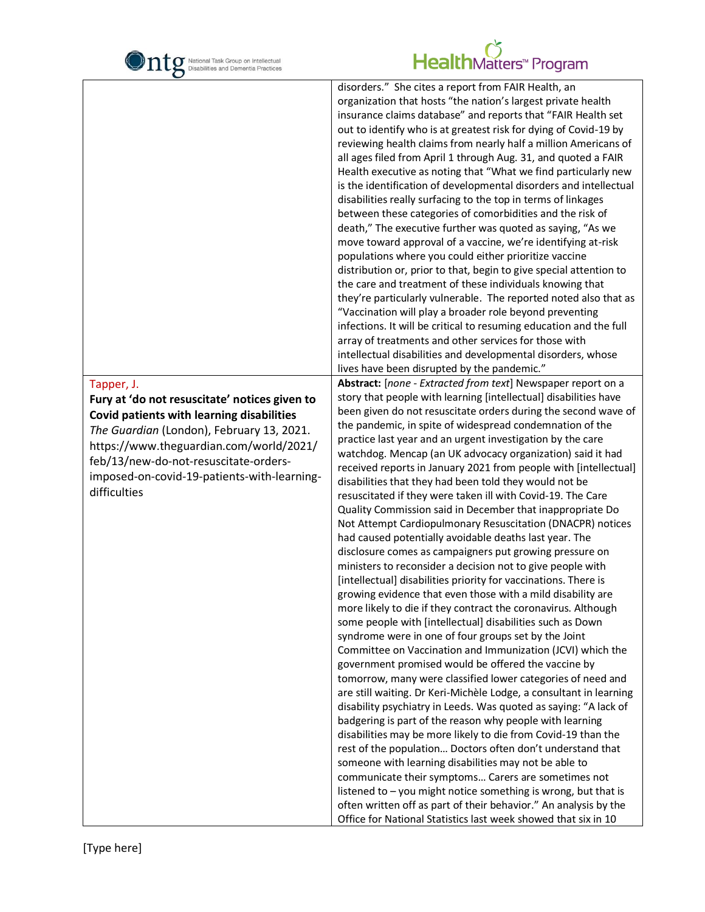

| O                                                                                                                                                                                                                                                                                                        |                                                                                                                                                                                                                                                                                                                                                                                                                                                                                                                                                                                                                                                                                                                                                                                                                                                                                                                                                                                                                                                                                                                                                                                                                                                                                                                                                                                                                                                                                                                                                                                                                                                                                                                                                                                                                                                                                                                                                                                                                                                                                |
|----------------------------------------------------------------------------------------------------------------------------------------------------------------------------------------------------------------------------------------------------------------------------------------------------------|--------------------------------------------------------------------------------------------------------------------------------------------------------------------------------------------------------------------------------------------------------------------------------------------------------------------------------------------------------------------------------------------------------------------------------------------------------------------------------------------------------------------------------------------------------------------------------------------------------------------------------------------------------------------------------------------------------------------------------------------------------------------------------------------------------------------------------------------------------------------------------------------------------------------------------------------------------------------------------------------------------------------------------------------------------------------------------------------------------------------------------------------------------------------------------------------------------------------------------------------------------------------------------------------------------------------------------------------------------------------------------------------------------------------------------------------------------------------------------------------------------------------------------------------------------------------------------------------------------------------------------------------------------------------------------------------------------------------------------------------------------------------------------------------------------------------------------------------------------------------------------------------------------------------------------------------------------------------------------------------------------------------------------------------------------------------------------|
|                                                                                                                                                                                                                                                                                                          | disorders." She cites a report from FAIR Health, an<br>organization that hosts "the nation's largest private health<br>insurance claims database" and reports that "FAIR Health set<br>out to identify who is at greatest risk for dying of Covid-19 by<br>reviewing health claims from nearly half a million Americans of<br>all ages filed from April 1 through Aug. 31, and quoted a FAIR<br>Health executive as noting that "What we find particularly new<br>is the identification of developmental disorders and intellectual<br>disabilities really surfacing to the top in terms of linkages<br>between these categories of comorbidities and the risk of<br>death," The executive further was quoted as saying, "As we<br>move toward approval of a vaccine, we're identifying at-risk<br>populations where you could either prioritize vaccine<br>distribution or, prior to that, begin to give special attention to<br>the care and treatment of these individuals knowing that<br>they're particularly vulnerable. The reported noted also that as<br>"Vaccination will play a broader role beyond preventing<br>infections. It will be critical to resuming education and the full<br>array of treatments and other services for those with<br>intellectual disabilities and developmental disorders, whose<br>lives have been disrupted by the pandemic."                                                                                                                                                                                                                                                                                                                                                                                                                                                                                                                                                                                                                                                                                                        |
| Tapper, J.<br>Fury at 'do not resuscitate' notices given to<br>Covid patients with learning disabilities<br>The Guardian (London), February 13, 2021.<br>https://www.theguardian.com/world/2021/<br>feb/13/new-do-not-resuscitate-orders-<br>imposed-on-covid-19-patients-with-learning-<br>difficulties | Abstract: [none - Extracted from text] Newspaper report on a<br>story that people with learning [intellectual] disabilities have<br>been given do not resuscitate orders during the second wave of<br>the pandemic, in spite of widespread condemnation of the<br>practice last year and an urgent investigation by the care<br>watchdog. Mencap (an UK advocacy organization) said it had<br>received reports in January 2021 from people with [intellectual]<br>disabilities that they had been told they would not be<br>resuscitated if they were taken ill with Covid-19. The Care<br>Quality Commission said in December that inappropriate Do<br>Not Attempt Cardiopulmonary Resuscitation (DNACPR) notices<br>had caused potentially avoidable deaths last year. The<br>disclosure comes as campaigners put growing pressure on<br>ministers to reconsider a decision not to give people with<br>[intellectual] disabilities priority for vaccinations. There is<br>growing evidence that even those with a mild disability are<br>more likely to die if they contract the coronavirus. Although<br>some people with [intellectual] disabilities such as Down<br>syndrome were in one of four groups set by the Joint<br>Committee on Vaccination and Immunization (JCVI) which the<br>government promised would be offered the vaccine by<br>tomorrow, many were classified lower categories of need and<br>are still waiting. Dr Keri-Michèle Lodge, a consultant in learning<br>disability psychiatry in Leeds. Was quoted as saying: "A lack of<br>badgering is part of the reason why people with learning<br>disabilities may be more likely to die from Covid-19 than the<br>rest of the population Doctors often don't understand that<br>someone with learning disabilities may not be able to<br>communicate their symptoms Carers are sometimes not<br>listened to - you might notice something is wrong, but that is<br>often written off as part of their behavior." An analysis by the<br>Office for National Statistics last week showed that six in 10 |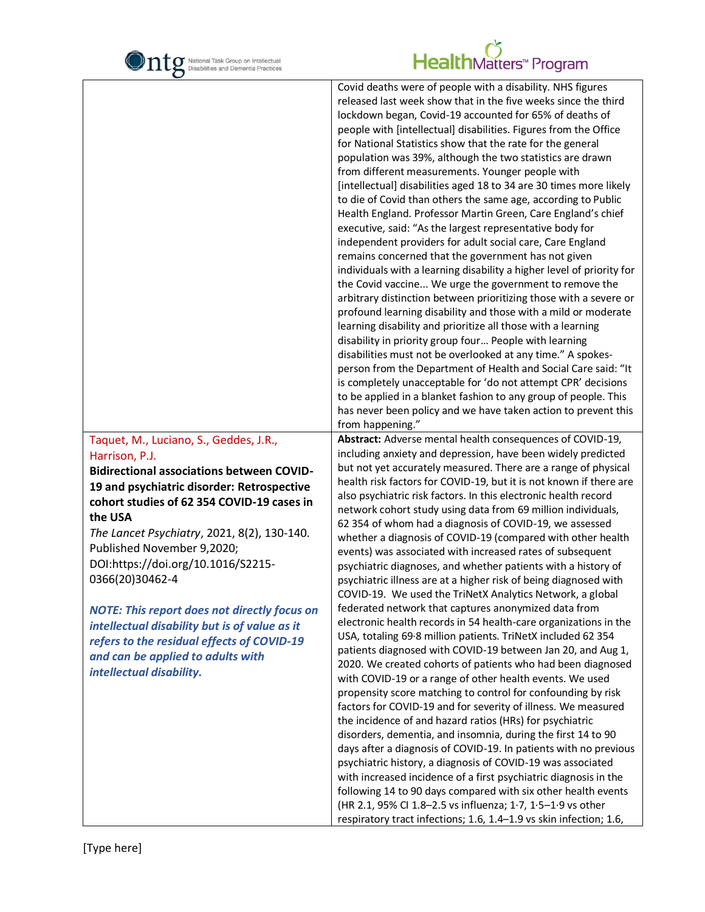

| Covid deaths were of people with a disability. NHS figures<br>released last week show that in the five weeks since the third<br>lockdown began, Covid-19 accounted for 65% of deaths of<br>people with [intellectual] disabilities. Figures from the Office |  |
|-------------------------------------------------------------------------------------------------------------------------------------------------------------------------------------------------------------------------------------------------------------|--|
|                                                                                                                                                                                                                                                             |  |
|                                                                                                                                                                                                                                                             |  |
|                                                                                                                                                                                                                                                             |  |
|                                                                                                                                                                                                                                                             |  |
| for National Statistics show that the rate for the general                                                                                                                                                                                                  |  |
| population was 39%, although the two statistics are drawn                                                                                                                                                                                                   |  |
| from different measurements. Younger people with                                                                                                                                                                                                            |  |
| [intellectual] disabilities aged 18 to 34 are 30 times more likely                                                                                                                                                                                          |  |
| to die of Covid than others the same age, according to Public                                                                                                                                                                                               |  |
| Health England. Professor Martin Green, Care England's chief                                                                                                                                                                                                |  |
| executive, said: "As the largest representative body for                                                                                                                                                                                                    |  |
|                                                                                                                                                                                                                                                             |  |
| independent providers for adult social care, Care England                                                                                                                                                                                                   |  |
| remains concerned that the government has not given                                                                                                                                                                                                         |  |
| individuals with a learning disability a higher level of priority for                                                                                                                                                                                       |  |
| the Covid vaccine We urge the government to remove the                                                                                                                                                                                                      |  |
| arbitrary distinction between prioritizing those with a severe or                                                                                                                                                                                           |  |
| profound learning disability and those with a mild or moderate                                                                                                                                                                                              |  |
| learning disability and prioritize all those with a learning                                                                                                                                                                                                |  |
| disability in priority group four People with learning                                                                                                                                                                                                      |  |
| disabilities must not be overlooked at any time." A spokes-                                                                                                                                                                                                 |  |
| person from the Department of Health and Social Care said: "It                                                                                                                                                                                              |  |
| is completely unacceptable for 'do not attempt CPR' decisions                                                                                                                                                                                               |  |
|                                                                                                                                                                                                                                                             |  |
|                                                                                                                                                                                                                                                             |  |
| to be applied in a blanket fashion to any group of people. This                                                                                                                                                                                             |  |
| has never been policy and we have taken action to prevent this                                                                                                                                                                                              |  |
| from happening."                                                                                                                                                                                                                                            |  |
| Abstract: Adverse mental health consequences of COVID-19,<br>Taquet, M., Luciano, S., Geddes, J.R.,                                                                                                                                                         |  |
| including anxiety and depression, have been widely predicted<br>Harrison, P.J.                                                                                                                                                                              |  |
| but not yet accurately measured. There are a range of physical<br><b>Bidirectional associations between COVID-</b>                                                                                                                                          |  |
| health risk factors for COVID-19, but it is not known if there are<br>19 and psychiatric disorder: Retrospective                                                                                                                                            |  |
| also psychiatric risk factors. In this electronic health record<br>cohort studies of 62 354 COVID-19 cases in                                                                                                                                               |  |
| network cohort study using data from 69 million individuals,<br>the USA                                                                                                                                                                                     |  |
| 62 354 of whom had a diagnosis of COVID-19, we assessed                                                                                                                                                                                                     |  |
| The Lancet Psychiatry, 2021, 8(2), 130-140.<br>whether a diagnosis of COVID-19 (compared with other health                                                                                                                                                  |  |
| Published November 9,2020;<br>events) was associated with increased rates of subsequent                                                                                                                                                                     |  |
| DOI:https://doi.org/10.1016/S2215-<br>psychiatric diagnoses, and whether patients with a history of                                                                                                                                                         |  |
| 0366(20)30462-4<br>psychiatric illness are at a higher risk of being diagnosed with                                                                                                                                                                         |  |
| COVID-19. We used the TriNetX Analytics Network, a global                                                                                                                                                                                                   |  |
| federated network that captures anonymized data from<br><b>NOTE: This report does not directly focus on</b>                                                                                                                                                 |  |
| electronic health records in 54 health-care organizations in the<br>intellectual disability but is of value as it                                                                                                                                           |  |
| USA, totaling 69.8 million patients. TriNetX included 62 354                                                                                                                                                                                                |  |
| refers to the residual effects of COVID-19<br>patients diagnosed with COVID-19 between Jan 20, and Aug 1,                                                                                                                                                   |  |
| and can be applied to adults with<br>2020. We created cohorts of patients who had been diagnosed                                                                                                                                                            |  |
| intellectual disability.<br>with COVID-19 or a range of other health events. We used                                                                                                                                                                        |  |
| propensity score matching to control for confounding by risk                                                                                                                                                                                                |  |
| factors for COVID-19 and for severity of illness. We measured                                                                                                                                                                                               |  |
| the incidence of and hazard ratios (HRs) for psychiatric                                                                                                                                                                                                    |  |
| disorders, dementia, and insomnia, during the first 14 to 90                                                                                                                                                                                                |  |
| days after a diagnosis of COVID-19. In patients with no previous                                                                                                                                                                                            |  |
| psychiatric history, a diagnosis of COVID-19 was associated                                                                                                                                                                                                 |  |
|                                                                                                                                                                                                                                                             |  |
| with increased incidence of a first psychiatric diagnosis in the                                                                                                                                                                                            |  |
| following 14 to 90 days compared with six other health events<br>(HR 2.1, 95% CI 1.8-2.5 vs influenza; 1.7, 1.5-1.9 vs other                                                                                                                                |  |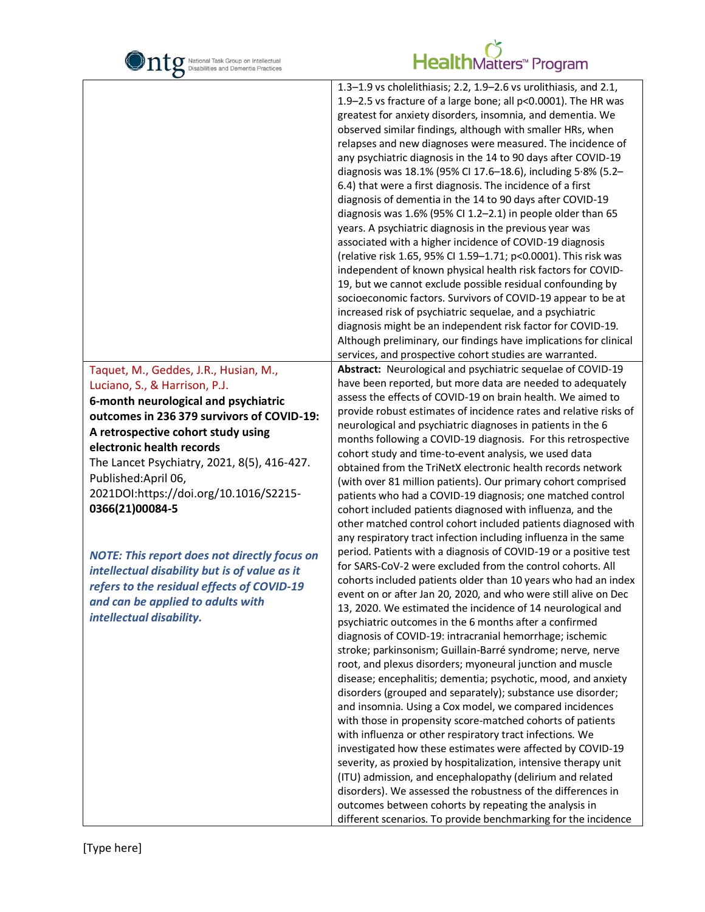

| $\mathbf C$                                         |                                                                                                                                                                                                                                                                                                                                                                                                                                                                                                                                                                                                                                                                                                                                                                                                                                                                                                                                                                                                                                                                                                                                                                                                                                                                                                              |
|-----------------------------------------------------|--------------------------------------------------------------------------------------------------------------------------------------------------------------------------------------------------------------------------------------------------------------------------------------------------------------------------------------------------------------------------------------------------------------------------------------------------------------------------------------------------------------------------------------------------------------------------------------------------------------------------------------------------------------------------------------------------------------------------------------------------------------------------------------------------------------------------------------------------------------------------------------------------------------------------------------------------------------------------------------------------------------------------------------------------------------------------------------------------------------------------------------------------------------------------------------------------------------------------------------------------------------------------------------------------------------|
|                                                     | 1.3-1.9 vs cholelithiasis; 2.2, 1.9-2.6 vs urolithiasis, and 2.1,<br>1.9-2.5 vs fracture of a large bone; all p<0.0001). The HR was<br>greatest for anxiety disorders, insomnia, and dementia. We<br>observed similar findings, although with smaller HRs, when<br>relapses and new diagnoses were measured. The incidence of<br>any psychiatric diagnosis in the 14 to 90 days after COVID-19<br>diagnosis was 18.1% (95% CI 17.6-18.6), including 5.8% (5.2-<br>6.4) that were a first diagnosis. The incidence of a first<br>diagnosis of dementia in the 14 to 90 days after COVID-19<br>diagnosis was 1.6% (95% CI 1.2-2.1) in people older than 65<br>years. A psychiatric diagnosis in the previous year was<br>associated with a higher incidence of COVID-19 diagnosis<br>(relative risk 1.65, 95% CI 1.59-1.71; p<0.0001). This risk was<br>independent of known physical health risk factors for COVID-<br>19, but we cannot exclude possible residual confounding by<br>socioeconomic factors. Survivors of COVID-19 appear to be at<br>increased risk of psychiatric sequelae, and a psychiatric<br>diagnosis might be an independent risk factor for COVID-19.<br>Although preliminary, our findings have implications for clinical<br>services, and prospective cohort studies are warranted. |
| Taquet, M., Geddes, J.R., Husian, M.,               | Abstract: Neurological and psychiatric sequelae of COVID-19                                                                                                                                                                                                                                                                                                                                                                                                                                                                                                                                                                                                                                                                                                                                                                                                                                                                                                                                                                                                                                                                                                                                                                                                                                                  |
| Luciano, S., & Harrison, P.J.                       | have been reported, but more data are needed to adequately                                                                                                                                                                                                                                                                                                                                                                                                                                                                                                                                                                                                                                                                                                                                                                                                                                                                                                                                                                                                                                                                                                                                                                                                                                                   |
| 6-month neurological and psychiatric                | assess the effects of COVID-19 on brain health. We aimed to                                                                                                                                                                                                                                                                                                                                                                                                                                                                                                                                                                                                                                                                                                                                                                                                                                                                                                                                                                                                                                                                                                                                                                                                                                                  |
| outcomes in 236 379 survivors of COVID-19:          | provide robust estimates of incidence rates and relative risks of                                                                                                                                                                                                                                                                                                                                                                                                                                                                                                                                                                                                                                                                                                                                                                                                                                                                                                                                                                                                                                                                                                                                                                                                                                            |
| A retrospective cohort study using                  | neurological and psychiatric diagnoses in patients in the 6                                                                                                                                                                                                                                                                                                                                                                                                                                                                                                                                                                                                                                                                                                                                                                                                                                                                                                                                                                                                                                                                                                                                                                                                                                                  |
| electronic health records                           | months following a COVID-19 diagnosis. For this retrospective                                                                                                                                                                                                                                                                                                                                                                                                                                                                                                                                                                                                                                                                                                                                                                                                                                                                                                                                                                                                                                                                                                                                                                                                                                                |
| The Lancet Psychiatry, 2021, 8(5), 416-427.         | cohort study and time-to-event analysis, we used data                                                                                                                                                                                                                                                                                                                                                                                                                                                                                                                                                                                                                                                                                                                                                                                                                                                                                                                                                                                                                                                                                                                                                                                                                                                        |
| Published:April 06,                                 | obtained from the TriNetX electronic health records network                                                                                                                                                                                                                                                                                                                                                                                                                                                                                                                                                                                                                                                                                                                                                                                                                                                                                                                                                                                                                                                                                                                                                                                                                                                  |
| 2021DOI:https://doi.org/10.1016/S2215-              | (with over 81 million patients). Our primary cohort comprised                                                                                                                                                                                                                                                                                                                                                                                                                                                                                                                                                                                                                                                                                                                                                                                                                                                                                                                                                                                                                                                                                                                                                                                                                                                |
| 0366(21)00084-5                                     | patients who had a COVID-19 diagnosis; one matched control<br>cohort included patients diagnosed with influenza, and the                                                                                                                                                                                                                                                                                                                                                                                                                                                                                                                                                                                                                                                                                                                                                                                                                                                                                                                                                                                                                                                                                                                                                                                     |
|                                                     | other matched control cohort included patients diagnosed with                                                                                                                                                                                                                                                                                                                                                                                                                                                                                                                                                                                                                                                                                                                                                                                                                                                                                                                                                                                                                                                                                                                                                                                                                                                |
|                                                     | any respiratory tract infection including influenza in the same                                                                                                                                                                                                                                                                                                                                                                                                                                                                                                                                                                                                                                                                                                                                                                                                                                                                                                                                                                                                                                                                                                                                                                                                                                              |
|                                                     | period. Patients with a diagnosis of COVID-19 or a positive test                                                                                                                                                                                                                                                                                                                                                                                                                                                                                                                                                                                                                                                                                                                                                                                                                                                                                                                                                                                                                                                                                                                                                                                                                                             |
| <b>NOTE: This report does not directly focus on</b> | for SARS-CoV-2 were excluded from the control cohorts. All                                                                                                                                                                                                                                                                                                                                                                                                                                                                                                                                                                                                                                                                                                                                                                                                                                                                                                                                                                                                                                                                                                                                                                                                                                                   |
| intellectual disability but is of value as it       | cohorts included patients older than 10 years who had an index                                                                                                                                                                                                                                                                                                                                                                                                                                                                                                                                                                                                                                                                                                                                                                                                                                                                                                                                                                                                                                                                                                                                                                                                                                               |
| refers to the residual effects of COVID-19          | event on or after Jan 20, 2020, and who were still alive on Dec                                                                                                                                                                                                                                                                                                                                                                                                                                                                                                                                                                                                                                                                                                                                                                                                                                                                                                                                                                                                                                                                                                                                                                                                                                              |
| and can be applied to adults with                   | 13, 2020. We estimated the incidence of 14 neurological and                                                                                                                                                                                                                                                                                                                                                                                                                                                                                                                                                                                                                                                                                                                                                                                                                                                                                                                                                                                                                                                                                                                                                                                                                                                  |
| intellectual disability.                            | psychiatric outcomes in the 6 months after a confirmed                                                                                                                                                                                                                                                                                                                                                                                                                                                                                                                                                                                                                                                                                                                                                                                                                                                                                                                                                                                                                                                                                                                                                                                                                                                       |
|                                                     | diagnosis of COVID-19: intracranial hemorrhage; ischemic                                                                                                                                                                                                                                                                                                                                                                                                                                                                                                                                                                                                                                                                                                                                                                                                                                                                                                                                                                                                                                                                                                                                                                                                                                                     |
|                                                     | stroke; parkinsonism; Guillain-Barré syndrome; nerve, nerve                                                                                                                                                                                                                                                                                                                                                                                                                                                                                                                                                                                                                                                                                                                                                                                                                                                                                                                                                                                                                                                                                                                                                                                                                                                  |
|                                                     | root, and plexus disorders; myoneural junction and muscle                                                                                                                                                                                                                                                                                                                                                                                                                                                                                                                                                                                                                                                                                                                                                                                                                                                                                                                                                                                                                                                                                                                                                                                                                                                    |
|                                                     | disease; encephalitis; dementia; psychotic, mood, and anxiety<br>disorders (grouped and separately); substance use disorder;                                                                                                                                                                                                                                                                                                                                                                                                                                                                                                                                                                                                                                                                                                                                                                                                                                                                                                                                                                                                                                                                                                                                                                                 |
|                                                     | and insomnia. Using a Cox model, we compared incidences                                                                                                                                                                                                                                                                                                                                                                                                                                                                                                                                                                                                                                                                                                                                                                                                                                                                                                                                                                                                                                                                                                                                                                                                                                                      |
|                                                     | with those in propensity score-matched cohorts of patients                                                                                                                                                                                                                                                                                                                                                                                                                                                                                                                                                                                                                                                                                                                                                                                                                                                                                                                                                                                                                                                                                                                                                                                                                                                   |
|                                                     | with influenza or other respiratory tract infections. We                                                                                                                                                                                                                                                                                                                                                                                                                                                                                                                                                                                                                                                                                                                                                                                                                                                                                                                                                                                                                                                                                                                                                                                                                                                     |
|                                                     | investigated how these estimates were affected by COVID-19                                                                                                                                                                                                                                                                                                                                                                                                                                                                                                                                                                                                                                                                                                                                                                                                                                                                                                                                                                                                                                                                                                                                                                                                                                                   |
|                                                     | severity, as proxied by hospitalization, intensive therapy unit                                                                                                                                                                                                                                                                                                                                                                                                                                                                                                                                                                                                                                                                                                                                                                                                                                                                                                                                                                                                                                                                                                                                                                                                                                              |
|                                                     | (ITU) admission, and encephalopathy (delirium and related                                                                                                                                                                                                                                                                                                                                                                                                                                                                                                                                                                                                                                                                                                                                                                                                                                                                                                                                                                                                                                                                                                                                                                                                                                                    |
|                                                     | disorders). We assessed the robustness of the differences in                                                                                                                                                                                                                                                                                                                                                                                                                                                                                                                                                                                                                                                                                                                                                                                                                                                                                                                                                                                                                                                                                                                                                                                                                                                 |
|                                                     | outcomes between cohorts by repeating the analysis in                                                                                                                                                                                                                                                                                                                                                                                                                                                                                                                                                                                                                                                                                                                                                                                                                                                                                                                                                                                                                                                                                                                                                                                                                                                        |
|                                                     | different scenarios. To provide benchmarking for the incidence                                                                                                                                                                                                                                                                                                                                                                                                                                                                                                                                                                                                                                                                                                                                                                                                                                                                                                                                                                                                                                                                                                                                                                                                                                               |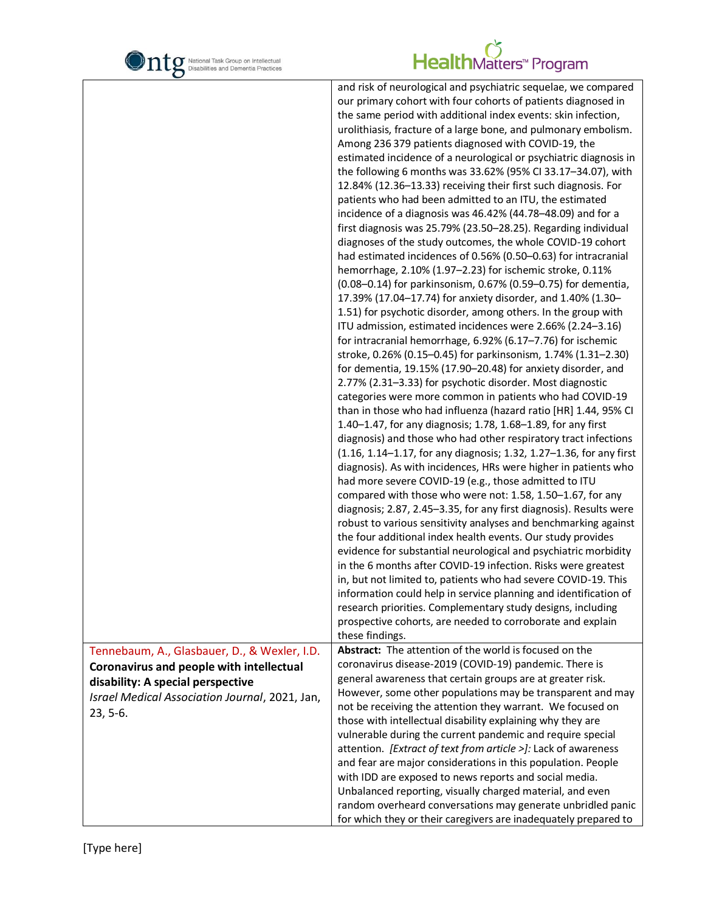

|                                                | and risk of neurological and psychiatric sequelae, we compared                                                           |
|------------------------------------------------|--------------------------------------------------------------------------------------------------------------------------|
|                                                | our primary cohort with four cohorts of patients diagnosed in                                                            |
|                                                | the same period with additional index events: skin infection,                                                            |
|                                                | urolithiasis, fracture of a large bone, and pulmonary embolism.                                                          |
|                                                | Among 236 379 patients diagnosed with COVID-19, the                                                                      |
|                                                | estimated incidence of a neurological or psychiatric diagnosis in                                                        |
|                                                | the following 6 months was 33.62% (95% CI 33.17-34.07), with                                                             |
|                                                | 12.84% (12.36-13.33) receiving their first such diagnosis. For                                                           |
|                                                | patients who had been admitted to an ITU, the estimated                                                                  |
|                                                | incidence of a diagnosis was 46.42% (44.78-48.09) and for a                                                              |
|                                                | first diagnosis was 25.79% (23.50-28.25). Regarding individual                                                           |
|                                                | diagnoses of the study outcomes, the whole COVID-19 cohort                                                               |
|                                                | had estimated incidences of 0.56% (0.50-0.63) for intracranial                                                           |
|                                                | hemorrhage, 2.10% (1.97-2.23) for ischemic stroke, 0.11%                                                                 |
|                                                | (0.08-0.14) for parkinsonism, 0.67% (0.59-0.75) for dementia,                                                            |
|                                                | 17.39% (17.04-17.74) for anxiety disorder, and 1.40% (1.30-                                                              |
|                                                | 1.51) for psychotic disorder, among others. In the group with                                                            |
|                                                | ITU admission, estimated incidences were 2.66% (2.24-3.16)                                                               |
|                                                | for intracranial hemorrhage, 6.92% (6.17-7.76) for ischemic                                                              |
|                                                | stroke, 0.26% (0.15-0.45) for parkinsonism, 1.74% (1.31-2.30)                                                            |
|                                                | for dementia, 19.15% (17.90-20.48) for anxiety disorder, and                                                             |
|                                                | 2.77% (2.31-3.33) for psychotic disorder. Most diagnostic                                                                |
|                                                | categories were more common in patients who had COVID-19                                                                 |
|                                                | than in those who had influenza (hazard ratio [HR] 1.44, 95% CI                                                          |
|                                                | 1.40-1.47, for any diagnosis; 1.78, 1.68-1.89, for any first                                                             |
|                                                | diagnosis) and those who had other respiratory tract infections                                                          |
|                                                | (1.16, 1.14-1.17, for any diagnosis; 1.32, 1.27-1.36, for any first                                                      |
|                                                | diagnosis). As with incidences, HRs were higher in patients who                                                          |
|                                                | had more severe COVID-19 (e.g., those admitted to ITU                                                                    |
|                                                | compared with those who were not: 1.58, 1.50-1.67, for any                                                               |
|                                                | diagnosis; 2.87, 2.45-3.35, for any first diagnosis). Results were                                                       |
|                                                | robust to various sensitivity analyses and benchmarking against                                                          |
|                                                | the four additional index health events. Our study provides                                                              |
|                                                | evidence for substantial neurological and psychiatric morbidity                                                          |
|                                                | in the 6 months after COVID-19 infection. Risks were greatest                                                            |
|                                                | in, but not limited to, patients who had severe COVID-19. This                                                           |
|                                                | information could help in service planning and identification of                                                         |
|                                                | research priorities. Complementary study designs, including                                                              |
|                                                | prospective cohorts, are needed to corroborate and explain                                                               |
|                                                | these findings.                                                                                                          |
| Tennebaum, A., Glasbauer, D., & Wexler, I.D.   | Abstract: The attention of the world is focused on the                                                                   |
| Coronavirus and people with intellectual       | coronavirus disease-2019 (COVID-19) pandemic. There is                                                                   |
| disability: A special perspective              | general awareness that certain groups are at greater risk.<br>However, some other populations may be transparent and may |
| Israel Medical Association Journal, 2021, Jan, |                                                                                                                          |
| 23, 5-6.                                       | not be receiving the attention they warrant. We focused on<br>those with intellectual disability explaining why they are |
|                                                | vulnerable during the current pandemic and require special                                                               |
|                                                | attention. [Extract of text from article >]: Lack of awareness                                                           |
|                                                | and fear are major considerations in this population. People                                                             |
|                                                | with IDD are exposed to news reports and social media.                                                                   |
|                                                | Unbalanced reporting, visually charged material, and even                                                                |
|                                                | random overheard conversations may generate unbridled panic                                                              |
|                                                | for which they or their caregivers are inadequately prepared to                                                          |
|                                                |                                                                                                                          |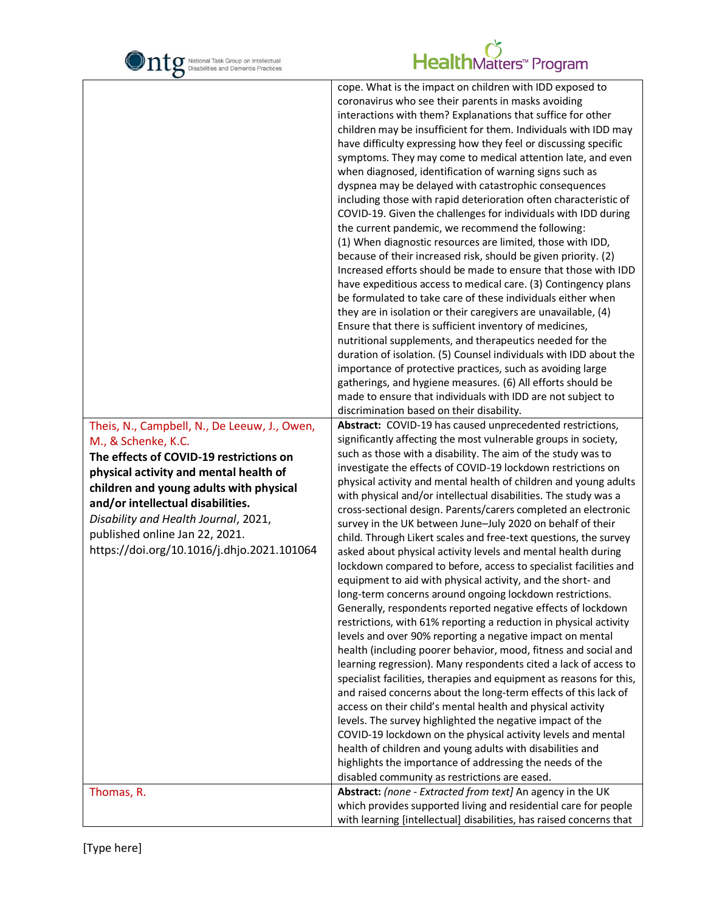

| $\mathbf C$                                                                                                                                                                                                                                                                                                                                                      |                                                                                                                                                                                                                                                                                                                                                                                                                                                                                                                                                                                                                                                                                                                                                                                                                                                                                                                                                                                                                                                                                                                                                                                                                                                                                                                                                                                                                                                                                                                                                                                                                                                                                                                                                                                                                                                                                                                                                                                                                                                                                                                                                                                                                                                                                                                                                                                                                                                                                                                                                                                                                                                                                                                                                                                                                                                                                                                                                                                                                                                                                                                                                                                                                                                                                 |
|------------------------------------------------------------------------------------------------------------------------------------------------------------------------------------------------------------------------------------------------------------------------------------------------------------------------------------------------------------------|---------------------------------------------------------------------------------------------------------------------------------------------------------------------------------------------------------------------------------------------------------------------------------------------------------------------------------------------------------------------------------------------------------------------------------------------------------------------------------------------------------------------------------------------------------------------------------------------------------------------------------------------------------------------------------------------------------------------------------------------------------------------------------------------------------------------------------------------------------------------------------------------------------------------------------------------------------------------------------------------------------------------------------------------------------------------------------------------------------------------------------------------------------------------------------------------------------------------------------------------------------------------------------------------------------------------------------------------------------------------------------------------------------------------------------------------------------------------------------------------------------------------------------------------------------------------------------------------------------------------------------------------------------------------------------------------------------------------------------------------------------------------------------------------------------------------------------------------------------------------------------------------------------------------------------------------------------------------------------------------------------------------------------------------------------------------------------------------------------------------------------------------------------------------------------------------------------------------------------------------------------------------------------------------------------------------------------------------------------------------------------------------------------------------------------------------------------------------------------------------------------------------------------------------------------------------------------------------------------------------------------------------------------------------------------------------------------------------------------------------------------------------------------------------------------------------------------------------------------------------------------------------------------------------------------------------------------------------------------------------------------------------------------------------------------------------------------------------------------------------------------------------------------------------------------------------------------------------------------------------------------------------------------|
| Theis, N., Campbell, N., De Leeuw, J., Owen,<br>M., & Schenke, K.C.<br>The effects of COVID-19 restrictions on<br>physical activity and mental health of<br>children and young adults with physical<br>and/or intellectual disabilities.<br>Disability and Health Journal, 2021,<br>published online Jan 22, 2021.<br>https://doi.org/10.1016/j.dhjo.2021.101064 | cope. What is the impact on children with IDD exposed to<br>coronavirus who see their parents in masks avoiding<br>interactions with them? Explanations that suffice for other<br>children may be insufficient for them. Individuals with IDD may<br>have difficulty expressing how they feel or discussing specific<br>symptoms. They may come to medical attention late, and even<br>when diagnosed, identification of warning signs such as<br>dyspnea may be delayed with catastrophic consequences<br>including those with rapid deterioration often characteristic of<br>COVID-19. Given the challenges for individuals with IDD during<br>the current pandemic, we recommend the following:<br>(1) When diagnostic resources are limited, those with IDD,<br>because of their increased risk, should be given priority. (2)<br>Increased efforts should be made to ensure that those with IDD<br>have expeditious access to medical care. (3) Contingency plans<br>be formulated to take care of these individuals either when<br>they are in isolation or their caregivers are unavailable, (4)<br>Ensure that there is sufficient inventory of medicines,<br>nutritional supplements, and therapeutics needed for the<br>duration of isolation. (5) Counsel individuals with IDD about the<br>importance of protective practices, such as avoiding large<br>gatherings, and hygiene measures. (6) All efforts should be<br>made to ensure that individuals with IDD are not subject to<br>discrimination based on their disability.<br>Abstract: COVID-19 has caused unprecedented restrictions,<br>significantly affecting the most vulnerable groups in society,<br>such as those with a disability. The aim of the study was to<br>investigate the effects of COVID-19 lockdown restrictions on<br>physical activity and mental health of children and young adults<br>with physical and/or intellectual disabilities. The study was a<br>cross-sectional design. Parents/carers completed an electronic<br>survey in the UK between June-July 2020 on behalf of their<br>child. Through Likert scales and free-text questions, the survey<br>asked about physical activity levels and mental health during<br>lockdown compared to before, access to specialist facilities and<br>equipment to aid with physical activity, and the short- and<br>long-term concerns around ongoing lockdown restrictions.<br>Generally, respondents reported negative effects of lockdown<br>restrictions, with 61% reporting a reduction in physical activity<br>levels and over 90% reporting a negative impact on mental<br>health (including poorer behavior, mood, fitness and social and<br>learning regression). Many respondents cited a lack of access to<br>specialist facilities, therapies and equipment as reasons for this,<br>and raised concerns about the long-term effects of this lack of<br>access on their child's mental health and physical activity<br>levels. The survey highlighted the negative impact of the<br>COVID-19 lockdown on the physical activity levels and mental<br>health of children and young adults with disabilities and<br>highlights the importance of addressing the needs of the<br>disabled community as restrictions are eased. |
| Thomas, R.                                                                                                                                                                                                                                                                                                                                                       | Abstract: (none - Extracted from text] An agency in the UK<br>which provides supported living and residential care for people                                                                                                                                                                                                                                                                                                                                                                                                                                                                                                                                                                                                                                                                                                                                                                                                                                                                                                                                                                                                                                                                                                                                                                                                                                                                                                                                                                                                                                                                                                                                                                                                                                                                                                                                                                                                                                                                                                                                                                                                                                                                                                                                                                                                                                                                                                                                                                                                                                                                                                                                                                                                                                                                                                                                                                                                                                                                                                                                                                                                                                                                                                                                                   |
|                                                                                                                                                                                                                                                                                                                                                                  | with learning [intellectual] disabilities, has raised concerns that                                                                                                                                                                                                                                                                                                                                                                                                                                                                                                                                                                                                                                                                                                                                                                                                                                                                                                                                                                                                                                                                                                                                                                                                                                                                                                                                                                                                                                                                                                                                                                                                                                                                                                                                                                                                                                                                                                                                                                                                                                                                                                                                                                                                                                                                                                                                                                                                                                                                                                                                                                                                                                                                                                                                                                                                                                                                                                                                                                                                                                                                                                                                                                                                             |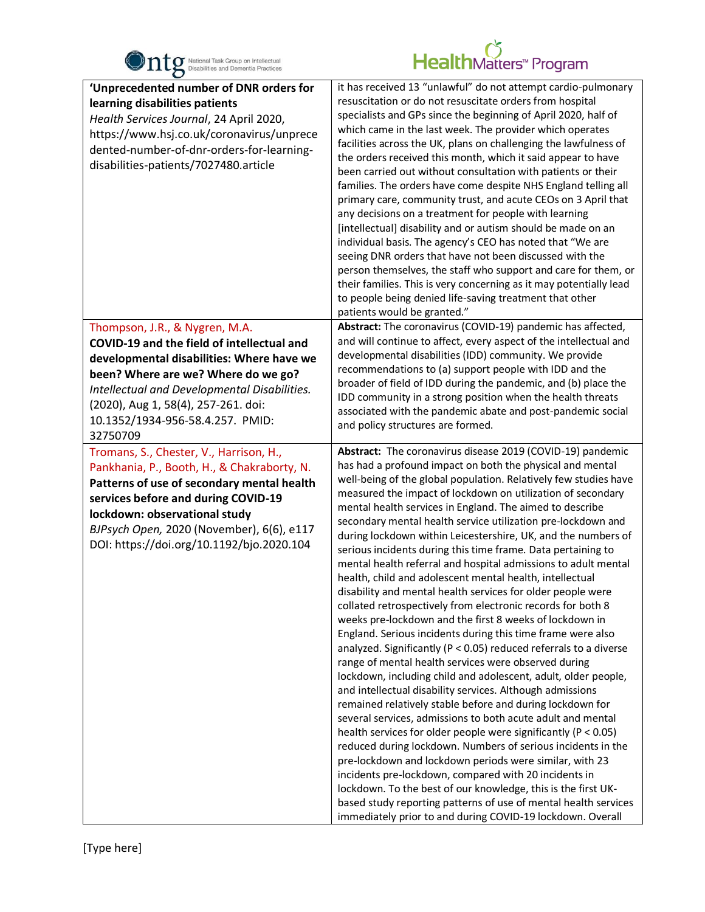

| $\bullet$                                                                                                                                                                                                                                                                                               |                                                                                                                                                                                                                                                                                                                                                                                                                                                                                                                                                                                                                                                                                                                                                                                                                                                                                                                                                                                                                                                                                                                                                                                                                                                                                                                                                                                                                                                                                                                                                                                                                                                                                                                                                                       |
|---------------------------------------------------------------------------------------------------------------------------------------------------------------------------------------------------------------------------------------------------------------------------------------------------------|-----------------------------------------------------------------------------------------------------------------------------------------------------------------------------------------------------------------------------------------------------------------------------------------------------------------------------------------------------------------------------------------------------------------------------------------------------------------------------------------------------------------------------------------------------------------------------------------------------------------------------------------------------------------------------------------------------------------------------------------------------------------------------------------------------------------------------------------------------------------------------------------------------------------------------------------------------------------------------------------------------------------------------------------------------------------------------------------------------------------------------------------------------------------------------------------------------------------------------------------------------------------------------------------------------------------------------------------------------------------------------------------------------------------------------------------------------------------------------------------------------------------------------------------------------------------------------------------------------------------------------------------------------------------------------------------------------------------------------------------------------------------------|
| 'Unprecedented number of DNR orders for<br>learning disabilities patients<br>Health Services Journal, 24 April 2020,<br>https://www.hsj.co.uk/coronavirus/unprece<br>dented-number-of-dnr-orders-for-learning-<br>disabilities-patients/7027480.article                                                 | it has received 13 "unlawful" do not attempt cardio-pulmonary<br>resuscitation or do not resuscitate orders from hospital<br>specialists and GPs since the beginning of April 2020, half of<br>which came in the last week. The provider which operates<br>facilities across the UK, plans on challenging the lawfulness of<br>the orders received this month, which it said appear to have<br>been carried out without consultation with patients or their<br>families. The orders have come despite NHS England telling all<br>primary care, community trust, and acute CEOs on 3 April that<br>any decisions on a treatment for people with learning<br>[intellectual] disability and or autism should be made on an<br>individual basis. The agency's CEO has noted that "We are<br>seeing DNR orders that have not been discussed with the<br>person themselves, the staff who support and care for them, or<br>their families. This is very concerning as it may potentially lead<br>to people being denied life-saving treatment that other<br>patients would be granted."                                                                                                                                                                                                                                                                                                                                                                                                                                                                                                                                                                                                                                                                                     |
| Thompson, J.R., & Nygren, M.A.<br>COVID-19 and the field of intellectual and<br>developmental disabilities: Where have we<br>been? Where are we? Where do we go?<br>Intellectual and Developmental Disabilities.<br>(2020), Aug 1, 58(4), 257-261. doi:<br>10.1352/1934-956-58.4.257. PMID:<br>32750709 | Abstract: The coronavirus (COVID-19) pandemic has affected,<br>and will continue to affect, every aspect of the intellectual and<br>developmental disabilities (IDD) community. We provide<br>recommendations to (a) support people with IDD and the<br>broader of field of IDD during the pandemic, and (b) place the<br>IDD community in a strong position when the health threats<br>associated with the pandemic abate and post-pandemic social<br>and policy structures are formed.                                                                                                                                                                                                                                                                                                                                                                                                                                                                                                                                                                                                                                                                                                                                                                                                                                                                                                                                                                                                                                                                                                                                                                                                                                                                              |
| Tromans, S., Chester, V., Harrison, H.,<br>Pankhania, P., Booth, H., & Chakraborty, N.<br>Patterns of use of secondary mental health<br>services before and during COVID-19<br>lockdown: observational study<br>BJPsych Open, 2020 (November), 6(6), e117<br>DOI: https://doi.org/10.1192/bjo.2020.104  | Abstract: The coronavirus disease 2019 (COVID-19) pandemic<br>has had a profound impact on both the physical and mental<br>well-being of the global population. Relatively few studies have<br>measured the impact of lockdown on utilization of secondary<br>mental health services in England. The aimed to describe<br>secondary mental health service utilization pre-lockdown and<br>during lockdown within Leicestershire, UK, and the numbers of<br>serious incidents during this time frame. Data pertaining to<br>mental health referral and hospital admissions to adult mental<br>health, child and adolescent mental health, intellectual<br>disability and mental health services for older people were<br>collated retrospectively from electronic records for both 8<br>weeks pre-lockdown and the first 8 weeks of lockdown in<br>England. Serious incidents during this time frame were also<br>analyzed. Significantly ( $P < 0.05$ ) reduced referrals to a diverse<br>range of mental health services were observed during<br>lockdown, including child and adolescent, adult, older people,<br>and intellectual disability services. Although admissions<br>remained relatively stable before and during lockdown for<br>several services, admissions to both acute adult and mental<br>health services for older people were significantly ( $P < 0.05$ )<br>reduced during lockdown. Numbers of serious incidents in the<br>pre-lockdown and lockdown periods were similar, with 23<br>incidents pre-lockdown, compared with 20 incidents in<br>lockdown. To the best of our knowledge, this is the first UK-<br>based study reporting patterns of use of mental health services<br>immediately prior to and during COVID-19 lockdown. Overall |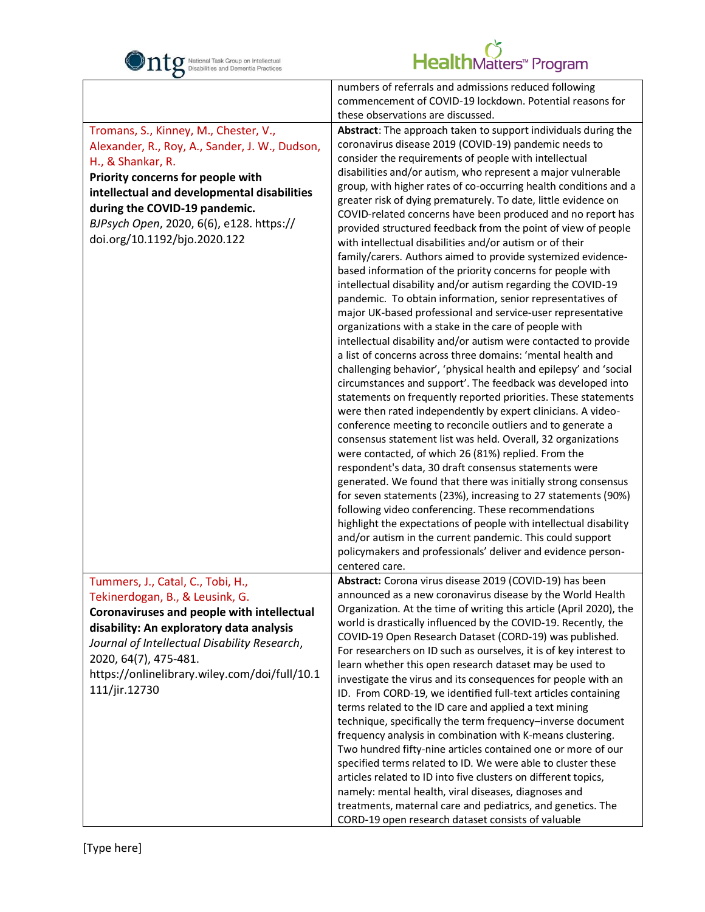

|                                                | numbers of referrals and admissions reduced following               |
|------------------------------------------------|---------------------------------------------------------------------|
|                                                | commencement of COVID-19 lockdown. Potential reasons for            |
|                                                | these observations are discussed.                                   |
| Tromans, S., Kinney, M., Chester, V.,          | Abstract: The approach taken to support individuals during the      |
| Alexander, R., Roy, A., Sander, J. W., Dudson, | coronavirus disease 2019 (COVID-19) pandemic needs to               |
|                                                | consider the requirements of people with intellectual               |
| H., & Shankar, R.                              | disabilities and/or autism, who represent a major vulnerable        |
| Priority concerns for people with              | group, with higher rates of co-occurring health conditions and a    |
| intellectual and developmental disabilities    | greater risk of dying prematurely. To date, little evidence on      |
| during the COVID-19 pandemic.                  | COVID-related concerns have been produced and no report has         |
| BJPsych Open, 2020, 6(6), e128. https://       | provided structured feedback from the point of view of people       |
| doi.org/10.1192/bjo.2020.122                   | with intellectual disabilities and/or autism or of their            |
|                                                |                                                                     |
|                                                | family/carers. Authors aimed to provide systemized evidence-        |
|                                                | based information of the priority concerns for people with          |
|                                                | intellectual disability and/or autism regarding the COVID-19        |
|                                                | pandemic. To obtain information, senior representatives of          |
|                                                | major UK-based professional and service-user representative         |
|                                                | organizations with a stake in the care of people with               |
|                                                | intellectual disability and/or autism were contacted to provide     |
|                                                | a list of concerns across three domains: 'mental health and         |
|                                                | challenging behavior', 'physical health and epilepsy' and 'social   |
|                                                | circumstances and support'. The feedback was developed into         |
|                                                | statements on frequently reported priorities. These statements      |
|                                                | were then rated independently by expert clinicians. A video-        |
|                                                | conference meeting to reconcile outliers and to generate a          |
|                                                | consensus statement list was held. Overall, 32 organizations        |
|                                                | were contacted, of which 26 (81%) replied. From the                 |
|                                                | respondent's data, 30 draft consensus statements were               |
|                                                | generated. We found that there was initially strong consensus       |
|                                                | for seven statements (23%), increasing to 27 statements (90%)       |
|                                                | following video conferencing. These recommendations                 |
|                                                | highlight the expectations of people with intellectual disability   |
|                                                | and/or autism in the current pandemic. This could support           |
|                                                | policymakers and professionals' deliver and evidence person-        |
|                                                | centered care.                                                      |
| Tummers, J., Catal, C., Tobi, H.,              | Abstract: Corona virus disease 2019 (COVID-19) has been             |
| Tekinerdogan, B., & Leusink, G.                | announced as a new coronavirus disease by the World Health          |
|                                                | Organization. At the time of writing this article (April 2020), the |
| Coronaviruses and people with intellectual     | world is drastically influenced by the COVID-19. Recently, the      |
| disability: An exploratory data analysis       | COVID-19 Open Research Dataset (CORD-19) was published.             |
| Journal of Intellectual Disability Research,   | For researchers on ID such as ourselves, it is of key interest to   |
| 2020, 64(7), 475-481.                          | learn whether this open research dataset may be used to             |
| https://onlinelibrary.wiley.com/doi/full/10.1  | investigate the virus and its consequences for people with an       |
| 111/jir.12730                                  | ID. From CORD-19, we identified full-text articles containing       |
|                                                | terms related to the ID care and applied a text mining              |
|                                                | technique, specifically the term frequency-inverse document         |
|                                                | frequency analysis in combination with K-means clustering.          |
|                                                | Two hundred fifty-nine articles contained one or more of our        |
|                                                | specified terms related to ID. We were able to cluster these        |
|                                                |                                                                     |
|                                                | articles related to ID into five clusters on different topics,      |
|                                                | namely: mental health, viral diseases, diagnoses and                |
|                                                | treatments, maternal care and pediatrics, and genetics. The         |
|                                                | CORD-19 open research dataset consists of valuable                  |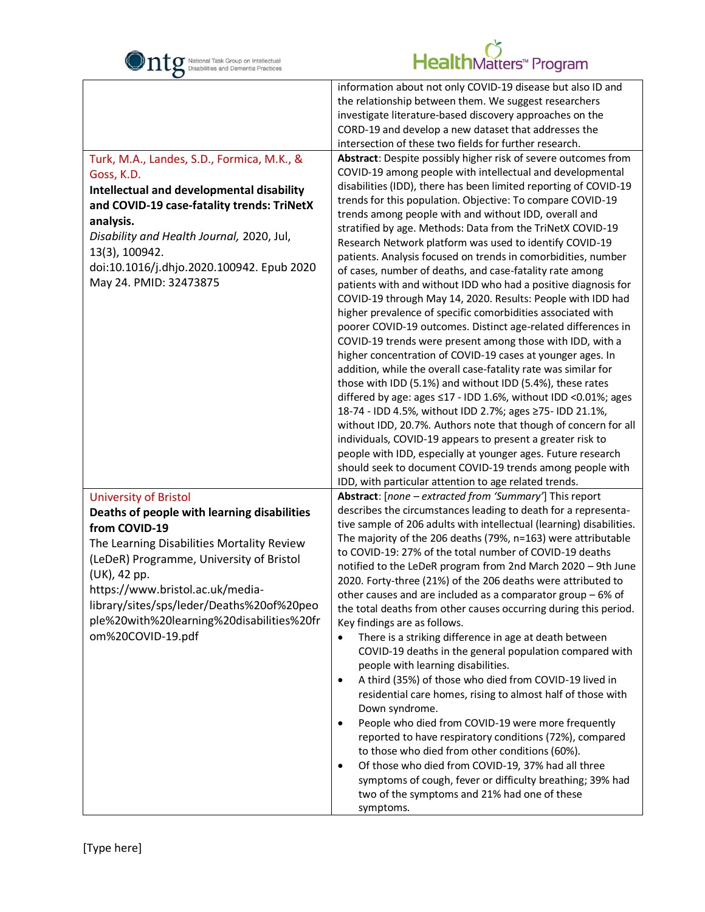

| $\mathbf C$<br>Turk, M.A., Landes, S.D., Formica, M.K., &<br>Goss, K.D.<br>Intellectual and developmental disability<br>and COVID-19 case-fatality trends: TriNetX<br>analysis.<br>Disability and Health Journal, 2020, Jul,<br>13(3), 100942.<br>doi:10.1016/j.dhjo.2020.100942. Epub 2020<br>May 24. PMID: 32473875                                     | information about not only COVID-19 disease but also ID and<br>the relationship between them. We suggest researchers<br>investigate literature-based discovery approaches on the<br>CORD-19 and develop a new dataset that addresses the<br>intersection of these two fields for further research.<br>Abstract: Despite possibly higher risk of severe outcomes from<br>COVID-19 among people with intellectual and developmental<br>disabilities (IDD), there has been limited reporting of COVID-19<br>trends for this population. Objective: To compare COVID-19<br>trends among people with and without IDD, overall and<br>stratified by age. Methods: Data from the TriNetX COVID-19<br>Research Network platform was used to identify COVID-19<br>patients. Analysis focused on trends in comorbidities, number<br>of cases, number of deaths, and case-fatality rate among<br>patients with and without IDD who had a positive diagnosis for<br>COVID-19 through May 14, 2020. Results: People with IDD had<br>higher prevalence of specific comorbidities associated with<br>poorer COVID-19 outcomes. Distinct age-related differences in<br>COVID-19 trends were present among those with IDD, with a<br>higher concentration of COVID-19 cases at younger ages. In<br>addition, while the overall case-fatality rate was similar for<br>those with IDD (5.1%) and without IDD (5.4%), these rates<br>differed by age: ages ≤17 - IDD 1.6%, without IDD <0.01%; ages<br>18-74 - IDD 4.5%, without IDD 2.7%; ages ≥75- IDD 21.1%,<br>without IDD, 20.7%. Authors note that though of concern for all |
|-----------------------------------------------------------------------------------------------------------------------------------------------------------------------------------------------------------------------------------------------------------------------------------------------------------------------------------------------------------|----------------------------------------------------------------------------------------------------------------------------------------------------------------------------------------------------------------------------------------------------------------------------------------------------------------------------------------------------------------------------------------------------------------------------------------------------------------------------------------------------------------------------------------------------------------------------------------------------------------------------------------------------------------------------------------------------------------------------------------------------------------------------------------------------------------------------------------------------------------------------------------------------------------------------------------------------------------------------------------------------------------------------------------------------------------------------------------------------------------------------------------------------------------------------------------------------------------------------------------------------------------------------------------------------------------------------------------------------------------------------------------------------------------------------------------------------------------------------------------------------------------------------------------------------------------------------------------------------------------|
|                                                                                                                                                                                                                                                                                                                                                           | individuals, COVID-19 appears to present a greater risk to<br>people with IDD, especially at younger ages. Future research                                                                                                                                                                                                                                                                                                                                                                                                                                                                                                                                                                                                                                                                                                                                                                                                                                                                                                                                                                                                                                                                                                                                                                                                                                                                                                                                                                                                                                                                                     |
|                                                                                                                                                                                                                                                                                                                                                           | should seek to document COVID-19 trends among people with                                                                                                                                                                                                                                                                                                                                                                                                                                                                                                                                                                                                                                                                                                                                                                                                                                                                                                                                                                                                                                                                                                                                                                                                                                                                                                                                                                                                                                                                                                                                                      |
|                                                                                                                                                                                                                                                                                                                                                           | IDD, with particular attention to age related trends.                                                                                                                                                                                                                                                                                                                                                                                                                                                                                                                                                                                                                                                                                                                                                                                                                                                                                                                                                                                                                                                                                                                                                                                                                                                                                                                                                                                                                                                                                                                                                          |
| <b>University of Bristol</b><br>Deaths of people with learning disabilities<br>from COVID-19<br>The Learning Disabilities Mortality Review<br>(LeDeR) Programme, University of Bristol<br>(UK), 42 pp.<br>https://www.bristol.ac.uk/media-<br>library/sites/sps/leder/Deaths%20of%20peo<br>ple%20with%20learning%20disabilities%20fr<br>om%20COVID-19.pdf | Abstract: [none - extracted from 'Summary'] This report<br>describes the circumstances leading to death for a representa-<br>tive sample of 206 adults with intellectual (learning) disabilities.<br>The majority of the 206 deaths (79%, n=163) were attributable<br>to COVID-19: 27% of the total number of COVID-19 deaths<br>notified to the LeDeR program from 2nd March 2020 - 9th June<br>2020. Forty-three (21%) of the 206 deaths were attributed to<br>other causes and are included as a comparator group $-6\%$ of<br>the total deaths from other causes occurring during this period.<br>Key findings are as follows.<br>There is a striking difference in age at death between<br>$\bullet$<br>COVID-19 deaths in the general population compared with<br>people with learning disabilities.<br>A third (35%) of those who died from COVID-19 lived in<br>$\bullet$<br>residential care homes, rising to almost half of those with<br>Down syndrome.<br>People who died from COVID-19 were more frequently<br>$\bullet$<br>reported to have respiratory conditions (72%), compared<br>to those who died from other conditions (60%).<br>Of those who died from COVID-19, 37% had all three<br>$\bullet$<br>symptoms of cough, fever or difficulty breathing; 39% had<br>two of the symptoms and 21% had one of these<br>symptoms.                                                                                                                                                                                                                                                                |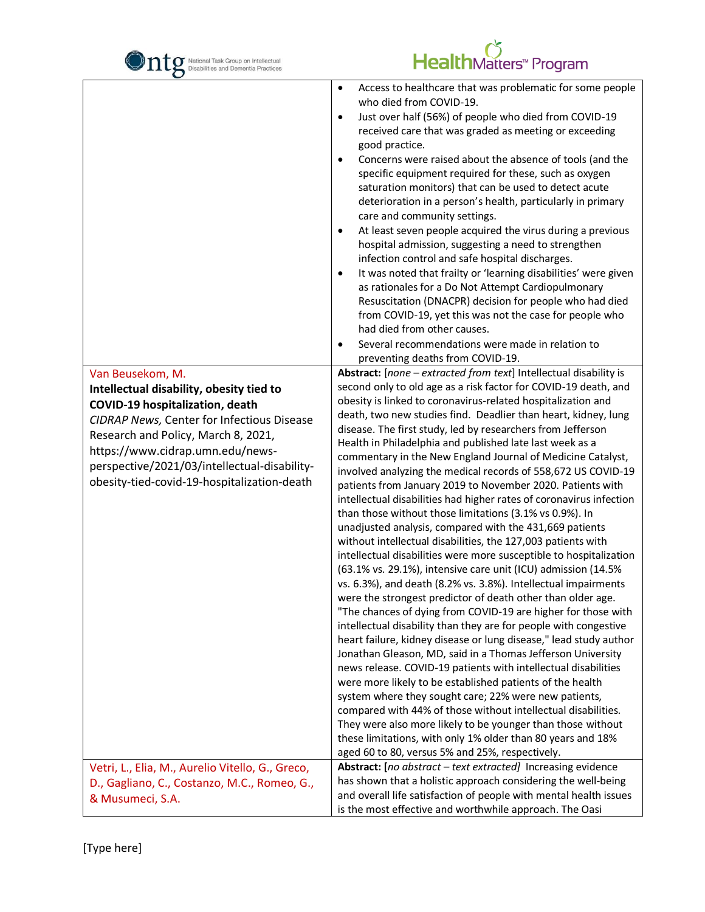

| O                                                            |                                                                                                                                                                                                                                                                                                                                                                                                                                                                                                                                                                                                                                                                                                                                                                                                                                                                                                                                                                                                                                                                                                                                                                                                                                                      |
|--------------------------------------------------------------|------------------------------------------------------------------------------------------------------------------------------------------------------------------------------------------------------------------------------------------------------------------------------------------------------------------------------------------------------------------------------------------------------------------------------------------------------------------------------------------------------------------------------------------------------------------------------------------------------------------------------------------------------------------------------------------------------------------------------------------------------------------------------------------------------------------------------------------------------------------------------------------------------------------------------------------------------------------------------------------------------------------------------------------------------------------------------------------------------------------------------------------------------------------------------------------------------------------------------------------------------|
| Van Beusekom, M.<br>Intellectual disability, obesity tied to | Access to healthcare that was problematic for some people<br>$\bullet$<br>who died from COVID-19.<br>Just over half (56%) of people who died from COVID-19<br>$\bullet$<br>received care that was graded as meeting or exceeding<br>good practice.<br>Concerns were raised about the absence of tools (and the<br>specific equipment required for these, such as oxygen<br>saturation monitors) that can be used to detect acute<br>deterioration in a person's health, particularly in primary<br>care and community settings.<br>At least seven people acquired the virus during a previous<br>٠<br>hospital admission, suggesting a need to strengthen<br>infection control and safe hospital discharges.<br>It was noted that frailty or 'learning disabilities' were given<br>$\bullet$<br>as rationales for a Do Not Attempt Cardiopulmonary<br>Resuscitation (DNACPR) decision for people who had died<br>from COVID-19, yet this was not the case for people who<br>had died from other causes.<br>Several recommendations were made in relation to<br>$\bullet$<br>preventing deaths from COVID-19.<br>Abstract: [none - extracted from text] Intellectual disability is<br>second only to old age as a risk factor for COVID-19 death, and |
| <b>COVID-19 hospitalization, death</b>                       | obesity is linked to coronavirus-related hospitalization and                                                                                                                                                                                                                                                                                                                                                                                                                                                                                                                                                                                                                                                                                                                                                                                                                                                                                                                                                                                                                                                                                                                                                                                         |
| <b>CIDRAP News, Center for Infectious Disease</b>            | death, two new studies find. Deadlier than heart, kidney, lung                                                                                                                                                                                                                                                                                                                                                                                                                                                                                                                                                                                                                                                                                                                                                                                                                                                                                                                                                                                                                                                                                                                                                                                       |
| Research and Policy, March 8, 2021,                          | disease. The first study, led by researchers from Jefferson<br>Health in Philadelphia and published late last week as a                                                                                                                                                                                                                                                                                                                                                                                                                                                                                                                                                                                                                                                                                                                                                                                                                                                                                                                                                                                                                                                                                                                              |
| https://www.cidrap.umn.edu/news-                             | commentary in the New England Journal of Medicine Catalyst,                                                                                                                                                                                                                                                                                                                                                                                                                                                                                                                                                                                                                                                                                                                                                                                                                                                                                                                                                                                                                                                                                                                                                                                          |
| perspective/2021/03/intellectual-disability-                 | involved analyzing the medical records of 558,672 US COVID-19                                                                                                                                                                                                                                                                                                                                                                                                                                                                                                                                                                                                                                                                                                                                                                                                                                                                                                                                                                                                                                                                                                                                                                                        |
| obesity-tied-covid-19-hospitalization-death                  | patients from January 2019 to November 2020. Patients with                                                                                                                                                                                                                                                                                                                                                                                                                                                                                                                                                                                                                                                                                                                                                                                                                                                                                                                                                                                                                                                                                                                                                                                           |
|                                                              | intellectual disabilities had higher rates of coronavirus infection                                                                                                                                                                                                                                                                                                                                                                                                                                                                                                                                                                                                                                                                                                                                                                                                                                                                                                                                                                                                                                                                                                                                                                                  |
|                                                              | than those without those limitations (3.1% vs 0.9%). In                                                                                                                                                                                                                                                                                                                                                                                                                                                                                                                                                                                                                                                                                                                                                                                                                                                                                                                                                                                                                                                                                                                                                                                              |
|                                                              | unadjusted analysis, compared with the 431,669 patients                                                                                                                                                                                                                                                                                                                                                                                                                                                                                                                                                                                                                                                                                                                                                                                                                                                                                                                                                                                                                                                                                                                                                                                              |
|                                                              | without intellectual disabilities, the 127,003 patients with<br>intellectual disabilities were more susceptible to hospitalization                                                                                                                                                                                                                                                                                                                                                                                                                                                                                                                                                                                                                                                                                                                                                                                                                                                                                                                                                                                                                                                                                                                   |
|                                                              | (63.1% vs. 29.1%), intensive care unit (ICU) admission (14.5%                                                                                                                                                                                                                                                                                                                                                                                                                                                                                                                                                                                                                                                                                                                                                                                                                                                                                                                                                                                                                                                                                                                                                                                        |
|                                                              | vs. 6.3%), and death (8.2% vs. 3.8%). Intellectual impairments                                                                                                                                                                                                                                                                                                                                                                                                                                                                                                                                                                                                                                                                                                                                                                                                                                                                                                                                                                                                                                                                                                                                                                                       |
|                                                              | were the strongest predictor of death other than older age.                                                                                                                                                                                                                                                                                                                                                                                                                                                                                                                                                                                                                                                                                                                                                                                                                                                                                                                                                                                                                                                                                                                                                                                          |
|                                                              | "The chances of dying from COVID-19 are higher for those with                                                                                                                                                                                                                                                                                                                                                                                                                                                                                                                                                                                                                                                                                                                                                                                                                                                                                                                                                                                                                                                                                                                                                                                        |
|                                                              | intellectual disability than they are for people with congestive                                                                                                                                                                                                                                                                                                                                                                                                                                                                                                                                                                                                                                                                                                                                                                                                                                                                                                                                                                                                                                                                                                                                                                                     |
|                                                              | heart failure, kidney disease or lung disease," lead study author                                                                                                                                                                                                                                                                                                                                                                                                                                                                                                                                                                                                                                                                                                                                                                                                                                                                                                                                                                                                                                                                                                                                                                                    |
|                                                              | Jonathan Gleason, MD, said in a Thomas Jefferson University<br>news release. COVID-19 patients with intellectual disabilities                                                                                                                                                                                                                                                                                                                                                                                                                                                                                                                                                                                                                                                                                                                                                                                                                                                                                                                                                                                                                                                                                                                        |
|                                                              | were more likely to be established patients of the health                                                                                                                                                                                                                                                                                                                                                                                                                                                                                                                                                                                                                                                                                                                                                                                                                                                                                                                                                                                                                                                                                                                                                                                            |
|                                                              | system where they sought care; 22% were new patients,                                                                                                                                                                                                                                                                                                                                                                                                                                                                                                                                                                                                                                                                                                                                                                                                                                                                                                                                                                                                                                                                                                                                                                                                |
|                                                              | compared with 44% of those without intellectual disabilities.                                                                                                                                                                                                                                                                                                                                                                                                                                                                                                                                                                                                                                                                                                                                                                                                                                                                                                                                                                                                                                                                                                                                                                                        |
|                                                              | They were also more likely to be younger than those without                                                                                                                                                                                                                                                                                                                                                                                                                                                                                                                                                                                                                                                                                                                                                                                                                                                                                                                                                                                                                                                                                                                                                                                          |
|                                                              | these limitations, with only 1% older than 80 years and 18%                                                                                                                                                                                                                                                                                                                                                                                                                                                                                                                                                                                                                                                                                                                                                                                                                                                                                                                                                                                                                                                                                                                                                                                          |
|                                                              | aged 60 to 80, versus 5% and 25%, respectively.                                                                                                                                                                                                                                                                                                                                                                                                                                                                                                                                                                                                                                                                                                                                                                                                                                                                                                                                                                                                                                                                                                                                                                                                      |
| Vetri, L., Elia, M., Aurelio Vitello, G., Greco,             | Abstract: [no abstract - text extracted] Increasing evidence<br>has shown that a holistic approach considering the well-being                                                                                                                                                                                                                                                                                                                                                                                                                                                                                                                                                                                                                                                                                                                                                                                                                                                                                                                                                                                                                                                                                                                        |
| D., Gagliano, C., Costanzo, M.C., Romeo, G.,                 | and overall life satisfaction of people with mental health issues                                                                                                                                                                                                                                                                                                                                                                                                                                                                                                                                                                                                                                                                                                                                                                                                                                                                                                                                                                                                                                                                                                                                                                                    |
| & Musumeci, S.A.                                             | is the most effective and worthwhile approach. The Oasi                                                                                                                                                                                                                                                                                                                                                                                                                                                                                                                                                                                                                                                                                                                                                                                                                                                                                                                                                                                                                                                                                                                                                                                              |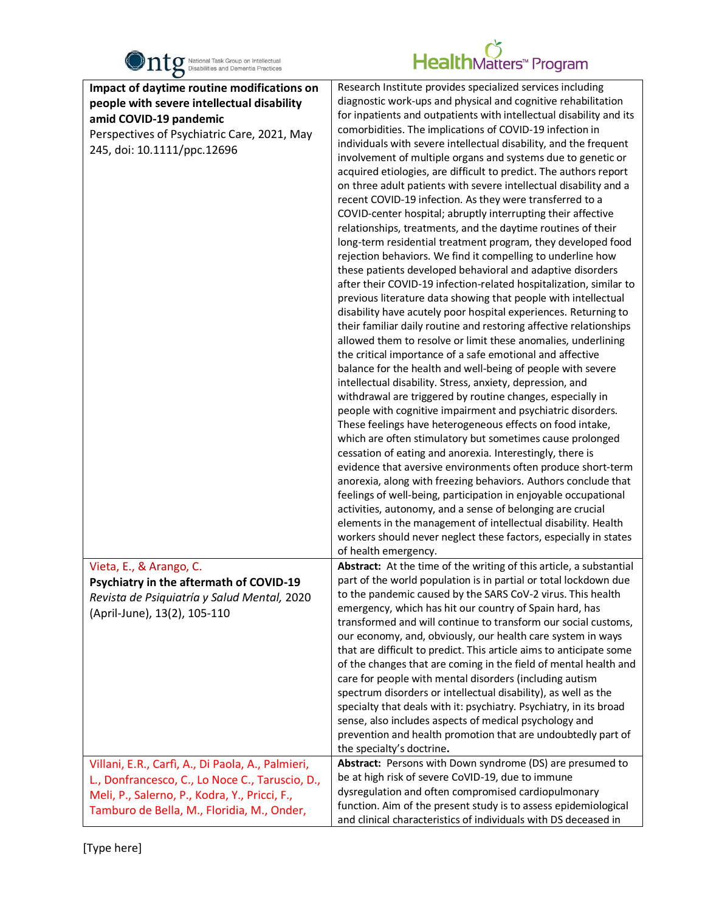

| $\bullet$<br>Impact of daytime routine modifications on<br>people with severe intellectual disability<br>amid COVID-19 pandemic<br>Perspectives of Psychiatric Care, 2021, May<br>245, doi: 10.1111/ppc.12696 | Research Institute provides specialized services including<br>diagnostic work-ups and physical and cognitive rehabilitation<br>for inpatients and outpatients with intellectual disability and its<br>comorbidities. The implications of COVID-19 infection in<br>individuals with severe intellectual disability, and the frequent<br>involvement of multiple organs and systems due to genetic or<br>acquired etiologies, are difficult to predict. The authors report<br>on three adult patients with severe intellectual disability and a<br>recent COVID-19 infection. As they were transferred to a<br>COVID-center hospital; abruptly interrupting their affective<br>relationships, treatments, and the daytime routines of their<br>long-term residential treatment program, they developed food<br>rejection behaviors. We find it compelling to underline how<br>these patients developed behavioral and adaptive disorders<br>after their COVID-19 infection-related hospitalization, similar to<br>previous literature data showing that people with intellectual<br>disability have acutely poor hospital experiences. Returning to<br>their familiar daily routine and restoring affective relationships<br>allowed them to resolve or limit these anomalies, underlining<br>the critical importance of a safe emotional and affective<br>balance for the health and well-being of people with severe<br>intellectual disability. Stress, anxiety, depression, and<br>withdrawal are triggered by routine changes, especially in<br>people with cognitive impairment and psychiatric disorders.<br>These feelings have heterogeneous effects on food intake,<br>which are often stimulatory but sometimes cause prolonged<br>cessation of eating and anorexia. Interestingly, there is<br>evidence that aversive environments often produce short-term<br>anorexia, along with freezing behaviors. Authors conclude that<br>feelings of well-being, participation in enjoyable occupational<br>activities, autonomy, and a sense of belonging are crucial<br>elements in the management of intellectual disability. Health<br>workers should never neglect these factors, especially in states |
|---------------------------------------------------------------------------------------------------------------------------------------------------------------------------------------------------------------|---------------------------------------------------------------------------------------------------------------------------------------------------------------------------------------------------------------------------------------------------------------------------------------------------------------------------------------------------------------------------------------------------------------------------------------------------------------------------------------------------------------------------------------------------------------------------------------------------------------------------------------------------------------------------------------------------------------------------------------------------------------------------------------------------------------------------------------------------------------------------------------------------------------------------------------------------------------------------------------------------------------------------------------------------------------------------------------------------------------------------------------------------------------------------------------------------------------------------------------------------------------------------------------------------------------------------------------------------------------------------------------------------------------------------------------------------------------------------------------------------------------------------------------------------------------------------------------------------------------------------------------------------------------------------------------------------------------------------------------------------------------------------------------------------------------------------------------------------------------------------------------------------------------------------------------------------------------------------------------------------------------------------------------------------------------------------------------------------------------------------------------------------------------------------------------------------------------|
| Vieta, E., & Arango, C.                                                                                                                                                                                       | Abstract: At the time of the writing of this article, a substantial                                                                                                                                                                                                                                                                                                                                                                                                                                                                                                                                                                                                                                                                                                                                                                                                                                                                                                                                                                                                                                                                                                                                                                                                                                                                                                                                                                                                                                                                                                                                                                                                                                                                                                                                                                                                                                                                                                                                                                                                                                                                                                                                           |
| Psychiatry in the aftermath of COVID-19<br>Revista de Psiquiatría y Salud Mental, 2020<br>(April-June), 13(2), 105-110                                                                                        | part of the world population is in partial or total lockdown due<br>to the pandemic caused by the SARS CoV-2 virus. This health<br>emergency, which has hit our country of Spain hard, has<br>transformed and will continue to transform our social customs,<br>our economy, and, obviously, our health care system in ways<br>that are difficult to predict. This article aims to anticipate some<br>of the changes that are coming in the field of mental health and<br>care for people with mental disorders (including autism<br>spectrum disorders or intellectual disability), as well as the<br>specialty that deals with it: psychiatry. Psychiatry, in its broad<br>sense, also includes aspects of medical psychology and<br>prevention and health promotion that are undoubtedly part of<br>the specialty's doctrine.                                                                                                                                                                                                                                                                                                                                                                                                                                                                                                                                                                                                                                                                                                                                                                                                                                                                                                                                                                                                                                                                                                                                                                                                                                                                                                                                                                              |
| Villani, E.R., Carfi, A., Di Paola, A., Palmieri,<br>L., Donfrancesco, C., Lo Noce C., Taruscio, D.,<br>Meli, P., Salerno, P., Kodra, Y., Pricci, F.,<br>Tamburo de Bella, M., Floridia, M., Onder,           | Abstract: Persons with Down syndrome (DS) are presumed to<br>be at high risk of severe CoVID-19, due to immune<br>dysregulation and often compromised cardiopulmonary<br>function. Aim of the present study is to assess epidemiological<br>and clinical characteristics of individuals with DS deceased in                                                                                                                                                                                                                                                                                                                                                                                                                                                                                                                                                                                                                                                                                                                                                                                                                                                                                                                                                                                                                                                                                                                                                                                                                                                                                                                                                                                                                                                                                                                                                                                                                                                                                                                                                                                                                                                                                                   |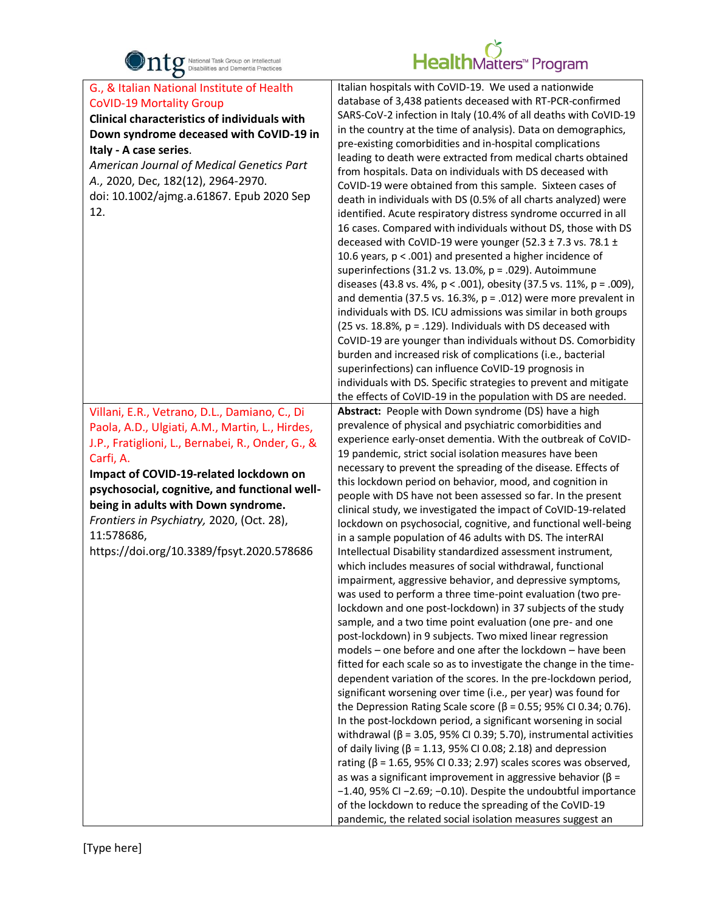

| $\bullet$                                                                                                                                                                                                                                                                                                                                                                                                    |                                                                                                                                                                                                                                                                                                                                                                                                                                                                                                                                                                                                                                                                                                                                                                                                                                                                                                                                                                                                                                                                                                                                                                                                                                                                                                                                                                                                                                                                                                                                                                                                                                                                                                                                                                                                                                                                                                                                                                                                               |
|--------------------------------------------------------------------------------------------------------------------------------------------------------------------------------------------------------------------------------------------------------------------------------------------------------------------------------------------------------------------------------------------------------------|---------------------------------------------------------------------------------------------------------------------------------------------------------------------------------------------------------------------------------------------------------------------------------------------------------------------------------------------------------------------------------------------------------------------------------------------------------------------------------------------------------------------------------------------------------------------------------------------------------------------------------------------------------------------------------------------------------------------------------------------------------------------------------------------------------------------------------------------------------------------------------------------------------------------------------------------------------------------------------------------------------------------------------------------------------------------------------------------------------------------------------------------------------------------------------------------------------------------------------------------------------------------------------------------------------------------------------------------------------------------------------------------------------------------------------------------------------------------------------------------------------------------------------------------------------------------------------------------------------------------------------------------------------------------------------------------------------------------------------------------------------------------------------------------------------------------------------------------------------------------------------------------------------------------------------------------------------------------------------------------------------------|
| G., & Italian National Institute of Health<br><b>CoVID-19 Mortality Group</b><br>Clinical characteristics of individuals with<br>Down syndrome deceased with CoVID-19 in<br>Italy - A case series.<br>American Journal of Medical Genetics Part<br>A., 2020, Dec, 182(12), 2964-2970.<br>doi: 10.1002/ajmg.a.61867. Epub 2020 Sep<br>12.                                                                     | Italian hospitals with CoVID-19. We used a nationwide<br>database of 3,438 patients deceased with RT-PCR-confirmed<br>SARS-CoV-2 infection in Italy (10.4% of all deaths with CoVID-19<br>in the country at the time of analysis). Data on demographics,<br>pre-existing comorbidities and in-hospital complications<br>leading to death were extracted from medical charts obtained<br>from hospitals. Data on individuals with DS deceased with<br>CoVID-19 were obtained from this sample. Sixteen cases of<br>death in individuals with DS (0.5% of all charts analyzed) were<br>identified. Acute respiratory distress syndrome occurred in all<br>16 cases. Compared with individuals without DS, those with DS<br>deceased with CoVID-19 were younger (52.3 $\pm$ 7.3 vs. 78.1 $\pm$<br>10.6 years, $p < .001$ ) and presented a higher incidence of<br>superinfections (31.2 vs. 13.0%, $p = .029$ ). Autoimmune<br>diseases (43.8 vs. 4%, $p < .001$ ), obesity (37.5 vs. 11%, $p = .009$ ),<br>and dementia (37.5 vs. 16.3%, $p = .012$ ) were more prevalent in<br>individuals with DS. ICU admissions was similar in both groups<br>(25 vs. 18.8%, $p = .129$ ). Individuals with DS deceased with<br>CoVID-19 are younger than individuals without DS. Comorbidity<br>burden and increased risk of complications (i.e., bacterial<br>superinfections) can influence CoVID-19 prognosis in<br>individuals with DS. Specific strategies to prevent and mitigate<br>the effects of CoVID-19 in the population with DS are needed.                                                                                                                                                                                                                                                                                                                                                                                                                                                                   |
| Villani, E.R., Vetrano, D.L., Damiano, C., Di<br>Paola, A.D., Ulgiati, A.M., Martin, L., Hirdes,<br>J.P., Fratiglioni, L., Bernabei, R., Onder, G., &<br>Carfi, A.<br>Impact of COVID-19-related lockdown on<br>psychosocial, cognitive, and functional well-<br>being in adults with Down syndrome.<br>Frontiers in Psychiatry, 2020, (Oct. 28),<br>11:578686,<br>https://doi.org/10.3389/fpsyt.2020.578686 | Abstract: People with Down syndrome (DS) have a high<br>prevalence of physical and psychiatric comorbidities and<br>experience early-onset dementia. With the outbreak of CoVID-<br>19 pandemic, strict social isolation measures have been<br>necessary to prevent the spreading of the disease. Effects of<br>this lockdown period on behavior, mood, and cognition in<br>people with DS have not been assessed so far. In the present<br>clinical study, we investigated the impact of CoVID-19-related<br>lockdown on psychosocial, cognitive, and functional well-being<br>in a sample population of 46 adults with DS. The interRAI<br>Intellectual Disability standardized assessment instrument,<br>which includes measures of social withdrawal, functional<br>impairment, aggressive behavior, and depressive symptoms,<br>was used to perform a three time-point evaluation (two pre-<br>lockdown and one post-lockdown) in 37 subjects of the study<br>sample, and a two time point evaluation (one pre- and one<br>post-lockdown) in 9 subjects. Two mixed linear regression<br>models - one before and one after the lockdown - have been<br>fitted for each scale so as to investigate the change in the time-<br>dependent variation of the scores. In the pre-lockdown period,<br>significant worsening over time (i.e., per year) was found for<br>the Depression Rating Scale score ( $\beta$ = 0.55; 95% CI 0.34; 0.76).<br>In the post-lockdown period, a significant worsening in social<br>withdrawal ( $\beta$ = 3.05, 95% CI 0.39; 5.70), instrumental activities<br>of daily living ( $\beta$ = 1.13, 95% CI 0.08; 2.18) and depression<br>rating ( $\beta$ = 1.65, 95% CI 0.33; 2.97) scales scores was observed,<br>as was a significant improvement in aggressive behavior ( $\beta$ =<br>-1.40, 95% CI-2.69; -0.10). Despite the undoubtful importance<br>of the lockdown to reduce the spreading of the CoVID-19<br>pandemic, the related social isolation measures suggest an |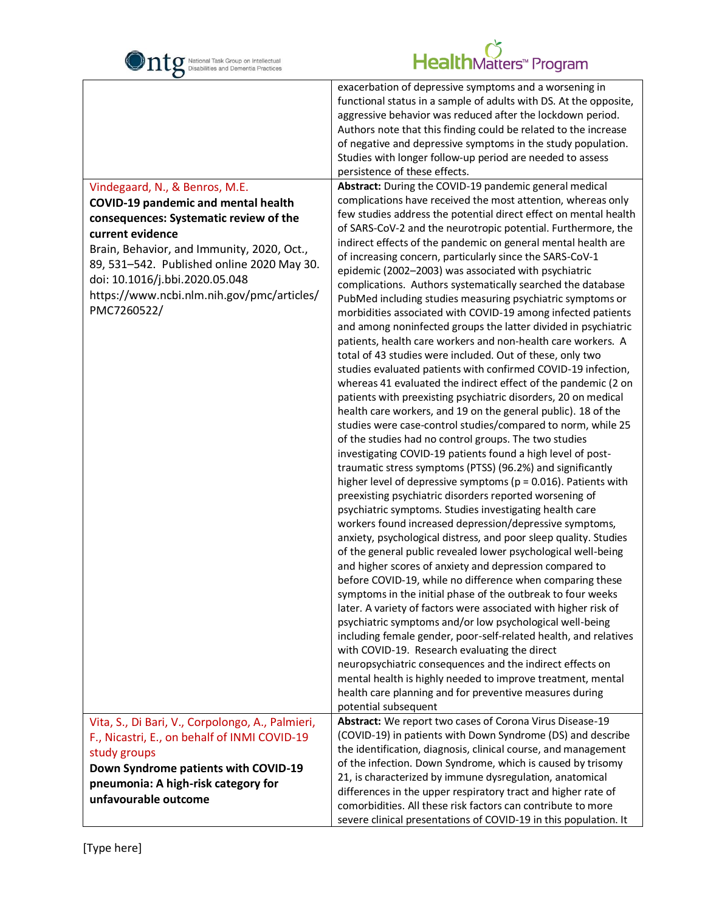

Г

|                                                  | exacerbation of depressive symptoms and a worsening in                           |
|--------------------------------------------------|----------------------------------------------------------------------------------|
|                                                  | functional status in a sample of adults with DS. At the opposite,                |
|                                                  | aggressive behavior was reduced after the lockdown period.                       |
|                                                  | Authors note that this finding could be related to the increase                  |
|                                                  | of negative and depressive symptoms in the study population.                     |
|                                                  | Studies with longer follow-up period are needed to assess                        |
|                                                  | persistence of these effects.                                                    |
| Vindegaard, N., & Benros, M.E.                   | Abstract: During the COVID-19 pandemic general medical                           |
| <b>COVID-19 pandemic and mental health</b>       | complications have received the most attention, whereas only                     |
| consequences: Systematic review of the           | few studies address the potential direct effect on mental health                 |
| current evidence                                 | of SARS-CoV-2 and the neurotropic potential. Furthermore, the                    |
|                                                  | indirect effects of the pandemic on general mental health are                    |
| Brain, Behavior, and Immunity, 2020, Oct.,       | of increasing concern, particularly since the SARS-CoV-1                         |
| 89, 531-542. Published online 2020 May 30.       | epidemic (2002-2003) was associated with psychiatric                             |
| doi: 10.1016/j.bbi.2020.05.048                   | complications. Authors systematically searched the database                      |
| https://www.ncbi.nlm.nih.gov/pmc/articles/       | PubMed including studies measuring psychiatric symptoms or                       |
| PMC7260522/                                      | morbidities associated with COVID-19 among infected patients                     |
|                                                  | and among noninfected groups the latter divided in psychiatric                   |
|                                                  | patients, health care workers and non-health care workers. A                     |
|                                                  | total of 43 studies were included. Out of these, only two                        |
|                                                  | studies evaluated patients with confirmed COVID-19 infection,                    |
|                                                  | whereas 41 evaluated the indirect effect of the pandemic (2 on                   |
|                                                  | patients with preexisting psychiatric disorders, 20 on medical                   |
|                                                  | health care workers, and 19 on the general public). 18 of the                    |
|                                                  | studies were case-control studies/compared to norm, while 25                     |
|                                                  | of the studies had no control groups. The two studies                            |
|                                                  | investigating COVID-19 patients found a high level of post-                      |
|                                                  | traumatic stress symptoms (PTSS) (96.2%) and significantly                       |
|                                                  | higher level of depressive symptoms ( $p = 0.016$ ). Patients with               |
|                                                  | preexisting psychiatric disorders reported worsening of                          |
|                                                  | psychiatric symptoms. Studies investigating health care                          |
|                                                  | workers found increased depression/depressive symptoms,                          |
|                                                  | anxiety, psychological distress, and poor sleep quality. Studies                 |
|                                                  | of the general public revealed lower psychological well-being                    |
|                                                  | and higher scores of anxiety and depression compared to                          |
|                                                  | before COVID-19, while no difference when comparing these                        |
|                                                  | symptoms in the initial phase of the outbreak to four weeks                      |
|                                                  | later. A variety of factors were associated with higher risk of                  |
|                                                  | psychiatric symptoms and/or low psychological well-being                         |
|                                                  | including female gender, poor-self-related health, and relatives                 |
|                                                  | with COVID-19. Research evaluating the direct                                    |
|                                                  | neuropsychiatric consequences and the indirect effects on                        |
|                                                  | mental health is highly needed to improve treatment, mental                      |
|                                                  | health care planning and for preventive measures during                          |
|                                                  | potential subsequent<br>Abstract: We report two cases of Corona Virus Disease-19 |
| Vita, S., Di Bari, V., Corpolongo, A., Palmieri, | (COVID-19) in patients with Down Syndrome (DS) and describe                      |
| F., Nicastri, E., on behalf of INMI COVID-19     | the identification, diagnosis, clinical course, and management                   |
| study groups                                     | of the infection. Down Syndrome, which is caused by trisomy                      |
| Down Syndrome patients with COVID-19             | 21, is characterized by immune dysregulation, anatomical                         |
| pneumonia: A high-risk category for              | differences in the upper respiratory tract and higher rate of                    |
| unfavourable outcome                             | comorbidities. All these risk factors can contribute to more                     |
|                                                  | severe clinical presentations of COVID-19 in this population. It                 |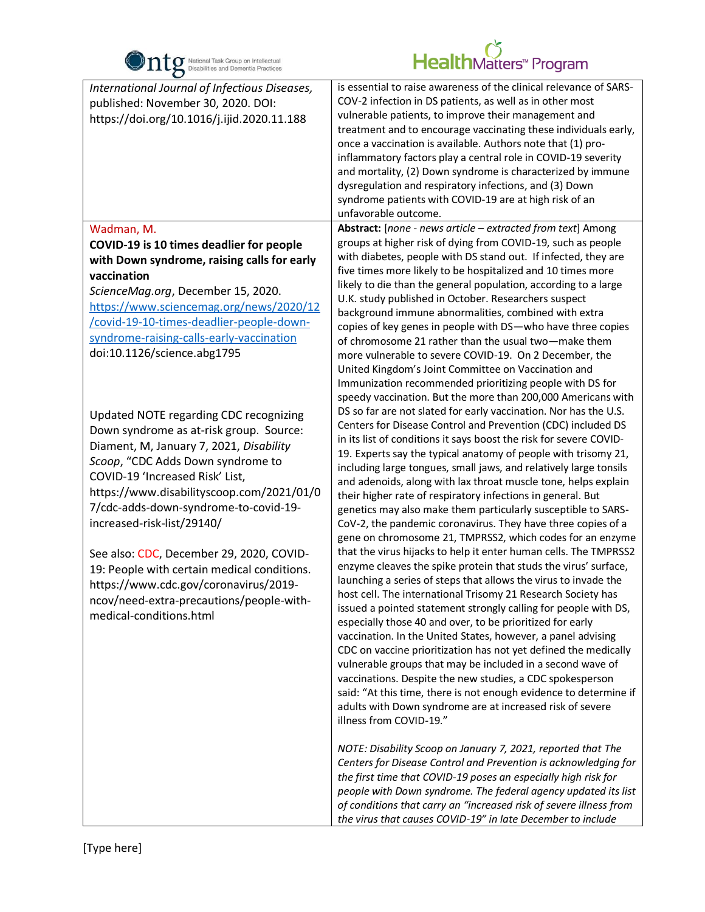

| $\bullet$                                                                                                                                                                                                                                                                                                                                                                                                                                                                                                                           |                                                                                                                                                                                                                                                                                                                                                                                                                                                                                                                                                                                                                                                                                                                                                                                                                                                                                                                                                                                                                                                                                                                                                                                                                                                                                                                                                                                                                                                                                                                                                                                                                                                                                                                                                                                                                                                                                                                               |
|-------------------------------------------------------------------------------------------------------------------------------------------------------------------------------------------------------------------------------------------------------------------------------------------------------------------------------------------------------------------------------------------------------------------------------------------------------------------------------------------------------------------------------------|-------------------------------------------------------------------------------------------------------------------------------------------------------------------------------------------------------------------------------------------------------------------------------------------------------------------------------------------------------------------------------------------------------------------------------------------------------------------------------------------------------------------------------------------------------------------------------------------------------------------------------------------------------------------------------------------------------------------------------------------------------------------------------------------------------------------------------------------------------------------------------------------------------------------------------------------------------------------------------------------------------------------------------------------------------------------------------------------------------------------------------------------------------------------------------------------------------------------------------------------------------------------------------------------------------------------------------------------------------------------------------------------------------------------------------------------------------------------------------------------------------------------------------------------------------------------------------------------------------------------------------------------------------------------------------------------------------------------------------------------------------------------------------------------------------------------------------------------------------------------------------------------------------------------------------|
| International Journal of Infectious Diseases,<br>published: November 30, 2020. DOI:<br>https://doi.org/10.1016/j.ijid.2020.11.188                                                                                                                                                                                                                                                                                                                                                                                                   | is essential to raise awareness of the clinical relevance of SARS-<br>COV-2 infection in DS patients, as well as in other most<br>vulnerable patients, to improve their management and<br>treatment and to encourage vaccinating these individuals early,<br>once a vaccination is available. Authors note that (1) pro-<br>inflammatory factors play a central role in COVID-19 severity<br>and mortality, (2) Down syndrome is characterized by immune<br>dysregulation and respiratory infections, and (3) Down<br>syndrome patients with COVID-19 are at high risk of an<br>unfavorable outcome.                                                                                                                                                                                                                                                                                                                                                                                                                                                                                                                                                                                                                                                                                                                                                                                                                                                                                                                                                                                                                                                                                                                                                                                                                                                                                                                          |
| Wadman, M.<br>COVID-19 is 10 times deadlier for people<br>with Down syndrome, raising calls for early<br>vaccination<br>ScienceMag.org, December 15, 2020.<br>https://www.sciencemag.org/news/2020/12<br>/covid-19-10-times-deadlier-people-down-<br>syndrome-raising-calls-early-vaccination<br>doi:10.1126/science.abg1795                                                                                                                                                                                                        | Abstract: [none - news article - extracted from text] Among<br>groups at higher risk of dying from COVID-19, such as people<br>with diabetes, people with DS stand out. If infected, they are<br>five times more likely to be hospitalized and 10 times more<br>likely to die than the general population, according to a large<br>U.K. study published in October. Researchers suspect<br>background immune abnormalities, combined with extra<br>copies of key genes in people with DS-who have three copies<br>of chromosome 21 rather than the usual two-make them<br>more vulnerable to severe COVID-19. On 2 December, the<br>United Kingdom's Joint Committee on Vaccination and<br>Immunization recommended prioritizing people with DS for<br>speedy vaccination. But the more than 200,000 Americans with                                                                                                                                                                                                                                                                                                                                                                                                                                                                                                                                                                                                                                                                                                                                                                                                                                                                                                                                                                                                                                                                                                           |
| Updated NOTE regarding CDC recognizing<br>Down syndrome as at-risk group. Source:<br>Diament, M, January 7, 2021, Disability<br>Scoop, "CDC Adds Down syndrome to<br>COVID-19 'Increased Risk' List,<br>https://www.disabilityscoop.com/2021/01/0<br>7/cdc-adds-down-syndrome-to-covid-19-<br>increased-risk-list/29140/<br>See also: CDC, December 29, 2020, COVID-<br>19: People with certain medical conditions.<br>https://www.cdc.gov/coronavirus/2019-<br>ncov/need-extra-precautions/people-with-<br>medical-conditions.html | DS so far are not slated for early vaccination. Nor has the U.S.<br>Centers for Disease Control and Prevention (CDC) included DS<br>in its list of conditions it says boost the risk for severe COVID-<br>19. Experts say the typical anatomy of people with trisomy 21,<br>including large tongues, small jaws, and relatively large tonsils<br>and adenoids, along with lax throat muscle tone, helps explain<br>their higher rate of respiratory infections in general. But<br>genetics may also make them particularly susceptible to SARS-<br>CoV-2, the pandemic coronavirus. They have three copies of a<br>gene on chromosome 21, TMPRSS2, which codes for an enzyme<br>that the virus hijacks to help it enter human cells. The TMPRSS2<br>enzyme cleaves the spike protein that studs the virus' surface,<br>launching a series of steps that allows the virus to invade the<br>host cell. The international Trisomy 21 Research Society has<br>issued a pointed statement strongly calling for people with DS,<br>especially those 40 and over, to be prioritized for early<br>vaccination. In the United States, however, a panel advising<br>CDC on vaccine prioritization has not yet defined the medically<br>vulnerable groups that may be included in a second wave of<br>vaccinations. Despite the new studies, a CDC spokesperson<br>said: "At this time, there is not enough evidence to determine if<br>adults with Down syndrome are at increased risk of severe<br>illness from COVID-19."<br>NOTE: Disability Scoop on January 7, 2021, reported that The<br>Centers for Disease Control and Prevention is acknowledging for<br>the first time that COVID-19 poses an especially high risk for<br>people with Down syndrome. The federal agency updated its list<br>of conditions that carry an "increased risk of severe illness from<br>the virus that causes COVID-19" in late December to include |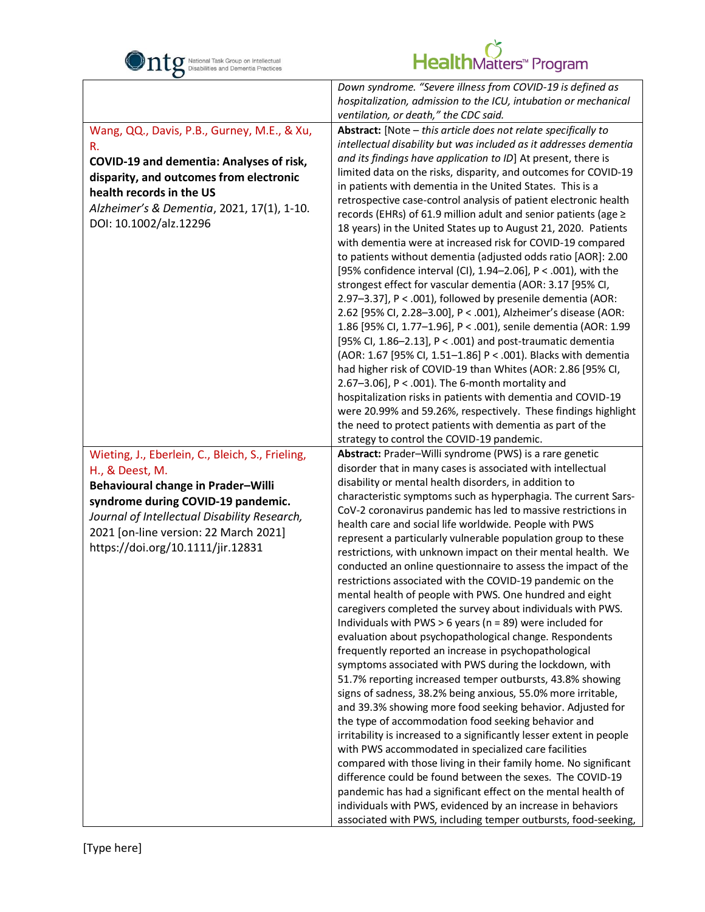

.<br>F

|                                                  | Down syndrome. "Severe illness from COVID-19 is defined as           |
|--------------------------------------------------|----------------------------------------------------------------------|
|                                                  | hospitalization, admission to the ICU, intubation or mechanical      |
|                                                  | ventilation, or death," the CDC said.                                |
| Wang, QQ., Davis, P.B., Gurney, M.E., & Xu,      | Abstract: [Note - this article does not relate specifically to       |
| R.                                               | intellectual disability but was included as it addresses dementia    |
|                                                  | and its findings have application to ID] At present, there is        |
| COVID-19 and dementia: Analyses of risk,         | limited data on the risks, disparity, and outcomes for COVID-19      |
| disparity, and outcomes from electronic          | in patients with dementia in the United States. This is a            |
| health records in the US                         | retrospective case-control analysis of patient electronic health     |
| Alzheimer's & Dementia, 2021, 17(1), 1-10.       | records (EHRs) of 61.9 million adult and senior patients (age ≥      |
| DOI: 10.1002/alz.12296                           | 18 years) in the United States up to August 21, 2020. Patients       |
|                                                  |                                                                      |
|                                                  | with dementia were at increased risk for COVID-19 compared           |
|                                                  | to patients without dementia (adjusted odds ratio [AOR]: 2.00        |
|                                                  | [95% confidence interval (CI), 1.94-2.06], P < .001), with the       |
|                                                  | strongest effect for vascular dementia (AOR: 3.17 [95% CI,           |
|                                                  | 2.97-3.37], P < .001), followed by presenile dementia (AOR:          |
|                                                  | 2.62 [95% CI, 2.28-3.00], P < .001), Alzheimer's disease (AOR:       |
|                                                  | 1.86 [95% Cl, 1.77-1.96], P < .001), senile dementia (AOR: 1.99      |
|                                                  | [95% Cl, 1.86-2.13], P < .001) and post-traumatic dementia           |
|                                                  | (AOR: 1.67 [95% CI, 1.51-1.86] P < .001). Blacks with dementia       |
|                                                  | had higher risk of COVID-19 than Whites (AOR: 2.86 [95% CI,          |
|                                                  | 2.67-3.06], $P < .001$ ). The 6-month mortality and                  |
|                                                  | hospitalization risks in patients with dementia and COVID-19         |
|                                                  | were 20.99% and 59.26%, respectively. These findings highlight       |
|                                                  | the need to protect patients with dementia as part of the            |
|                                                  | strategy to control the COVID-19 pandemic.                           |
| Wieting, J., Eberlein, C., Bleich, S., Frieling, | Abstract: Prader-Willi syndrome (PWS) is a rare genetic              |
| H., & Deest, M.                                  | disorder that in many cases is associated with intellectual          |
| Behavioural change in Prader-Willi               | disability or mental health disorders, in addition to                |
|                                                  | characteristic symptoms such as hyperphagia. The current Sars-       |
| syndrome during COVID-19 pandemic.               | CoV-2 coronavirus pandemic has led to massive restrictions in        |
| Journal of Intellectual Disability Research,     | health care and social life worldwide. People with PWS               |
| 2021 [on-line version: 22 March 2021]            | represent a particularly vulnerable population group to these        |
| https://doi.org/10.1111/jir.12831                | restrictions, with unknown impact on their mental health. We         |
|                                                  | conducted an online questionnaire to assess the impact of the        |
|                                                  | restrictions associated with the COVID-19 pandemic on the            |
|                                                  | mental health of people with PWS. One hundred and eight              |
|                                                  | caregivers completed the survey about individuals with PWS.          |
|                                                  | Individuals with PWS $> 6$ years (n = 89) were included for          |
|                                                  | evaluation about psychopathological change. Respondents              |
|                                                  | frequently reported an increase in psychopathological                |
|                                                  | symptoms associated with PWS during the lockdown, with               |
|                                                  |                                                                      |
|                                                  | 51.7% reporting increased temper outbursts, 43.8% showing            |
|                                                  | signs of sadness, 38.2% being anxious, 55.0% more irritable,         |
|                                                  | and 39.3% showing more food seeking behavior. Adjusted for           |
|                                                  | the type of accommodation food seeking behavior and                  |
|                                                  | irritability is increased to a significantly lesser extent in people |
|                                                  | with PWS accommodated in specialized care facilities                 |
|                                                  | compared with those living in their family home. No significant      |
|                                                  | difference could be found between the sexes. The COVID-19            |
|                                                  | pandemic has had a significant effect on the mental health of        |
|                                                  | individuals with PWS, evidenced by an increase in behaviors          |
|                                                  | associated with PWS, including temper outbursts, food-seeking,       |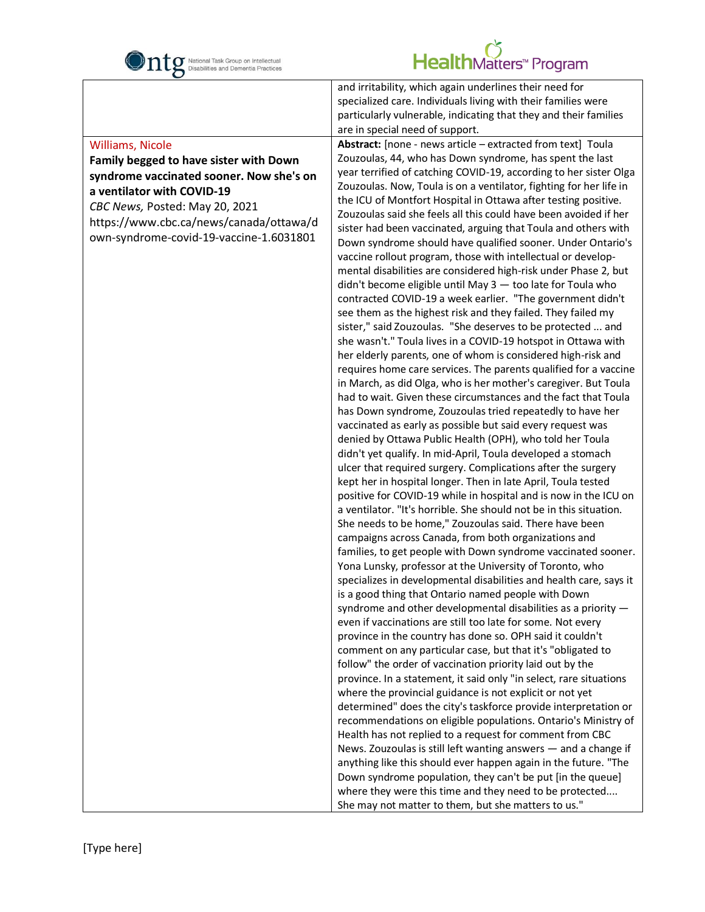

## HealthMatters<sup>w</sup> Program

#### Williams, Nicole

.<br>F

#### **Family begged to have sister with Down syndrome vaccinated sooner. Now she's on a ventilator with COVID-19**

*CBC News,* Posted: May 20, 2021 https://www.cbc.ca/news/canada/ottawa/d own-syndrome-covid-19-vaccine-1.6031801

and irritability, which again underlines their need for specialized care. Individuals living with their families were particularly vulnerable, indicating that they and their families are in special need of support.

**Abstract:** [none - news article – extracted from text] Toula Zouzoulas, 44, who has Down syndrome, has spent the last year terrified of catching COVID-19, according to her sister Olga Zouzoulas. Now, Toula is on a ventilator, fighting for her life in the ICU of Montfort Hospital in Ottawa after testing positive. Zouzoulas said she feels all this could have been avoided if her sister had been vaccinated, arguing that Toula and others with Down syndrome should have qualified sooner. Under Ontario's vaccine rollout program, those with intellectual or developmental disabilities are considered high-risk under Phase 2, but didn't become eligible until May 3 — too late for Toula who contracted COVID-19 a week earlier. "The government didn't see them as the highest risk and they failed. They failed my sister," said Zouzoulas. "She deserves to be protected ... and she wasn't." Toula lives in a COVID-19 hotspot in Ottawa with her elderly parents, one of whom is considered high-risk and requires home care services. The parents qualified for a vaccine in March, as did Olga, who is her mother's caregiver. But Toula had to wait. Given these circumstances and the fact that Toula has Down syndrome, Zouzoulas tried repeatedly to have her vaccinated as early as possible but said every request was denied by Ottawa Public Health (OPH), who told her Toula didn't yet qualify. In mid-April, Toula developed a stomach ulcer that required surgery. Complications after the surgery kept her in hospital longer. Then in late April, Toula tested positive for COVID-19 while in hospital and is now in the ICU on a ventilator. "It's horrible. She should not be in this situation. She needs to be home," Zouzoulas said. There have been campaigns across Canada, from both organizations and families, to get people with Down syndrome vaccinated sooner. Yona Lunsky, professor at the University of Toronto, who specializes in developmental disabilities and health care, says it is a good thing that Ontario named people with Down syndrome and other developmental disabilities as a priority even if vaccinations are still too late for some. Not every province in the country has done so. OPH said it couldn't comment on any particular case, but that it's "obligated to follow" the order of vaccination priority laid out by the province. In a statement, it said only "in select, rare situations where the provincial guidance is not explicit or not yet determined" does the city's taskforce provide interpretation or recommendations on eligible populations. Ontario's Ministry of Health has not replied to a request for comment from CBC News. Zouzoulas is still left wanting answers — and a change if anything like this should ever happen again in the future. "The Down syndrome population, they can't be put [in the queue] where they were this time and they need to be protected.... She may not matter to them, but she matters to us."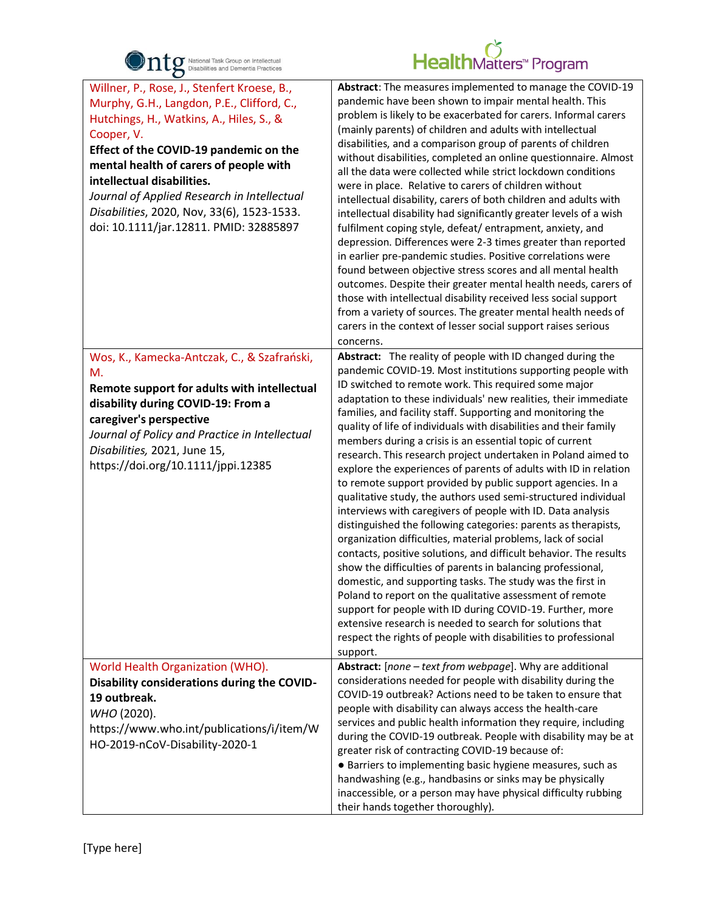

| $\bullet$                                                                                                                                                                                                                                                                                                                                                                                                    |                                                                                                                                                                                                                                                                                                                                                                                                                                                                                                                                                                                                                                                                                                                                                                                                                                                                                                                                                                                                                                                                                                                                                                                                                                                                                                                                                                                                   |
|--------------------------------------------------------------------------------------------------------------------------------------------------------------------------------------------------------------------------------------------------------------------------------------------------------------------------------------------------------------------------------------------------------------|---------------------------------------------------------------------------------------------------------------------------------------------------------------------------------------------------------------------------------------------------------------------------------------------------------------------------------------------------------------------------------------------------------------------------------------------------------------------------------------------------------------------------------------------------------------------------------------------------------------------------------------------------------------------------------------------------------------------------------------------------------------------------------------------------------------------------------------------------------------------------------------------------------------------------------------------------------------------------------------------------------------------------------------------------------------------------------------------------------------------------------------------------------------------------------------------------------------------------------------------------------------------------------------------------------------------------------------------------------------------------------------------------|
| Willner, P., Rose, J., Stenfert Kroese, B.,<br>Murphy, G.H., Langdon, P.E., Clifford, C.,<br>Hutchings, H., Watkins, A., Hiles, S., &<br>Cooper, V.<br>Effect of the COVID-19 pandemic on the<br>mental health of carers of people with<br>intellectual disabilities.<br>Journal of Applied Research in Intellectual<br>Disabilities, 2020, Nov, 33(6), 1523-1533.<br>doi: 10.1111/jar.12811. PMID: 32885897 | Abstract: The measures implemented to manage the COVID-19<br>pandemic have been shown to impair mental health. This<br>problem is likely to be exacerbated for carers. Informal carers<br>(mainly parents) of children and adults with intellectual<br>disabilities, and a comparison group of parents of children<br>without disabilities, completed an online questionnaire. Almost<br>all the data were collected while strict lockdown conditions<br>were in place. Relative to carers of children without<br>intellectual disability, carers of both children and adults with<br>intellectual disability had significantly greater levels of a wish<br>fulfilment coping style, defeat/entrapment, anxiety, and<br>depression. Differences were 2-3 times greater than reported<br>in earlier pre-pandemic studies. Positive correlations were<br>found between objective stress scores and all mental health<br>outcomes. Despite their greater mental health needs, carers of<br>those with intellectual disability received less social support<br>from a variety of sources. The greater mental health needs of<br>carers in the context of lesser social support raises serious<br>concerns.                                                                                                                                                                                            |
| Wos, K., Kamecka-Antczak, C., & Szafrański,<br>М.<br>Remote support for adults with intellectual<br>disability during COVID-19: From a<br>caregiver's perspective<br>Journal of Policy and Practice in Intellectual<br>Disabilities, 2021, June 15,<br>https://doi.org/10.1111/jppi.12385                                                                                                                    | Abstract: The reality of people with ID changed during the<br>pandemic COVID-19. Most institutions supporting people with<br>ID switched to remote work. This required some major<br>adaptation to these individuals' new realities, their immediate<br>families, and facility staff. Supporting and monitoring the<br>quality of life of individuals with disabilities and their family<br>members during a crisis is an essential topic of current<br>research. This research project undertaken in Poland aimed to<br>explore the experiences of parents of adults with ID in relation<br>to remote support provided by public support agencies. In a<br>qualitative study, the authors used semi-structured individual<br>interviews with caregivers of people with ID. Data analysis<br>distinguished the following categories: parents as therapists,<br>organization difficulties, material problems, lack of social<br>contacts, positive solutions, and difficult behavior. The results<br>show the difficulties of parents in balancing professional,<br>domestic, and supporting tasks. The study was the first in<br>Poland to report on the qualitative assessment of remote<br>support for people with ID during COVID-19. Further, more<br>extensive research is needed to search for solutions that<br>respect the rights of people with disabilities to professional<br>support. |
| World Health Organization (WHO).<br>Disability considerations during the COVID-<br>19 outbreak.<br>WHO (2020).<br>https://www.who.int/publications/i/item/W<br>HO-2019-nCoV-Disability-2020-1                                                                                                                                                                                                                | Abstract: [none - text from webpage]. Why are additional<br>considerations needed for people with disability during the<br>COVID-19 outbreak? Actions need to be taken to ensure that<br>people with disability can always access the health-care<br>services and public health information they require, including<br>during the COVID-19 outbreak. People with disability may be at<br>greater risk of contracting COVID-19 because of:<br>• Barriers to implementing basic hygiene measures, such as<br>handwashing (e.g., handbasins or sinks may be physically<br>inaccessible, or a person may have physical difficulty rubbing<br>their hands together thoroughly).                                                                                                                                                                                                                                                                                                                                                                                                                                                                                                                                                                                                                                                                                                                        |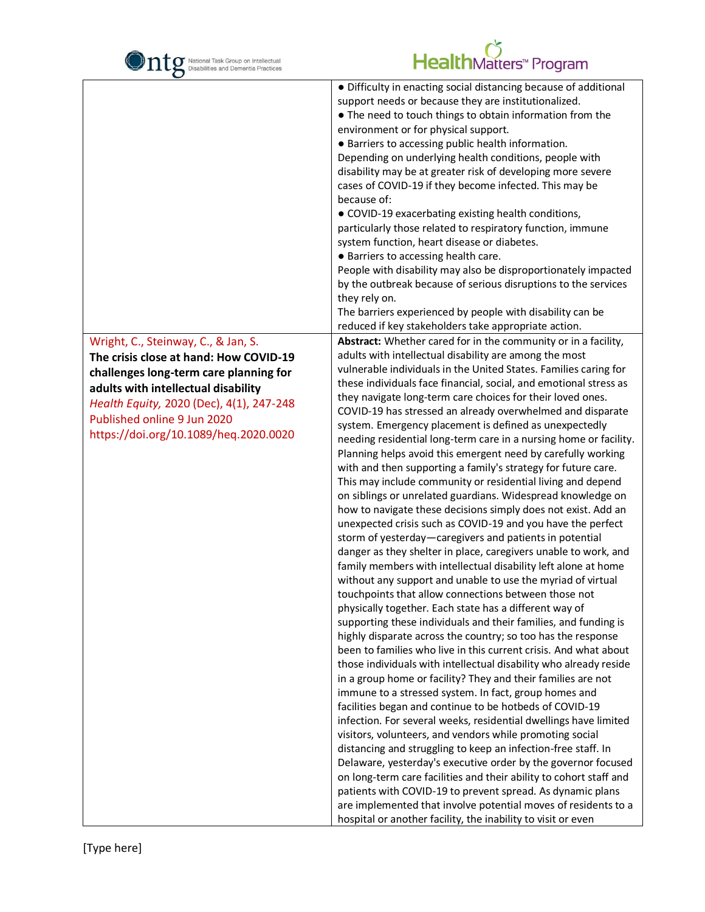| National Task Group on Intellectual<br>Disabilities and Dementia Practices                                                                                                                                                                                                         |                                                                                                                                                                                                                                                                                                                                                                                                                                                                                                                                                                                                                                                                                                                                                                                                                                                                                                                                                                                                                                                                                                                                                                                                                                                                                                                                                                                                                                                                                                                                                                                                                                                                                                                                                                                                                                                                                                                                                                                                                                                                                                                                                                                    |
|------------------------------------------------------------------------------------------------------------------------------------------------------------------------------------------------------------------------------------------------------------------------------------|------------------------------------------------------------------------------------------------------------------------------------------------------------------------------------------------------------------------------------------------------------------------------------------------------------------------------------------------------------------------------------------------------------------------------------------------------------------------------------------------------------------------------------------------------------------------------------------------------------------------------------------------------------------------------------------------------------------------------------------------------------------------------------------------------------------------------------------------------------------------------------------------------------------------------------------------------------------------------------------------------------------------------------------------------------------------------------------------------------------------------------------------------------------------------------------------------------------------------------------------------------------------------------------------------------------------------------------------------------------------------------------------------------------------------------------------------------------------------------------------------------------------------------------------------------------------------------------------------------------------------------------------------------------------------------------------------------------------------------------------------------------------------------------------------------------------------------------------------------------------------------------------------------------------------------------------------------------------------------------------------------------------------------------------------------------------------------------------------------------------------------------------------------------------------------|
|                                                                                                                                                                                                                                                                                    | HealthMatters <sup>*</sup> Program<br>• Difficulty in enacting social distancing because of additional<br>support needs or because they are institutionalized.<br>• The need to touch things to obtain information from the<br>environment or for physical support.<br>• Barriers to accessing public health information.<br>Depending on underlying health conditions, people with<br>disability may be at greater risk of developing more severe<br>cases of COVID-19 if they become infected. This may be<br>because of:<br>• COVID-19 exacerbating existing health conditions,<br>particularly those related to respiratory function, immune<br>system function, heart disease or diabetes.<br>• Barriers to accessing health care.<br>People with disability may also be disproportionately impacted<br>by the outbreak because of serious disruptions to the services<br>they rely on.<br>The barriers experienced by people with disability can be<br>reduced if key stakeholders take appropriate action.                                                                                                                                                                                                                                                                                                                                                                                                                                                                                                                                                                                                                                                                                                                                                                                                                                                                                                                                                                                                                                                                                                                                                                  |
| Wright, C., Steinway, C., & Jan, S.<br>The crisis close at hand: How COVID-19<br>challenges long-term care planning for<br>adults with intellectual disability<br>Health Equity, 2020 (Dec), 4(1), 247-248<br>Published online 9 Jun 2020<br>https://doi.org/10.1089/heq.2020.0020 | Abstract: Whether cared for in the community or in a facility,<br>adults with intellectual disability are among the most<br>vulnerable individuals in the United States. Families caring for<br>these individuals face financial, social, and emotional stress as<br>they navigate long-term care choices for their loved ones.<br>COVID-19 has stressed an already overwhelmed and disparate<br>system. Emergency placement is defined as unexpectedly<br>needing residential long-term care in a nursing home or facility.<br>Planning helps avoid this emergent need by carefully working<br>with and then supporting a family's strategy for future care.<br>This may include community or residential living and depend<br>on siblings or unrelated guardians. Widespread knowledge on<br>how to navigate these decisions simply does not exist. Add an<br>unexpected crisis such as COVID-19 and you have the perfect<br>storm of yesterday-caregivers and patients in potential<br>danger as they shelter in place, caregivers unable to work, and<br>family members with intellectual disability left alone at home<br>without any support and unable to use the myriad of virtual<br>touchpoints that allow connections between those not<br>physically together. Each state has a different way of<br>supporting these individuals and their families, and funding is<br>highly disparate across the country; so too has the response<br>been to families who live in this current crisis. And what about<br>those individuals with intellectual disability who already reside<br>in a group home or facility? They and their families are not<br>immune to a stressed system. In fact, group homes and<br>facilities began and continue to be hotbeds of COVID-19<br>infection. For several weeks, residential dwellings have limited<br>visitors, volunteers, and vendors while promoting social<br>distancing and struggling to keep an infection-free staff. In<br>Delaware, yesterday's executive order by the governor focused<br>on long-term care facilities and their ability to cohort staff and<br>patients with COVID-19 to prevent spread. As dynamic plans |
|                                                                                                                                                                                                                                                                                    | are implemented that involve potential moves of residents to a                                                                                                                                                                                                                                                                                                                                                                                                                                                                                                                                                                                                                                                                                                                                                                                                                                                                                                                                                                                                                                                                                                                                                                                                                                                                                                                                                                                                                                                                                                                                                                                                                                                                                                                                                                                                                                                                                                                                                                                                                                                                                                                     |
|                                                                                                                                                                                                                                                                                    | hospital or another facility, the inability to visit or even                                                                                                                                                                                                                                                                                                                                                                                                                                                                                                                                                                                                                                                                                                                                                                                                                                                                                                                                                                                                                                                                                                                                                                                                                                                                                                                                                                                                                                                                                                                                                                                                                                                                                                                                                                                                                                                                                                                                                                                                                                                                                                                       |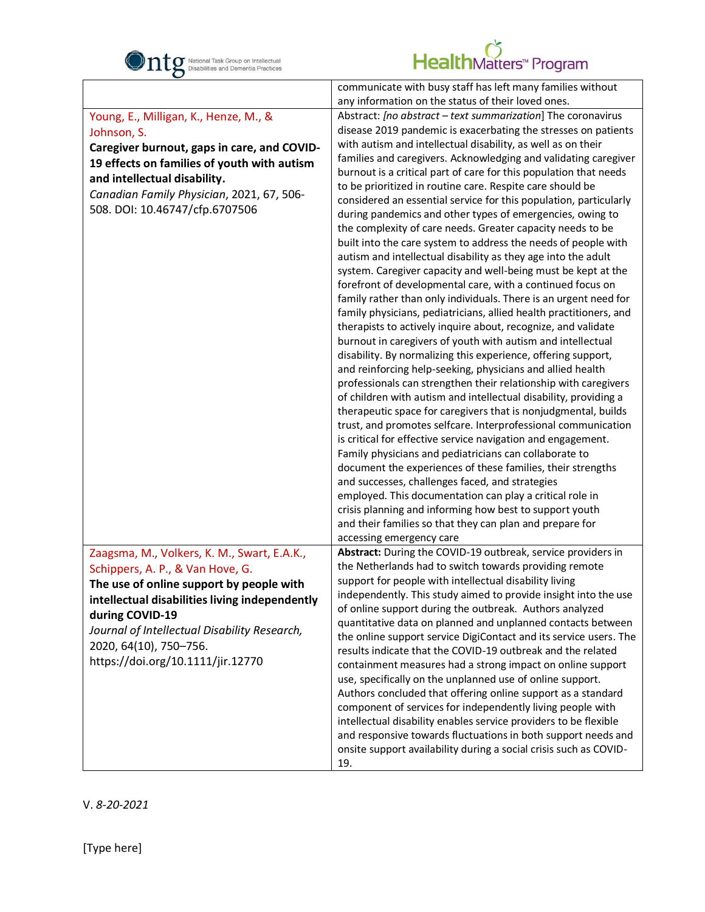

| $\mathbf C$                                                                                                                                                                                                                                                       |                                                                                                                                                                                                                                                                                                                                                                                                                                                                                                                                                                                                                                                                                                                                                                                                                                                                                                                                                                                                                                                                                                                                                                                                                                                                                                                                                                                                                                                                                                                                                                                                                                                                                                                                                                                                                                                                                                                                                                                                                     |
|-------------------------------------------------------------------------------------------------------------------------------------------------------------------------------------------------------------------------------------------------------------------|---------------------------------------------------------------------------------------------------------------------------------------------------------------------------------------------------------------------------------------------------------------------------------------------------------------------------------------------------------------------------------------------------------------------------------------------------------------------------------------------------------------------------------------------------------------------------------------------------------------------------------------------------------------------------------------------------------------------------------------------------------------------------------------------------------------------------------------------------------------------------------------------------------------------------------------------------------------------------------------------------------------------------------------------------------------------------------------------------------------------------------------------------------------------------------------------------------------------------------------------------------------------------------------------------------------------------------------------------------------------------------------------------------------------------------------------------------------------------------------------------------------------------------------------------------------------------------------------------------------------------------------------------------------------------------------------------------------------------------------------------------------------------------------------------------------------------------------------------------------------------------------------------------------------------------------------------------------------------------------------------------------------|
|                                                                                                                                                                                                                                                                   | communicate with busy staff has left many families without<br>any information on the status of their loved ones.                                                                                                                                                                                                                                                                                                                                                                                                                                                                                                                                                                                                                                                                                                                                                                                                                                                                                                                                                                                                                                                                                                                                                                                                                                                                                                                                                                                                                                                                                                                                                                                                                                                                                                                                                                                                                                                                                                    |
| Young, E., Milligan, K., Henze, M., &<br>Johnson, S.<br>Caregiver burnout, gaps in care, and COVID-<br>19 effects on families of youth with autism<br>and intellectual disability.<br>Canadian Family Physician, 2021, 67, 506-<br>508. DOI: 10.46747/cfp.6707506 | Abstract: [no abstract - text summarization] The coronavirus<br>disease 2019 pandemic is exacerbating the stresses on patients<br>with autism and intellectual disability, as well as on their<br>families and caregivers. Acknowledging and validating caregiver<br>burnout is a critical part of care for this population that needs<br>to be prioritized in routine care. Respite care should be<br>considered an essential service for this population, particularly<br>during pandemics and other types of emergencies, owing to<br>the complexity of care needs. Greater capacity needs to be<br>built into the care system to address the needs of people with<br>autism and intellectual disability as they age into the adult<br>system. Caregiver capacity and well-being must be kept at the<br>forefront of developmental care, with a continued focus on<br>family rather than only individuals. There is an urgent need for<br>family physicians, pediatricians, allied health practitioners, and<br>therapists to actively inquire about, recognize, and validate<br>burnout in caregivers of youth with autism and intellectual<br>disability. By normalizing this experience, offering support,<br>and reinforcing help-seeking, physicians and allied health<br>professionals can strengthen their relationship with caregivers<br>of children with autism and intellectual disability, providing a<br>therapeutic space for caregivers that is nonjudgmental, builds<br>trust, and promotes selfcare. Interprofessional communication<br>is critical for effective service navigation and engagement.<br>Family physicians and pediatricians can collaborate to<br>document the experiences of these families, their strengths<br>and successes, challenges faced, and strategies<br>employed. This documentation can play a critical role in<br>crisis planning and informing how best to support youth<br>and their families so that they can plan and prepare for<br>accessing emergency care |
| Zaagsma, M., Volkers, K. M., Swart, E.A.K.,<br>Schippers, A. P., & Van Hove, G.<br>The use of online support by people with<br>intellectual disabilities living independently                                                                                     | Abstract: During the COVID-19 outbreak, service providers in<br>the Netherlands had to switch towards providing remote<br>support for people with intellectual disability living<br>independently. This study aimed to provide insight into the use                                                                                                                                                                                                                                                                                                                                                                                                                                                                                                                                                                                                                                                                                                                                                                                                                                                                                                                                                                                                                                                                                                                                                                                                                                                                                                                                                                                                                                                                                                                                                                                                                                                                                                                                                                 |
| during COVID-19                                                                                                                                                                                                                                                   | of online support during the outbreak. Authors analyzed                                                                                                                                                                                                                                                                                                                                                                                                                                                                                                                                                                                                                                                                                                                                                                                                                                                                                                                                                                                                                                                                                                                                                                                                                                                                                                                                                                                                                                                                                                                                                                                                                                                                                                                                                                                                                                                                                                                                                             |
| Journal of Intellectual Disability Research,                                                                                                                                                                                                                      | quantitative data on planned and unplanned contacts between                                                                                                                                                                                                                                                                                                                                                                                                                                                                                                                                                                                                                                                                                                                                                                                                                                                                                                                                                                                                                                                                                                                                                                                                                                                                                                                                                                                                                                                                                                                                                                                                                                                                                                                                                                                                                                                                                                                                                         |
|                                                                                                                                                                                                                                                                   | the online support service DigiContact and its service users. The                                                                                                                                                                                                                                                                                                                                                                                                                                                                                                                                                                                                                                                                                                                                                                                                                                                                                                                                                                                                                                                                                                                                                                                                                                                                                                                                                                                                                                                                                                                                                                                                                                                                                                                                                                                                                                                                                                                                                   |
| 2020, 64(10), 750-756.                                                                                                                                                                                                                                            | results indicate that the COVID-19 outbreak and the related                                                                                                                                                                                                                                                                                                                                                                                                                                                                                                                                                                                                                                                                                                                                                                                                                                                                                                                                                                                                                                                                                                                                                                                                                                                                                                                                                                                                                                                                                                                                                                                                                                                                                                                                                                                                                                                                                                                                                         |
| https://doi.org/10.1111/jir.12770                                                                                                                                                                                                                                 | containment measures had a strong impact on online support<br>use, specifically on the unplanned use of online support.<br>Authors concluded that offering online support as a standard<br>component of services for independently living people with<br>intellectual disability enables service providers to be flexible<br>and responsive towards fluctuations in both support needs and<br>onsite support availability during a social crisis such as COVID-<br>19.                                                                                                                                                                                                                                                                                                                                                                                                                                                                                                                                                                                                                                                                                                                                                                                                                                                                                                                                                                                                                                                                                                                                                                                                                                                                                                                                                                                                                                                                                                                                              |